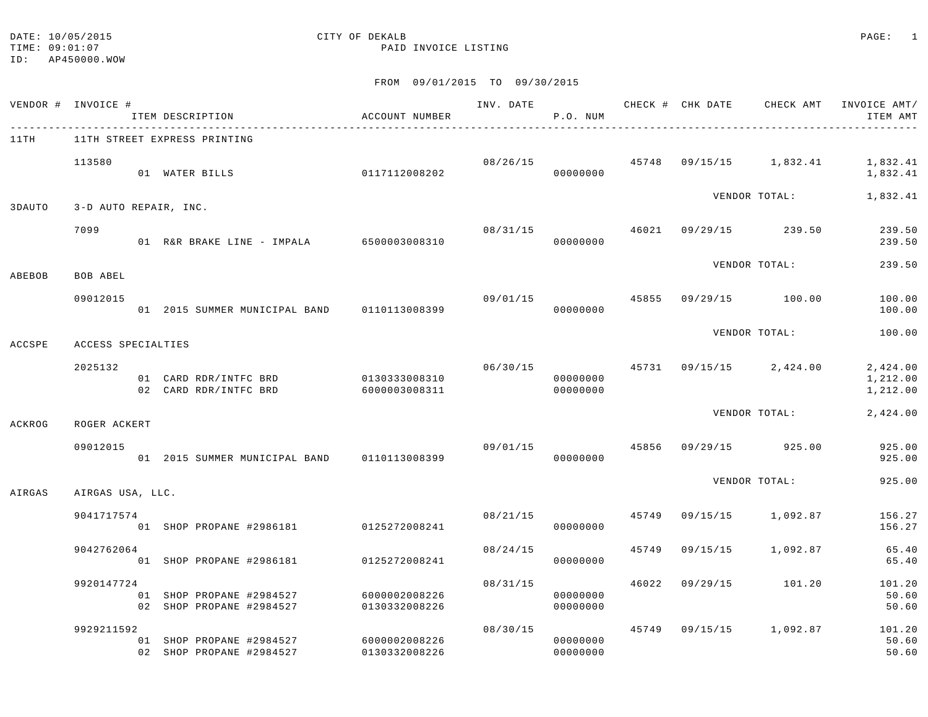## DATE: 10/05/2015 CITY OF DEKALB PAGE: 1

#### TIME: 09:01:07 PAID INVOICE LISTING

|        | VENDOR # INVOICE #    |  | ITEM DESCRIPTION<br>----------------------                         | ACCOUNT NUMBER |                | P.O. NUM             |       | INV. DATE 6 CHECK # CHK DATE CHECK AMT INVOICE AMT/ | ITEM AMT                         |
|--------|-----------------------|--|--------------------------------------------------------------------|----------------|----------------|----------------------|-------|-----------------------------------------------------|----------------------------------|
| 11TH   |                       |  | 11TH STREET EXPRESS PRINTING                                       |                |                |                      |       |                                                     |                                  |
|        | 113580                |  | 01 WATER BILLS                                                     | 0117112008202  |                | 00000000             |       | $08/26/15$ $45748$ $09/15/15$ $1,832.41$ $1,832.41$ | 1,832.41                         |
| 3DAUTO | 3-D AUTO REPAIR, INC. |  |                                                                    |                |                |                      |       | VENDOR TOTAL:                                       | 1,832.41                         |
|        |                       |  |                                                                    |                |                |                      |       |                                                     |                                  |
|        | 7099                  |  | 01 R&R BRAKE LINE - IMPALA 6500003008310                           |                | 08/31/15       | 00000000             |       | 46021 09/29/15 239.50                               | 239.50<br>239.50                 |
| ABEBOB | BOB ABEL              |  |                                                                    |                |                |                      |       | VENDOR TOTAL:                                       | 239.50                           |
|        | 09012015              |  | 01 2015 SUMMER MUNICIPAL BAND 0110113008399                        |                |                | 00000000             |       | $09/01/15$ $45855$ $09/29/15$ $100.00$              | 100.00<br>100.00                 |
| ACCSPE | ACCESS SPECIALTIES    |  |                                                                    |                |                |                      |       | VENDOR TOTAL:                                       | 100.00                           |
|        |                       |  |                                                                    |                |                |                      |       |                                                     |                                  |
|        | 2025132               |  | 01 CARD RDR/INTFC BRD 0130333008310<br>02 CARD RDR/INTFC BRD       | 6000003008311  |                | 00000000<br>00000000 |       | $06/30/15$ $45731$ $09/15/15$ $2,424.00$            | 2,424.00<br>1,212.00<br>1,212.00 |
| ACKROG | ROGER ACKERT          |  |                                                                    |                |                |                      |       | VENDOR TOTAL:                                       | 2,424.00                         |
|        | 09012015              |  | 01  2015  SUMMER MUNICIPAL BAND   0110113008399                    |                | 09/01/15 45856 | 00000000             |       | 09/29/15 925.00                                     | 925.00<br>925.00                 |
| AIRGAS | AIRGAS USA, LLC.      |  |                                                                    |                |                |                      |       | VENDOR TOTAL:                                       | 925.00                           |
|        |                       |  |                                                                    |                |                |                      |       |                                                     |                                  |
|        | 9041717574            |  | 01 SHOP PROPANE #2986181 0125272008241                             |                | 08/21/15       | 00000000             | 45749 | 09/15/15 1,092.87                                   | 156.27<br>156.27                 |
|        | 9042762064            |  | 01 SHOP PROPANE #2986181 0125272008241                             |                | 08/24/15       | 00000000             | 45749 | 09/15/15 1,092.87                                   | 65.40<br>65.40                   |
|        | 9920147724            |  |                                                                    |                | 08/31/15       |                      | 46022 | 09/29/15 101.20                                     | 101.20                           |
|        |                       |  | 01 SHOP PROPANE #2984527 6000002008226<br>02 SHOP PROPANE #2984527 | 0130332008226  |                | 00000000<br>00000000 |       |                                                     | 50.60<br>50.60                   |
|        | 9929211592            |  |                                                                    |                | 08/30/15       |                      |       | 45749 09/15/15 1,092.87                             | 101.20                           |
|        |                       |  | 01 SHOP PROPANE #2984527 6000002008226<br>02 SHOP PROPANE #2984527 | 0130332008226  |                | 00000000<br>00000000 |       |                                                     | 50.60<br>50.60                   |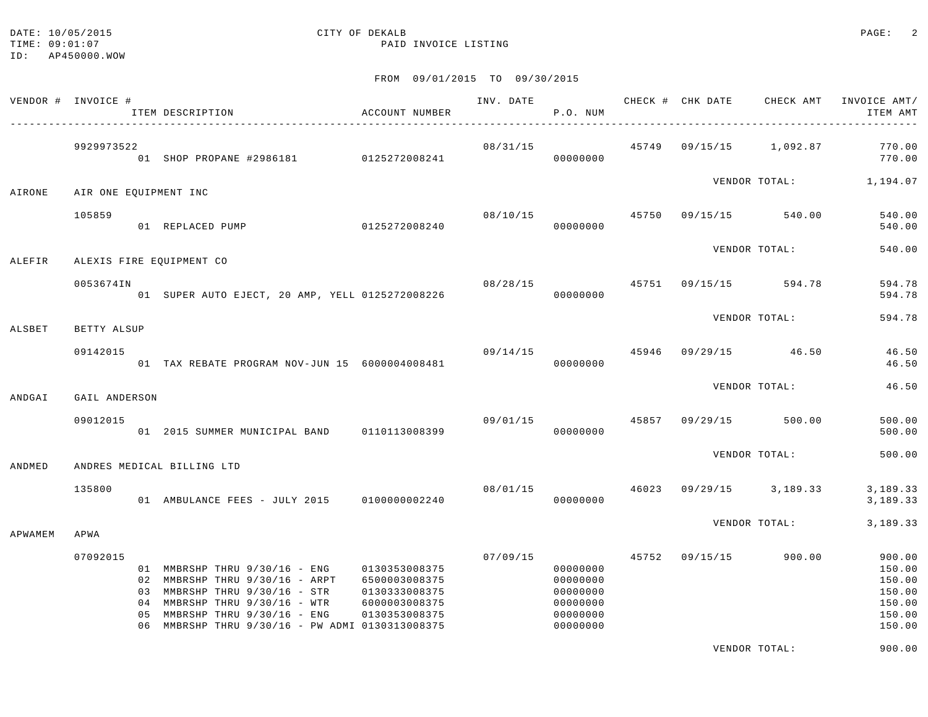#### DATE: 10/05/2015 CITY OF DEKALB PAGE: 2 TIME:  $09:01:07$  PAID INVOICE LISTING

FROM 09/01/2015 TO 09/30/2015

|         | VENDOR # INVOICE #    |                      | ITEM DESCRIPTION                                                                                                                                                                                          | ACCOUNT NUMBER                                                                    | INV. DATE      | P.O. NUM                                                             |       | CHECK # CHK DATE        | CHECK AMT     | INVOICE AMT/<br>ITEM AMT                                           |
|---------|-----------------------|----------------------|-----------------------------------------------------------------------------------------------------------------------------------------------------------------------------------------------------------|-----------------------------------------------------------------------------------|----------------|----------------------------------------------------------------------|-------|-------------------------|---------------|--------------------------------------------------------------------|
|         | 9929973522            |                      | 01 SHOP PROPANE #2986181 0125272008241                                                                                                                                                                    |                                                                                   | 08/31/15       | 00000000                                                             |       | 45749 09/15/15 1,092.87 |               | 770.00<br>770.00                                                   |
| AIRONE  | AIR ONE EQUIPMENT INC |                      |                                                                                                                                                                                                           |                                                                                   |                |                                                                      |       |                         |               | VENDOR TOTAL: 1,194.07                                             |
|         | 105859                |                      | 01 REPLACED PUMP                                                                                                                                                                                          | 0125272008240                                                                     | 08/10/15       | 00000000                                                             |       | 45750 09/15/15 540.00   |               | 540.00<br>540.00                                                   |
| ALEFIR  |                       |                      | ALEXIS FIRE EQUIPMENT CO                                                                                                                                                                                  |                                                                                   |                |                                                                      |       |                         | VENDOR TOTAL: | 540.00                                                             |
|         | 0053674IN             |                      | 01 SUPER AUTO EJECT, 20 AMP, YELL 0125272008226                                                                                                                                                           |                                                                                   | 08/28/15 45751 | 00000000                                                             |       | 09/15/15                | 594.78        | 594.78<br>594.78                                                   |
| ALSBET  | BETTY ALSUP           |                      |                                                                                                                                                                                                           |                                                                                   |                |                                                                      |       |                         | VENDOR TOTAL: | 594.78                                                             |
|         | 09142015              |                      | 01 TAX REBATE PROGRAM NOV-JUN 15 6000004008481                                                                                                                                                            |                                                                                   | 09/14/15       | 00000000                                                             | 45946 | $09/29/15$ 46.50        |               | 46.50<br>46.50                                                     |
| ANDGAI  | GAIL ANDERSON         |                      |                                                                                                                                                                                                           |                                                                                   |                |                                                                      |       |                         | VENDOR TOTAL: | 46.50                                                              |
|         | 09012015              |                      | 01 2015 SUMMER MUNICIPAL BAND 0110113008399                                                                                                                                                               |                                                                                   |                | 09/01/15 45857<br>00000000                                           |       | 09/29/15                | 500.00        | 500.00<br>500.00                                                   |
| ANDMED  |                       |                      | ANDRES MEDICAL BILLING LTD                                                                                                                                                                                |                                                                                   |                |                                                                      |       |                         | VENDOR TOTAL: | 500.00                                                             |
|         | 135800                |                      | 01 AMBULANCE FEES - JULY 2015 0100000002240                                                                                                                                                               |                                                                                   |                | 08/01/15 46023<br>00000000                                           |       | $09/29/15$ 3, 189.33    |               | 3,189.33<br>3,189.33                                               |
| APWAMEM | APWA                  |                      |                                                                                                                                                                                                           |                                                                                   |                |                                                                      |       |                         | VENDOR TOTAL: | 3,189.33                                                           |
|         | 07092015              | 03<br>04<br>05<br>06 | 01 MMBRSHP THRU 9/30/16 - ENG<br>02 MMBRSHP THRU 9/30/16 - ARPT<br>MMBRSHP THRU 9/30/16 - STR<br>MMBRSHP THRU 9/30/16 - WTR<br>MMBRSHP THRU 9/30/16 - ENG<br>MMBRSHP THRU 9/30/16 - PW ADMI 0130313008375 | 0130353008375<br>6500003008375<br>0130333008375<br>6000003008375<br>0130353008375 | 07/09/15       | 00000000<br>00000000<br>00000000<br>00000000<br>00000000<br>00000000 |       | 45752 09/15/15          | 900.00        | 900.00<br>150.00<br>150.00<br>150.00<br>150.00<br>150.00<br>150.00 |

VENDOR TOTAL: 900.00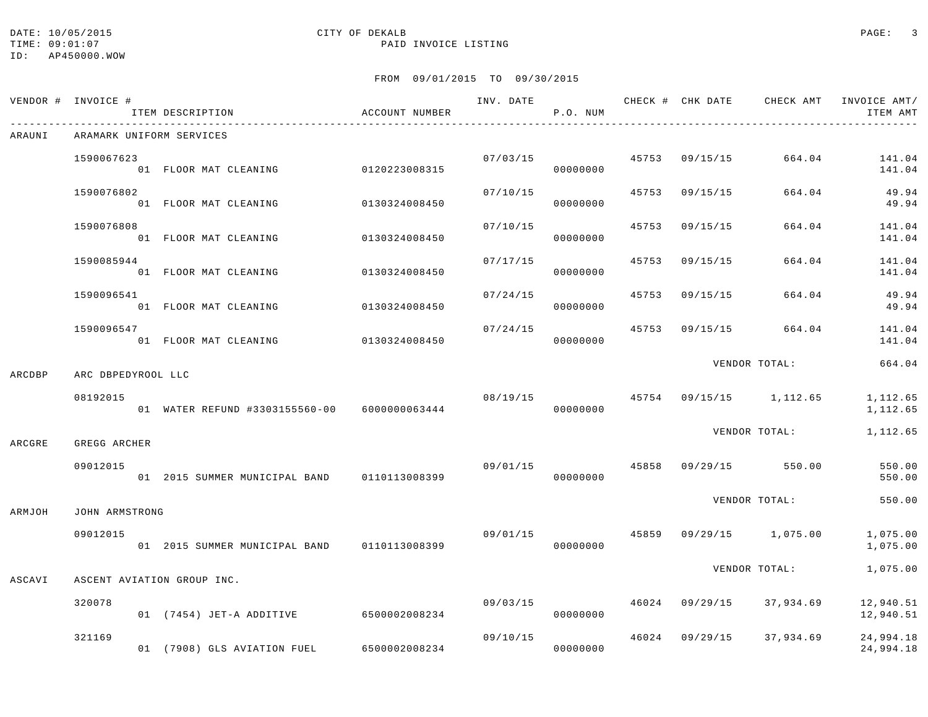## DATE: 10/05/2015 CITY OF DEKALB PAGE: 3

|        | VENDOR # INVOICE #       | ITEM DESCRIPTION                             | ACCOUNT NUMBER |          | P.O. NUM             |       |                |                                          | INV. DATE 6 CHECK # CHK DATE CHECK AMT INVOICE AMT/<br>ITEM AMT |
|--------|--------------------------|----------------------------------------------|----------------|----------|----------------------|-------|----------------|------------------------------------------|-----------------------------------------------------------------|
| ARAUNI | ARAMARK UNIFORM SERVICES |                                              |                |          |                      |       |                |                                          |                                                                 |
|        | 1590067623               | 01 FLOOR MAT CLEANING                        | 0120223008315  |          | 07/03/15<br>00000000 |       | 45753 09/15/15 | 664.04                                   | 141.04<br>141.04                                                |
|        | 1590076802               | 01 FLOOR MAT CLEANING                        | 0130324008450  | 07/10/15 | 00000000             | 45753 | 09/15/15       | 664.04                                   | 49.94<br>49.94                                                  |
|        | 1590076808               | 01 FLOOR MAT CLEANING                        | 0130324008450  | 07/10/15 | 00000000             | 45753 | 09/15/15       | 664.04                                   | 141.04<br>141.04                                                |
|        | 1590085944               | 01 FLOOR MAT CLEANING                        | 0130324008450  | 07/17/15 | 00000000             | 45753 | 09/15/15       | 664.04                                   | 141.04<br>141.04                                                |
|        | 1590096541               | 01 FLOOR MAT CLEANING                        | 0130324008450  | 07/24/15 | 00000000             | 45753 | 09/15/15       | 664.04                                   | 49.94<br>49.94                                                  |
|        | 1590096547               | 01 FLOOR MAT CLEANING                        | 0130324008450  |          | 07/24/15<br>00000000 | 45753 | 09/15/15       | 664.04                                   | 141.04<br>141.04                                                |
| ARCDBP | ARC DBPEDYROOL LLC       |                                              |                |          |                      |       |                | VENDOR TOTAL:                            | 664.04                                                          |
|        | 08192015                 | 01 WATER REFUND #3303155560-00 6000000063444 |                |          | 00000000             |       |                | $08/19/15$ $45754$ $09/15/15$ $1,112.65$ | 1,112.65<br>1,112.65                                            |
| ARCGRE | GREGG ARCHER             |                                              |                |          |                      |       |                | VENDOR TOTAL:                            | 1,112.65                                                        |
|        | 09012015                 | 01 2015 SUMMER MUNICIPAL BAND 0110113008399  |                |          | 00000000             |       |                | $09/01/15$ $45858$ $09/29/15$ $550.00$   | 550.00<br>550.00                                                |
| ARMJOH | JOHN ARMSTRONG           |                                              |                |          |                      |       |                | VENDOR TOTAL:                            | 550.00                                                          |
|        | 09012015                 | 01 2015 SUMMER MUNICIPAL BAND                | 0110113008399  | 09/01/15 | 00000000             |       |                | 45859 09/29/15 1,075.00                  | 1,075.00<br>1,075.00                                            |
| ASCAVI |                          | ASCENT AVIATION GROUP INC.                   |                |          |                      |       |                | VENDOR TOTAL:                            | 1,075.00                                                        |
|        | 320078                   | 01 (7454) JET-A ADDITIVE 6500002008234       |                |          | 09/03/15<br>00000000 |       |                | 46024 09/29/15 37,934.69                 | 12,940.51<br>12,940.51                                          |
|        | 321169                   | 01 (7908) GLS AVIATION FUEL                  | 6500002008234  | 09/10/15 | 00000000             |       | 46024 09/29/15 | 37,934.69                                | 24,994.18<br>24,994.18                                          |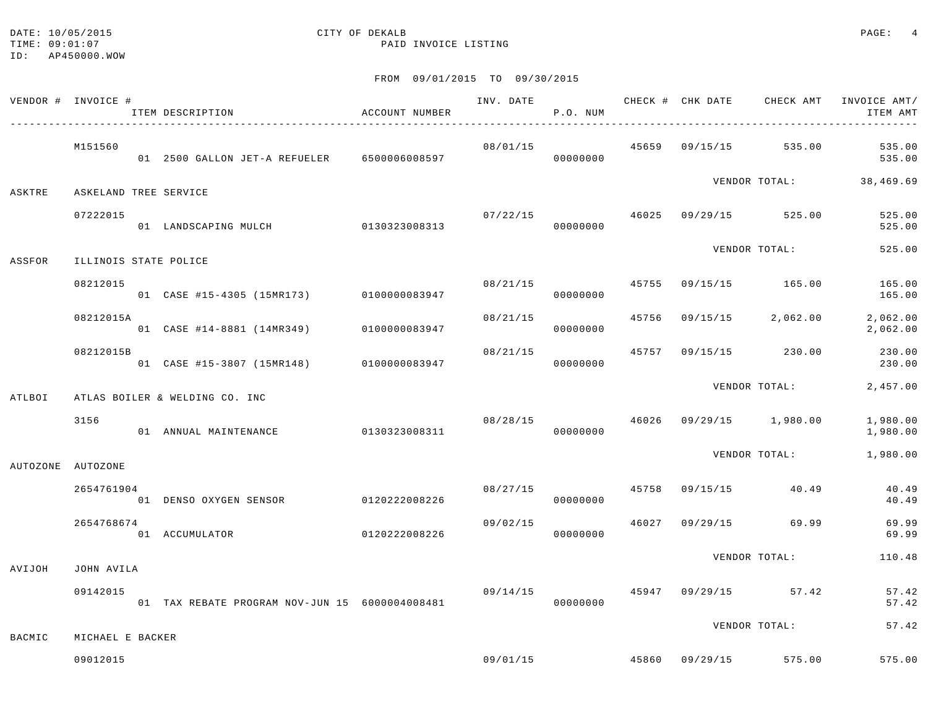#### DATE: 10/05/2015 CITY OF DEKALB PAGE: 4 TIME:  $09:01:07$  PAID INVOICE LISTING

ID: AP450000.WOW

|          | VENDOR # INVOICE #    | ITEM DESCRIPTION                               | ACCOUNT NUMBER |          | P.O. NUM             |       | INV. DATE 6 CHECK # CHK DATE CHECK AMT   | INVOICE AMT/<br>ITEM AMT |
|----------|-----------------------|------------------------------------------------|----------------|----------|----------------------|-------|------------------------------------------|--------------------------|
|          | M151560               | 01 2500 GALLON JET-A REFUELER 6500006008597    |                | 08/01/15 | 00000000             |       | 45659 09/15/15 535.00                    | 535.00<br>535.00         |
| ASKTRE   | ASKELAND TREE SERVICE |                                                |                |          |                      |       |                                          | VENDOR TOTAL: 38,469.69  |
|          | 07222015              | 01 LANDSCAPING MULCH 0130323008313             |                |          | 00000000             |       | $07/22/15$ $46025$ $09/29/15$ $525.00$   | 525.00<br>525.00         |
| ASSFOR   | ILLINOIS STATE POLICE |                                                |                |          |                      |       | VENDOR TOTAL:                            | 525.00                   |
|          | 08212015              | 01 CASE #15-4305 (15MR173) 0100000083947       |                |          | 08/21/15<br>00000000 | 45755 | 09/15/15 165.00                          | 165.00<br>165.00         |
|          | 08212015A             | 01 CASE #14-8881 (14MR349) 0100000083947       |                | 08/21/15 | 00000000             | 45756 | $09/15/15$ 2,062.00                      | 2,062.00<br>2,062.00     |
|          | 08212015B             | 01 CASE #15-3807 (15MR148) 0100000083947       |                | 08/21/15 | 00000000             | 45757 | 09/15/15 230.00                          | 230.00<br>230.00         |
| ATLBOI   |                       | ATLAS BOILER & WELDING CO. INC                 |                |          |                      |       | VENDOR TOTAL:                            | 2,457.00                 |
|          | 3156                  | 01 ANNUAL MAINTENANCE                          | 0130323008311  |          | 00000000             |       | $08/28/15$ $46026$ $09/29/15$ $1,980.00$ | 1,980.00<br>1,980.00     |
| AUTOZONE | AUTOZONE              |                                                |                |          |                      |       | VENDOR TOTAL:                            | 1,980.00                 |
|          | 2654761904            | 01 DENSO OXYGEN SENSOR 0120222008226           |                |          | 08/27/15<br>00000000 |       | 45758 09/15/15 40.49                     | 40.49<br>40.49           |
|          | 2654768674            | 01 ACCUMULATOR                                 | 0120222008226  |          | 09/02/15<br>00000000 | 46027 | 09/29/15 69.99                           | 69.99<br>69.99           |
| AVIJOH   | JOHN AVILA            |                                                |                |          |                      |       | VENDOR TOTAL:                            | 110.48                   |
|          | 09142015              | 01 TAX REBATE PROGRAM NOV-JUN 15 6000004008481 |                |          | 09/14/15<br>00000000 |       | 45947 09/29/15 57.42                     | 57.42<br>57.42           |
| BACMIC   | MICHAEL E BACKER      |                                                |                |          |                      |       | VENDOR TOTAL:                            | 57.42                    |
|          | 09012015              |                                                |                |          | 09/01/15             |       | 45860 09/29/15 575.00                    | 575.00                   |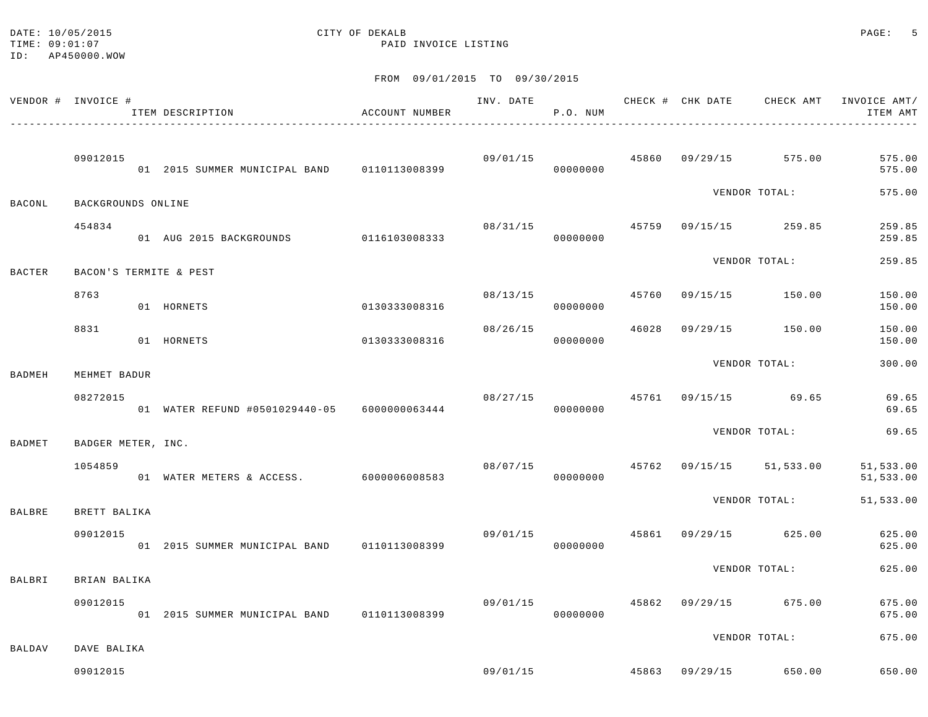TIME:  $09:01:07$  PAID INVOICE LISTING

# DATE: 10/05/2015 CITY OF DEKALB PAGE: 5

ID: AP450000.WOW

|               | VENDOR # INVOICE # | ITEM DESCRIPTION                               | ACCOUNT NUMBER |                | P.O. NUM |       |                         | INV. DATE CHECK # CHK DATE CHECK AMT   | INVOICE AMT/<br>ITEM AMT |
|---------------|--------------------|------------------------------------------------|----------------|----------------|----------|-------|-------------------------|----------------------------------------|--------------------------|
|               | 09012015           | 01 2015 SUMMER MUNICIPAL BAND 0110113008399    |                |                | 00000000 |       |                         | $09/01/15$ $45860$ $09/29/15$ $575.00$ | 575.00<br>575.00         |
| BACONL        | BACKGROUNDS ONLINE |                                                |                |                |          |       |                         | VENDOR TOTAL:                          | 575.00                   |
|               | 454834             | 01 AUG 2015 BACKGROUNDS 0116103008333          |                | 08/31/15       | 00000000 | 45759 |                         | 09/15/15 259.85                        | 259.85<br>259.85         |
| <b>BACTER</b> |                    | BACON'S TERMITE & PEST                         |                |                |          |       |                         | VENDOR TOTAL:                          | 259.85                   |
|               | 8763               | 01 HORNETS                                     | 0130333008316  | 08/13/15       | 00000000 | 45760 |                         | 09/15/15 150.00                        | 150.00<br>150.00         |
|               | 8831               | 01 HORNETS                                     | 0130333008316  | 08/26/15       | 00000000 | 46028 |                         | 09/29/15 150.00                        | 150.00<br>150.00         |
| BADMEH        | MEHMET BADUR       |                                                |                |                |          |       |                         | VENDOR TOTAL:                          | 300.00                   |
|               | 08272015           | 01 WATER REFUND #0501029440-05 6000000063444   |                | 08/27/15 45761 | 00000000 |       |                         | 09/15/15 69.65                         | 69.65<br>69.65           |
| BADMET        | BADGER METER, INC. |                                                |                |                |          |       |                         | VENDOR TOTAL:                          | 69.65                    |
|               | 1054859            | 01 WATER METERS & ACCESS. 6000006008583        |                | 08/07/15       | 00000000 |       |                         | 45762 09/15/15 51,533.00               | 51,533.00<br>51,533.00   |
| BALBRE        | BRETT BALIKA       |                                                |                |                |          |       |                         | VENDOR TOTAL:                          | 51,533.00                |
|               | 09012015           | 01 2015 SUMMER MUNICIPAL BAND 0110113008399    |                | 09/01/15       | 00000000 |       |                         | 45861 09/29/15 625.00                  | 625.00<br>625.00         |
| BALBRI        | BRIAN BALIKA       |                                                |                |                |          |       |                         | VENDOR TOTAL:                          | 625.00                   |
|               | 09012015           | 01  2015 SUMMER MUNICIPAL BAND   0110113008399 |                | 09/01/15       | 00000000 | 45862 | 09/29/15                | 675.00                                 | 675.00<br>675.00         |
| BALDAV        | DAVE BALIKA        |                                                |                |                |          |       |                         | VENDOR TOTAL:                          | 675.00                   |
|               | 09012015           |                                                |                |                |          |       | 09/01/15 45863 09/29/15 | 650.00                                 | 650.00                   |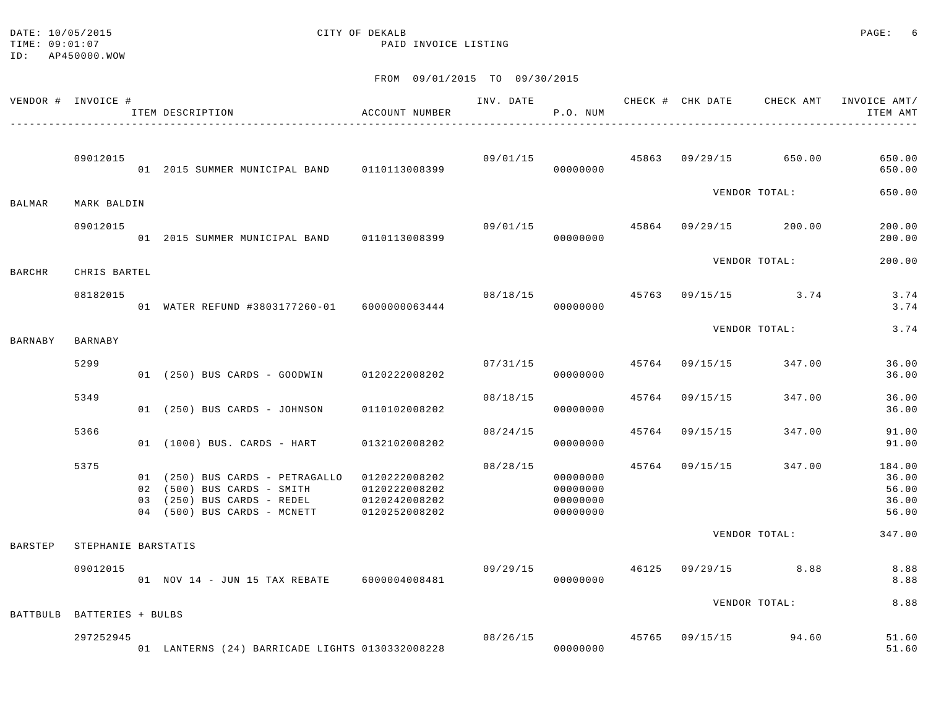TIME:  $09:01:07$  PAID INVOICE LISTING

# DATE:  $10/05/2015$  PAGE: 6

ID: AP450000.WOW

|                | VENDOR # INVOICE #         | ITEM DESCRIPTION<br>--------------------------------                                                                                                   | ACCOUNT NUMBER                 | INV. DATE      | P.O. NUM                                     |       | CHECK # CHK DATE CHECK AMT |               | INVOICE AMT/<br>ITEM AMT                   |
|----------------|----------------------------|--------------------------------------------------------------------------------------------------------------------------------------------------------|--------------------------------|----------------|----------------------------------------------|-------|----------------------------|---------------|--------------------------------------------|
|                | 09012015                   | 01 2015 SUMMER MUNICIPAL BAND 0110113008399                                                                                                            |                                | 09/01/15       | 00000000                                     |       | 45863 09/29/15 650.00      |               | 650.00<br>650.00                           |
| BALMAR         | MARK BALDIN                |                                                                                                                                                        |                                |                |                                              |       |                            | VENDOR TOTAL: | 650.00                                     |
|                | 09012015                   | 01  2015  SUMMER MUNICIPAL BAND   0110113008399                                                                                                        |                                | 09/01/15       | 00000000                                     | 45864 | 09/29/15 200.00            |               | 200.00<br>200.00                           |
| BARCHR         | CHRIS BARTEL               |                                                                                                                                                        |                                |                |                                              |       |                            | VENDOR TOTAL: | 200.00                                     |
|                | 08182015                   | 01 WATER REFUND #3803177260-01 6000000063444                                                                                                           |                                | 08/18/15       | 00000000                                     |       | 45763 09/15/15 3.74        |               | 3.74<br>3.74                               |
| BARNABY        | BARNABY                    |                                                                                                                                                        |                                |                |                                              |       |                            | VENDOR TOTAL: | 3.74                                       |
|                | 5299                       | 01 (250) BUS CARDS - GOODWIN 0120222008202                                                                                                             |                                | 07/31/15       | 00000000                                     | 45764 | 09/15/15                   | 347.00        | 36.00<br>36.00                             |
|                | 5349                       | 01 (250) BUS CARDS - JOHNSON                                                                                                                           | 0110102008202                  | 08/18/15       | 00000000                                     | 45764 | 09/15/15                   | 347.00        | 36.00<br>36.00                             |
|                | 5366                       | 01 (1000) BUS. CARDS - HART                                                                                                                            | 0132102008202                  | 08/24/15       | 00000000                                     | 45764 | 09/15/15                   | 347.00        | 91.00<br>91.00                             |
|                | 5375                       | 01 (250) BUS CARDS - PETRAGALLO 0120222008202<br>02 (500) BUS CARDS - SMITH<br>03 (250) BUS CARDS - REDEL 0120242008202<br>04 (500) BUS CARDS - MCNETT | 0120222008202<br>0120252008202 | 08/28/15       | 00000000<br>00000000<br>00000000<br>00000000 | 45764 | 09/15/15                   | 347.00        | 184.00<br>36.00<br>56.00<br>36.00<br>56.00 |
| <b>BARSTEP</b> | STEPHANIE BARSTATIS        |                                                                                                                                                        |                                |                |                                              |       |                            | VENDOR TOTAL: | 347.00                                     |
|                | 09012015                   | 01 NOV 14 - JUN 15 TAX REBATE 6000004008481                                                                                                            |                                | 09/29/15       | 00000000                                     |       | 46125 09/29/15 8.88        |               | 8.88<br>8.88                               |
|                | BATTBULB BATTERIES + BULBS |                                                                                                                                                        |                                |                |                                              |       |                            | VENDOR TOTAL: | 8.88                                       |
|                | 297252945                  | 01 LANTERNS (24) BARRICADE LIGHTS 0130332008228                                                                                                        |                                | 08/26/15 45765 | 00000000                                     |       | 09/15/15 94.60             |               | 51.60<br>51.60                             |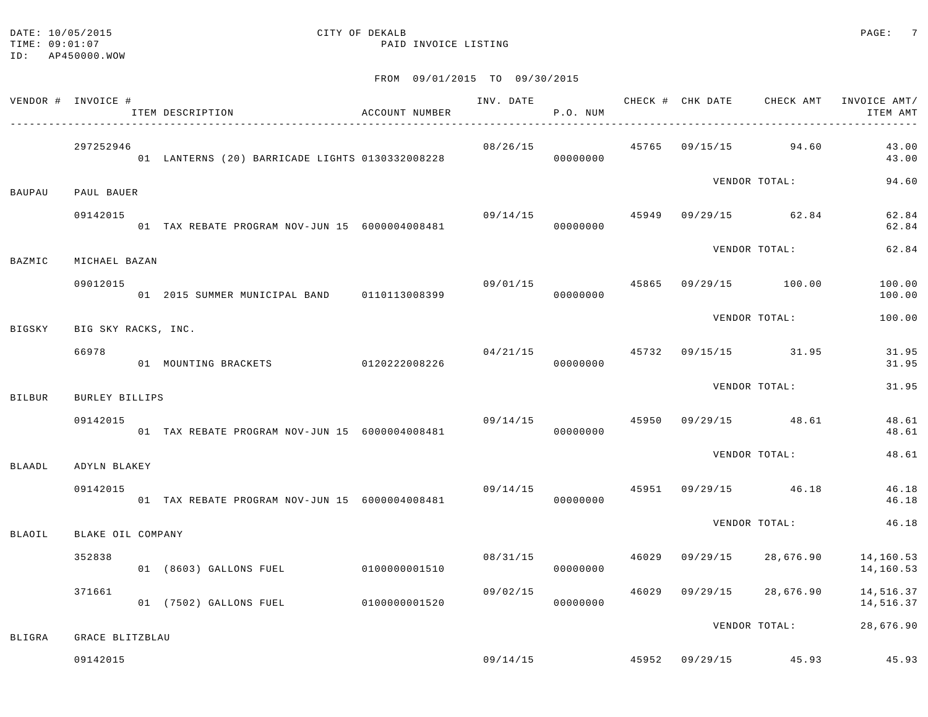#### DATE: 10/05/2015 CITY OF DEKALB PAGE: 7 TIME:  $09:01:07$  PAID INVOICE LISTING

|               | VENDOR # INVOICE #          | ACCOUNT NUMBER<br>ITEM DESCRIPTION              | INV. DATE                              | P.O. NUM | CHECK # CHK DATE CHECK AMT |                                       | INVOICE AMT/<br>ITEM AMT                |
|---------------|-----------------------------|-------------------------------------------------|----------------------------------------|----------|----------------------------|---------------------------------------|-----------------------------------------|
|               | 297252946                   | 01 LANTERNS (20) BARRICADE LIGHTS 0130332008228 |                                        | 00000000 |                            | $08/26/15$ $45765$ $09/15/15$ $94.60$ | 43.00<br>43.00                          |
| BAUPAU        | PAUL BAUER                  |                                                 |                                        |          |                            | VENDOR TOTAL:                         | 94.60                                   |
|               | 09142015                    | 01 TAX REBATE PROGRAM NOV-JUN 15 6000004008481  |                                        | 00000000 |                            | $09/14/15$ $45949$ $09/29/15$ $62.84$ | 62.84<br>62.84                          |
| BAZMIC        | MICHAEL BAZAN               |                                                 |                                        |          |                            | VENDOR TOTAL:                         | 62.84                                   |
|               | 09012015                    | 01 2015 SUMMER MUNICIPAL BAND 0110113008399     | $09/01/15$ $45865$ $09/29/15$ $100.00$ | 00000000 |                            |                                       | 100.00<br>100.00                        |
| BIGSKY        | BIG SKY RACKS, INC.         |                                                 |                                        |          |                            | VENDOR TOTAL:                         | 100.00                                  |
|               | 66978                       | 01 MOUNTING BRACKETS 0120222008226              |                                        | 00000000 |                            | $04/21/15$ $45732$ $09/15/15$ $31.95$ | 31.95<br>31.95                          |
| <b>BILBUR</b> | BURLEY BILLIPS              |                                                 |                                        |          |                            | VENDOR TOTAL:                         | 31.95                                   |
|               | 09142015                    | 01 TAX REBATE PROGRAM NOV-JUN 15 6000004008481  | 09/14/15                               | 00000000 |                            | 45950 09/29/15 48.61                  | 48.61<br>48.61                          |
| BLAADL        | ADYLN BLAKEY                |                                                 |                                        |          |                            | VENDOR TOTAL:                         | 48.61                                   |
|               | 09142015                    | 01 TAX REBATE PROGRAM NOV-JUN 15 6000004008481  |                                        | 00000000 |                            | $09/14/15$ $45951$ $09/29/15$ $46.18$ | 46.18<br>46.18                          |
|               |                             |                                                 |                                        |          |                            | VENDOR TOTAL:                         | 46.18                                   |
| BLAOIL        | BLAKE OIL COMPANY<br>352838 | 01 (8603) GALLONS FUEL 0100000001510            | 08/31/15                               | 00000000 |                            | 46029 09/29/15 28,676.90              | 14,160.53<br>14,160.53                  |
|               | 371661                      | 01 (7502) GALLONS FUEL 0100000001520            | 09/02/15                               | 00000000 |                            | 46029 09/29/15 28,676.90              | 14,516.37<br>14,516.37                  |
|               |                             |                                                 |                                        |          |                            | VENDOR TOTAL:                         | 28,676.90                               |
| BLIGRA        | GRACE BLITZBLAU<br>09142015 |                                                 |                                        |          |                            |                                       | $09/14/15$ 45952 $09/29/15$ 45.93 45.93 |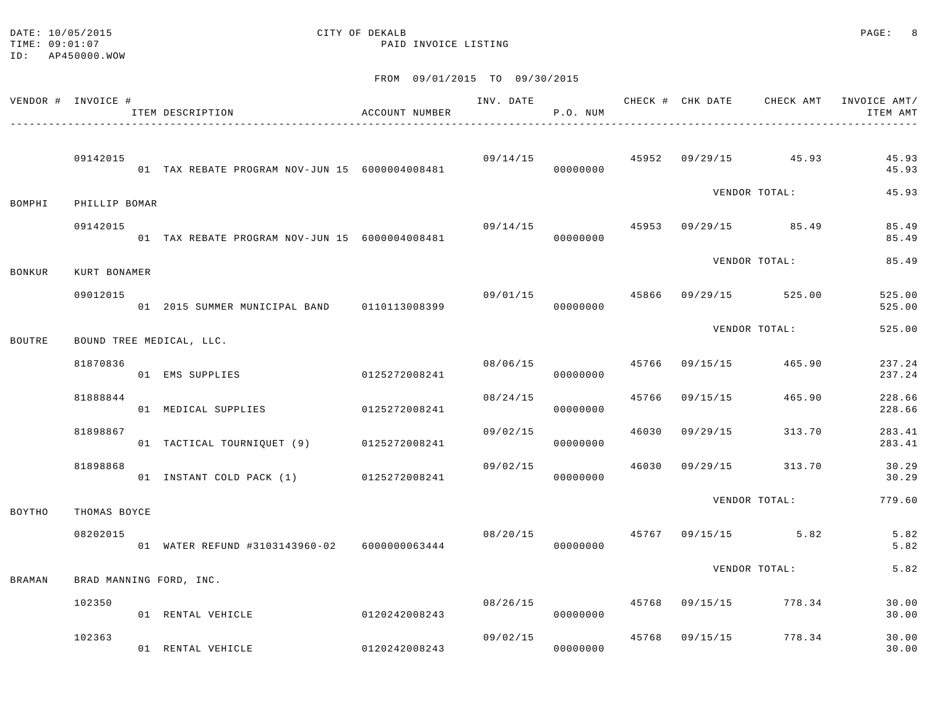#### DATE: 10/05/2015 PAGE: 8 TIME:  $09:01:07$  PAID INVOICE LISTING

|               | VENDOR # INVOICE #       | ACCOUNT NUMBER<br>ITEM DESCRIPTION             |               |                                        | P.O. NUM             |       |                       |                               | INV. DATE 6 1999 CHECK # CHK DATE 6 CHECK AMT INVOICE AMT<br>ITEM AMT |
|---------------|--------------------------|------------------------------------------------|---------------|----------------------------------------|----------------------|-------|-----------------------|-------------------------------|-----------------------------------------------------------------------|
|               | 09142015                 | 01 TAX REBATE PROGRAM NOV-JUN 15 6000004008481 |               |                                        | 00000000             |       |                       | 09/14/15 45952 09/29/15 45.93 | 45.93<br>45.93                                                        |
| BOMPHI        | PHILLIP BOMAR            |                                                |               |                                        |                      |       |                       | VENDOR TOTAL:                 | 45.93                                                                 |
|               | 09142015                 | 01 TAX REBATE PROGRAM NOV-JUN 15 6000004008481 |               | $09/14/15$ $45953$ $09/29/15$ $85.49$  | 00000000             |       |                       |                               | 85.49<br>85.49                                                        |
|               |                          |                                                |               |                                        |                      |       |                       | VENDOR TOTAL:                 | 85.49                                                                 |
| <b>BONKUR</b> | KURT BONAMER<br>09012015 | 01 2015 SUMMER MUNICIPAL BAND 0110113008399    |               | $09/01/15$ $45866$ $09/29/15$ $525.00$ | 00000000             |       |                       |                               | 525.00<br>525.00                                                      |
|               |                          |                                                |               |                                        |                      |       |                       | VENDOR TOTAL:                 | 525.00                                                                |
| <b>BOUTRE</b> |                          | BOUND TREE MEDICAL, LLC.                       |               |                                        |                      |       |                       |                               |                                                                       |
|               | 81870836                 | 01 EMS SUPPLIES                                | 0125272008241 |                                        | 08/06/15<br>00000000 |       | 45766 09/15/15 465.90 |                               | 237.24<br>237.24                                                      |
|               | 81888844                 | 01 MEDICAL SUPPLIES 0125272008241              |               | 08/24/15                               | 00000000             | 45766 | 09/15/15 465.90       |                               | 228.66<br>228.66                                                      |
|               | 81898867                 | 01 TACTICAL TOURNIQUET (9) 0125272008241       |               | 09/02/15                               | 00000000             |       | 46030 09/29/15        | 313.70                        | 283.41<br>283.41                                                      |
|               | 81898868                 | 01 INSTANT COLD PACK (1) 0125272008241         |               | 09/02/15                               | 00000000             | 46030 | 09/29/15 313.70       |                               | 30.29<br>30.29                                                        |
| BOYTHO        | THOMAS BOYCE             |                                                |               |                                        |                      |       |                       | VENDOR TOTAL:                 | 779.60                                                                |
|               | 08202015                 | 01 WATER REFUND #3103143960-02 6000000063444   |               | $08/20/15$ $45767$ $09/15/15$ 5.82     | 00000000             |       |                       |                               | 5.82<br>5.82                                                          |
|               |                          |                                                |               |                                        |                      |       |                       | VENDOR TOTAL:                 | 5.82                                                                  |
| <b>BRAMAN</b> |                          | BRAD MANNING FORD, INC.                        |               |                                        |                      |       |                       |                               |                                                                       |
|               | 102350                   | 01 RENTAL VEHICLE                              | 0120242008243 | 08/26/15 45768 09/15/15 778.34         | 00000000             |       |                       |                               | 30.00<br>30.00                                                        |
|               | 102363                   | 01 RENTAL VEHICLE                              | 0120242008243 | 09/02/15                               | 00000000             |       | 45768 09/15/15 778.34 |                               | 30.00<br>30.00                                                        |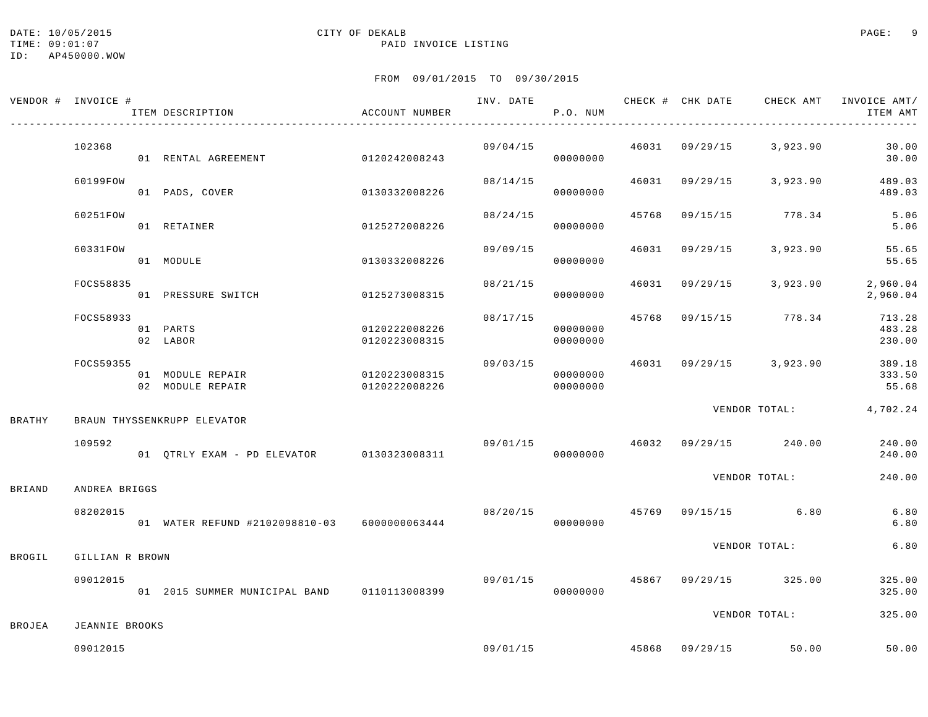## DATE: 10/05/2015 PAGE: 9

### TIME:  $09:01:07$  PAID INVOICE LISTING

|               | VENDOR # INVOICE #    | ITEM DESCRIPTION                             | ACCOUNT NUMBER                 |          | P.O. NUM             |       |                | INV. DATE <b>CHECK # CHK DATE</b> CHECK AMT | INVOICE AMT/<br>ITEM AMT   |
|---------------|-----------------------|----------------------------------------------|--------------------------------|----------|----------------------|-------|----------------|---------------------------------------------|----------------------------|
|               | 102368                | 01 RENTAL AGREEMENT                          | 0120242008243                  | 09/04/15 | 00000000             |       |                | $46031$ $09/29/15$ 3,923.90                 | 30.00<br>30.00             |
|               | 60199FOW              | 01 PADS, COVER                               | 0130332008226                  | 08/14/15 | 00000000             |       | 46031 09/29/15 | 3,923.90                                    | 489.03<br>489.03           |
|               | 60251FOW              | 01 RETAINER                                  | 0125272008226                  | 08/24/15 | 00000000             | 45768 |                | 09/15/15 778.34                             | 5.06<br>5.06               |
|               | 60331FOW              | 01 MODULE                                    | 0130332008226                  | 09/09/15 | 00000000             | 46031 | 09/29/15       | 3,923.90                                    | 55.65<br>55.65             |
|               | FOCS58835             | 01 PRESSURE SWITCH                           | 0125273008315                  | 08/21/15 | 00000000             | 46031 | 09/29/15       | 3,923.90                                    | 2,960.04<br>2,960.04       |
|               | FOCS58933             | 01 PARTS<br>02 LABOR                         | 0120222008226<br>0120223008315 | 08/17/15 | 00000000<br>00000000 | 45768 |                | 09/15/15 778.34                             | 713.28<br>483.28<br>230.00 |
|               | FOCS59355             | 01 MODULE REPAIR<br>02 MODULE REPAIR         | 0120223008315<br>0120222008226 | 09/03/15 | 00000000<br>00000000 |       |                | 46031 09/29/15 3,923.90                     | 389.18<br>333.50<br>55.68  |
| <b>BRATHY</b> |                       | BRAUN THYSSENKRUPP ELEVATOR                  |                                |          |                      |       |                | VENDOR TOTAL: 4,702.24                      |                            |
|               | 109592                | 01 QTRLY EXAM - PD ELEVATOR 0130323008311    |                                |          | 00000000             |       |                | $09/01/15$ $46032$ $09/29/15$ $240.00$      | 240.00<br>240.00           |
| <b>BRIAND</b> | ANDREA BRIGGS         |                                              |                                |          |                      |       |                | VENDOR TOTAL:                               | 240.00                     |
|               | 08202015              | 01 WATER REFUND #2102098810-03 6000000063444 |                                | 08/20/15 | 00000000             |       |                | 45769 09/15/15 6.80                         | 6.80<br>$6.80$             |
| BROGIL        | GILLIAN R BROWN       |                                              |                                |          |                      |       |                | VENDOR TOTAL:                               | 6.80                       |
|               | 09012015              | 01 2015 SUMMER MUNICIPAL BAND 0110113008399  |                                |          | 00000000             |       |                | $09/01/15$ $45867$ $09/29/15$ $325.00$      | 325.00<br>325.00           |
| BROJEA        | <b>JEANNIE BROOKS</b> |                                              |                                |          |                      |       |                | VENDOR TOTAL:                               | 325.00                     |
|               | 09012015              |                                              |                                | 09/01/15 |                      |       |                | 45868 09/29/15 50.00                        | 50.00                      |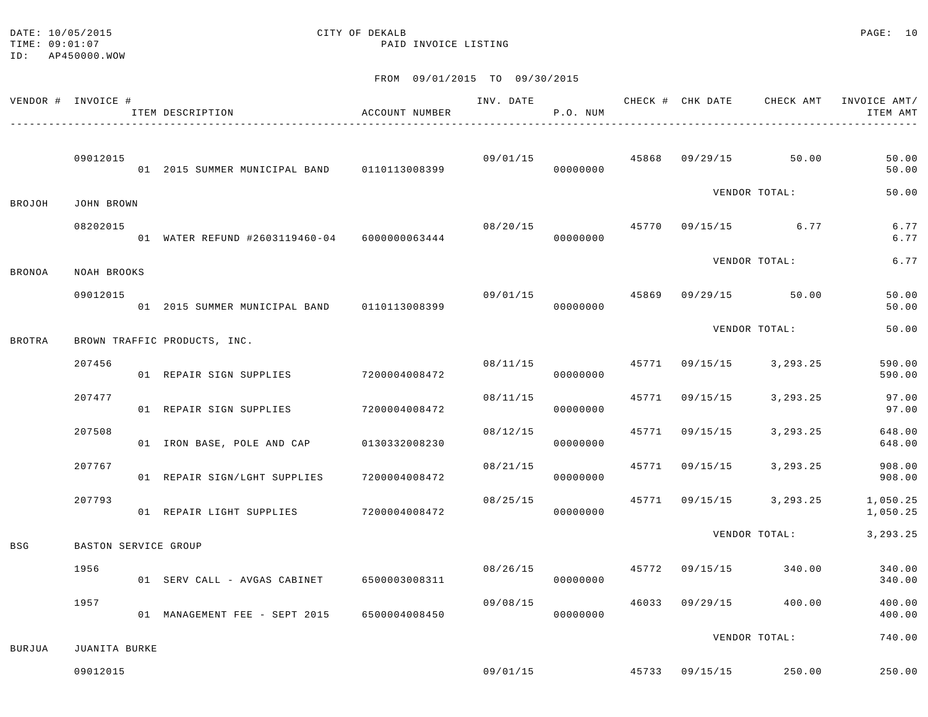DATE: 10/05/2015 CITY OF DEKALB PAGE: 10 TIME:  $09:01:07$  PAID INVOICE LISTING

ID: AP450000.WOW

|               | VENDOR # INVOICE #   | ITEM DESCRIPTION                                | ACCOUNT NUMBER |          | P.O. NUM             |       |                |                         | INV. DATE 6 CHECK # CHK DATE CHECK AMT INVOICE AMT/<br>ITEM AMT<br>$- - - - -$ |
|---------------|----------------------|-------------------------------------------------|----------------|----------|----------------------|-------|----------------|-------------------------|--------------------------------------------------------------------------------|
|               | 09012015             | 01  2015  SUMMER MUNICIPAL BAND   0110113008399 |                |          | 09/01/15<br>00000000 |       |                | 45868 09/29/15 50.00    | 50.00<br>50.00                                                                 |
| BROJOH        | JOHN BROWN           |                                                 |                |          |                      |       |                | VENDOR TOTAL:           | 50.00                                                                          |
|               | 08202015             | 01 WATER REFUND #2603119460-04 6000000063444    |                | 08/20/15 | 00000000             |       |                | 45770 09/15/15 6.77     | 6.77<br>6.77                                                                   |
| <b>BRONOA</b> | NOAH BROOKS          |                                                 |                |          |                      |       |                | VENDOR TOTAL:           | 6.77                                                                           |
|               | 09012015             | 01 2015 SUMMER MUNICIPAL BAND 0110113008399     |                | 09/01/15 | 00000000             |       |                | 45869 09/29/15 50.00    | 50.00<br>50.00                                                                 |
| <b>BROTRA</b> |                      | BROWN TRAFFIC PRODUCTS, INC.                    |                |          |                      |       |                | VENDOR TOTAL:           | 50.00                                                                          |
|               | 207456               | 01 REPAIR SIGN SUPPLIES 7200004008472           |                | 08/11/15 | 00000000             |       |                | 45771 09/15/15 3,293.25 | 590.00<br>590.00                                                               |
|               | 207477               | 01 REPAIR SIGN SUPPLIES                         | 7200004008472  | 08/11/15 | 00000000             |       | 45771 09/15/15 | 3,293.25                | 97.00<br>97.00                                                                 |
|               | 207508               | 01 IRON BASE, POLE AND CAP                      | 0130332008230  | 08/12/15 | 00000000             | 45771 | 09/15/15       | 3,293.25                | 648.00<br>648.00                                                               |
|               | 207767               | 01 REPAIR SIGN/LGHT SUPPLIES 7200004008472      |                | 08/21/15 | 00000000             |       |                | 45771 09/15/15 3,293.25 | 908.00<br>908.00                                                               |
|               | 207793               | 01 REPAIR LIGHT SUPPLIES 7200004008472          |                | 08/25/15 | 00000000             |       |                | 45771 09/15/15 3,293.25 | 1,050.25<br>1,050.25                                                           |
| <b>BSG</b>    | BASTON SERVICE GROUP |                                                 |                |          |                      |       |                | VENDOR TOTAL:           | 3, 293. 25                                                                     |
|               | 1956                 | 01 SERV CALL - AVGAS CABINET 6500003008311      |                | 08/26/15 | 00000000             |       |                | 45772 09/15/15 340.00   | 340.00<br>340.00                                                               |
|               | 1957                 | 01 MANAGEMENT FEE - SEPT 2015 6500004008450     |                | 09/08/15 | 00000000             |       |                | 46033 09/29/15 400.00   | 400.00<br>400.00                                                               |
| <b>BURJUA</b> | JUANITA BURKE        |                                                 |                |          |                      |       |                | VENDOR TOTAL:           | 740.00                                                                         |
|               | 09012015             |                                                 |                | 09/01/15 |                      |       |                | 45733 09/15/15 250.00   | 250.00                                                                         |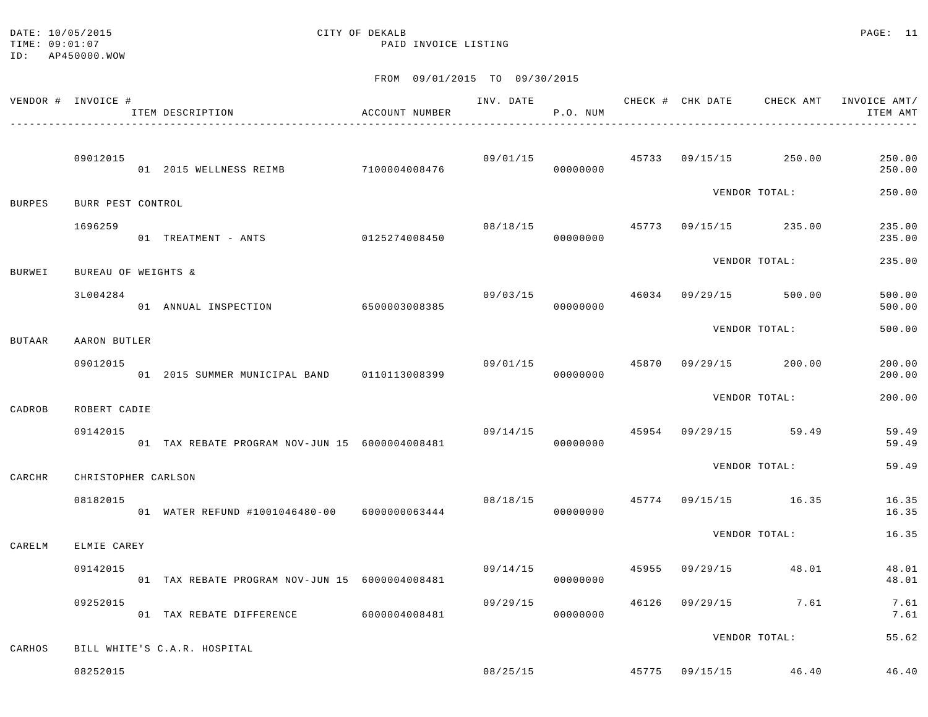#### DATE: 10/05/2015 CITY OF DEKALB PAGE: 11 TIME:  $09:01:07$  PAID INVOICE LISTING

ID: AP450000.WOW

|               | VENDOR # INVOICE #  | ITEM DESCRIPTION                                         | ACCOUNT NUMBER |          | P.O. NUM             |       | INV. DATE 6 1992 CHECK # CHK DATE 6 CHECK AMT INVOICE AMT | ITEM AMT         |
|---------------|---------------------|----------------------------------------------------------|----------------|----------|----------------------|-------|-----------------------------------------------------------|------------------|
|               | 09012015            | 01 2015 WELLNESS REIMB 7100004008476                     |                |          | 09/01/15<br>00000000 |       | 45733 09/15/15 250.00                                     | 250.00<br>250.00 |
| <b>BURPES</b> | BURR PEST CONTROL   |                                                          |                |          |                      |       | VENDOR TOTAL:                                             | 250.00           |
|               | 1696259             | 01 TREATMENT - ANTS                                      | 0125274008450  | 08/18/15 | 00000000             |       | 45773 09/15/15 235.00                                     | 235.00<br>235.00 |
| BURWEI        | BUREAU OF WEIGHTS & |                                                          |                |          |                      |       | VENDOR TOTAL:                                             | 235.00           |
|               | 3L004284            | 01 ANNUAL INSPECTION 6500003008385                       |                | 09/03/15 | 00000000             |       | 46034 09/29/15 500.00                                     | 500.00<br>500.00 |
| <b>BUTAAR</b> | AARON BUTLER        |                                                          |                |          |                      |       | VENDOR TOTAL:                                             | 500.00           |
|               | 09012015            | 01  2015  SUMMER  MUNICIPAL BAND   0110113008399         |                |          | 09/01/15<br>00000000 | 45870 | $09/29/15$ 200.00                                         | 200.00<br>200.00 |
| CADROB        | ROBERT CADIE        |                                                          |                |          |                      |       | VENDOR TOTAL:                                             | 200.00           |
|               | 09142015            | 01 TAX REBATE PROGRAM NOV-JUN 15 6000004008481           |                | 09/14/15 | 00000000             |       | 45954 09/29/15 59.49                                      | 59.49<br>59.49   |
| CARCHR        | CHRISTOPHER CARLSON |                                                          |                |          |                      |       | VENDOR TOTAL:                                             | 59.49            |
|               | 08182015            | 08/18/15<br>01 WATER REFUND #1001046480-00 6000000063444 |                | 08/18/15 | 00000000             |       | 45774 09/15/15 16.35                                      | 16.35<br>16.35   |
| CARELM        | ELMIE CAREY         |                                                          |                |          |                      |       | VENDOR TOTAL:                                             | 16.35            |
|               | 09142015            | 01 TAX REBATE PROGRAM NOV-JUN 15 6000004008481           |                | 09/14/15 | 00000000             | 45955 | 09/29/15 48.01                                            | 48.01<br>48.01   |
|               | 09252015            | 01 TAX REBATE DIFFERENCE 6000004008481                   |                | 09/29/15 | 00000000             |       | 46126 09/29/15 7.61                                       | 7.61<br>7.61     |
| CARHOS        |                     | BILL WHITE'S C.A.R. HOSPITAL                             |                |          |                      |       | VENDOR TOTAL:                                             | 55.62            |
|               | 08252015            |                                                          |                |          |                      |       | 08/25/15 45775 09/15/15 46.40                             | 46.40            |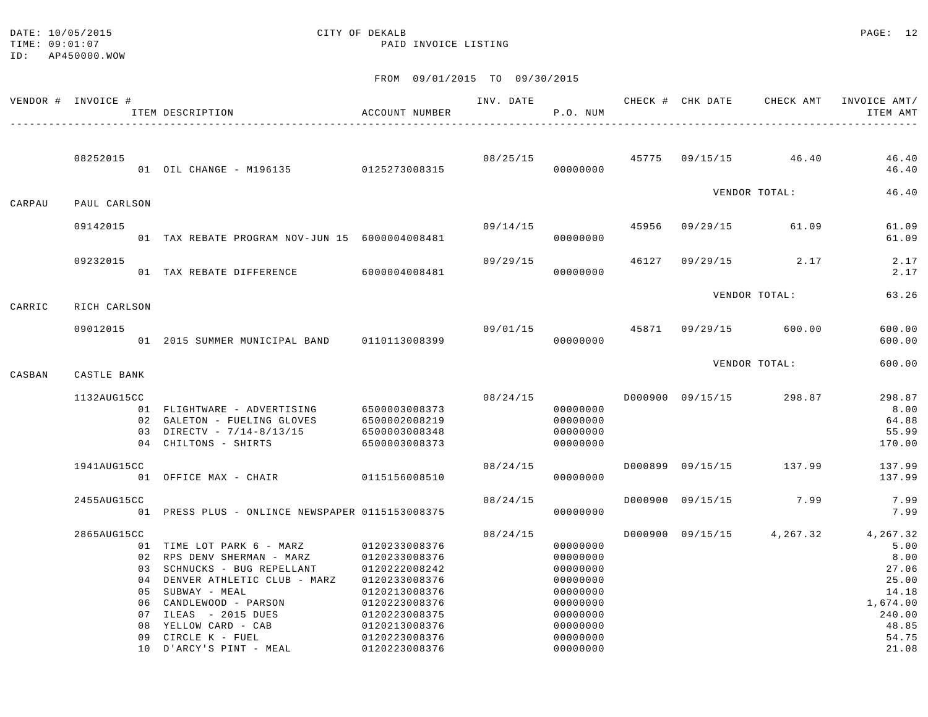#### DATE: 10/05/2015 CITY OF DEKALB PAGE: 12 TIME:  $09:01:07$  PAID INVOICE LISTING

ID: AP450000.WOW

|        | VENDOR # INVOICE # |    | ITEM DESCRIPTION                                | ACCOUNT NUMBER | INV. DATE | P.O. NUM             |       |                  | CHECK # CHK DATE CHECK AMT INVOICE AMT/ | ITEM AMT         |
|--------|--------------------|----|-------------------------------------------------|----------------|-----------|----------------------|-------|------------------|-----------------------------------------|------------------|
|        |                    |    |                                                 |                |           |                      |       |                  |                                         |                  |
|        | 08252015           |    | 01 OIL CHANGE - M196135 0125273008315           |                |           | 08/25/15<br>00000000 |       |                  | 45775 09/15/15 46.40                    | 46.40<br>46.40   |
|        |                    |    |                                                 |                |           |                      |       |                  | VENDOR TOTAL:                           | 46.40            |
| CARPAU | PAUL CARLSON       |    |                                                 |                |           |                      |       |                  |                                         |                  |
|        | 09142015           |    | 01 TAX REBATE PROGRAM NOV-JUN 15 6000004008481  |                | 09/14/15  | 00000000             | 45956 |                  | 09/29/15 61.09                          | 61.09<br>61.09   |
|        | 09232015           |    |                                                 |                | 09/29/15  |                      | 46127 |                  | $09/29/15$ 2.17                         | 2.17             |
|        |                    |    | 01 TAX REBATE DIFFERENCE 6000004008481          |                |           | 00000000             |       |                  |                                         | 2.17             |
| CARRIC | RICH CARLSON       |    |                                                 |                |           |                      |       |                  | VENDOR TOTAL:                           | 63.26            |
|        |                    |    |                                                 |                |           |                      |       |                  |                                         |                  |
|        | 09012015           |    | 01  2015  SUMMER MUNICIPAL BAND   0110113008399 |                | 09/01/15  | 00000000             |       |                  | 45871 09/29/15 600.00                   | 600.00<br>600.00 |
|        |                    |    |                                                 |                |           |                      |       |                  | VENDOR TOTAL:                           | 600.00           |
| CASBAN | CASTLE BANK        |    |                                                 |                |           |                      |       |                  |                                         |                  |
|        | 1132AUG15CC        |    |                                                 |                | 08/24/15  |                      |       | D000900 09/15/15 | 298.87                                  | 298.87           |
|        |                    |    | 01 FLIGHTWARE - ADVERTISING                     | 6500003008373  |           | 00000000             |       |                  |                                         | 8.00             |
|        |                    |    | 02 GALETON - FUELING GLOVES                     | 6500002008219  |           | 00000000             |       |                  |                                         | 64.88            |
|        |                    |    | 03 DIRECTV - 7/14-8/13/15                       | 6500003008348  |           | 00000000             |       |                  |                                         | 55.99            |
|        |                    |    | 04 CHILTONS - SHIRTS                            | 6500003008373  |           | 00000000             |       |                  |                                         | 170.00           |
|        | 1941AUG15CC        |    |                                                 |                | 08/24/15  |                      |       |                  | D000899 09/15/15 137.99                 | 137.99           |
|        |                    |    | 01 OFFICE MAX - CHAIR                           | 0115156008510  |           | 00000000             |       |                  |                                         | 137.99           |
|        | 2455AUG15CC        |    |                                                 |                | 08/24/15  |                      |       |                  | D000900 09/15/15 7.99                   | 7.99             |
|        |                    |    | 01 PRESS PLUS - ONLINCE NEWSPAPER 0115153008375 |                |           | 00000000             |       |                  |                                         | 7.99             |
|        | 2865AUG15CC        |    |                                                 |                | 08/24/15  |                      |       |                  | D000900 09/15/15 4,267.32               | 4,267.32         |
|        |                    |    | 01 TIME LOT PARK 6 - MARZ                       | 0120233008376  |           | 00000000             |       |                  |                                         | 5.00             |
|        |                    |    | 02 RPS DENV SHERMAN - MARZ                      | 0120233008376  |           | 00000000             |       |                  |                                         | 8.00             |
|        |                    |    | 03 SCHNUCKS - BUG REPELLANT                     | 0120222008242  |           | 00000000             |       |                  |                                         | 27.06            |
|        |                    |    | 04 DENVER ATHLETIC CLUB - MARZ                  | 0120233008376  |           | 00000000             |       |                  |                                         | 25.00            |
|        |                    |    | 05 SUBWAY - MEAL                                | 0120213008376  |           | 00000000             |       |                  |                                         | 14.18            |
|        |                    |    | 06 CANDLEWOOD - PARSON                          | 0120223008376  |           | 00000000             |       |                  |                                         | 1,674.00         |
|        |                    |    | 07 ILEAS - 2015 DUES                            | 0120223008375  |           | 00000000             |       |                  |                                         | 240.00           |
|        |                    | 08 | YELLOW CARD - CAB                               | 0120213008376  |           | 00000000             |       |                  |                                         | 48.85            |
|        |                    | 09 | CIRCLE K - FUEL                                 | 0120223008376  |           | 00000000             |       |                  |                                         | 54.75            |
|        |                    |    | 10 D'ARCY'S PINT - MEAL                         | 0120223008376  |           | 00000000             |       |                  |                                         | 21.08            |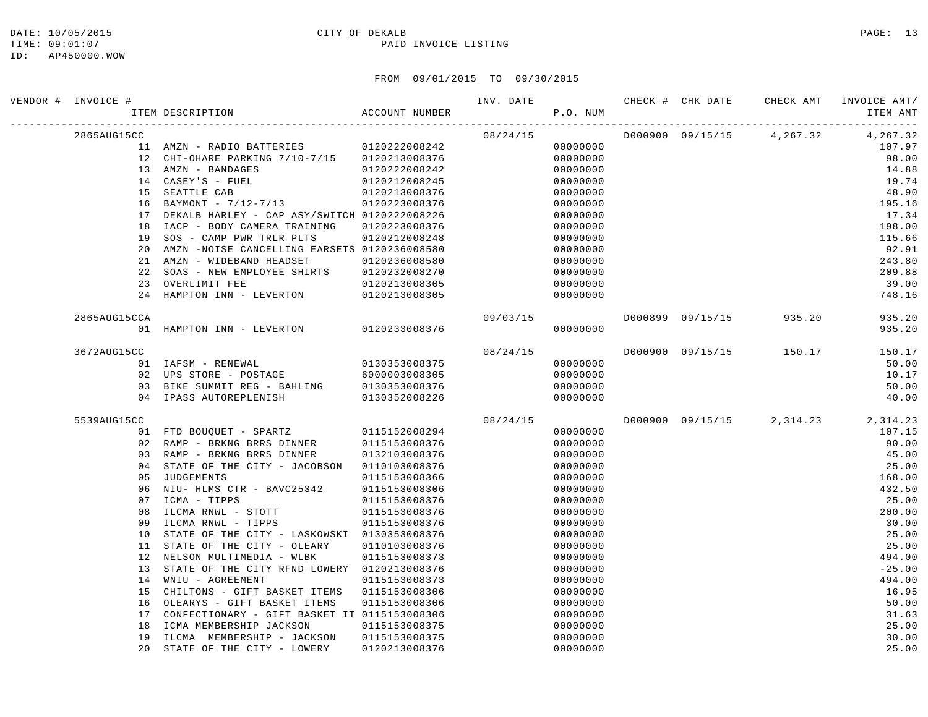#### DATE: 10/05/2015 CITY OF DEKALB PAGE: 13 TIME:  $09:01:07$  PAID INVOICE LISTING

| VENDOR # INVOICE # | ACCOUNT NUMBER<br>ITEM DESCRIPTION              |               |          | P.O. NUM |  | INV. DATE 6 . CHECK # CHK DATE 6 CHECK AMT INVOICE AMT | ITEM AMT |
|--------------------|-------------------------------------------------|---------------|----------|----------|--|--------------------------------------------------------|----------|
| 2865AUG15CC        |                                                 |               | 08/24/15 |          |  | D000900 09/15/15 4,267.32 4,267.32                     |          |
|                    | 11 AMZN - RADIO BATTERIES 0120222008242         |               |          | 00000000 |  |                                                        | 107.97   |
|                    | 12 CHI-OHARE PARKING 7/10-7/15 0120213008376    |               |          | 00000000 |  |                                                        | 98.00    |
|                    | 13 AMZN - BANDAGES                              | 0120222008242 |          | 00000000 |  |                                                        | 14.88    |
|                    | 14 CASEY'S - FUEL                               | 0120212008245 |          | 00000000 |  |                                                        | 19.74    |
|                    | 15 SEATTLE CAB                                  | 0120213008376 |          | 00000000 |  |                                                        | 48.90    |
|                    | 16 BAYMONT - 7/12-7/13 0120223008376            |               |          | 00000000 |  |                                                        | 195.16   |
|                    | 17 DEKALB HARLEY - CAP ASY/SWITCH 0120222008226 |               |          | 00000000 |  |                                                        | 17.34    |
| 18                 | IACP - BODY CAMERA TRAINING                     | 0120223008376 |          | 00000000 |  |                                                        | 198.00   |
| 19                 | SOS - CAMP PWR TRLR PLTS                        | 0120212008248 |          | 00000000 |  |                                                        | 115.66   |
| 20                 | AMZN -NOISE CANCELLING EARSETS 0120236008580    |               |          | 00000000 |  |                                                        | 92.91    |
|                    | 21 AMZN - WIDEBAND HEADSET                      | 0120236008580 |          | 00000000 |  |                                                        | 243.80   |
|                    | 22 SOAS - NEW EMPLOYEE SHIRTS 0120232008270     |               |          | 00000000 |  |                                                        | 209.88   |
|                    | 23 OVERLIMIT FEE                                | 0120213008305 |          | 00000000 |  |                                                        | 39.00    |
|                    | 24 HAMPTON INN - LEVERTON 0120213008305         |               |          | 00000000 |  |                                                        | 748.16   |
| 2865AUG15CCA       |                                                 |               | 09/03/15 |          |  | D000899 09/15/15 935.20                                | 935.20   |
|                    | 01 HAMPTON INN - LEVERTON 0120233008376         |               |          | 00000000 |  |                                                        | 935.20   |
| 3672AUG15CC        |                                                 |               | 08/24/15 |          |  | D000900 09/15/15 150.17                                | 150.17   |
|                    | 01 IAFSM - RENEWAL                              | 0130353008375 |          | 00000000 |  |                                                        | 50.00    |
|                    | 02 UPS STORE - POSTAGE 6000003008305            |               |          | 00000000 |  |                                                        | 10.17    |
|                    | 03 BIKE SUMMIT REG - BAHLING                    | 0130353008376 |          | 00000000 |  |                                                        | 50.00    |
|                    | 04 IPASS AUTOREPLENISH                          | 0130352008226 |          | 00000000 |  |                                                        | 40.00    |
| 5539AUG15CC        |                                                 |               | 08/24/15 |          |  | D000900 09/15/15 2,314.23 2,314.23                     |          |
|                    | 01 FTD BOUQUET - SPARTZ 0115152008294           |               |          | 00000000 |  |                                                        | 107.15   |
|                    | 02 RAMP - BRKNG BRRS DINNER                     | 0115153008376 |          | 00000000 |  |                                                        | 90.00    |
|                    | 03 RAMP - BRKNG BRRS DINNER                     | 0132103008376 |          | 00000000 |  |                                                        | 45.00    |
|                    | 04 STATE OF THE CITY - JACOBSON 0110103008376   |               |          | 00000000 |  |                                                        | 25.00    |
| 05                 | JUDGEMENTS                                      | 0115153008366 |          | 00000000 |  |                                                        | 168.00   |
|                    | 06 NIU- HLMS CTR - BAVC25342 0115153008306      |               |          | 00000000 |  |                                                        | 432.50   |
|                    | 07 ICMA - TIPPS                                 | 0115153008376 |          | 00000000 |  |                                                        | 25.00    |
| 08                 | ILCMA RNWL - STOTT                              | 0115153008376 |          | 00000000 |  |                                                        | 200.00   |
| 09                 | ILCMA RNWL - TIPPS                              | 0115153008376 |          | 00000000 |  |                                                        | 30.00    |
| 10                 | STATE OF THE CITY - LASKOWSKI 0130353008376     |               |          | 00000000 |  |                                                        | 25.00    |
|                    | 11 STATE OF THE CITY - OLEARY                   | 0110103008376 |          | 00000000 |  |                                                        | 25.00    |
|                    | 12 NELSON MULTIMEDIA - WLBK                     | 0115153008373 |          | 00000000 |  |                                                        | 494.00   |
|                    | 13 STATE OF THE CITY RFND LOWERY 0120213008376  |               |          | 00000000 |  |                                                        | $-25.00$ |
|                    | 14 WNIU - AGREEMENT                             | 0115153008373 |          | 00000000 |  |                                                        | 494.00   |
| 15                 | CHILTONS - GIFT BASKET ITEMS 0115153008306      |               |          | 00000000 |  |                                                        | 16.95    |
| 16                 | OLEARYS - GIFT BASKET ITEMS                     | 0115153008306 |          | 00000000 |  |                                                        | 50.00    |
| 17                 | CONFECTIONARY - GIFT BASKET IT 0115153008306    |               |          | 00000000 |  |                                                        | 31.63    |
| 18                 | ICMA MEMBERSHIP JACKSON                         | 0115153008375 |          | 00000000 |  |                                                        | 25.00    |
| 19                 | ILCMA MEMBERSHIP - JACKSON                      | 0115153008375 |          | 00000000 |  |                                                        | 30.00    |
| 20                 | STATE OF THE CITY - LOWERY                      | 0120213008376 |          | 00000000 |  |                                                        | 25.00    |
|                    |                                                 |               |          |          |  |                                                        |          |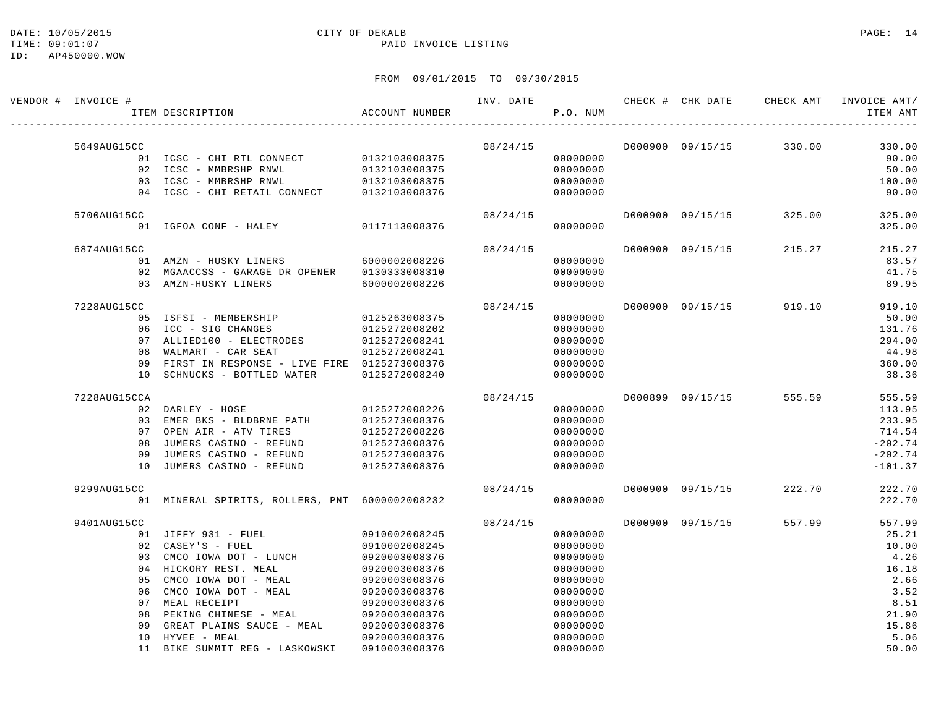#### DATE: 10/05/2015 CITY OF DEKALB PAGE: 14 TIME:  $09:01:07$  PAID INVOICE LISTING

| VENDOR # INVOICE # | ITEM DESCRIPTION                               | ACCOUNT NUMBER | INV. DATE | P.O. NUM | CHECK # CHK DATE | CHECK AMT               | INVOICE AMT/<br>ITEM AMT |
|--------------------|------------------------------------------------|----------------|-----------|----------|------------------|-------------------------|--------------------------|
| 5649AUG15CC        |                                                |                | 08/24/15  |          |                  | D000900 09/15/15 330.00 |                          |
|                    | 01 ICSC - CHI RTL CONNECT                      | 0132103008375  |           | 00000000 |                  |                         | 330.00<br>90.00          |
|                    | 02 ICSC - MMBRSHP RNWL                         | 0132103008375  |           | 00000000 |                  |                         | 50.00                    |
|                    | 03 ICSC - MMBRSHP RNWL                         | 0132103008375  |           | 00000000 |                  |                         | 100.00                   |
|                    | 04 ICSC - CHI RETAIL CONNECT                   | 0132103008376  |           | 00000000 |                  |                         | 90.00                    |
| 5700AUG15CC        |                                                |                | 08/24/15  |          | D000900 09/15/15 | 325.00                  | 325.00                   |
|                    | 01 IGFOA CONF - HALEY                          | 0117113008376  |           | 00000000 |                  |                         | 325.00                   |
| 6874AUG15CC        |                                                |                | 08/24/15  |          | D000900 09/15/15 | 215.27                  | 215.27                   |
|                    | 01 AMZN - HUSKY LINERS                         | 6000002008226  |           | 00000000 |                  |                         | 83.57                    |
|                    | 02 MGAACCSS - GARAGE DR OPENER                 | 0130333008310  |           | 00000000 |                  |                         | 41.75                    |
|                    | 03 AMZN-HUSKY LINERS                           | 6000002008226  |           | 00000000 |                  |                         | 89.95                    |
| 7228AUG15CC        |                                                |                | 08/24/15  |          | D000900 09/15/15 | 919.10                  | 919.10                   |
|                    | 05 ISFSI - MEMBERSHIP                          | 0125263008375  |           | 00000000 |                  |                         | 50.00                    |
|                    | 06 ICC - SIG CHANGES                           | 0125272008202  |           | 00000000 |                  |                         | 131.76                   |
|                    | 07 ALLIED100 - ELECTRODES                      | 0125272008241  |           | 00000000 |                  |                         | 294.00                   |
| 08                 | WALMART - CAR SEAT                             | 0125272008241  |           | 00000000 |                  |                         | 44.98                    |
| 09                 | FIRST IN RESPONSE - LIVE FIRE 0125273008376    |                |           | 00000000 |                  |                         | 360.00                   |
| 1 N                | SCHNUCKS - BOTTLED WATER                       | 0125272008240  |           | 00000000 |                  |                         | 38.36                    |
| 7228AUG15CCA       |                                                |                | 08/24/15  |          | D000899 09/15/15 | 555.59                  | 555.59                   |
|                    | 02 DARLEY - HOSE                               | 0125272008226  |           | 00000000 |                  |                         | 113.95                   |
|                    | 03 EMER BKS - BLDBRNE PATH                     | 0125273008376  |           | 00000000 |                  |                         | 233.95                   |
|                    | 07 OPEN AIR - ATV TIRES                        | 0125272008226  |           | 00000000 |                  |                         | 714.54                   |
| 08                 | JUMERS CASINO - REFUND                         | 0125273008376  |           | 00000000 |                  |                         | $-202.74$                |
| 09                 | JUMERS CASINO - REFUND                         | 0125273008376  |           | 00000000 |                  |                         | $-202.74$                |
|                    | 10 JUMERS CASINO - REFUND                      | 0125273008376  |           | 00000000 |                  |                         | $-101.37$                |
| 9299AUG15CC        |                                                |                | 08/24/15  |          | D000900 09/15/15 | 222.70                  | 222.70                   |
|                    | 01 MINERAL SPIRITS, ROLLERS, PNT 6000002008232 |                |           | 00000000 |                  |                         | 222.70                   |
| 9401AUG15CC        |                                                |                | 08/24/15  |          | D000900 09/15/15 | 557.99                  | 557.99                   |
|                    | 01 JIFFY 931 - FUEL                            | 0910002008245  |           | 00000000 |                  |                         | 25.21                    |
|                    | 02 CASEY'S - FUEL                              | 0910002008245  |           | 00000000 |                  |                         | 10.00                    |
|                    | 03 CMCO IOWA DOT - LUNCH                       | 0920003008376  |           | 00000000 |                  |                         | 4.26                     |
|                    | 04 HICKORY REST. MEAL                          | 0920003008376  |           | 00000000 |                  |                         | 16.18                    |
| 0 <sub>5</sub>     | CMCO IOWA DOT - MEAL                           | 0920003008376  |           | 00000000 |                  |                         | 2.66                     |
| 06                 | CMCO IOWA DOT - MEAL                           | 0920003008376  |           | 00000000 |                  |                         | 3.52                     |
|                    | 07 MEAL RECEIPT                                | 0920003008376  |           | 00000000 |                  |                         | 8.51                     |
| 08                 | PEKING CHINESE - MEAL                          | 0920003008376  |           | 00000000 |                  |                         | 21.90                    |
| 09                 | GREAT PLAINS SAUCE - MEAL                      | 0920003008376  |           | 00000000 |                  |                         | 15.86                    |
| 10                 | HYVEE - MEAL                                   | 0920003008376  |           | 00000000 |                  |                         | 5.06                     |
| 11                 | BIKE SUMMIT REG - LASKOWSKI                    | 0910003008376  |           | 00000000 |                  |                         | 50.00                    |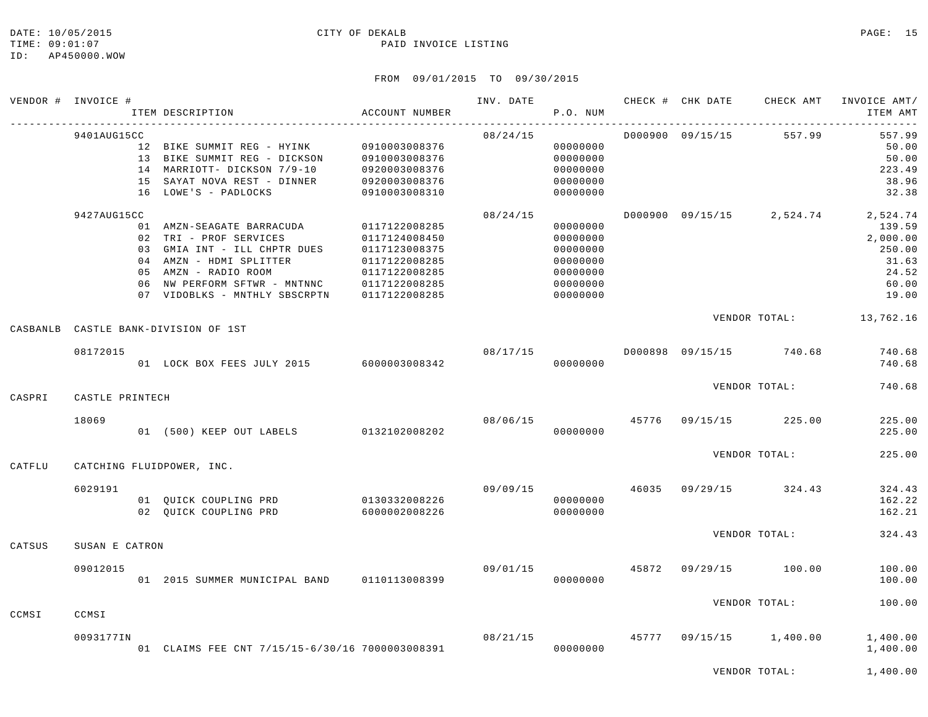#### DATE: 10/05/2015 CITY OF DEKALB PAGE: 15 TIME:  $09:01:07$  PAID INVOICE LISTING

#### FROM 09/01/2015 TO 09/30/2015

|          | VENDOR # INVOICE # | ITEM DESCRIPTION                                                                                                                                                                                                                                  | ACCOUNT NUMBER                                                   |                                | P.O. NUM                                                                         |  |                                          | INV. DATE 6 CHECK # CHK DATE CHECK AMT INVOICE AMT/<br>ITEM AMT                                        |
|----------|--------------------|---------------------------------------------------------------------------------------------------------------------------------------------------------------------------------------------------------------------------------------------------|------------------------------------------------------------------|--------------------------------|----------------------------------------------------------------------------------|--|------------------------------------------|--------------------------------------------------------------------------------------------------------|
|          | 9401AUG15CC        | 12 BIKE SUMMIT REG - HYINK 0910003008376<br>13 BIKE SUMMIT REG - DICKSON<br>14 MARRIOTT- DICKSON 7/9-10<br>15 SAYAT NOVA REST - DINNER<br>16 LOWE'S - PADLOCKS                                                                                    | 0910003008376<br>0920003008376<br>0920003008376<br>0910003008310 | 08/24/15                       | 00000000<br>00000000<br>00000000<br>00000000<br>00000000                         |  | D000900 09/15/15 557.99                  | 557.99<br>50.00<br>50.00<br>223.49<br>38.96<br>32.38                                                   |
|          | 9427AUG15CC        | 01 AMZN-SEAGATE BARRACUDA<br>02 TRI - PROF SERVICES<br>03 GMIA INT - ILL CHPTR DUES 0117123008375<br>04 AMZN - HDMI SPLITTER<br>05 AMZN - RADIO ROOM<br>06 NW PERFORM SFTWR - MNTNNC 0117122008285<br>07 VIDOBLKS - MNTHLY SBSCRPTN 0117122008285 | 0117122008285<br>0117124008450<br>0117122008285<br>0117122008285 | 08/24/15                       | 00000000<br>00000000<br>00000000<br>00000000<br>00000000<br>00000000<br>00000000 |  |                                          | D000900 09/15/15 2,524.74 2,524.74<br>139.59<br>2,000.00<br>250.00<br>31.63<br>24.52<br>60.00<br>19.00 |
| CASBANLB |                    | CASTLE BANK-DIVISION OF 1ST                                                                                                                                                                                                                       |                                                                  |                                |                                                                                  |  |                                          | VENDOR TOTAL: 13,762.16                                                                                |
|          | 08172015           | 01 LOCK BOX FEES JULY 2015 6000003008342                                                                                                                                                                                                          |                                                                  | 08/17/15                       | 00000000                                                                         |  | D000898 09/15/15 740.68                  | 740.68<br>740.68                                                                                       |
| CASPRI   | CASTLE PRINTECH    |                                                                                                                                                                                                                                                   |                                                                  |                                |                                                                                  |  | VENDOR TOTAL:                            | 740.68                                                                                                 |
|          | 18069              | 01 (500) KEEP OUT LABELS 0132102008202                                                                                                                                                                                                            |                                                                  |                                | 00000000                                                                         |  | 08/06/15 45776 09/15/15 225.00           | 225.00<br>225.00                                                                                       |
| CATFLU   |                    | CATCHING FLUIDPOWER, INC.                                                                                                                                                                                                                         |                                                                  |                                |                                                                                  |  | VENDOR TOTAL:                            | 225.00                                                                                                 |
|          | 6029191            | 02 QUICK COUPLING PRD                                                                                                                                                                                                                             |                                                                  | 09/09/15                       | 00000000<br>00000000                                                             |  | 46035 09/29/15 324.43                    | 324.43<br>162.22<br>162.21                                                                             |
| CATSUS   | SUSAN E CATRON     |                                                                                                                                                                                                                                                   |                                                                  |                                |                                                                                  |  | VENDOR TOTAL:                            | 324.43                                                                                                 |
|          | 09012015           | 01  2015  SUMMER MUNICIPAL BAND   0110113008399                                                                                                                                                                                                   |                                                                  | 09/01/15 45872 09/29/15 100.00 | 00000000                                                                         |  |                                          | 100.00<br>100.00                                                                                       |
| CCMSI    | CCMSI              |                                                                                                                                                                                                                                                   |                                                                  |                                |                                                                                  |  | VENDOR TOTAL:                            | 100.00                                                                                                 |
|          | 0093177IN          | 01 CLAIMS FEE CNT 7/15/15-6/30/16 7000003008391                                                                                                                                                                                                   |                                                                  |                                | 00000000                                                                         |  | $08/21/15$ $45777$ $09/15/15$ $1,400.00$ | 1,400.00<br>1,400.00                                                                                   |

VENDOR TOTAL: 1,400.00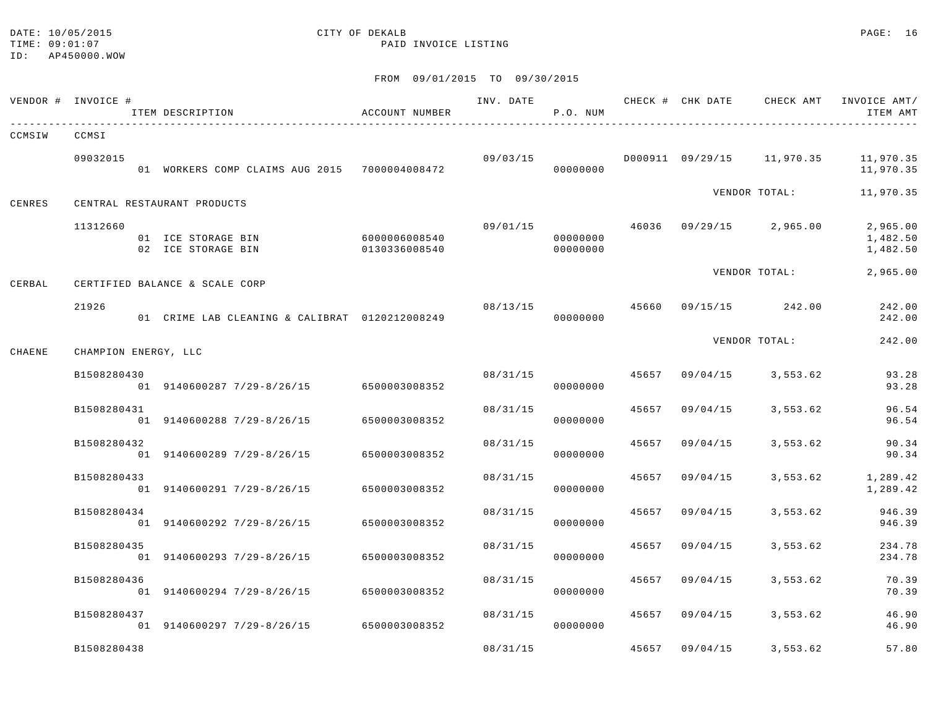#### DATE: 10/05/2015 CITY OF DEKALB PAGE: 16 TIME:  $09:01:07$  PAID INVOICE LISTING

|        | VENDOR # INVOICE #   | ITEM DESCRIPTION                               | ACCOUNT NUMBER                 | INV. DATE | P.O. NUM             |       |          | CHECK # CHK DATE CHECK AMT | INVOICE AMT/<br>ITEM AMT         |
|--------|----------------------|------------------------------------------------|--------------------------------|-----------|----------------------|-------|----------|----------------------------|----------------------------------|
| CCMSIW | CCMSI                |                                                |                                |           |                      |       |          |                            |                                  |
|        | 09032015             | 01 WORKERS COMP CLAIMS AUG 2015 7000004008472  |                                | 09/03/15  | 00000000             |       |          | D000911 09/29/15 11,970.35 | 11,970.35<br>11,970.35           |
| CENRES |                      | CENTRAL RESTAURANT PRODUCTS                    |                                |           |                      |       |          | VENDOR TOTAL:              | 11,970.35                        |
|        | 11312660             | 01 ICE STORAGE BIN<br>02 ICE STORAGE BIN       | 6000006008540<br>0130336008540 | 09/01/15  | 00000000<br>00000000 |       |          | 46036 09/29/15 2,965.00    | 2,965.00<br>1,482.50<br>1,482.50 |
| CERBAL |                      | CERTIFIED BALANCE & SCALE CORP                 |                                |           |                      |       |          | VENDOR TOTAL:              | 2,965.00                         |
|        | 21926                | 01 CRIME LAB CLEANING & CALIBRAT 0120212008249 |                                |           | 08/13/15<br>00000000 | 45660 |          | 09/15/15 242.00            | 242.00<br>242.00                 |
| CHAENE | CHAMPION ENERGY, LLC |                                                |                                |           |                      |       |          | VENDOR TOTAL:              | 242.00                           |
|        | B1508280430          | 01 9140600287 7/29-8/26/15 6500003008352       |                                | 08/31/15  | 00000000             | 45657 | 09/04/15 | 3,553.62                   | 93.28<br>93.28                   |
|        | B1508280431          | 01 9140600288 7/29-8/26/15                     | 6500003008352                  | 08/31/15  | 00000000             | 45657 | 09/04/15 | 3,553.62                   | 96.54<br>96.54                   |
|        | B1508280432          | 01 9140600289 7/29-8/26/15                     | 6500003008352                  | 08/31/15  | 00000000             | 45657 | 09/04/15 | 3,553.62                   | 90.34<br>90.34                   |
|        | B1508280433          | 01 9140600291 7/29-8/26/15                     | 6500003008352                  | 08/31/15  | 00000000             | 45657 | 09/04/15 | 3,553.62                   | 1,289.42<br>1,289.42             |
|        | B1508280434          | 01 9140600292 7/29-8/26/15                     | 6500003008352                  | 08/31/15  | 00000000             | 45657 | 09/04/15 | 3,553.62                   | 946.39<br>946.39                 |
|        | B1508280435          | 01 9140600293 7/29-8/26/15 6500003008352       |                                | 08/31/15  | 00000000             | 45657 | 09/04/15 | 3,553.62                   | 234.78<br>234.78                 |
|        | B1508280436          | 01 9140600294 7/29-8/26/15                     | 6500003008352                  | 08/31/15  | 00000000             | 45657 | 09/04/15 | 3,553.62                   | 70.39<br>70.39                   |
|        | B1508280437          | 01 9140600297 7/29-8/26/15 6500003008352       |                                | 08/31/15  | 00000000             | 45657 | 09/04/15 | 3,553.62                   | 46.90<br>46.90                   |
|        | B1508280438          |                                                |                                | 08/31/15  |                      | 45657 | 09/04/15 | 3,553.62                   | 57.80                            |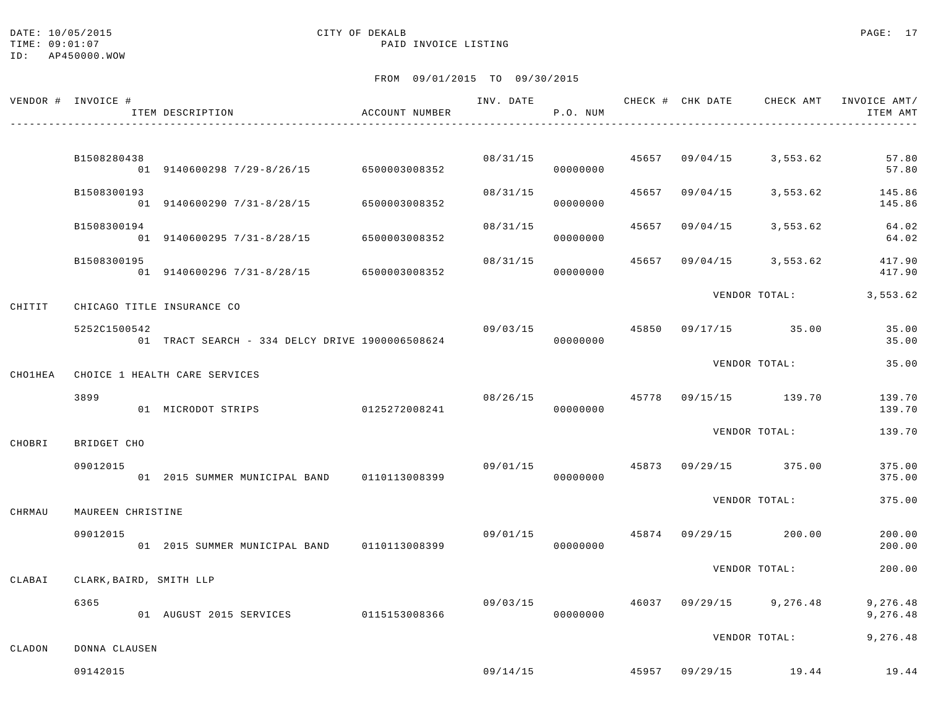#### DATE: 10/05/2015 CITY OF DEKALB PAGE: 17 TIME:  $09:01:07$  PAID INVOICE LISTING

ID: AP450000.WOW

|                | VENDOR # INVOICE #      | ITEM DESCRIPTION                                 | ACCOUNT NUMBER |          | P.O. NUM             |       |                | INV. DATE 6 CHECK # CHK DATE CHECK AMT INVOICE AMT/ | ITEM AMT             |
|----------------|-------------------------|--------------------------------------------------|----------------|----------|----------------------|-------|----------------|-----------------------------------------------------|----------------------|
|                | B1508280438             |                                                  |                | 08/31/15 |                      |       |                | 45657 09/04/15 3,553.62                             | 57.80                |
|                |                         | 01 9140600298 7/29-8/26/15 6500003008352         |                |          | 00000000             |       |                |                                                     | 57.80                |
|                | B1508300193             | 01 9140600290 7/31-8/28/15                       | 6500003008352  | 08/31/15 | 00000000             | 45657 | 09/04/15       | 3,553.62                                            | 145.86<br>145.86     |
|                | B1508300194             | 01 9140600295 7/31-8/28/15                       | 6500003008352  | 08/31/15 | 00000000             | 45657 | 09/04/15       | 3,553.62                                            | 64.02<br>64.02       |
|                | B1508300195             | 01 9140600296 7/31-8/28/15 6500003008352         |                | 08/31/15 | 00000000             | 45657 | 09/04/15       | 3,553.62                                            | 417.90<br>417.90     |
| CHITIT         |                         | CHICAGO TITLE INSURANCE CO                       |                |          |                      |       |                | VENDOR TOTAL:                                       | 3,553.62             |
|                | 5252C1500542            | 01 TRACT SEARCH - 334 DELCY DRIVE 1900006508624  |                | 09/03/15 | 00000000             |       |                | 45850 09/17/15 35.00                                | 35.00<br>35.00       |
| <b>CHO1HEA</b> |                         | CHOICE 1 HEALTH CARE SERVICES                    |                |          |                      |       |                | VENDOR TOTAL:                                       | 35.00                |
|                | 3899                    | 01 MICRODOT STRIPS                               | 0125272008241  | 08/26/15 | 00000000             | 45778 |                | 09/15/15 139.70                                     | 139.70<br>139.70     |
| CHOBRI         | BRIDGET CHO             |                                                  |                |          |                      |       |                | VENDOR TOTAL:                                       | 139.70               |
|                | 09012015                | 01 2015 SUMMER MUNICIPAL BAND 0110113008399      |                |          | 09/01/15<br>00000000 |       |                | 45873 09/29/15 375.00                               | 375.00<br>375.00     |
| CHRMAU         | MAUREEN CHRISTINE       |                                                  |                |          |                      |       |                | VENDOR TOTAL:                                       | 375.00               |
|                | 09012015                | 01  2015  SUMMER  MUNICIPAL BAND   0110113008399 |                | 09/01/15 | 00000000             |       |                | 45874 09/29/15 200.00                               | 200.00<br>200.00     |
| CLABAI         | CLARK, BAIRD, SMITH LLP |                                                  |                |          |                      |       |                | VENDOR TOTAL:                                       | 200.00               |
|                | 6365                    | 01 AUGUST 2015 SERVICES 0115153008366            |                | 09/03/15 | 00000000             |       | 46037 09/29/15 | 9,276.48                                            | 9,276.48<br>9,276.48 |
| CLADON         | DONNA CLAUSEN           |                                                  |                |          |                      |       |                | VENDOR TOTAL:                                       | 9,276.48             |
|                | 09142015                |                                                  |                |          |                      |       |                | 09/14/15 19.44 19.44 19.44                          |                      |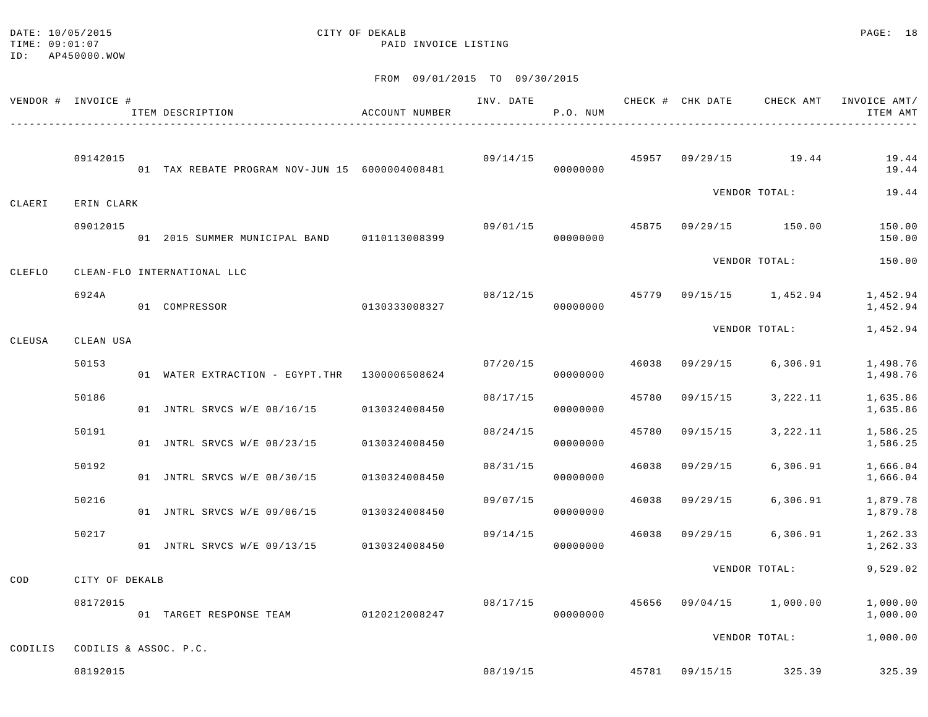#### DATE: 10/05/2015 CITY OF DEKALB PAGE: 18 TIME:  $09:01:07$  PAID INVOICE LISTING

|         | VENDOR # INVOICE #    | ITEM DESCRIPTION                                | ACCOUNT NUMBER | INV. DATE | P.O. NUM             |       |                |                         | CHECK # CHK DATE CHECK AMT INVOICE AMT/<br>ITEM AMT |
|---------|-----------------------|-------------------------------------------------|----------------|-----------|----------------------|-------|----------------|-------------------------|-----------------------------------------------------|
|         | 09142015              | 01 TAX REBATE PROGRAM NOV-JUN 15 6000004008481  |                |           | 09/14/15<br>00000000 |       |                | 45957 09/29/15 19.44    | 19.44<br>19.44                                      |
| CLAERI  | ERIN CLARK            |                                                 |                |           |                      |       |                | VENDOR TOTAL:           | 19.44                                               |
|         | 09012015              | 01  2015  SUMMER MUNICIPAL BAND   0110113008399 |                | 09/01/15  | 00000000             |       |                | 45875 09/29/15 150.00   | 150.00<br>150.00                                    |
| CLEFLO  |                       | CLEAN-FLO INTERNATIONAL LLC                     |                |           |                      |       |                | VENDOR TOTAL:           | 150.00                                              |
|         | 6924A                 | 01 COMPRESSOR                                   | 0130333008327  | 08/12/15  | 00000000             |       |                | 45779 09/15/15 1,452.94 | 1,452.94<br>1,452.94                                |
| CLEUSA  | CLEAN USA             |                                                 |                |           |                      |       |                | VENDOR TOTAL:           | 1,452.94                                            |
|         | 50153                 | 01 WATER EXTRACTION - EGYPT.THR 1300006508624   |                | 07/20/15  | 00000000             | 46038 |                | 09/29/15 6,306.91       | 1,498.76<br>1,498.76                                |
|         | 50186                 | 01 JNTRL SRVCS W/E 08/16/15 0130324008450       |                | 08/17/15  | 00000000             |       |                | 45780 09/15/15 3,222.11 | 1,635.86<br>1,635.86                                |
|         | 50191                 | 01 JNTRL SRVCS W/E 08/23/15                     | 0130324008450  | 08/24/15  | 00000000             | 45780 | 09/15/15       | 3,222.11                | 1,586.25<br>1,586.25                                |
|         | 50192                 | 01 JNTRL SRVCS W/E 08/30/15                     | 0130324008450  | 08/31/15  | 00000000             |       | 46038 09/29/15 | 6,306.91                | 1,666.04<br>1,666.04                                |
|         | 50216                 | 01 JNTRL SRVCS W/E 09/06/15                     | 0130324008450  | 09/07/15  | 00000000             |       | 46038 09/29/15 | 6,306.91                | 1,879.78<br>1,879.78                                |
|         | 50217                 | 01 JNTRL SRVCS W/E 09/13/15 0130324008450       |                | 09/14/15  | 00000000             |       |                | 46038 09/29/15 6,306.91 | 1,262.33<br>1,262.33                                |
| COD     | CITY OF DEKALB        |                                                 |                |           |                      |       |                | VENDOR TOTAL:           | 9,529.02                                            |
|         | 08172015              | 01 TARGET RESPONSE TEAM 0120212008247           |                | 08/17/15  | 00000000             |       |                | 45656 09/04/15 1,000.00 | 1,000.00<br>1,000.00                                |
| CODILIS | CODILIS & ASSOC. P.C. |                                                 |                |           |                      |       |                | VENDOR TOTAL:           | 1,000.00                                            |
|         | 08192015              |                                                 |                |           |                      |       |                |                         | 08/19/15 45781 09/15/15 325.39 325.39               |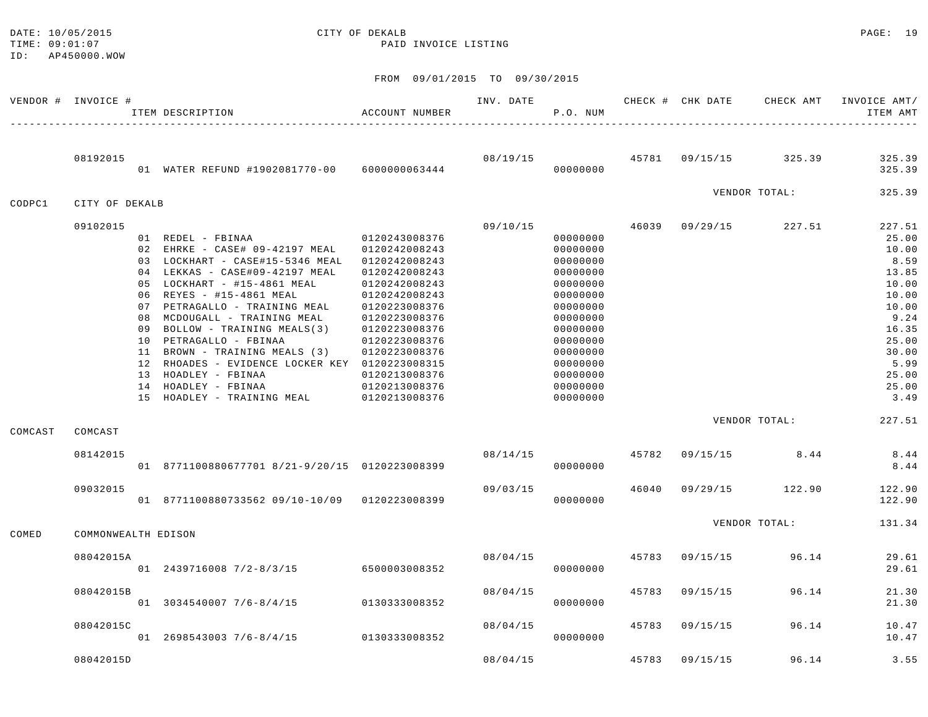## DATE: 10/05/2015 CITY OF DEKALB PAGE: 19

TIME:  $09:01:07$  PAID INVOICE LISTING

|         | VENDOR # INVOICE #  | ITEM DESCRIPTION                                                                                       | ACCOUNT NUMBER                                  | INV. DATE | P.O. NUM                         |       |          | CHECK # CHK DATE CHECK AMT | INVOICE AMT/<br>ITEM AMT |
|---------|---------------------|--------------------------------------------------------------------------------------------------------|-------------------------------------------------|-----------|----------------------------------|-------|----------|----------------------------|--------------------------|
|         | 08192015            | 01 WATER REFUND #1902081770-00 6000000063444                                                           |                                                 | 08/19/15  | 00000000                         | 45781 |          | 09/15/15 325.39            | 325.39<br>325.39         |
| CODPC1  | CITY OF DEKALB      |                                                                                                        |                                                 |           |                                  |       |          | VENDOR TOTAL:              | 325.39                   |
|         | 09102015            | 01 REDEL - FBINAA                                                                                      | 0120243008376                                   | 09/10/15  | 00000000                         | 46039 | 09/29/15 | 227.51                     | 227.51<br>25.00          |
|         |                     | 02 EHRKE - CASE# 09-42197 MEAL<br>03 LOCKHART - CASE#15-5346 MEAL<br>04 LEKKAS - CASE#09-42197 MEAL    | 0120242008243<br>0120242008243<br>0120242008243 |           | 00000000<br>00000000<br>00000000 |       |          |                            | 10.00<br>8.59<br>13.85   |
|         |                     | 05 LOCKHART - #15-4861 MEAL<br>06 REYES - #15-4861 MEAL<br>07 PETRAGALLO - TRAINING MEAL               | 0120242008243<br>0120242008243<br>0120223008376 |           | 00000000<br>00000000<br>00000000 |       |          |                            | 10.00<br>10.00<br>10.00  |
|         |                     | 08 MCDOUGALL - TRAINING MEAL<br>09 BOLLOW - TRAINING MEALS(3)<br>10 PETRAGALLO - FBINAA                | 0120223008376<br>0120223008376<br>0120223008376 |           | 00000000<br>00000000<br>00000000 |       |          |                            | 9.24<br>16.35<br>25.00   |
|         |                     | 11 BROWN - TRAINING MEALS (3)<br>12 RHOADES - EVIDENCE LOCKER KEY 0120223008315<br>13 HOADLEY - FBINAA | 0120223008376<br>0120213008376                  |           | 00000000<br>00000000<br>00000000 |       |          |                            | 30.00<br>5.99<br>25.00   |
|         |                     | 14 HOADLEY - FBINAA<br>15 HOADLEY - TRAINING MEAL                                                      | 0120213008376<br>0120213008376                  |           | 00000000<br>00000000             |       |          |                            | 25.00<br>3.49            |
| COMCAST | COMCAST             |                                                                                                        |                                                 |           |                                  |       |          | VENDOR TOTAL:              | 227.51                   |
|         | 08142015            | 01 8771100880677701 8/21-9/20/15 0120223008399                                                         |                                                 | 08/14/15  | 00000000                         | 45782 | 09/15/15 | 8.44                       | 8.44<br>8.44             |
|         | 09032015            | 01 8771100880733562 09/10-10/09 0120223008399                                                          |                                                 | 09/03/15  | 00000000                         | 46040 | 09/29/15 | 122.90                     | 122.90<br>122.90         |
| COMED   | COMMONWEALTH EDISON |                                                                                                        |                                                 |           |                                  |       |          | VENDOR TOTAL:              | 131.34                   |
|         | 08042015A           | 01 2439716008 7/2-8/3/15 6500003008352                                                                 |                                                 | 08/04/15  | 00000000                         | 45783 | 09/15/15 | 96.14                      | 29.61<br>29.61           |
|         | 08042015B           | $01$ 3034540007 7/6-8/4/15                                                                             | 0130333008352                                   | 08/04/15  | 00000000                         | 45783 | 09/15/15 | 96.14                      | 21.30<br>21.30           |
|         | 08042015C           | 01 2698543003 7/6-8/4/15                                                                               | 0130333008352                                   | 08/04/15  | 00000000                         | 45783 | 09/15/15 | 96.14                      | 10.47<br>10.47           |
|         | 08042015D           |                                                                                                        |                                                 | 08/04/15  |                                  | 45783 | 09/15/15 | 96.14                      | 3.55                     |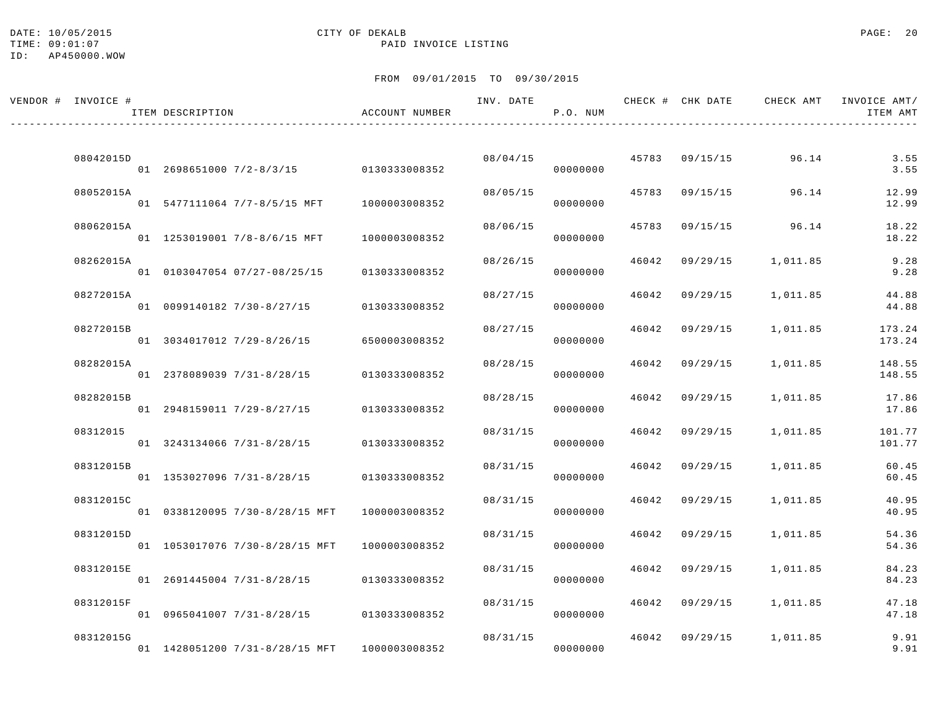DATE: 10/05/2015 PAGE: 20 TIME:  $09:01:07$  PAID INVOICE LISTING

ID: AP450000.WOW

| VENDOR # INVOICE # | ITEM DESCRIPTION |                                        | ACCOUNT NUMBER | INV. DATE | P.O. NUM |       | CHECK # CHK DATE CHECK AMT |          | INVOICE AMT/<br>ITEM AMT |
|--------------------|------------------|----------------------------------------|----------------|-----------|----------|-------|----------------------------|----------|--------------------------|
|                    |                  |                                        |                |           |          |       |                            |          |                          |
| 08042015D          |                  | 01 2698651000 7/2-8/3/15 0130333008352 |                | 08/04/15  | 00000000 |       | 45783 09/15/15             | 96.14    | 3.55<br>3.55             |
| 08052015A          |                  | 01 5477111064 7/7-8/5/15 MFT           | 1000003008352  | 08/05/15  | 00000000 | 45783 | 09/15/15                   | 96.14    | 12.99<br>12.99           |
| 08062015A          |                  | 01 1253019001 7/8-8/6/15 MFT           | 1000003008352  | 08/06/15  | 00000000 | 45783 | 09/15/15                   | 96.14    | 18.22<br>18.22           |
| 08262015A          |                  | 01 0103047054 07/27-08/25/15           | 0130333008352  | 08/26/15  | 00000000 | 46042 | 09/29/15                   | 1,011.85 | 9.28<br>9.28             |
| 08272015A          |                  | 01 0099140182 7/30-8/27/15             | 0130333008352  | 08/27/15  | 00000000 | 46042 | 09/29/15                   | 1,011.85 | 44.88<br>44.88           |
| 08272015B          |                  | 01 3034017012 7/29-8/26/15             | 6500003008352  | 08/27/15  | 00000000 | 46042 | 09/29/15                   | 1,011.85 | 173.24<br>173.24         |
| 08282015A          |                  | 01 2378089039 7/31-8/28/15             | 0130333008352  | 08/28/15  | 00000000 | 46042 | 09/29/15                   | 1,011.85 | 148.55<br>148.55         |
| 08282015B          |                  | 01 2948159011 7/29-8/27/15             | 0130333008352  | 08/28/15  | 00000000 | 46042 | 09/29/15                   | 1,011.85 | 17.86<br>17.86           |
| 08312015           |                  | 01 3243134066 7/31-8/28/15             | 0130333008352  | 08/31/15  | 00000000 | 46042 | 09/29/15                   | 1,011.85 | 101.77<br>101.77         |
| 08312015B          |                  |                                        |                | 08/31/15  |          | 46042 | 09/29/15                   | 1,011.85 | 60.45                    |
| 08312015C          |                  | 01 1353027096 7/31-8/28/15             | 0130333008352  | 08/31/15  | 00000000 | 46042 | 09/29/15                   | 1,011.85 | 60.45<br>40.95           |
| 08312015D          |                  | 01 0338120095 7/30-8/28/15 MFT         | 1000003008352  | 08/31/15  | 00000000 | 46042 | 09/29/15                   | 1,011.85 | 40.95<br>54.36           |
| 08312015E          |                  | 01 1053017076 7/30-8/28/15 MFT         | 1000003008352  | 08/31/15  | 00000000 | 46042 | 09/29/15                   | 1,011.85 | 54.36<br>84.23           |
| 08312015F          |                  | 01 2691445004 7/31-8/28/15             | 0130333008352  | 08/31/15  | 00000000 | 46042 | 09/29/15                   | 1,011.85 | 84.23<br>47.18           |
|                    |                  | 01 0965041007 7/31-8/28/15             | 0130333008352  |           | 00000000 |       |                            |          | 47.18                    |
| 08312015G          |                  | 01 1428051200 7/31-8/28/15 MFT         | 1000003008352  | 08/31/15  | 00000000 | 46042 | 09/29/15                   | 1,011.85 | 9.91<br>9.91             |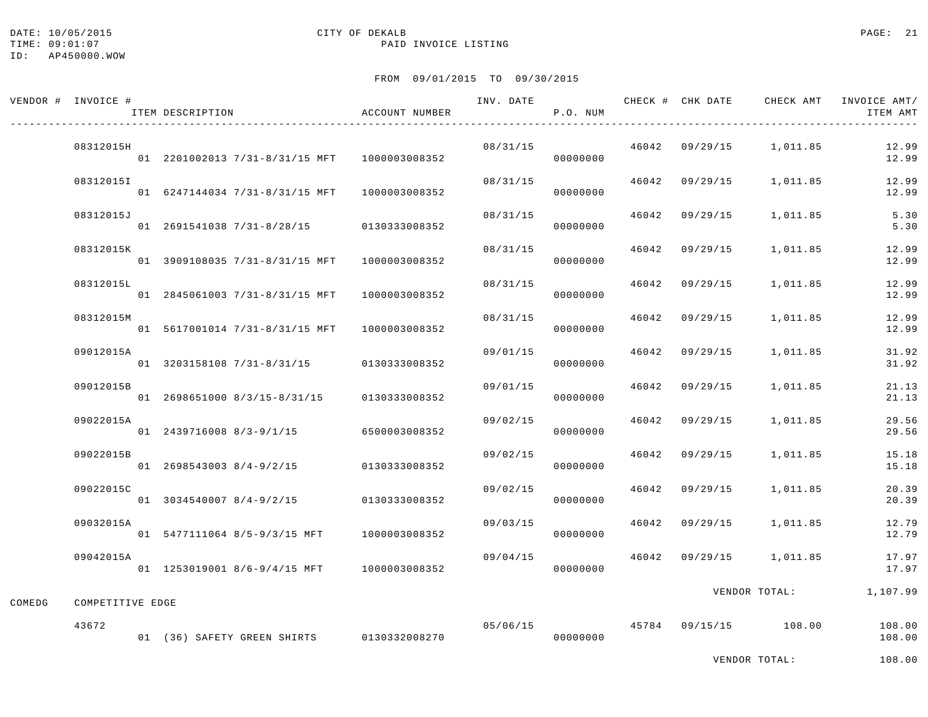#### DATE: 10/05/2015 CITY OF DEKALB PAGE: 21 TIME:  $09:01:07$  PAID INVOICE LISTING

|        | VENDOR # INVOICE # | ITEM DESCRIPTION                             | ACCOUNT NUMBER | INV. DATE | P.O. NUM             |       |                | CHECK # CHK DATE CHECK AMT | INVOICE AMT/<br>ITEM AMT |
|--------|--------------------|----------------------------------------------|----------------|-----------|----------------------|-------|----------------|----------------------------|--------------------------|
|        | 08312015H          | 01 2201002013 7/31-8/31/15 MFT 1000003008352 |                | 08/31/15  | 00000000             |       |                | 46042 09/29/15 1,011.85    | 12.99<br>12.99           |
|        | 08312015I          | 01 6247144034 7/31-8/31/15 MFT               | 1000003008352  | 08/31/15  | 00000000             |       |                | 46042 09/29/15 1,011.85    | 12.99<br>12.99           |
|        | 08312015J          | 01 2691541038 7/31-8/28/15 0130333008352     |                | 08/31/15  | 00000000             |       | 46042 09/29/15 | 1,011.85                   | 5.30<br>5.30             |
|        | 08312015K          | 01 3909108035 7/31-8/31/15 MFT               | 1000003008352  | 08/31/15  | 00000000             |       | 46042 09/29/15 | 1,011.85                   | 12.99<br>12.99           |
|        | 08312015L          | 01 2845061003 7/31-8/31/15 MFT               | 1000003008352  | 08/31/15  | 00000000             |       | 46042 09/29/15 | 1,011.85                   | 12.99<br>12.99           |
|        | 08312015M          | 01 5617001014 7/31-8/31/15 MFT               | 1000003008352  | 08/31/15  | 00000000             |       | 46042 09/29/15 | 1,011.85                   | 12.99<br>12.99           |
|        | 09012015A          | 01 3203158108 7/31-8/31/15 0130333008352     |                | 09/01/15  | 00000000             |       | 46042 09/29/15 | 1,011.85                   | 31.92<br>31.92           |
|        | 09012015B          | 01 2698651000 8/3/15-8/31/15 0130333008352   |                | 09/01/15  | 00000000             |       | 46042 09/29/15 | 1,011.85                   | 21.13<br>21.13           |
|        | 09022015A          | 01 2439716008 8/3-9/1/15 6500003008352       |                | 09/02/15  | 00000000             |       | 46042 09/29/15 | 1,011.85                   | 29.56<br>29.56           |
|        | 09022015B          | 01 2698543003 8/4-9/2/15                     | 0130333008352  | 09/02/15  | 00000000             |       | 46042 09/29/15 | 1,011.85                   | 15.18<br>15.18           |
|        | 09022015C          | 01 3034540007 8/4-9/2/15                     | 0130333008352  | 09/02/15  | 00000000             |       | 46042 09/29/15 | 1,011.85                   | 20.39<br>20.39           |
|        | 09032015A          | 01 5477111064 8/5-9/3/15 MFT                 | 1000003008352  | 09/03/15  | 00000000             |       | 46042 09/29/15 | 1,011.85                   | 12.79<br>12.79           |
|        | 09042015A          | 01 1253019001 8/6-9/4/15 MFT 1000003008352   |                | 09/04/15  | 00000000             | 46042 | 09/29/15       | 1,011.85                   | 17.97<br>17.97           |
| COMEDG | COMPETITIVE EDGE   |                                              |                |           |                      |       |                | VENDOR TOTAL:              | 1,107.99                 |
|        | 43672              | 01 (36) SAFETY GREEN SHIRTS 0130332008270    |                |           | 05/06/15<br>00000000 |       |                | 45784 09/15/15 108.00      | 108.00<br>108.00         |
|        |                    |                                              |                |           |                      |       |                | VENDOR TOTAL:              | 108.00                   |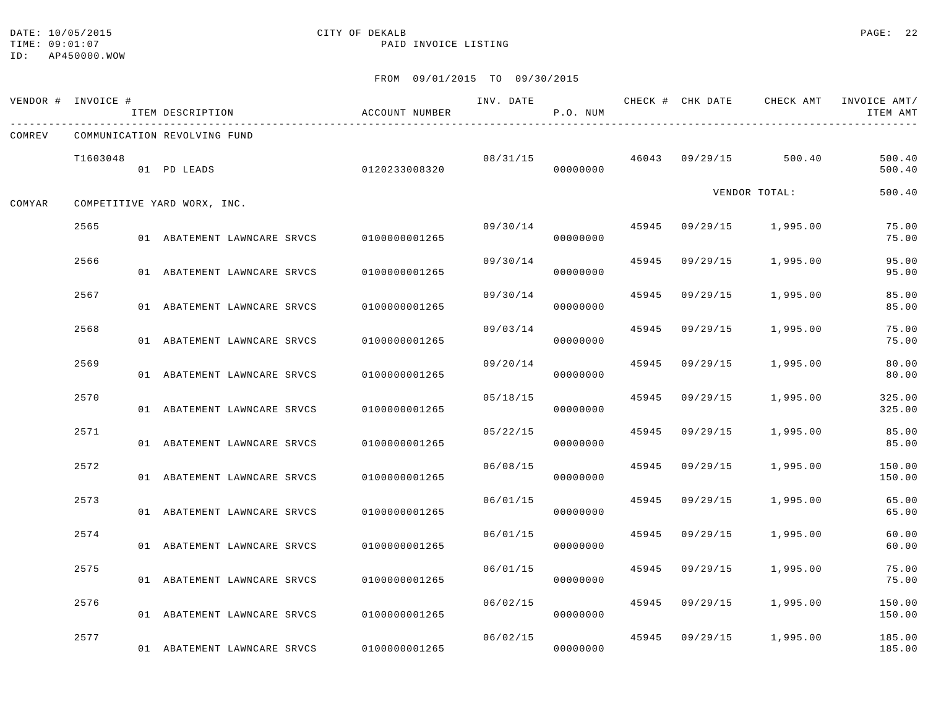#### DATE: 10/05/2015 CITY OF DEKALB PAGE: 22 TIME:  $09:01:07$  PAID INVOICE LISTING

|        | VENDOR # INVOICE # | ITEM DESCRIPTION                          | ACCOUNT NUMBER | INV. DATE | P.O. NUM |       |                | CHECK # CHK DATE CHECK AMT | INVOICE AMT/<br>ITEM AMT |
|--------|--------------------|-------------------------------------------|----------------|-----------|----------|-------|----------------|----------------------------|--------------------------|
| COMREV |                    | COMMUNICATION REVOLVING FUND              |                |           |          |       |                |                            |                          |
|        | T1603048           | 01 PD LEADS                               | 0120233008320  | 08/31/15  | 00000000 |       | 46043 09/29/15 | 500.40                     | 500.40<br>500.40         |
| COMYAR |                    | COMPETITIVE YARD WORX, INC.               |                |           |          |       |                | VENDOR TOTAL:              | 500.40                   |
|        | 2565               | 01 ABATEMENT LAWNCARE SRVCS 0100000001265 |                | 09/30/14  | 00000000 | 45945 | 09/29/15       | 1,995.00                   | 75.00<br>75.00           |
|        | 2566               | 01 ABATEMENT LAWNCARE SRVCS               | 0100000001265  | 09/30/14  | 00000000 | 45945 | 09/29/15       | 1,995.00                   | 95.00<br>95.00           |
|        | 2567               | 01 ABATEMENT LAWNCARE SRVCS               | 0100000001265  | 09/30/14  | 00000000 | 45945 | 09/29/15       | 1,995.00                   | 85.00<br>85.00           |
|        | 2568               | 01 ABATEMENT LAWNCARE SRVCS               | 0100000001265  | 09/03/14  | 00000000 | 45945 | 09/29/15       | 1,995.00                   | 75.00<br>75.00           |
|        | 2569               | 01 ABATEMENT LAWNCARE SRVCS               | 0100000001265  | 09/20/14  | 00000000 | 45945 | 09/29/15       | 1,995.00                   | 80.00<br>80.00           |
|        | 2570               | 01 ABATEMENT LAWNCARE SRVCS               | 0100000001265  | 05/18/15  | 00000000 | 45945 | 09/29/15       | 1,995.00                   | 325.00<br>325.00         |
|        | 2571               | 01 ABATEMENT LAWNCARE SRVCS               | 0100000001265  | 05/22/15  | 00000000 | 45945 | 09/29/15       | 1,995.00                   | 85.00<br>85.00           |
|        | 2572               |                                           |                | 06/08/15  |          | 45945 | 09/29/15       | 1,995.00                   | 150.00                   |
|        | 2573               | 01 ABATEMENT LAWNCARE SRVCS               | 0100000001265  | 06/01/15  | 00000000 | 45945 | 09/29/15       | 1,995.00                   | 150.00<br>65.00          |
|        | 2574               | 01 ABATEMENT LAWNCARE SRVCS               | 0100000001265  | 06/01/15  | 00000000 | 45945 | 09/29/15       | 1,995.00                   | 65.00<br>60.00           |
|        | 2575               | 01 ABATEMENT LAWNCARE SRVCS               | 0100000001265  | 06/01/15  | 00000000 | 45945 | 09/29/15       | 1,995.00                   | 60.00<br>75.00           |
|        | 2576               | 01 ABATEMENT LAWNCARE SRVCS               | 0100000001265  | 06/02/15  | 00000000 | 45945 | 09/29/15       | 1,995.00                   | 75.00<br>150.00          |
|        |                    | 01 ABATEMENT LAWNCARE SRVCS               | 0100000001265  |           | 00000000 |       |                |                            | 150.00                   |
|        | 2577               | 01 ABATEMENT LAWNCARE SRVCS               | 0100000001265  | 06/02/15  | 00000000 | 45945 | 09/29/15       | 1,995.00                   | 185.00<br>185.00         |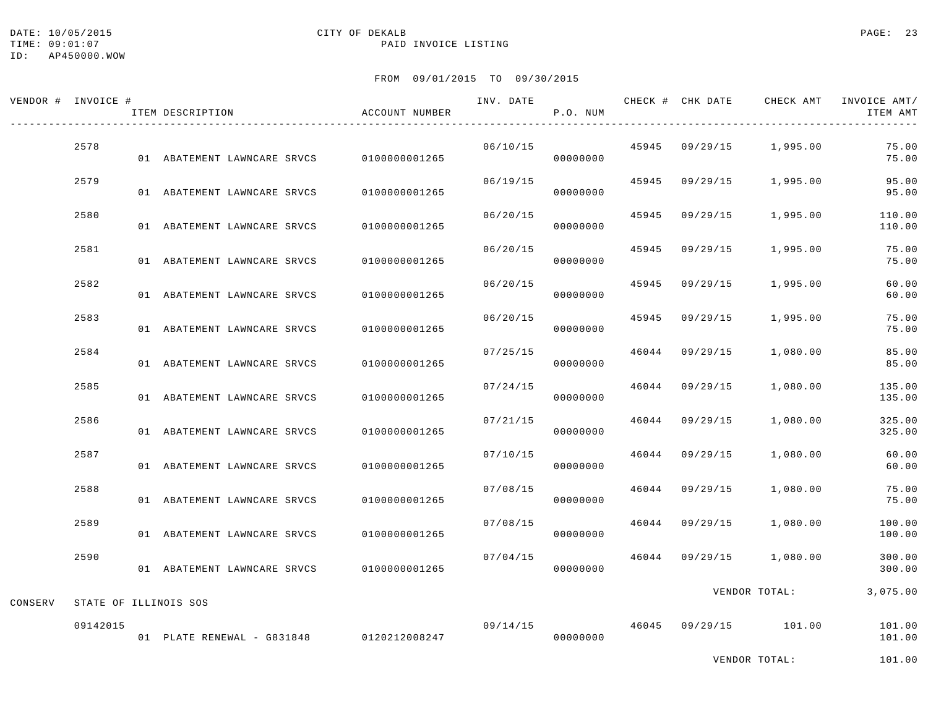#### DATE: 10/05/2015 CITY OF DEKALB PAGE: 23 TIME:  $09:01:07$  PAID INVOICE LISTING

|         | VENDOR # INVOICE #    | ITEM DESCRIPTION                         | ACCOUNT NUMBER | INV. DATE | P.O. NUM |       | CHECK # CHK DATE | CHECK AMT             | INVOICE AMT/<br>ITEM AMT |
|---------|-----------------------|------------------------------------------|----------------|-----------|----------|-------|------------------|-----------------------|--------------------------|
|         | 2578                  | 01 ABATEMENT LAWNCARE SRVCS              | 0100000001265  | 06/10/15  | 00000000 | 45945 | 09/29/15         | 1,995.00              | 75.00<br>75.00           |
|         | 2579                  | 01 ABATEMENT LAWNCARE SRVCS              | 0100000001265  | 06/19/15  | 00000000 | 45945 | 09/29/15         | 1,995.00              | 95.00<br>95.00           |
|         | 2580                  | 01 ABATEMENT LAWNCARE SRVCS              | 0100000001265  | 06/20/15  | 00000000 | 45945 | 09/29/15         | 1,995.00              | 110.00<br>110.00         |
|         | 2581                  | 01 ABATEMENT LAWNCARE SRVCS              | 0100000001265  | 06/20/15  | 00000000 | 45945 | 09/29/15         | 1,995.00              | 75.00<br>75.00           |
|         | 2582                  | 01 ABATEMENT LAWNCARE SRVCS              | 0100000001265  | 06/20/15  | 00000000 | 45945 | 09/29/15         | 1,995.00              | 60.00<br>60.00           |
|         | 2583                  | 01 ABATEMENT LAWNCARE SRVCS              | 0100000001265  | 06/20/15  | 00000000 | 45945 | 09/29/15         | 1,995.00              | 75.00<br>75.00           |
|         | 2584                  | 01 ABATEMENT LAWNCARE SRVCS              | 0100000001265  | 07/25/15  | 00000000 | 46044 | 09/29/15         | 1,080.00              | 85.00<br>85.00           |
|         | 2585                  | 01 ABATEMENT LAWNCARE SRVCS              | 0100000001265  | 07/24/15  | 00000000 | 46044 | 09/29/15         | 1,080.00              | 135.00<br>135.00         |
|         | 2586                  | 01 ABATEMENT LAWNCARE SRVCS              | 0100000001265  | 07/21/15  | 00000000 | 46044 | 09/29/15         | 1,080.00              | 325.00<br>325.00         |
|         | 2587                  | 01 ABATEMENT LAWNCARE SRVCS              | 0100000001265  | 07/10/15  | 00000000 | 46044 | 09/29/15         | 1,080.00              | 60.00<br>60.00           |
|         | 2588                  | 01 ABATEMENT LAWNCARE SRVCS              | 0100000001265  | 07/08/15  | 00000000 | 46044 | 09/29/15         | 1,080.00              | 75.00<br>75.00           |
|         | 2589                  | 01 ABATEMENT LAWNCARE SRVCS              | 0100000001265  | 07/08/15  | 00000000 | 46044 | 09/29/15         | 1,080.00              | 100.00<br>100.00         |
|         | 2590                  | 01 ABATEMENT LAWNCARE SRVCS              | 0100000001265  | 07/04/15  | 00000000 | 46044 | 09/29/15         | 1,080.00              | 300.00<br>300.00         |
| CONSERV | STATE OF ILLINOIS SOS |                                          |                |           |          |       |                  | VENDOR TOTAL:         | 3,075.00                 |
|         | 09142015              | 01 PLATE RENEWAL - G831848 0120212008247 |                | 09/14/15  | 00000000 |       |                  | 46045 09/29/15 101.00 | 101.00<br>101.00         |
|         |                       |                                          |                |           |          |       |                  | VENDOR TOTAL:         | 101.00                   |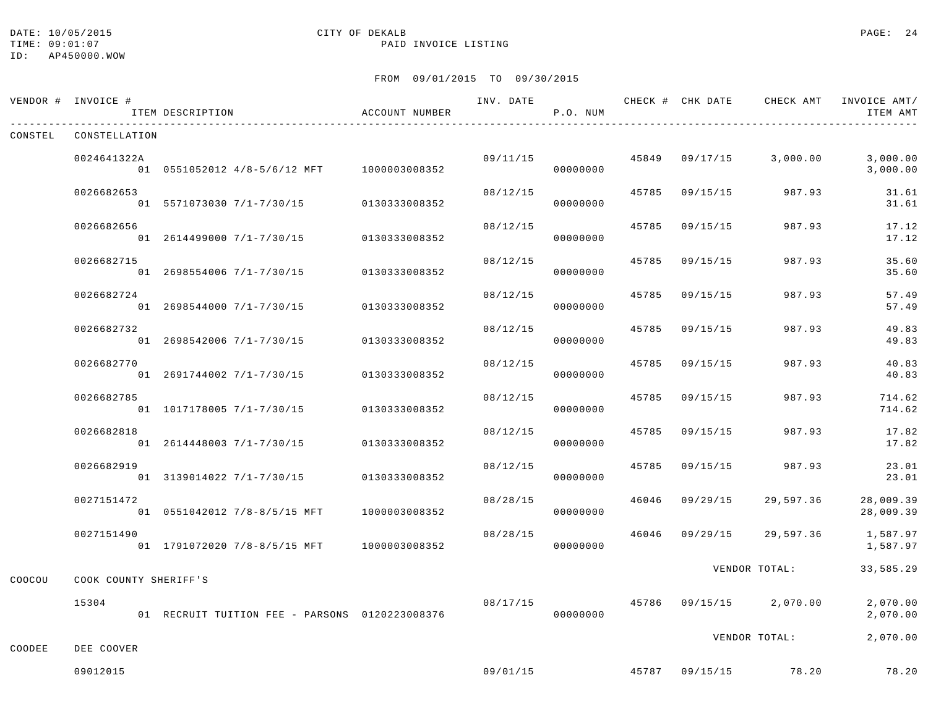#### DATE: 10/05/2015 CITY OF DEKALB PAGE: 24 TIME:  $09:01:07$  PAID INVOICE LISTING

|         | VENDOR # INVOICE #    | ITEM DESCRIPTION                               | ACCOUNT NUMBER |          | P.O. NUM |       |                | INV. DATE 6 CHECK # CHK DATE CHECK AMT INVOICE AMT/ | ITEM AMT               |
|---------|-----------------------|------------------------------------------------|----------------|----------|----------|-------|----------------|-----------------------------------------------------|------------------------|
| CONSTEL | CONSTELLATION         |                                                |                |          |          |       |                |                                                     |                        |
|         | 0024641322A           | 01 0551052012 4/8-5/6/12 MFT 1000003008352     |                | 09/11/15 | 00000000 |       |                | 45849 09/17/15 3,000.00                             | 3,000.00<br>3,000.00   |
|         | 0026682653            | 01 5571073030 7/1-7/30/15 0130333008352        |                | 08/12/15 | 00000000 | 45785 | 09/15/15       | 987.93                                              | 31.61<br>31.61         |
|         | 0026682656            | 01 2614499000 7/1-7/30/15                      | 0130333008352  | 08/12/15 | 00000000 | 45785 | 09/15/15       | 987.93                                              | 17.12<br>17.12         |
|         | 0026682715            | 01 2698554006 7/1-7/30/15                      | 0130333008352  | 08/12/15 | 00000000 | 45785 | 09/15/15       | 987.93                                              | 35.60<br>35.60         |
|         | 0026682724            | 01 2698544000 7/1-7/30/15                      | 0130333008352  | 08/12/15 | 00000000 |       | 45785 09/15/15 | 987.93                                              | 57.49<br>57.49         |
|         | 0026682732            | 01 2698542006 7/1-7/30/15                      | 0130333008352  | 08/12/15 | 00000000 | 45785 | 09/15/15       | 987.93                                              | 49.83<br>49.83         |
|         | 0026682770            | 01 2691744002 7/1-7/30/15                      | 0130333008352  | 08/12/15 | 00000000 | 45785 | 09/15/15       | 987.93                                              | 40.83<br>40.83         |
|         | 0026682785            | 01 1017178005 7/1-7/30/15                      | 0130333008352  | 08/12/15 | 00000000 | 45785 | 09/15/15       | 987.93                                              | 714.62<br>714.62       |
|         | 0026682818            | 01 2614448003 7/1-7/30/15                      | 0130333008352  | 08/12/15 | 00000000 | 45785 | 09/15/15       | 987.93                                              | 17.82<br>17.82         |
|         | 0026682919            | 01 3139014022 7/1-7/30/15                      | 0130333008352  | 08/12/15 | 00000000 | 45785 |                | 09/15/15 987.93                                     | 23.01<br>23.01         |
|         | 0027151472            |                                                |                | 08/28/15 | 00000000 |       | 46046 09/29/15 | 29,597.36                                           | 28,009.39<br>28,009.39 |
|         | 0027151490            | 01 1791072020 7/8-8/5/15 MFT 1000003008352     |                | 08/28/15 | 00000000 |       |                | 46046 09/29/15 29,597.36                            | 1,587.97<br>1,587.97   |
| COOCOU  | COOK COUNTY SHERIFF'S |                                                |                |          |          |       |                | VENDOR TOTAL:                                       | 33,585.29              |
|         | 15304                 | 01 RECRUIT TUITION FEE - PARSONS 0120223008376 |                | 08/17/15 | 00000000 |       |                | 45786 09/15/15 2,070.00                             | 2,070.00<br>2,070.00   |
| COODEE  | DEE COOVER            |                                                |                |          |          |       |                | VENDOR TOTAL:                                       | 2,070.00               |
|         | 09012015              |                                                |                | 09/01/15 |          |       |                | 45787 09/15/15 78.20                                | 78.20                  |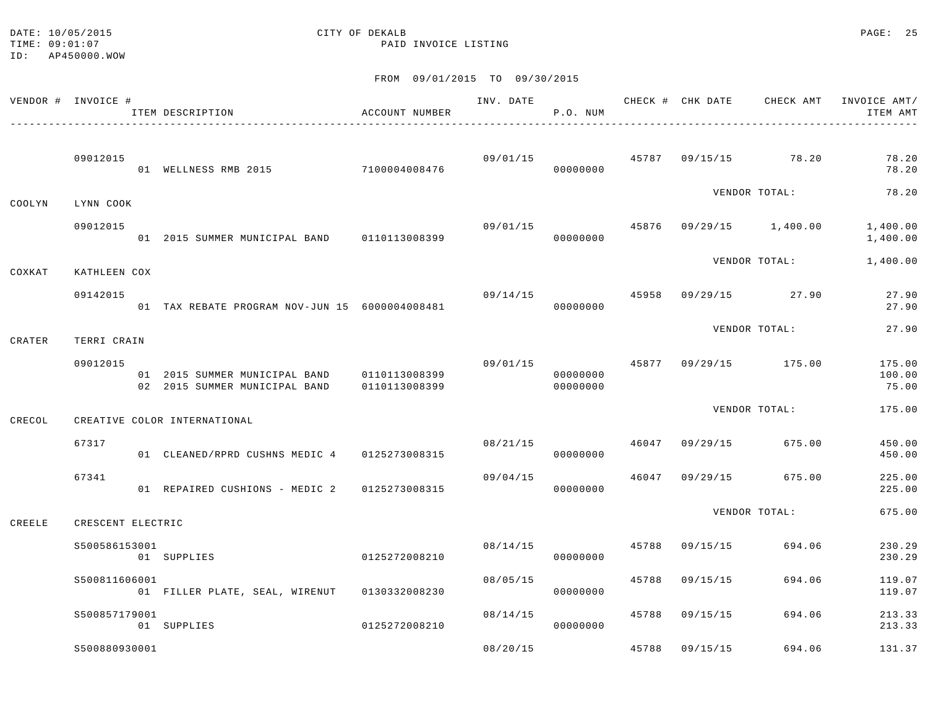#### DATE: 10/05/2015 PAGE: 25 TIME:  $09:01:07$  PAID INVOICE LISTING

|        | VENDOR # INVOICE # | ITEM DESCRIPTION                                                                  | ACCOUNT NUMBER |          | INV. DATE<br>P.O. NUM |       |                |                                       | CHECK # CHK DATE CHECK AMT INVOICE AMT/<br>ITEM AMT |
|--------|--------------------|-----------------------------------------------------------------------------------|----------------|----------|-----------------------|-------|----------------|---------------------------------------|-----------------------------------------------------|
|        | 09012015           | 01 WELLNESS RMB 2015 7100004008476                                                |                |          | 00000000              |       |                | $09/01/15$ $45787$ $09/15/15$ $78.20$ | 78.20<br>78.20                                      |
| COOLYN | LYNN COOK          |                                                                                   |                |          |                       |       |                | VENDOR TOTAL:                         | 78.20                                               |
|        | 09012015           | 01 2015 SUMMER MUNICIPAL BAND 0110113008399                                       |                | 09/01/15 | 00000000              |       |                | 45876 09/29/15 1,400.00               | 1,400.00<br>1,400.00                                |
| COXKAT | KATHLEEN COX       |                                                                                   |                |          |                       |       |                | VENDOR TOTAL:                         | 1,400.00                                            |
|        | 09142015           | 01 TAX REBATE PROGRAM NOV-JUN 15 6000004008481                                    |                | 09/14/15 | 00000000              |       |                | 45958 09/29/15 27.90                  | 27.90<br>27.90                                      |
| CRATER | TERRI CRAIN        |                                                                                   |                |          |                       |       |                | VENDOR TOTAL:                         | 27.90                                               |
|        | 09012015           | 01  2015  SUMMER  MUNICIPAL BAND   0110113008399<br>02 2015 SUMMER MUNICIPAL BAND | 0110113008399  |          | 00000000<br>00000000  |       |                | 09/01/15 45877 09/29/15 175.00        | 175.00<br>100.00<br>75.00                           |
| CRECOL |                    | CREATIVE COLOR INTERNATIONAL                                                      |                |          |                       |       |                | VENDOR TOTAL:                         | 175.00                                              |
|        | 67317              | 01 CLEANED/RPRD CUSHNS MEDIC 4 0125273008315                                      |                | 08/21/15 | 00000000              |       |                | 46047 09/29/15 675.00                 | 450.00<br>450.00                                    |
|        | 67341              | 01 REPAIRED CUSHIONS - MEDIC 2 0125273008315                                      |                | 09/04/15 | 00000000              |       |                | 46047 09/29/15 675.00                 | 225.00<br>225.00                                    |
| CREELE | CRESCENT ELECTRIC  |                                                                                   |                |          |                       |       |                | VENDOR TOTAL:                         | 675.00                                              |
|        | S500586153001      | 01 SUPPLIES                                                                       | 0125272008210  |          | 08/14/15<br>00000000  | 45788 | 09/15/15       | 694.06                                | 230.29<br>230.29                                    |
|        | \$500811606001     | 01 FILLER PLATE, SEAL, WIRENUT 0130332008230                                      |                | 08/05/15 | 00000000              | 45788 | 09/15/15       | 694.06                                | 119.07<br>119.07                                    |
|        | S500857179001      | 01 SUPPLIES                                                                       | 0125272008210  | 08/14/15 | 00000000              |       | 45788 09/15/15 | 694.06                                | 213.33<br>213.33                                    |
|        | \$500880930001     |                                                                                   |                | 08/20/15 |                       | 45788 | 09/15/15       | 694.06                                | 131.37                                              |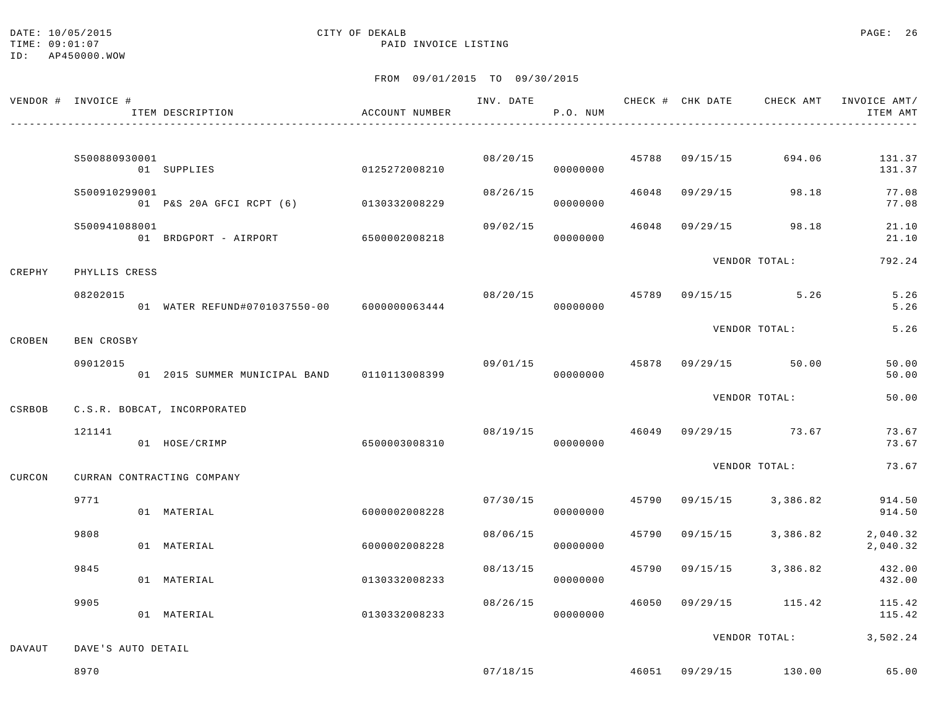TIME:  $09:01:07$  PAID INVOICE LISTING

# DATE: 10/05/2015 CITY OF DEKALB PAGE: 26

ID: AP450000.WOW

|        | VENDOR # INVOICE # | ITEM DESCRIPTION                            | ACCOUNT NUMBER | INV. DATE | P.O. NUM |       |          | CHECK # CHK DATE CHECK AMT INVOICE AMT/      | ITEM AMT             |
|--------|--------------------|---------------------------------------------|----------------|-----------|----------|-------|----------|----------------------------------------------|----------------------|
|        |                    |                                             |                |           |          |       |          |                                              |                      |
|        | S500880930001      | 01 SUPPLIES                                 | 0125272008210  | 08/20/15  | 00000000 | 45788 | 09/15/15 | 694.06                                       | 131.37<br>131.37     |
|        | S500910299001      | 01 P&S 20A GFCI RCPT (6) 0130332008229      |                | 08/26/15  | 00000000 | 46048 |          | 09/29/15 98.18                               | 77.08<br>77.08       |
|        | S500941088001      | 01 BRDGPORT - AIRPORT 6500002008218         |                | 09/02/15  | 00000000 | 46048 | 09/29/15 | 98.18                                        | 21.10<br>21.10       |
|        |                    |                                             |                |           |          |       |          | VENDOR TOTAL:                                | 792.24               |
| CREPHY | PHYLLIS CRESS      |                                             |                |           |          |       |          |                                              |                      |
|        | 08202015           | 01 WATER REFUND#0701037550-00 6000000063444 |                | 08/20/15  | 00000000 | 45789 |          | $09/15/15$ 5.26                              | 5.26<br>5.26         |
| CROBEN | BEN CROSBY         |                                             |                |           |          |       |          | VENDOR TOTAL:                                | 5.26                 |
|        | 09012015           |                                             |                | 09/01/15  |          | 45878 |          | 09/29/15 50.00                               | 50.00                |
|        |                    | 01 2015 SUMMER MUNICIPAL BAND 0110113008399 |                |           | 00000000 |       |          |                                              | 50.00                |
| CSRBOB |                    | C.S.R. BOBCAT, INCORPORATED                 |                |           |          |       |          | VENDOR TOTAL:                                | 50.00                |
|        | 121141             |                                             |                | 08/19/15  |          |       |          | 46049 09/29/15 73.67                         | 73.67                |
|        |                    | 01 HOSE/CRIMP                               | 6500003008310  |           | 00000000 |       |          |                                              | 73.67                |
| CURCON |                    | CURRAN CONTRACTING COMPANY                  |                |           |          |       |          | VENDOR TOTAL:                                | 73.67                |
|        | 9771               | 01 MATERIAL                                 | 6000002008228  | 07/30/15  | 00000000 | 45790 | 09/15/15 | 3,386.82                                     | 914.50<br>914.50     |
|        | 9808               | 01 MATERIAL                                 | 6000002008228  | 08/06/15  | 00000000 | 45790 | 09/15/15 | 3,386.82                                     | 2,040.32<br>2,040.32 |
|        | 9845               | 01 MATERIAL                                 | 0130332008233  | 08/13/15  | 00000000 | 45790 | 09/15/15 | 3,386.82                                     | 432.00<br>432.00     |
|        | 9905               | 01 MATERIAL                                 | 0130332008233  | 08/26/15  | 00000000 | 46050 |          | $09/29/15$ 115.42                            | 115.42<br>115.42     |
| DAVAUT | DAVE'S AUTO DETAIL |                                             |                |           |          |       |          | VENDOR TOTAL:                                | 3,502.24             |
|        | 8970               |                                             |                |           |          |       |          | $07/18/15$ $46051$ $09/29/15$ $130.00$ 65.00 |                      |
|        |                    |                                             |                |           |          |       |          |                                              |                      |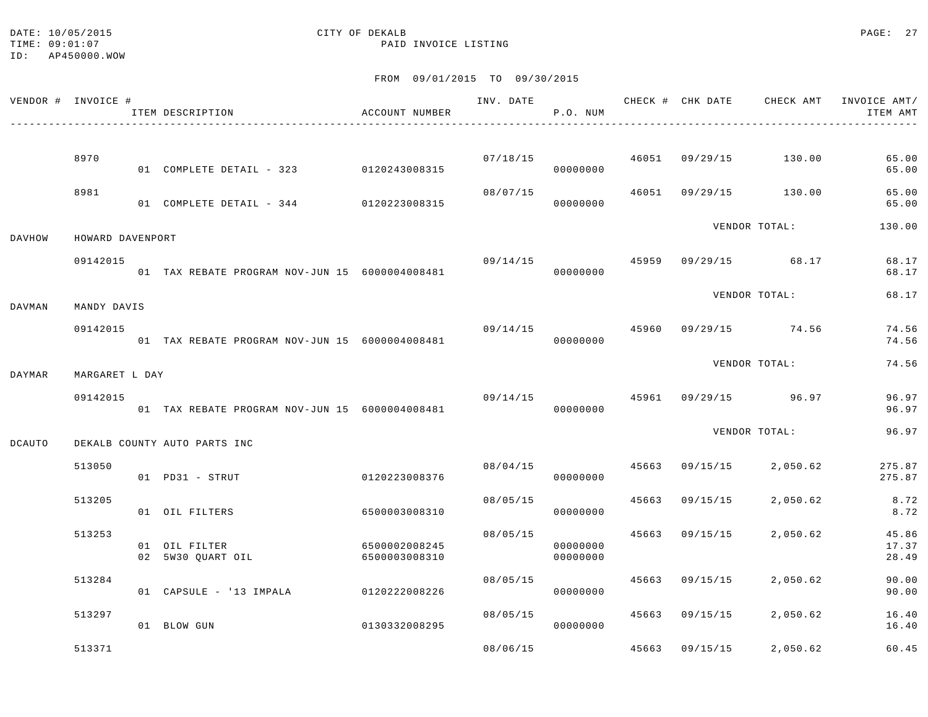#### DATE: 10/05/2015 CITY OF DEKALB PAGE: 27 TIME:  $09:01:07$  PAID INVOICE LISTING

ID: AP450000.WOW

|        | VENDOR # INVOICE # | ITEM DESCRIPTION                               | ACCOUNT NUMBER                 |          | P.O. NUM             |       |                | INV. DATE 6 7 CHECK # CHK DATE CHECK AMT INVOICE AMT/ | ITEM AMT                |
|--------|--------------------|------------------------------------------------|--------------------------------|----------|----------------------|-------|----------------|-------------------------------------------------------|-------------------------|
|        |                    |                                                |                                |          |                      |       |                |                                                       |                         |
|        | 8970               | 01 COMPLETE DETAIL - 323 0120243008315         |                                |          | 07/18/15<br>00000000 |       |                | 46051 09/29/15 130.00                                 | 65.00<br>65.00          |
|        | 8981               | 01 COMPLETE DETAIL - 344 0120223008315         |                                | 08/07/15 | 00000000             |       |                | 46051 09/29/15 130.00                                 | 65.00<br>65.00          |
| DAVHOW | HOWARD DAVENPORT   |                                                |                                |          |                      |       |                | VENDOR TOTAL:                                         | 130.00                  |
|        | 09142015           | 01 TAX REBATE PROGRAM NOV-JUN 15 6000004008481 |                                |          | 00000000             |       |                | $09/14/15$ $45959$ $09/29/15$ $68.17$                 | 68.17<br>68.17          |
| DAVMAN | MANDY DAVIS        |                                                |                                |          |                      |       |                | VENDOR TOTAL:                                         | 68.17                   |
|        | 09142015           | 01 TAX REBATE PROGRAM NOV-JUN 15 6000004008481 |                                | 09/14/15 | 00000000             |       |                | 45960 09/29/15 74.56                                  | 74.56<br>74.56          |
| DAYMAR | MARGARET L DAY     |                                                |                                |          |                      |       |                | VENDOR TOTAL:                                         | 74.56                   |
|        | 09142015           | 01 TAX REBATE PROGRAM NOV-JUN 15 6000004008481 |                                |          | 00000000             |       |                | 09/14/15 45961 09/29/15 96.97                         | 96.97<br>96.97          |
| DCAUTO |                    | DEKALB COUNTY AUTO PARTS INC                   |                                |          |                      |       |                | VENDOR TOTAL:                                         | 96.97                   |
|        | 513050             | 01 PD31 - STRUT                                | 0120223008376                  | 08/04/15 | 00000000             |       | 45663 09/15/15 | 2,050.62                                              | 275.87<br>275.87        |
|        | 513205             | 01 OIL FILTERS                                 | 6500003008310                  | 08/05/15 | 00000000             | 45663 | 09/15/15       | 2,050.62                                              | 8.72<br>8.72            |
|        | 513253             | 01 OIL FILTER<br>02 5W30 QUART OIL             | 6500002008245<br>6500003008310 | 08/05/15 | 00000000<br>00000000 |       | 45663 09/15/15 | 2,050.62                                              | 45.86<br>17.37<br>28.49 |
|        | 513284             | 01 CAPSULE - '13 IMPALA 0120222008226          |                                | 08/05/15 | 00000000             |       | 45663 09/15/15 | 2,050.62                                              | 90.00<br>90.00          |
|        | 513297             | 01 BLOW GUN                                    | 0130332008295                  | 08/05/15 | 00000000             |       | 45663 09/15/15 | 2,050.62                                              | 16.40<br>16.40          |
|        | 513371             |                                                |                                | 08/06/15 |                      | 45663 | 09/15/15       | 2,050.62                                              | 60.45                   |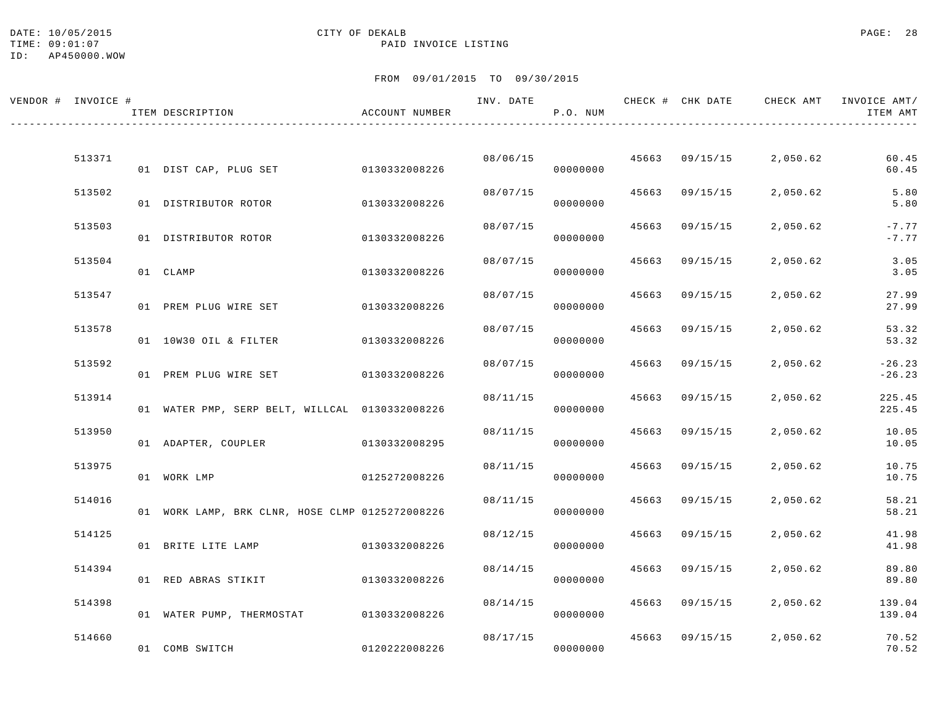#### DATE: 10/05/2015 PAGE: 28 TIME:  $09:01:07$  PAID INVOICE LISTING

| VENDOR # INVOICE # | ITEM DESCRIPTION                                | ACCOUNT NUMBER |          | P.O. NUM |       |                | INV. DATE 6 1999 CHECK # CHK DATE 6 CHECK AMT INVOICE AMT/ | ITEM AMT             |
|--------------------|-------------------------------------------------|----------------|----------|----------|-------|----------------|------------------------------------------------------------|----------------------|
| 513371             | 01 DIST CAP, PLUG SET 0130332008226             |                | 08/06/15 | 00000000 |       | 45663 09/15/15 | 2,050.62                                                   | 60.45<br>60.45       |
| 513502             | 01 DISTRIBUTOR ROTOR                            | 0130332008226  | 08/07/15 | 00000000 | 45663 | 09/15/15       | 2,050.62                                                   | 5.80<br>5.80         |
| 513503             | 01 DISTRIBUTOR ROTOR                            | 0130332008226  | 08/07/15 | 00000000 |       | 45663 09/15/15 | 2,050.62                                                   | $-7.77$<br>$-7.77$   |
| 513504             | 01 CLAMP                                        | 0130332008226  | 08/07/15 | 00000000 | 45663 | 09/15/15       | 2,050.62                                                   | 3.05<br>3.05         |
| 513547             | 01 PREM PLUG WIRE SET                           | 0130332008226  | 08/07/15 | 00000000 | 45663 | 09/15/15       | 2,050.62                                                   | 27.99<br>27.99       |
| 513578             | 01 10W30 OIL & FILTER                           | 0130332008226  | 08/07/15 | 00000000 |       | 45663 09/15/15 | 2,050.62                                                   | 53.32<br>53.32       |
| 513592             | 01 PREM PLUG WIRE SET 0130332008226             |                | 08/07/15 | 00000000 | 45663 | 09/15/15       | 2,050.62                                                   | $-26.23$<br>$-26.23$ |
| 513914             | 01 WATER PMP, SERP BELT, WILLCAL 0130332008226  |                | 08/11/15 | 00000000 | 45663 | 09/15/15       | 2,050.62                                                   | 225.45<br>225.45     |
| 513950             | 01 ADAPTER, COUPLER                             | 0130332008295  | 08/11/15 | 00000000 |       | 45663 09/15/15 | 2,050.62                                                   | 10.05<br>10.05       |
| 513975             | 01 WORK LMP                                     | 0125272008226  | 08/11/15 | 00000000 |       | 45663 09/15/15 | 2,050.62                                                   | 10.75<br>10.75       |
| 514016             | 01 WORK LAMP, BRK CLNR, HOSE CLMP 0125272008226 |                | 08/11/15 | 00000000 | 45663 | 09/15/15       | 2,050.62                                                   | 58.21<br>58.21       |
| 514125             | 01 BRITE LITE LAMP                              | 0130332008226  | 08/12/15 | 00000000 | 45663 | 09/15/15       | 2,050.62                                                   | 41.98<br>41.98       |
| 514394             | 01 RED ABRAS STIKIT                             | 0130332008226  | 08/14/15 | 00000000 |       | 45663 09/15/15 | 2,050.62                                                   | 89.80<br>89.80       |
| 514398             | 01 WATER PUMP, THERMOSTAT 0130332008226         |                | 08/14/15 | 00000000 |       | 45663 09/15/15 | 2,050.62                                                   | 139.04<br>139.04     |
| 514660             | 01 COMB SWITCH                                  | 0120222008226  | 08/17/15 | 00000000 |       | 45663 09/15/15 | 2,050.62                                                   | 70.52<br>70.52       |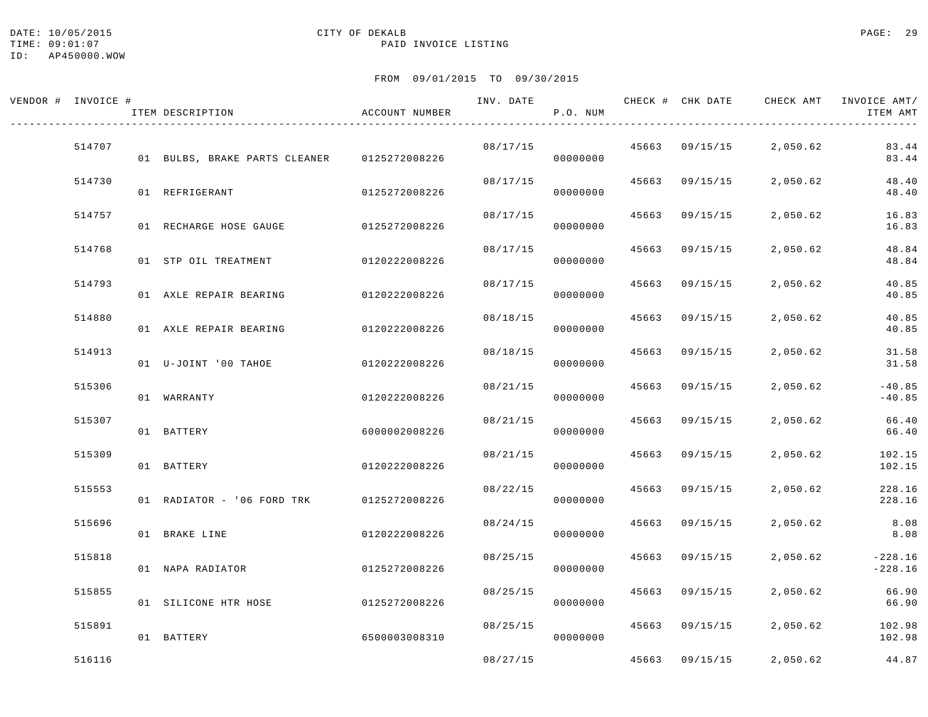#### DATE: 10/05/2015 CITY OF DEKALB PAGE: 29 TIME:  $09:01:07$  PAID INVOICE LISTING

| VENDOR # INVOICE # | ITEM DESCRIPTION              | ACCOUNT NUMBER |          | P.O. NUM |       | INV. DATE 6 CHECK # CHK DATE CHECK AMT |          | INVOICE AMT/<br>ITEM AMT |
|--------------------|-------------------------------|----------------|----------|----------|-------|----------------------------------------|----------|--------------------------|
| 514707             | 01 BULBS, BRAKE PARTS CLEANER | 0125272008226  | 08/17/15 | 00000000 |       | 45663 09/15/15                         | 2,050.62 | 83.44<br>83.44           |
| 514730             | 01 REFRIGERANT                | 0125272008226  | 08/17/15 | 00000000 |       | 45663 09/15/15                         | 2,050.62 | 48.40<br>48.40           |
| 514757             | 01 RECHARGE HOSE GAUGE        | 0125272008226  | 08/17/15 | 00000000 |       | 45663 09/15/15                         | 2,050.62 | 16.83<br>16.83           |
| 514768             | 01 STP OIL TREATMENT          | 0120222008226  | 08/17/15 | 00000000 | 45663 | 09/15/15                               | 2,050.62 | 48.84<br>48.84           |
| 514793             | 01 AXLE REPAIR BEARING        | 0120222008226  | 08/17/15 | 00000000 | 45663 | 09/15/15                               | 2,050.62 | 40.85<br>40.85           |
| 514880             | 01 AXLE REPAIR BEARING        | 0120222008226  | 08/18/15 | 00000000 |       | 45663 09/15/15                         | 2,050.62 | 40.85<br>40.85           |
| 514913             | 01 U-JOINT '00 TAHOE          | 0120222008226  | 08/18/15 | 00000000 |       | 45663 09/15/15                         | 2,050.62 | 31.58<br>31.58           |
| 515306             | 01 WARRANTY                   | 0120222008226  | 08/21/15 | 00000000 | 45663 | 09/15/15                               | 2,050.62 | $-40.85$<br>$-40.85$     |
| 515307             | 01 BATTERY                    | 6000002008226  | 08/21/15 | 00000000 | 45663 | 09/15/15                               | 2,050.62 | 66.40<br>66.40           |
| 515309             | 01 BATTERY                    | 0120222008226  | 08/21/15 | 00000000 |       | 45663 09/15/15                         | 2,050.62 | 102.15<br>102.15         |
| 515553             | 01 RADIATOR - '06 FORD TRK    | 0125272008226  | 08/22/15 | 00000000 |       | 45663 09/15/15                         | 2,050.62 | 228.16<br>228.16         |
| 515696             | 01 BRAKE LINE                 | 0120222008226  | 08/24/15 | 00000000 | 45663 | 09/15/15                               | 2,050.62 | 8.08<br>8.08             |
| 515818             | 01 NAPA RADIATOR              | 0125272008226  | 08/25/15 | 00000000 | 45663 | 09/15/15                               | 2,050.62 | $-228.16$<br>$-228.16$   |
| 515855             | 01 SILICONE HTR HOSE          | 0125272008226  | 08/25/15 | 00000000 |       | 45663 09/15/15                         | 2,050.62 | 66.90<br>66.90           |
| 515891             | 01 BATTERY                    | 6500003008310  | 08/25/15 | 00000000 |       | 45663 09/15/15                         | 2,050.62 | 102.98<br>102.98         |
| 516116             |                               |                | 08/27/15 |          |       | 45663 09/15/15                         | 2,050.62 | 44.87                    |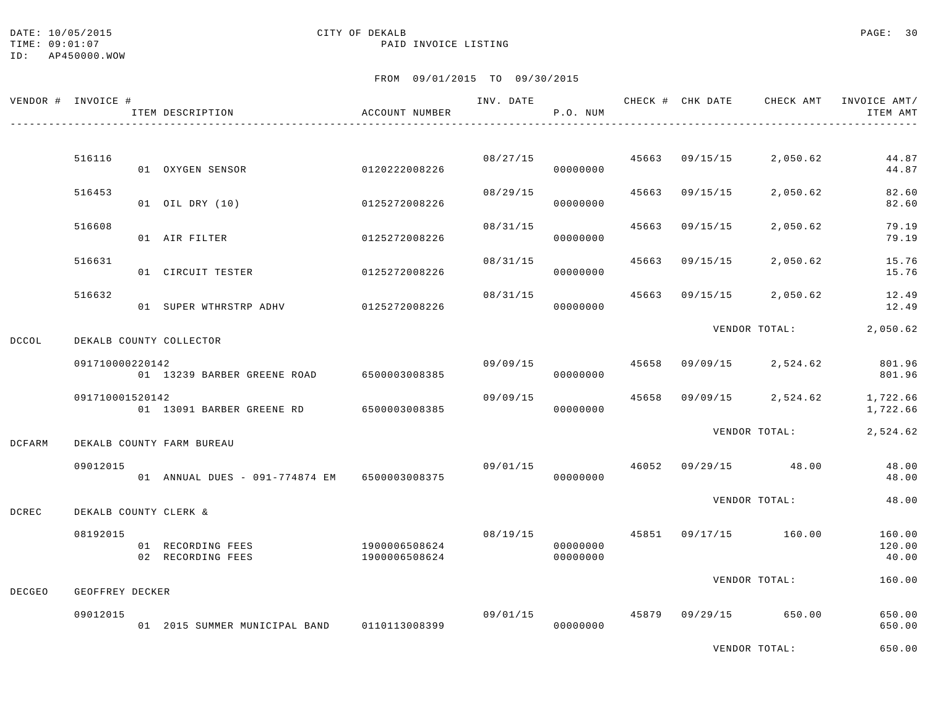#### DATE: 10/05/2015 PAGE: 30 TIME:  $09:01:07$  PAID INVOICE LISTING

|        | VENDOR # INVOICE # | ITEM DESCRIPTION                             | ACCOUNT NUMBER                 | INV. DATE | P.O. NUM                         |       |                | CHECK # CHK DATE CHECK AMT | INVOICE AMT/<br>ITEM AMT  |
|--------|--------------------|----------------------------------------------|--------------------------------|-----------|----------------------------------|-------|----------------|----------------------------|---------------------------|
|        |                    |                                              |                                |           |                                  |       |                |                            |                           |
|        | 516116             | 01 OXYGEN SENSOR                             | 0120222008226                  |           | 08/27/15<br>00000000             |       | 45663 09/15/15 | 2,050.62                   | 44.87<br>44.87            |
|        | 516453             | 01 OIL DRY (10)                              | 0125272008226                  | 08/29/15  | 00000000                         | 45663 | 09/15/15       | 2,050.62                   | 82.60<br>82.60            |
|        | 516608             | 01 AIR FILTER                                | 0125272008226                  | 08/31/15  | 00000000                         | 45663 | 09/15/15       | 2,050.62                   | 79.19<br>79.19            |
|        | 516631             |                                              |                                | 08/31/15  |                                  | 45663 | 09/15/15       | 2,050.62                   | 15.76                     |
|        |                    | 01 CIRCUIT TESTER                            | 0125272008226                  |           | 00000000                         |       |                |                            | 15.76                     |
|        | 516632             | 01 SUPER WTHRSTRP ADHV                       | 0125272008226                  | 08/31/15  | 00000000                         |       | 45663 09/15/15 | 2,050.62                   | 12.49<br>12.49            |
| DCCOL  |                    | DEKALB COUNTY COLLECTOR                      |                                |           |                                  |       |                | VENDOR TOTAL:              | 2,050.62                  |
|        | 091710000220142    | 01 13239 BARBER GREENE ROAD 6500003008385    |                                |           | 09/09/15<br>00000000             | 45658 | 09/09/15       | 2,524.62                   | 801.96<br>801.96          |
|        | 091710001520142    | 01 13091 BARBER GREENE RD 6500003008385      |                                | 09/09/15  | 00000000                         | 45658 | 09/09/15       | 2,524.62                   | 1,722.66<br>1,722.66      |
| DCFARM |                    | DEKALB COUNTY FARM BUREAU                    |                                |           |                                  |       |                | VENDOR TOTAL:              | 2,524.62                  |
|        | 09012015           | 01 ANNUAL DUES - 091-774874 EM 6500003008375 |                                | 09/01/15  | 00000000                         |       |                | 46052 09/29/15 48.00       | 48.00<br>48.00            |
| DCREC  |                    | DEKALB COUNTY CLERK &                        |                                |           |                                  |       |                | VENDOR TOTAL:              | 48.00                     |
|        | 08192015           | 01 RECORDING FEES<br>02 RECORDING FEES       | 1900006508624<br>1900006508624 |           | 08/19/15<br>00000000<br>00000000 |       |                | 45851 09/17/15 160.00      | 160.00<br>120.00<br>40.00 |
| DECGEO | GEOFFREY DECKER    |                                              |                                |           |                                  |       |                | VENDOR TOTAL:              | 160.00                    |
|        |                    |                                              |                                |           |                                  |       |                |                            |                           |
|        | 09012015           | 01 2015 SUMMER MUNICIPAL BAND                | 0110113008399                  |           | 09/01/15<br>00000000             |       |                | 45879 09/29/15 650.00      | 650.00<br>650.00          |
|        |                    |                                              |                                |           |                                  |       |                | VENDOR TOTAL:              | 650.00                    |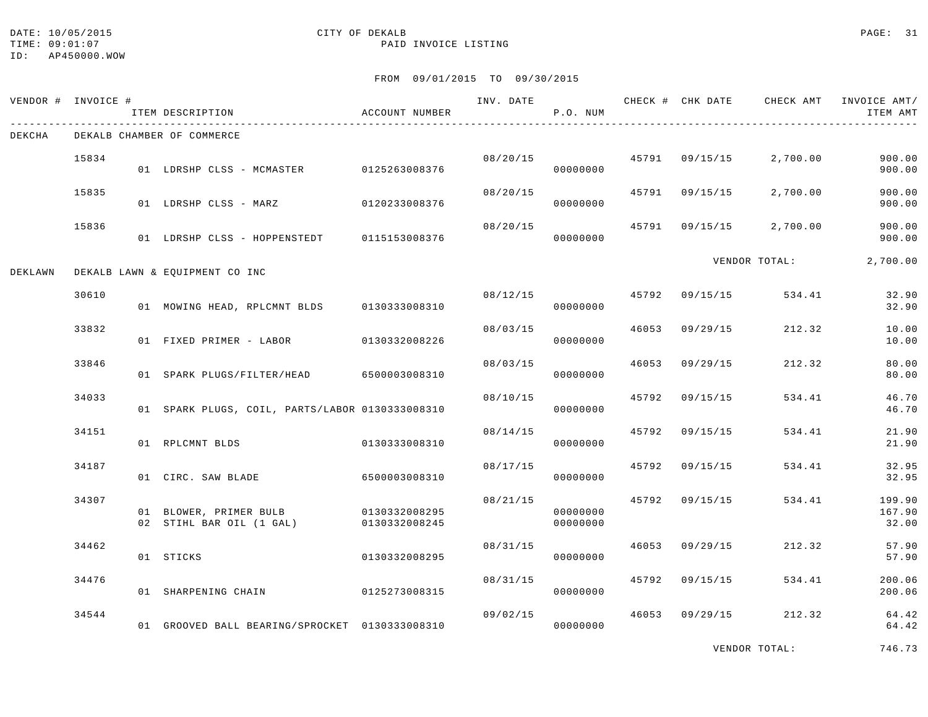## DATE: 10/05/2015 CITY OF DEKALB PAGE: 31

### TIME:  $09:01:07$  PAID INVOICE LISTING

FROM 09/01/2015 TO 09/30/2015

| VENDOR # INVOICE # |       | ITEM DESCRIPTION                                                 | ACCOUNT NUMBER |          | P.O. NUM             |       |                |               | INV. DATE THE CHECK # CHK DATE CHECK AMT INVOICE AMT/<br>ITEM AMT |
|--------------------|-------|------------------------------------------------------------------|----------------|----------|----------------------|-------|----------------|---------------|-------------------------------------------------------------------|
| DEKCHA             |       | DEKALB CHAMBER OF COMMERCE                                       |                |          |                      |       |                |               |                                                                   |
|                    | 15834 | 01 LDRSHP CLSS - MCMASTER 0125263008376                          |                |          | 08/20/15<br>00000000 |       | 45791 09/15/15 | 2,700.00      | 900.00<br>900.00                                                  |
|                    | 15835 | 01 LDRSHP CLSS - MARZ 0120233008376                              |                | 08/20/15 | 00000000             |       | 45791 09/15/15 | 2,700.00      | 900.00<br>900.00                                                  |
|                    | 15836 | 01 LDRSHP CLSS - HOPPENSTEDT 0115153008376                       |                | 08/20/15 | 00000000             |       | 45791 09/15/15 | 2,700.00      | 900.00<br>900.00                                                  |
| DEKLAWN            |       | DEKALB LAWN & EQUIPMENT CO INC                                   |                |          |                      |       |                | VENDOR TOTAL: | 2,700.00                                                          |
|                    | 30610 | 01 MOWING HEAD, RPLCMNT BLDS 0130333008310                       |                | 08/12/15 | 00000000             |       | 45792 09/15/15 | 534.41        | 32.90<br>32.90                                                    |
|                    | 33832 | 01 FIXED PRIMER - LABOR 0130332008226                            |                |          | 08/03/15<br>00000000 | 46053 | 09/29/15       | 212.32        | 10.00<br>10.00                                                    |
|                    | 33846 | 01 SPARK PLUGS/FILTER/HEAD                                       | 6500003008310  | 08/03/15 | 00000000             |       | 46053 09/29/15 | 212.32        | 80.00<br>80.00                                                    |
|                    | 34033 | 01 SPARK PLUGS, COIL, PARTS/LABOR 0130333008310                  |                | 08/10/15 | 00000000             |       | 45792 09/15/15 | 534.41        | 46.70<br>46.70                                                    |
|                    | 34151 | 01 RPLCMNT BLDS                                                  | 0130333008310  | 08/14/15 | 00000000             | 45792 | 09/15/15       | 534.41        | 21.90<br>21.90                                                    |
|                    | 34187 | 01 CIRC. SAW BLADE                                               | 6500003008310  | 08/17/15 | 00000000             |       | 45792 09/15/15 | 534.41        | 32.95<br>32.95                                                    |
|                    | 34307 | 01 BLOWER, PRIMER BULB 0130332008295<br>02 STIHL BAR OIL (1 GAL) | 0130332008245  | 08/21/15 | 00000000<br>00000000 |       | 45792 09/15/15 | 534.41        | 199.90<br>167.90<br>32.00                                         |
|                    | 34462 | 01 STICKS                                                        | 0130332008295  | 08/31/15 | 00000000             | 46053 | 09/29/15       | 212.32        | 57.90<br>57.90                                                    |
|                    | 34476 | 01 SHARPENING CHAIN                                              | 0125273008315  | 08/31/15 | 00000000             |       | 45792 09/15/15 | 534.41        | 200.06<br>200.06                                                  |
|                    | 34544 | 01 GROOVED BALL BEARING/SPROCKET 0130333008310                   |                | 09/02/15 | 00000000             |       | 46053 09/29/15 | 212.32        | 64.42<br>64.42                                                    |

VENDOR TOTAL: 746.73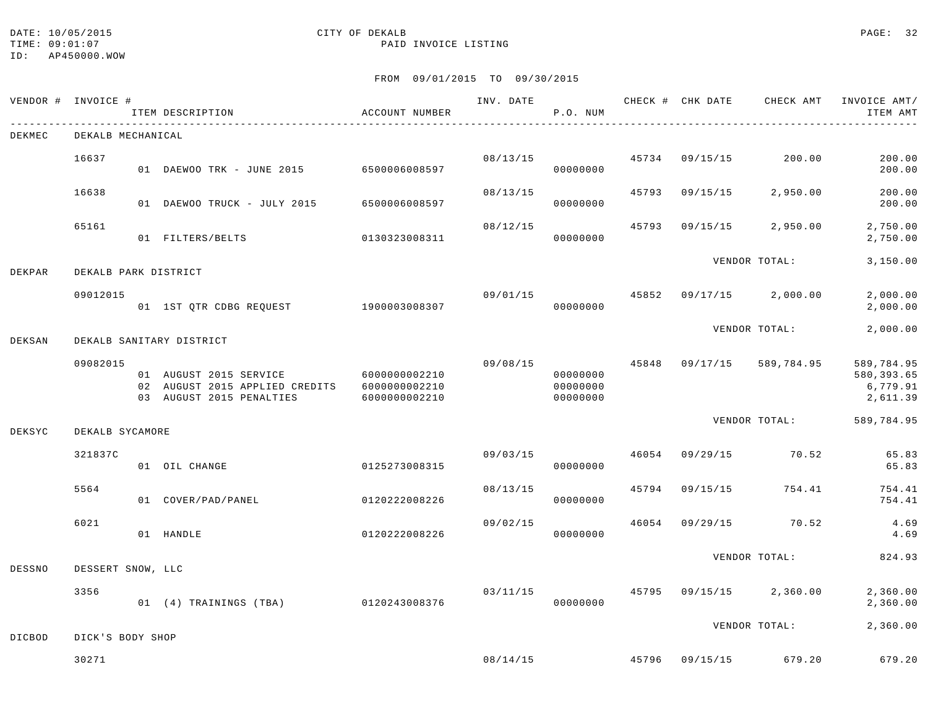# DATE: 10/05/2015 CITY OF DEKALB PAGE: 32

### TIME:  $09:01:07$  PAID INVOICE LISTING

| VENDOR #      | INVOICE #            | ITEM DESCRIPTION                                                                     | ACCOUNT NUMBER                                  | INV. DATE | P.O. NUM                         |       | CHECK # CHK DATE | CHECK AMT     | INVOICE AMT/<br>ITEM AMT                          |
|---------------|----------------------|--------------------------------------------------------------------------------------|-------------------------------------------------|-----------|----------------------------------|-------|------------------|---------------|---------------------------------------------------|
| DEKMEC        | DEKALB MECHANICAL    |                                                                                      |                                                 |           |                                  |       |                  |               |                                                   |
|               | 16637                | 01 DAEWOO TRK - JUNE 2015                                                            | 6500006008597                                   | 08/13/15  | 00000000                         | 45734 | 09/15/15         | 200.00        | 200.00<br>200.00                                  |
|               | 16638                | 01 DAEWOO TRUCK - JULY 2015                                                          | 6500006008597                                   | 08/13/15  | 00000000                         | 45793 | 09/15/15         | 2,950.00      | 200.00<br>200.00                                  |
|               | 65161                | 01 FILTERS/BELTS                                                                     | 0130323008311                                   | 08/12/15  | 00000000                         | 45793 | 09/15/15         | 2,950.00      | 2,750.00<br>2,750.00                              |
| DEKPAR        | DEKALB PARK DISTRICT |                                                                                      |                                                 |           |                                  |       |                  | VENDOR TOTAL: | 3,150.00                                          |
|               | 09012015             | 01 1ST QTR CDBG REQUEST                                                              | 1900003008307                                   | 09/01/15  | 00000000                         | 45852 | 09/17/15         | 2,000.00      | 2,000.00<br>2,000.00                              |
| DEKSAN        |                      | DEKALB SANITARY DISTRICT                                                             |                                                 |           |                                  |       |                  | VENDOR TOTAL: | 2,000.00                                          |
|               | 09082015             | 01 AUGUST 2015 SERVICE<br>02 AUGUST 2015 APPLIED CREDITS<br>03 AUGUST 2015 PENALTIES | 6000000002210<br>6000000002210<br>6000000002210 | 09/08/15  | 00000000<br>00000000<br>00000000 | 45848 | 09/17/15         | 589,784.95    | 589,784.95<br>580, 393.65<br>6,779.91<br>2,611.39 |
| DEKSYC        | DEKALB SYCAMORE      |                                                                                      |                                                 |           |                                  |       |                  | VENDOR TOTAL: | 589,784.95                                        |
|               | 321837C              | 01 OIL CHANGE                                                                        | 0125273008315                                   | 09/03/15  | 00000000                         | 46054 | 09/29/15         | 70.52         | 65.83<br>65.83                                    |
|               | 5564                 | 01 COVER/PAD/PANEL                                                                   | 0120222008226                                   | 08/13/15  | 00000000                         | 45794 | 09/15/15         | 754.41        | 754.41<br>754.41                                  |
|               | 6021                 | 01 HANDLE                                                                            | 0120222008226                                   | 09/02/15  | 00000000                         | 46054 | 09/29/15         | 70.52         | 4.69<br>4.69                                      |
| DESSNO        | DESSERT SNOW, LLC    |                                                                                      |                                                 |           |                                  |       |                  | VENDOR TOTAL: | 824.93                                            |
|               | 3356                 | 01 (4) TRAININGS (TBA)                                                               | 0120243008376                                   | 03/11/15  | 00000000                         | 45795 | 09/15/15         | 2,360.00      | 2,360.00<br>2,360.00                              |
| <b>DICBOD</b> | DICK'S BODY SHOP     |                                                                                      |                                                 |           |                                  |       |                  | VENDOR TOTAL: | 2,360.00                                          |
|               | 30271                |                                                                                      |                                                 | 08/14/15  |                                  | 45796 | 09/15/15         | 679.20        | 679.20                                            |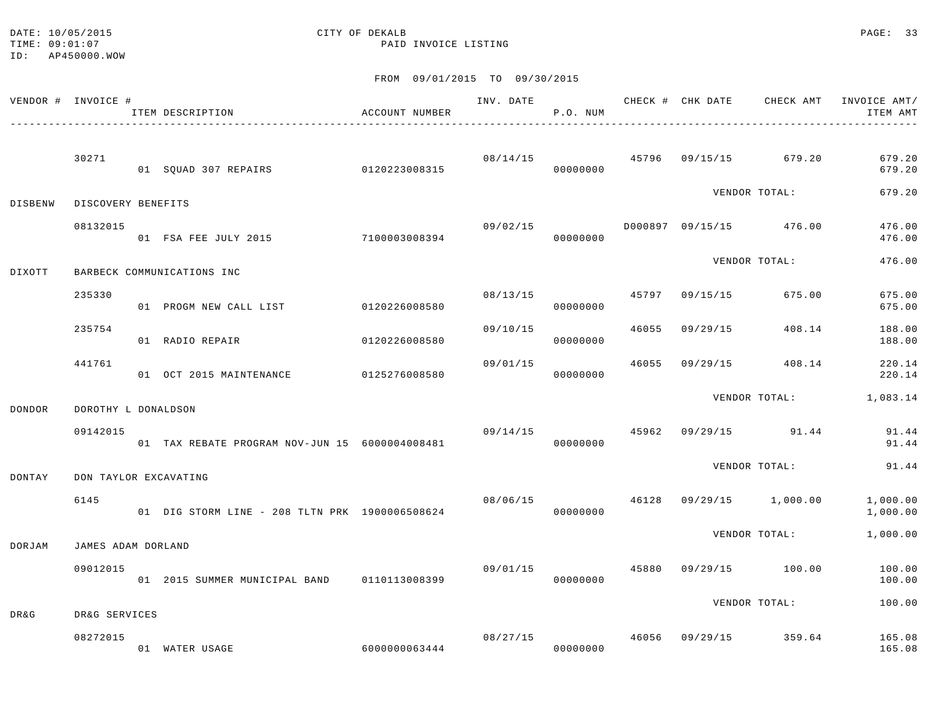#### DATE: 10/05/2015 CITY OF DEKALB PAGE: 33 TIME:  $09:01:07$  PAID INVOICE LISTING

ID: AP450000.WOW

|                 | VENDOR # INVOICE #    | ITEM DESCRIPTION                                 | ACCOUNT NUMBER | INV. DATE | P.O. NUM |       |          |                         | CHECK # CHK DATE CHECK AMT INVOICE AMT/<br>ITEM AMT |
|-----------------|-----------------------|--------------------------------------------------|----------------|-----------|----------|-------|----------|-------------------------|-----------------------------------------------------|
|                 | 30271                 | 01 SQUAD 307 REPAIRS 0120223008315               |                | 08/14/15  | 00000000 | 45796 |          | 09/15/15 679.20         | 679.20<br>679.20                                    |
| DISBENW         | DISCOVERY BENEFITS    |                                                  |                |           |          |       |          | VENDOR TOTAL:           | 679.20                                              |
|                 | 08132015              | 01 FSA FEE JULY 2015 7100003008394               |                | 09/02/15  | 00000000 |       |          | D000897 09/15/15 476.00 | 476.00<br>476.00                                    |
| DIXOTT          |                       | BARBECK COMMUNICATIONS INC                       |                |           |          |       |          | VENDOR TOTAL:           | 476.00                                              |
|                 | 235330                | 01 PROGM NEW CALL LIST                           | 0120226008580  | 08/13/15  | 00000000 | 45797 | 09/15/15 | 675.00                  | 675.00<br>675.00                                    |
|                 | 235754                | 01 RADIO REPAIR                                  | 0120226008580  | 09/10/15  | 00000000 | 46055 | 09/29/15 | 408.14                  | 188.00<br>188.00                                    |
|                 | 441761                | 01 OCT 2015 MAINTENANCE                          | 0125276008580  | 09/01/15  | 00000000 | 46055 | 09/29/15 | 408.14                  | 220.14<br>220.14                                    |
| DONDOR          | DOROTHY L DONALDSON   |                                                  |                |           |          |       |          | VENDOR TOTAL:           | 1,083.14                                            |
|                 | 09142015              | 01 TAX REBATE PROGRAM NOV-JUN 15 6000004008481   |                | 09/14/15  | 00000000 |       |          | 45962 09/29/15 91.44    | 91.44<br>91.44                                      |
| DONTAY          | DON TAYLOR EXCAVATING |                                                  |                |           |          |       |          | VENDOR TOTAL:           | 91.44                                               |
|                 | 6145                  | 01 DIG STORM LINE - 208 TLTN PRK 1900006508624   |                | 08/06/15  | 00000000 | 46128 |          | 09/29/15 1,000.00       | 1,000.00<br>1,000.00                                |
| DORJAM          | JAMES ADAM DORLAND    |                                                  |                |           |          |       |          | VENDOR TOTAL:           | 1,000.00                                            |
|                 | 09012015              | 01  2015  SUMMER  MUNICIPAL BAND   0110113008399 |                | 09/01/15  | 00000000 | 45880 |          | 09/29/15 100.00         | 100.00<br>100.00                                    |
| <b>DR&amp;G</b> | DR&G SERVICES         |                                                  |                |           |          |       |          | VENDOR TOTAL:           | 100.00                                              |
|                 | 08272015              | 01 WATER USAGE                                   | 6000000063444  | 08/27/15  | 00000000 |       |          | 46056 09/29/15 359.64   | 165.08<br>165.08                                    |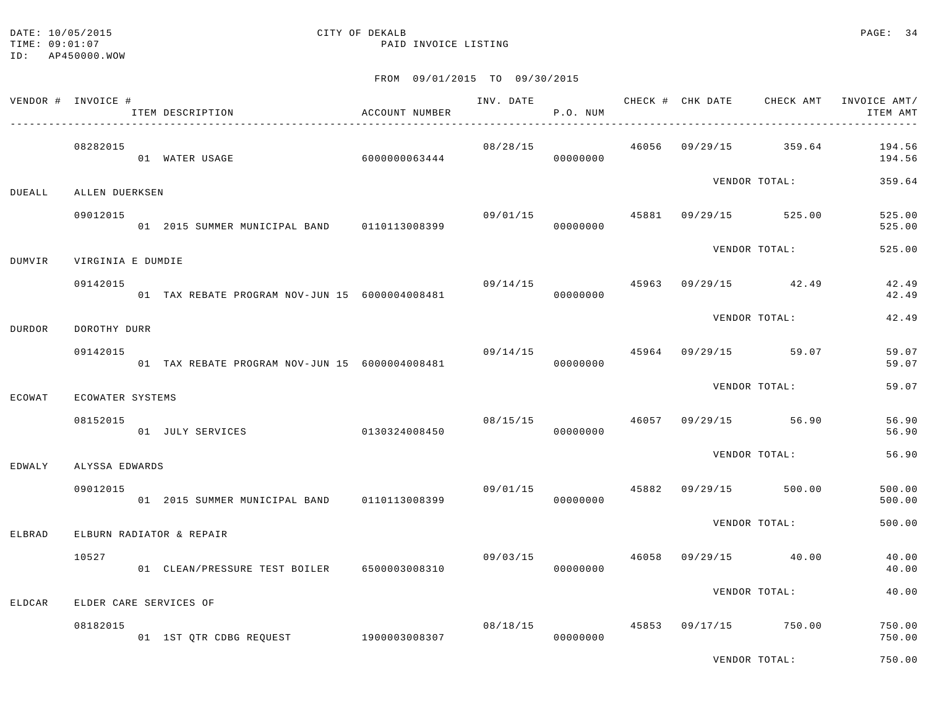#### DATE: 10/05/2015 CITY OF DEKALB PAGE: 34 TIME:  $09:01:07$  PAID INVOICE LISTING

ID: AP450000.WOW

|        | VENDOR # INVOICE # | ITEM DESCRIPTION                               | ACCOUNT NUMBER | INV. DATE      | P.O. NUM             |       | CHECK # CHK DATE | CHECK AMT             | INVOICE AMT/<br>ITEM AMT |
|--------|--------------------|------------------------------------------------|----------------|----------------|----------------------|-------|------------------|-----------------------|--------------------------|
|        | 08282015           | 01 WATER USAGE                                 | 6000000063444  | 08/28/15       | 00000000             | 46056 |                  | 09/29/15 359.64       | 194.56<br>194.56         |
| DUEALL | ALLEN DUERKSEN     |                                                |                |                |                      |       |                  | VENDOR TOTAL:         | 359.64                   |
|        | 09012015           | 01 2015 SUMMER MUNICIPAL BAND 0110113008399    |                | 09/01/15       | 00000000             | 45881 |                  | 09/29/15 525.00       | 525.00<br>525.00         |
| DUMVIR | VIRGINIA E DUMDIE  |                                                |                |                |                      |       |                  | VENDOR TOTAL:         | 525.00                   |
|        | 09142015           | 01 TAX REBATE PROGRAM NOV-JUN 15 6000004008481 |                | 09/14/15 45963 | 00000000             |       |                  | 09/29/15 42.49        | 42.49<br>42.49           |
| DURDOR | DOROTHY DURR       |                                                |                |                |                      |       |                  | VENDOR TOTAL:         | 42.49                    |
|        | 09142015           | 01 TAX REBATE PROGRAM NOV-JUN 15 6000004008481 |                | 09/14/15       | 00000000             | 45964 |                  | 09/29/15 59.07        | 59.07<br>59.07           |
| ECOWAT | ECOWATER SYSTEMS   |                                                |                |                |                      |       |                  | VENDOR TOTAL:         | 59.07                    |
|        | 08152015           | 01 JULY SERVICES 0130324008450                 |                |                | 08/15/15<br>00000000 | 46057 |                  | 09/29/15 56.90        | 56.90<br>56.90           |
| EDWALY | ALYSSA EDWARDS     |                                                |                |                |                      |       |                  | VENDOR TOTAL:         | 56.90                    |
|        | 09012015           | 01 2015 SUMMER MUNICIPAL BAND 0110113008399    |                |                | 09/01/15<br>00000000 |       |                  | 45882 09/29/15 500.00 | 500.00<br>500.00         |
| ELBRAD |                    | ELBURN RADIATOR & REPAIR                       |                |                |                      |       |                  | VENDOR TOTAL:         | 500.00                   |
|        | 10527              | 01 CLEAN/PRESSURE TEST BOILER                  | 6500003008310  | 09/03/15       | 00000000             | 46058 |                  | 09/29/15 40.00        | 40.00<br>40.00           |
| ELDCAR |                    | ELDER CARE SERVICES OF                         |                |                |                      |       |                  | VENDOR TOTAL:         | 40.00                    |
|        | 08182015           | 01 1ST QTR CDBG REQUEST                        | 1900003008307  |                | 08/18/15<br>00000000 | 45853 |                  | 09/17/15 750.00       | 750.00<br>750.00         |
|        |                    |                                                |                |                |                      |       |                  | VENDOR TOTAL:         | 750.00                   |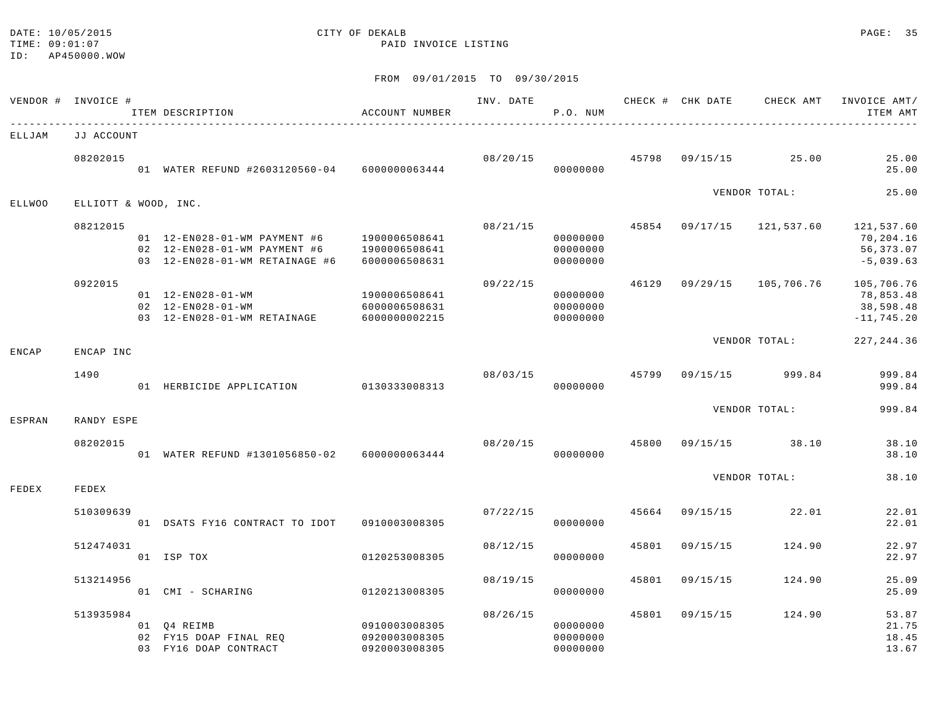#### DATE: 10/05/2015 CITY OF DEKALB PAGE: 35 TIME:  $09:01:07$  PAID INVOICE LISTING

|               | VENDOR # INVOICE #   | ITEM DESCRIPTION                                                                                                                                 | ACCOUNT NUMBER                                  |          | P.O. NUM                         |       |                | INV. DATE 6 CHECK # CHK DATE CHECK AMT INVOICE AMT/ | ITEM AMT                                              |
|---------------|----------------------|--------------------------------------------------------------------------------------------------------------------------------------------------|-------------------------------------------------|----------|----------------------------------|-------|----------------|-----------------------------------------------------|-------------------------------------------------------|
| ELLJAM        | JJ ACCOUNT           |                                                                                                                                                  |                                                 |          |                                  |       |                |                                                     |                                                       |
|               | 08202015             | 01 WATER REFUND #2603120560-04 6000000063444                                                                                                     |                                                 | 08/20/15 | 00000000                         |       |                | 45798 09/15/15 25.00                                | 25.00<br>25.00                                        |
| <b>ELLWOO</b> | ELLIOTT & WOOD, INC. |                                                                                                                                                  |                                                 |          |                                  |       |                | VENDOR TOTAL:                                       | 25.00                                                 |
|               | 08212015             | 01  12-EN028-01-WM  PAYMENT  #6  1900006508641<br>02  12-EN028-01-WM  PAYMENT  #6  1900006508641<br>03 12-EN028-01-WM RETAINAGE #6 6000006508631 |                                                 | 08/21/15 | 00000000<br>00000000<br>00000000 |       |                | 45854 09/17/15 121,537.60                           | 121,537.60<br>70,204.16<br>56, 373.07<br>$-5,039.63$  |
|               | 0922015              | 01  12-EN028-01-WM<br>02 12-EN028-01-WM<br>03 12-EN028-01-WM RETAINAGE 6000000002215                                                             | 1900006508641<br>6000006508631                  | 09/22/15 | 00000000<br>00000000<br>00000000 |       |                | 46129 09/29/15 105,706.76                           | 105,706.76<br>78,853.48<br>38,598.48<br>$-11, 745.20$ |
| ENCAP         | ENCAP INC            |                                                                                                                                                  |                                                 |          |                                  |       |                | VENDOR TOTAL:                                       | 227, 244.36                                           |
|               | 1490                 | 01 HERBICIDE APPLICATION 0130333008313                                                                                                           |                                                 | 08/03/15 | 00000000                         |       |                | 45799 09/15/15 999.84                               | 999.84<br>999.84                                      |
| ESPRAN        | RANDY ESPE           |                                                                                                                                                  |                                                 |          |                                  |       |                | VENDOR TOTAL:                                       | 999.84                                                |
|               | 08202015             | 01 WATER REFUND #1301056850-02 6000000063444                                                                                                     |                                                 |          | 08/20/15<br>00000000             | 45800 |                | $09/15/15$ 38.10                                    | 38.10<br>38.10                                        |
| FEDEX         | FEDEX                |                                                                                                                                                  |                                                 |          |                                  |       |                | VENDOR TOTAL:                                       | 38.10                                                 |
|               | 510309639            | 01 DSATS FY16 CONTRACT TO IDOT 0910003008305                                                                                                     |                                                 | 07/22/15 | 00000000                         |       | 45664 09/15/15 | 22.01                                               | 22.01<br>22.01                                        |
|               | 512474031            | 01 ISP TOX                                                                                                                                       | 0120253008305                                   | 08/12/15 | 00000000                         | 45801 | 09/15/15       | 124.90                                              | 22.97<br>22.97                                        |
|               | 513214956            | 01 CMI - SCHARING                                                                                                                                | 0120213008305                                   | 08/19/15 | 00000000                         | 45801 | 09/15/15       | 124.90                                              | 25.09<br>25.09                                        |
|               | 513935984            | 01 Q4 REIMB<br>02 FY15 DOAP FINAL REO<br>03 FY16 DOAP CONTRACT                                                                                   | 0910003008305<br>0920003008305<br>0920003008305 | 08/26/15 | 00000000<br>00000000<br>00000000 |       | 45801 09/15/15 | 124.90                                              | 53.87<br>21.75<br>18.45<br>13.67                      |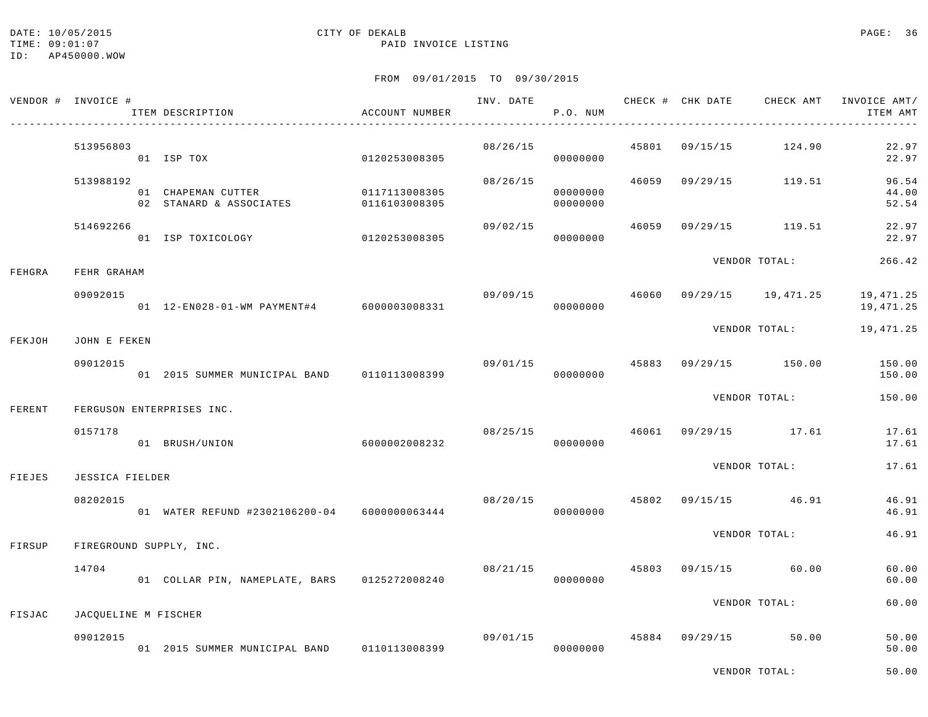## DATE: 10/05/2015 CITY OF DEKALB PAGE: 36

### TIME:  $09:01:07$  PAID INVOICE LISTING

#### FROM 09/01/2015 TO 09/30/2015

| VENDOR # INVOICE # |                           |              | ITEM DESCRIPTION                                            | ACCOUNT NUMBER |          | P.O. NUM             |               |               | INV. DATE 6 CHECK # CHK DATE CHECK AMT INVOICE AMT/ | ITEM AMT                |
|--------------------|---------------------------|--------------|-------------------------------------------------------------|----------------|----------|----------------------|---------------|---------------|-----------------------------------------------------|-------------------------|
|                    | 513956803                 |              | 01 ISP TOX<br>0120253008305                                 |                | 08/26/15 | 00000000             |               |               | 45801 09/15/15 124.90                               | 22.97<br>22.97          |
|                    | 513988192                 |              | 01 CHAPEMAN CUTTER<br>02 STANARD & ASSOCIATES 0116103008305 | 0117113008305  | 08/26/15 | 00000000<br>00000000 |               |               | 46059 09/29/15 119.51                               | 96.54<br>44.00<br>52.54 |
|                    | 514692266                 |              | 01 ISP TOXICOLOGY 0120253008305                             |                | 09/02/15 | 00000000             |               |               | 46059 09/29/15 119.51                               | 22.97<br>22.97          |
| FEHGRA             | FEHR GRAHAM               |              |                                                             |                |          |                      | VENDOR TOTAL: |               | 266.42                                              |                         |
|                    | 09092015                  |              | 01  12-EN028-01-WM  PAYMENT#4  6000003008331                |                | 09/09/15 | 00000000             |               |               | 46060 09/29/15 19,471.25                            | 19,471.25<br>19,471.25  |
| FEKJOH             |                           | JOHN E FEKEN |                                                             |                |          |                      |               | VENDOR TOTAL: |                                                     |                         |
|                    | 09012015                  |              | 01 2015 SUMMER MUNICIPAL BAND 0110113008399                 |                | 09/01/15 | 00000000             |               |               | 45883 09/29/15 150.00                               | 150.00<br>150.00        |
| FERENT             | FERGUSON ENTERPRISES INC. |              |                                                             |                |          |                      |               | VENDOR TOTAL: | 150.00                                              |                         |
|                    | 0157178                   |              | 01 BRUSH/UNION                                              | 6000002008232  |          | 00000000             |               |               | 08/25/15 46061 09/29/15 17.61                       | 17.61<br>17.61          |
| FIEJES             | <b>JESSICA FIELDER</b>    |              |                                                             |                |          |                      | VENDOR TOTAL: | 17.61         |                                                     |                         |
|                    | 08202015                  |              | 01 WATER REFUND #2302106200-04 6000000063444                |                | 08/20/15 | 00000000             |               |               | 45802 09/15/15 46.91                                | 46.91<br>46.91          |
| FIRSUP             | FIREGROUND SUPPLY, INC.   |              |                                                             |                |          |                      | VENDOR TOTAL: | 46.91         |                                                     |                         |
|                    | 14704                     |              | 01 COLLAR PIN, NAMEPLATE, BARS 0125272008240                |                | 08/21/15 | 00000000             | 45803         |               | 09/15/15 60.00                                      | 60.00<br>60.00          |
| FISJAC             | JACQUELINE M FISCHER      |              |                                                             |                |          |                      | VENDOR TOTAL: |               | 60.00                                               |                         |
|                    | 09012015                  |              | 01  2015  SUMMER MUNICIPAL BAND   0110113008399             |                | 09/01/15 | 00000000             |               |               | 45884 09/29/15 50.00                                | 50.00<br>50.00          |

VENDOR TOTAL: 50.00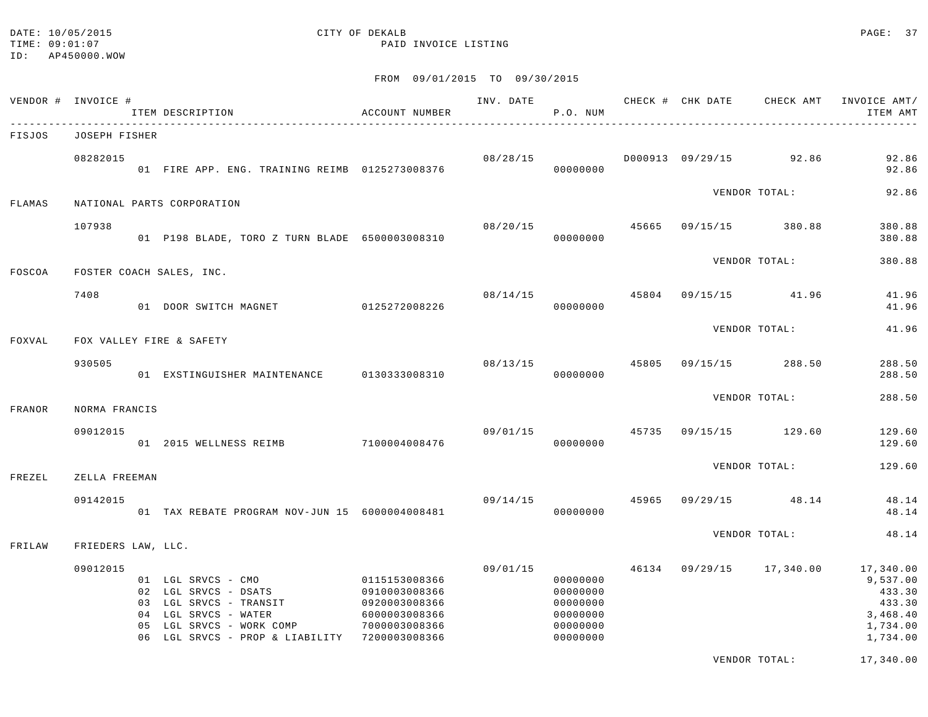#### DATE: 10/05/2015 CITY OF DEKALB PAGE: 37 TIME:  $09:01:07$  PAID INVOICE LISTING

VENDOR TOTAL: 17,340.00

|        | VENDOR # INVOICE # | ITEM DESCRIPTION                                                                                                                                                                        | ACCOUNT NUMBER                                                   | INV. DATE | P.O. NUM                                                             |       | CHECK # CHK DATE CHECK AMT | INVOICE AMT/<br>ITEM AMT                                                      |
|--------|--------------------|-----------------------------------------------------------------------------------------------------------------------------------------------------------------------------------------|------------------------------------------------------------------|-----------|----------------------------------------------------------------------|-------|----------------------------|-------------------------------------------------------------------------------|
| FISJOS | JOSEPH FISHER      |                                                                                                                                                                                         |                                                                  |           |                                                                      |       |                            |                                                                               |
|        | 08282015           | 01 FIRE APP. ENG. TRAINING REIMB 0125273008376                                                                                                                                          |                                                                  | 08/28/15  | 00000000                                                             |       | D000913 09/29/15 92.86     | 92.86<br>92.86                                                                |
| FLAMAS |                    | NATIONAL PARTS CORPORATION                                                                                                                                                              |                                                                  |           |                                                                      |       | VENDOR TOTAL:              | 92.86                                                                         |
|        | 107938             | 01 P198 BLADE, TORO Z TURN BLADE 6500003008310                                                                                                                                          |                                                                  | 08/20/15  | 00000000                                                             | 45665 | 09/15/15 380.88            | 380.88<br>380.88                                                              |
| FOSCOA |                    | FOSTER COACH SALES, INC.                                                                                                                                                                |                                                                  |           |                                                                      |       | VENDOR TOTAL:              | 380.88                                                                        |
|        | 7408               | 01 DOOR SWITCH MAGNET                                                                                                                                                                   | 0125272008226                                                    | 08/14/15  | 00000000                                                             | 45804 | 09/15/15 41.96             | 41.96<br>41.96                                                                |
| FOXVAL |                    | FOX VALLEY FIRE & SAFETY                                                                                                                                                                |                                                                  |           |                                                                      |       | VENDOR TOTAL:              | 41.96                                                                         |
|        | 930505             | 01 EXSTINGUISHER MAINTENANCE 0130333008310                                                                                                                                              |                                                                  | 08/13/15  | 00000000                                                             | 45805 | 09/15/15 288.50            | 288.50<br>288.50                                                              |
| FRANOR | NORMA FRANCIS      |                                                                                                                                                                                         |                                                                  |           |                                                                      |       | VENDOR TOTAL:              | 288.50                                                                        |
|        | 09012015           | 01 2015 WELLNESS REIMB 7100004008476                                                                                                                                                    |                                                                  | 09/01/15  | 00000000                                                             | 45735 | 09/15/15 129.60            | 129.60<br>129.60                                                              |
| FREZEL | ZELLA FREEMAN      |                                                                                                                                                                                         |                                                                  |           |                                                                      |       | VENDOR TOTAL:              | 129.60                                                                        |
|        | 09142015           | 01 TAX REBATE PROGRAM NOV-JUN 15 6000004008481                                                                                                                                          |                                                                  | 09/14/15  | 00000000                                                             | 45965 | $09/29/15$ 48.14           | 48.14<br>48.14                                                                |
| FRILAW | FRIEDERS LAW, LLC. |                                                                                                                                                                                         |                                                                  |           |                                                                      |       | VENDOR TOTAL:              | 48.14                                                                         |
|        | 09012015           | 01 LGL SRVCS - CMO 0115153008366<br>02 LGL SRVCS - DSATS<br>03 LGL SRVCS - TRANSIT<br>04 LGL SRVCS - WATER<br>05 LGL SRVCS - WORK COMP<br>06 LGL SRVCS - PROP & LIABILITY 7200003008366 | 0910003008366<br>0920003008366<br>6000003008366<br>7000003008366 | 09/01/15  | 00000000<br>00000000<br>00000000<br>00000000<br>00000000<br>00000000 | 46134 | 09/29/15 17,340.00         | 17,340.00<br>9,537.00<br>433.30<br>433.30<br>3,468.40<br>1,734.00<br>1,734.00 |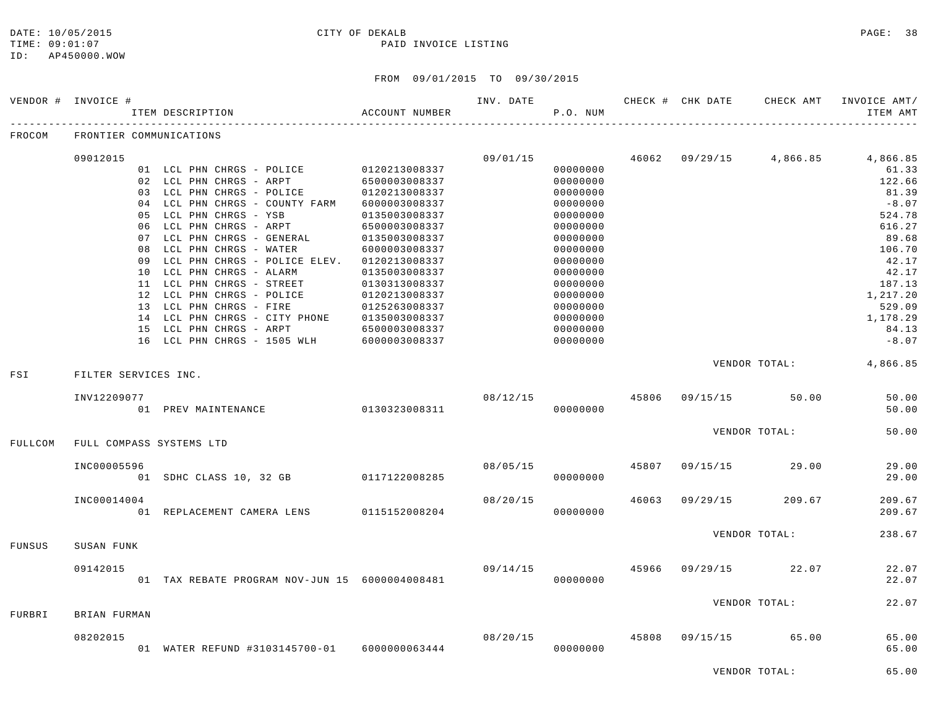#### DATE: 10/05/2015 CITY OF DEKALB PAGE: 38 TIME:  $09:01:07$  PAID INVOICE LISTING

|         | VENDOR # INVOICE #   |    |                                                |                | INV. DATE |          |       | CHECK # CHK DATE | CHECK AMT     | INVOICE AMT/ |
|---------|----------------------|----|------------------------------------------------|----------------|-----------|----------|-------|------------------|---------------|--------------|
|         |                      |    | ITEM DESCRIPTION                               | ACCOUNT NUMBER |           | P.O. NUM |       |                  |               | ITEM AMT     |
| FROCOM  |                      |    | FRONTIER COMMUNICATIONS                        |                |           |          |       |                  |               |              |
|         | 09012015             |    |                                                |                | 09/01/15  |          | 46062 | 09/29/15         | 4,866.85      | 4,866.85     |
|         |                      |    | 01 LCL PHN CHRGS - POLICE                      | 0120213008337  |           | 00000000 |       |                  |               | 61.33        |
|         |                      |    | 02 LCL PHN CHRGS - ARPT                        | 6500003008337  |           | 00000000 |       |                  |               | 122.66       |
|         |                      |    | 03 LCL PHN CHRGS - POLICE                      | 0120213008337  |           | 00000000 |       |                  |               | 81.39        |
|         |                      |    | 04 LCL PHN CHRGS - COUNTY FARM                 | 6000003008337  |           | 00000000 |       |                  |               | $-8.07$      |
|         |                      |    | 05 LCL PHN CHRGS - YSB                         | 0135003008337  |           | 00000000 |       |                  |               | 524.78       |
|         |                      |    | 06 LCL PHN CHRGS - ARPT                        | 6500003008337  |           | 00000000 |       |                  |               | 616.27       |
|         |                      |    | 07 LCL PHN CHRGS - GENERAL                     | 0135003008337  |           | 00000000 |       |                  |               | 89.68        |
|         |                      |    | 08 LCL PHN CHRGS - WATER                       | 6000003008337  |           | 00000000 |       |                  |               | 106.70       |
|         |                      | 09 | LCL PHN CHRGS - POLICE ELEV.                   | 0120213008337  |           | 00000000 |       |                  |               | 42.17        |
|         |                      |    | 10 LCL PHN CHRGS - ALARM                       | 0135003008337  |           | 00000000 |       |                  |               | 42.17        |
|         |                      |    | 11 LCL PHN CHRGS - STREET                      | 0130313008337  |           | 00000000 |       |                  |               | 187.13       |
|         |                      |    | 12 LCL PHN CHRGS - POLICE                      | 0120213008337  |           | 00000000 |       |                  |               | 1,217.20     |
|         |                      |    | 13 LCL PHN CHRGS - FIRE                        | 0125263008337  |           | 00000000 |       |                  |               | 529.09       |
|         |                      |    | 14 LCL PHN CHRGS - CITY PHONE                  | 0135003008337  |           | 00000000 |       |                  |               | 1,178.29     |
|         |                      |    | 15 LCL PHN CHRGS - ARPT                        | 6500003008337  |           | 00000000 |       |                  |               | 84.13        |
|         |                      |    | 16 LCL PHN CHRGS - 1505 WLH                    | 6000003008337  |           | 00000000 |       |                  |               | $-8.07$      |
|         |                      |    |                                                |                |           |          |       |                  | VENDOR TOTAL: | 4,866.85     |
| FSI     | FILTER SERVICES INC. |    |                                                |                |           |          |       |                  |               |              |
|         | INV12209077          |    |                                                |                | 08/12/15  |          | 45806 | 09/15/15         | 50.00         | 50.00        |
|         |                      |    | 01 PREV MAINTENANCE                            | 0130323008311  |           | 00000000 |       |                  |               | 50.00        |
|         |                      |    |                                                |                |           |          |       |                  | VENDOR TOTAL: | 50.00        |
| FULLCOM |                      |    | FULL COMPASS SYSTEMS LTD                       |                |           |          |       |                  |               |              |
|         | INC00005596          |    |                                                |                | 08/05/15  |          | 45807 | 09/15/15         | 29.00         | 29.00        |
|         |                      |    | 01 SDHC CLASS 10, 32 GB 0117122008285          |                |           | 00000000 |       |                  |               | 29.00        |
|         | INC00014004          |    |                                                |                | 08/20/15  |          | 46063 | 09/29/15         | 209.67        | 209.67       |
|         |                      |    | 01 REPLACEMENT CAMERA LENS                     | 0115152008204  |           | 00000000 |       |                  |               | 209.67       |
|         |                      |    |                                                |                |           |          |       |                  | VENDOR TOTAL: | 238.67       |
| FUNSUS  | SUSAN FUNK           |    |                                                |                |           |          |       |                  |               |              |
|         | 09142015             |    |                                                |                | 09/14/15  |          | 45966 | 09/29/15         | 22.07         | 22.07        |
|         |                      |    | 01 TAX REBATE PROGRAM NOV-JUN 15 6000004008481 |                |           | 00000000 |       |                  |               | 22.07        |
|         |                      |    |                                                |                |           |          |       |                  | VENDOR TOTAL: | 22.07        |
| FURBRI  | BRIAN FURMAN         |    |                                                |                |           |          |       |                  |               |              |
|         | 08202015             |    |                                                |                | 08/20/15  |          | 45808 | 09/15/15         | 65.00         | 65.00        |
|         |                      |    | 01 WATER REFUND #3103145700-01 6000000063444   |                |           | 00000000 |       |                  |               | 65.00        |
|         |                      |    |                                                |                |           |          |       |                  | VENDOR TOTAL: | 65.00        |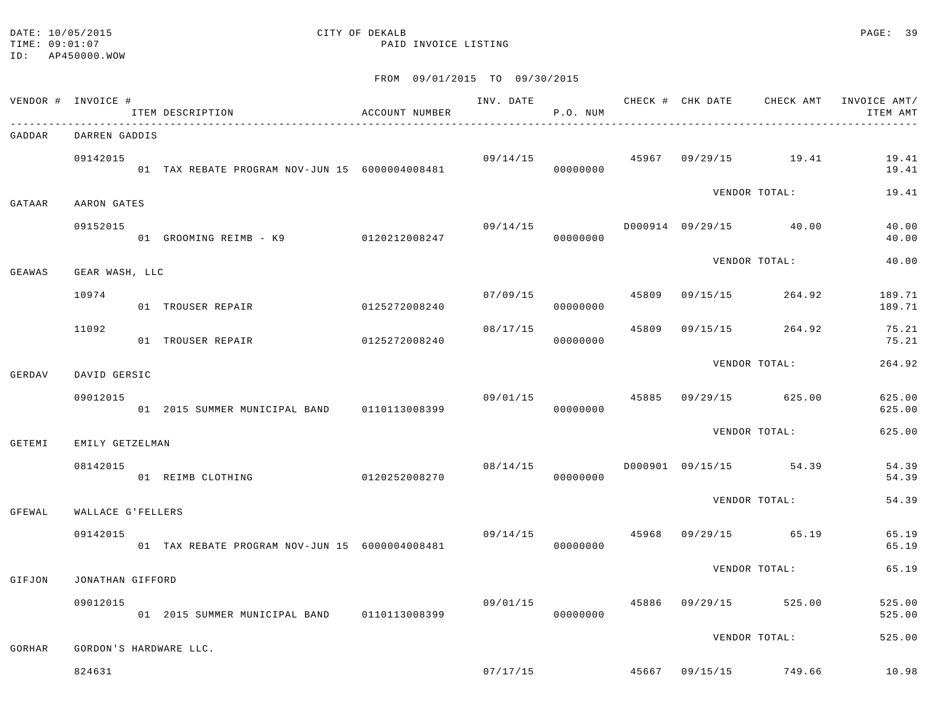#### DATE: 10/05/2015 CITY OF DEKALB PAGE: 39 TIME:  $09:01:07$  PAID INVOICE LISTING

|        | VENDOR # INVOICE # | ITEM DESCRIPTION                                 | ACCOUNT NUMBER |                | P.O. NUM |       |                                       | ITEM AMT         |
|--------|--------------------|--------------------------------------------------|----------------|----------------|----------|-------|---------------------------------------|------------------|
| GADDAR | DARREN GADDIS      |                                                  |                |                |          |       |                                       |                  |
|        | 09142015           | 01 TAX REBATE PROGRAM NOV-JUN 15 6000004008481   |                |                | 00000000 |       | $09/14/15$ $45967$ $09/29/15$ $19.41$ | 19.41<br>19.41   |
| GATAAR | AARON GATES        |                                                  |                |                |          |       | VENDOR TOTAL:                         | 19.41            |
|        | 09152015           | 01 GROOMING REIMB - K9 0120212008247             |                | 09/14/15       | 00000000 |       | D000914 09/29/15 40.00                | 40.00<br>40.00   |
| GEAWAS | GEAR WASH, LLC     |                                                  |                |                |          |       | VENDOR TOTAL:                         | 40.00            |
|        |                    |                                                  |                |                |          |       |                                       |                  |
|        | 10974              | 01 TROUSER REPAIR                                | 0125272008240  | 07/09/15       | 00000000 |       | 45809 09/15/15 264.92                 | 189.71<br>189.71 |
|        | 11092              | 01 TROUSER REPAIR                                | 0125272008240  | 08/17/15       | 00000000 | 45809 | 09/15/15 264.92                       | 75.21<br>75.21   |
| GERDAV | DAVID GERSIC       |                                                  |                |                |          |       | VENDOR TOTAL:                         | 264.92           |
|        | 09012015           | 01  2015  SUMMER  MUNICIPAL BAND   0110113008399 |                | 09/01/15 45885 | 00000000 |       | 09/29/15 625.00                       | 625.00<br>625.00 |
|        |                    |                                                  |                |                |          |       | VENDOR TOTAL:                         | 625.00           |
| GETEMI | EMILY GETZELMAN    |                                                  |                |                |          |       |                                       |                  |
|        | 08142015           | 01 REIMB CLOTHING                                | 0120252008270  | 08/14/15       | 00000000 |       | D000901 09/15/15 54.39                | 54.39<br>54.39   |
| GFEWAL | WALLACE G'FELLERS  |                                                  |                |                |          |       | VENDOR TOTAL:                         | 54.39            |
|        | 09142015           | 01 TAX REBATE PROGRAM NOV-JUN 15 6000004008481   |                | 09/14/15       | 00000000 | 45968 | 09/29/15 65.19                        | 65.19<br>65.19   |
| GIFJON | JONATHAN GIFFORD   |                                                  |                |                |          |       | VENDOR TOTAL:                         | 65.19            |
|        | 09012015           | 01 2015 SUMMER MUNICIPAL BAND 0110113008399      |                | 09/01/15       | 00000000 |       | 45886 09/29/15 525.00                 | 525.00<br>525.00 |
| GORHAR |                    | GORDON'S HARDWARE LLC.                           |                |                |          |       | VENDOR TOTAL:                         | 525.00           |
|        |                    |                                                  |                |                |          |       |                                       |                  |
|        | 824631             |                                                  |                |                |          |       | $07/17/15$ 45667 09/15/15 749.66      | 10.98            |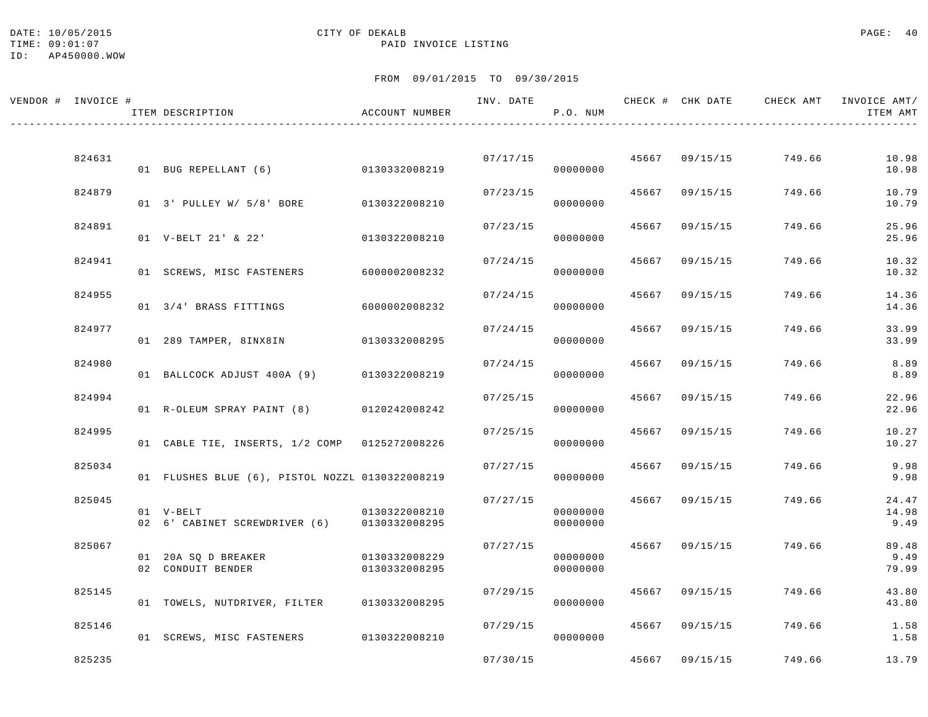# DATE: 10/05/2015 CITY OF DEKALB PAGE: 40

TIME:  $09:01:07$  PAID INVOICE LISTING

| VENDOR # INVOICE # | ITEM DESCRIPTION                                         | ACCOUNT NUMBER                 | INV. DATE | P.O. NUM             |                | CHECK # CHK DATE CHECK AMT INVOICE AMT/ | ITEM AMT               |
|--------------------|----------------------------------------------------------|--------------------------------|-----------|----------------------|----------------|-----------------------------------------|------------------------|
|                    |                                                          |                                |           |                      |                |                                         |                        |
| 824631             | 01 BUG REPELLANT (6) 0130332008219                       |                                |           | 07/17/15<br>00000000 | 45667 09/15/15 | 749.66                                  | 10.98<br>10.98         |
| 824879             | 01 3' PULLEY W/ 5/8' BORE                                | 0130322008210                  | 07/23/15  | 00000000             | 45667 09/15/15 | 749.66                                  | 10.79<br>10.79         |
| 824891             | 01 V-BELT 21' & 22'                                      | 0130322008210                  | 07/23/15  | 00000000             | 45667 09/15/15 | 749.66                                  | 25.96<br>25.96         |
| 824941             | 01 SCREWS, MISC FASTENERS                                | 6000002008232                  | 07/24/15  | 00000000             | 45667 09/15/15 | 749.66                                  | 10.32<br>10.32         |
| 824955             | 01 3/4' BRASS FITTINGS                                   | 6000002008232                  | 07/24/15  | 00000000             | 45667 09/15/15 | 749.66                                  | 14.36<br>14.36         |
| 824977             | 01 289 TAMPER, 8INX8IN                                   | 0130332008295                  | 07/24/15  | 00000000             | 45667 09/15/15 | 749.66                                  | 33.99<br>33.99         |
| 824980             | 01 BALLCOCK ADJUST 400A (9) 0130322008219                |                                | 07/24/15  | 00000000             | 45667 09/15/15 | 749.66                                  | 8.89<br>8.89           |
| 824994             | 01 R-OLEUM SPRAY PAINT (8) 0120242008242                 |                                | 07/25/15  | 00000000             | 45667 09/15/15 | 749.66                                  | 22.96<br>22.96         |
| 824995             | 01 CABLE TIE, INSERTS, 1/2 COMP 0125272008226            |                                | 07/25/15  | 00000000             | 45667 09/15/15 | 749.66                                  | 10.27<br>10.27         |
| 825034             | 01 FLUSHES BLUE (6), PISTOL NOZZL 0130322008219          |                                | 07/27/15  | 00000000             | 45667 09/15/15 | 749.66                                  | 9.98<br>9.98           |
| 825045             | 01 V-BELT<br>02 6' CABINET SCREWDRIVER (6) 0130332008295 | 0130322008210                  | 07/27/15  | 00000000<br>00000000 | 45667 09/15/15 | 749.66                                  | 24.47<br>14.98<br>9.49 |
| 825067             | 01 20A SQ D BREAKER<br>02 CONDUIT BENDER                 | 0130332008229<br>0130332008295 | 07/27/15  | 00000000<br>00000000 | 45667 09/15/15 | 749.66                                  | 89.48<br>9.49<br>79.99 |
| 825145             | 01 TOWELS, NUTDRIVER, FILTER 0130332008295               |                                | 07/29/15  | 00000000             | 45667 09/15/15 | 749.66                                  | 43.80<br>43.80         |
| 825146             | 01 SCREWS, MISC FASTENERS 0130322008210                  |                                | 07/29/15  | 00000000             | 45667 09/15/15 | 749.66                                  | 1.58<br>1.58           |
| 825235             |                                                          |                                | 07/30/15  |                      | 45667 09/15/15 | 749.66                                  | 13.79                  |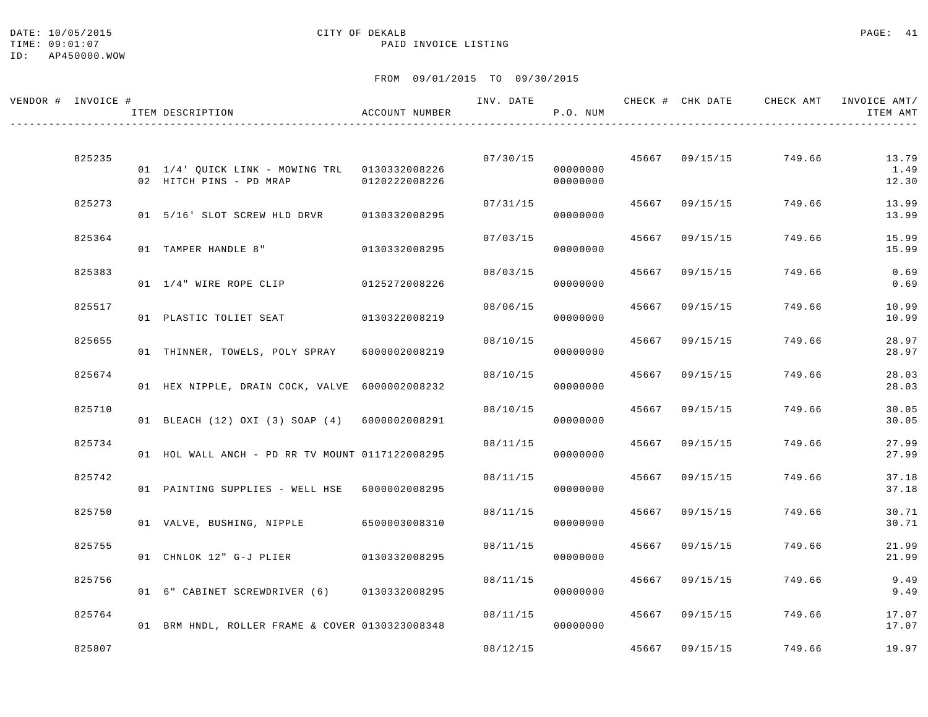#### DATE: 10/05/2015 CITY OF DEKALB PAGE: 41 TIME:  $09:01:07$  PAID INVOICE LISTING

| VENDOR # INVOICE # | ITEM DESCRIPTION                                                       | ACCOUNT NUMBER                 | INV. DATE            | P.O. NUM             |                |                      | CHECK # CHK DATE CHECK AMT INVOICE AMT/ | ITEM AMT                |
|--------------------|------------------------------------------------------------------------|--------------------------------|----------------------|----------------------|----------------|----------------------|-----------------------------------------|-------------------------|
| 825235             | 01 1/4' QUICK LINK - MOWING TRL 0130332008226                          |                                | 07/30/15             | 00000000             |                | 45667 09/15/15       | 749.66                                  | 13.79<br>1.49           |
| 825273             | 02 HITCH PINS - PD MRAP<br>01 5/16' SLOT SCREW HLD DRVR                | 0120222008226<br>0130332008295 | 07/31/15             | 00000000<br>00000000 |                | 45667 09/15/15       | 749.66                                  | 12.30<br>13.99<br>13.99 |
| 825364             | 01 TAMPER HANDLE 8"                                                    | 0130332008295                  | 07/03/15             | 00000000             | 45667          | 09/15/15             | 749.66                                  | 15.99<br>15.99          |
| 825383             | 01 1/4" WIRE ROPE CLIP                                                 | 0125272008226                  | 08/03/15             | 00000000             |                | 45667 09/15/15       | 749.66                                  | 0.69<br>0.69            |
| 825517             | 01 PLASTIC TOLIET SEAT                                                 | 0130322008219                  | 08/06/15             | 00000000             |                | 45667 09/15/15       | 749.66                                  | 10.99<br>10.99          |
| 825655             | 01 THINNER, TOWELS, POLY SPRAY                                         | 6000002008219                  | 08/10/15             | 00000000             |                | 45667 09/15/15       | 749.66                                  | 28.97<br>28.97          |
| 825674             | 01 HEX NIPPLE, DRAIN COCK, VALVE 6000002008232                         |                                | 08/10/15             | 00000000             |                | 45667 09/15/15       | 749.66                                  | 28.03<br>28.03          |
| 825710             | 01 BLEACH (12) OXI (3) SOAP (4) 6000002008291                          |                                | 08/10/15             | 00000000             |                | 45667 09/15/15       | 749.66                                  | 30.05<br>30.05          |
| 825734<br>825742   | 01 HOL WALL ANCH - PD RR TV MOUNT 0117122008295                        |                                | 08/11/15<br>08/11/15 | 00000000             | 45667<br>45667 | 09/15/15<br>09/15/15 | 749.66<br>749.66                        | 27.99<br>27.99<br>37.18 |
| 825750             | 01 PAINTING SUPPLIES - WELL HSE 6000002008295                          |                                | 08/11/15             | 00000000             |                | 45667 09/15/15       | 749.66                                  | 37.18<br>30.71          |
| 825755             | 01 VALVE, BUSHING, NIPPLE 6500003008310                                |                                | 08/11/15             | 00000000             |                | 45667 09/15/15       | 749.66                                  | 30.71<br>21.99          |
| 825756             | 01 CHNLOK 12" G-J PLIER<br>01 6" CABINET SCREWDRIVER (6) 0130332008295 | 0130332008295                  | 08/11/15             | 00000000<br>00000000 |                | 45667 09/15/15       | 749.66                                  | 21.99<br>9.49<br>9.49   |
| 825764             | 01 BRM HNDL, ROLLER FRAME & COVER 0130323008348                        |                                | 08/11/15             | 00000000             |                | 45667 09/15/15       | 749.66                                  | 17.07<br>17.07          |
| 825807             |                                                                        |                                | 08/12/15             |                      |                | 45667 09/15/15       | 749.66                                  | 19.97                   |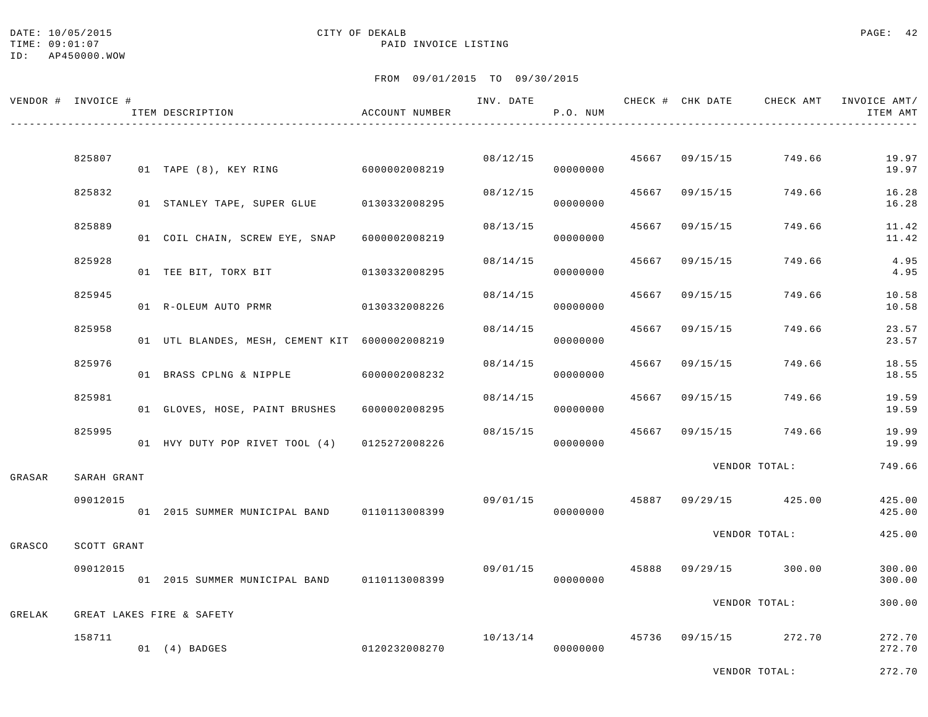#### DATE: 10/05/2015 CITY OF DEKALB PAGE: 42 TIME:  $09:01:07$  PAID INVOICE LISTING

FROM 09/01/2015 TO 09/30/2015

| VENDOR # INVOICE # |             | ITEM DESCRIPTION                               | ACCOUNT NUMBER |                | P.O. NUM |                | INV. DATE 6 1992 CHECK # CHK DATE 6 CHECK AMT INVOICE AMT | ITEM AMT         |
|--------------------|-------------|------------------------------------------------|----------------|----------------|----------|----------------|-----------------------------------------------------------|------------------|
|                    | 825807      |                                                |                | 08/12/15       |          |                | 45667 09/15/15 749.66                                     | 19.97            |
|                    |             | 01 TAPE (8), KEY RING 6000002008219            |                |                | 00000000 |                |                                                           | 19.97            |
|                    | 825832      | 01 STANLEY TAPE, SUPER GLUE 0130332008295      |                | 08/12/15       | 00000000 |                | 45667 09/15/15 749.66                                     | 16.28<br>16.28   |
|                    | 825889      | 01 COIL CHAIN, SCREW EYE, SNAP                 | 6000002008219  | 08/13/15       | 00000000 | 45667 09/15/15 | 749.66                                                    | 11.42<br>11.42   |
|                    | 825928      | 01 TEE BIT, TORX BIT 0130332008295             |                | 08/14/15       | 00000000 | 45667 09/15/15 | 749.66                                                    | 4.95<br>4.95     |
|                    | 825945      | 01 R-OLEUM AUTO PRMR 0130332008226             |                | 08/14/15       | 00000000 | 45667 09/15/15 | 749.66                                                    | 10.58<br>10.58   |
|                    | 825958      | 01 UTL BLANDES, MESH, CEMENT KIT 6000002008219 |                | 08/14/15       | 00000000 | 45667 09/15/15 | 749.66                                                    | 23.57<br>23.57   |
|                    | 825976      | 01 BRASS CPLNG & NIPPLE 6000002008232          |                | 08/14/15       | 00000000 | 45667 09/15/15 | 749.66                                                    | 18.55<br>18.55   |
|                    | 825981      | 01 GLOVES, HOSE, PAINT BRUSHES 6000002008295   |                | 08/14/15       | 00000000 | 45667 09/15/15 | 749.66                                                    | 19.59<br>19.59   |
|                    | 825995      | 01 HVY DUTY POP RIVET TOOL (4) 0125272008226   |                | 08/15/15       | 00000000 |                | 45667 09/15/15 749.66                                     | 19.99<br>19.99   |
| GRASAR             | SARAH GRANT |                                                |                |                |          |                | VENDOR TOTAL:                                             | 749.66           |
|                    | 09012015    | 01 2015 SUMMER MUNICIPAL BAND 0110113008399    |                |                | 00000000 |                | $09/01/15$ $45887$ $09/29/15$ $425.00$                    | 425.00<br>425.00 |
| GRASCO             | SCOTT GRANT |                                                |                |                |          |                | VENDOR TOTAL:                                             | 425.00           |
|                    | 09012015    | 01 2015 SUMMER MUNICIPAL BAND 0110113008399    |                | 09/01/15 45888 | 00000000 |                | 09/29/15 300.00                                           | 300.00<br>300.00 |
| GRELAK             |             | GREAT LAKES FIRE & SAFETY                      |                |                |          |                | VENDOR TOTAL:                                             | 300.00           |
|                    | 158711      |                                                |                |                |          |                | $10/13/14$ $45736$ $09/15/15$ $272.70$                    | 272.70           |
|                    |             | 01 (4) BADGES                                  | 0120232008270  |                | 00000000 |                |                                                           | 272.70           |

VENDOR TOTAL: 272.70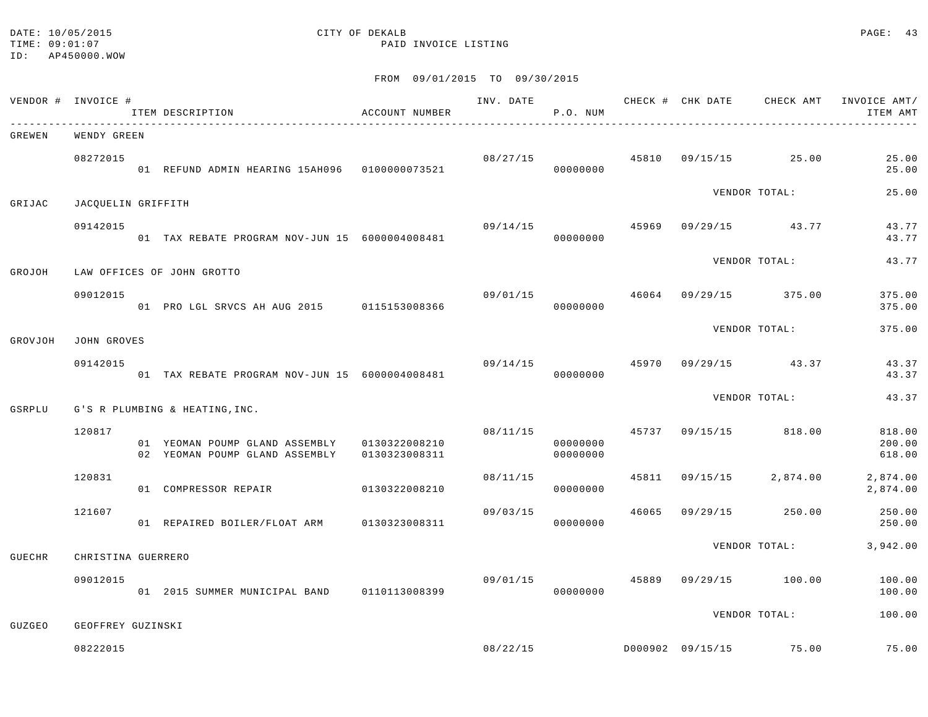#### DATE: 10/05/2015 CITY OF DEKALB PAGE: 43 TIME:  $09:01:07$  PAID INVOICE LISTING

|         | VENDOR # INVOICE # | ITEM DESCRIPTION                                                               | ACCOUNT NUMBER |                | P.O. NUM             |       |                                | ITEM AMT                   |
|---------|--------------------|--------------------------------------------------------------------------------|----------------|----------------|----------------------|-------|--------------------------------|----------------------------|
| GREWEN  | WENDY GREEN        |                                                                                |                |                |                      |       |                                |                            |
|         | 08272015           | 01 REFUND ADMIN HEARING 15AH096  0100000073521                                 |                | 08/27/15       | 00000000             |       | 45810 09/15/15 25.00           | 25.00<br>25.00             |
| GRIJAC  | JACQUELIN GRIFFITH |                                                                                |                |                |                      |       | VENDOR TOTAL:                  | 25.00                      |
|         | 09142015           | 01 TAX REBATE PROGRAM NOV-JUN 15 6000004008481                                 |                | 09/14/15       | 00000000             |       | 45969 09/29/15 43.77           | 43.77<br>43.77             |
| GROJOH  |                    | LAW OFFICES OF JOHN GROTTO                                                     |                |                |                      |       | VENDOR TOTAL:                  | 43.77                      |
|         | 09012015           | 01 PRO LGL SRVCS AH AUG 2015 0115153008366                                     |                | 09/01/15 46064 | 00000000             |       | 09/29/15 375.00                | 375.00<br>375.00           |
| GROVJOH | <b>JOHN GROVES</b> |                                                                                |                |                |                      |       | VENDOR TOTAL:                  | 375.00                     |
|         | 09142015           | 01 TAX REBATE PROGRAM NOV-JUN 15 6000004008481                                 |                | 09/14/15       | 00000000             | 45970 | 09/29/15 43.37                 | 43.37<br>43.37             |
| GSRPLU  |                    | G'S R PLUMBING & HEATING, INC.                                                 |                |                |                      |       | VENDOR TOTAL:                  | 43.37                      |
|         | 120817             | 01 YEOMAN POUMP GLAND ASSEMBLY 0130322008210<br>02 YEOMAN POUMP GLAND ASSEMBLY | 0130323008311  |                | 00000000<br>00000000 |       | 08/11/15 45737 09/15/15 818.00 | 818.00<br>200.00<br>618.00 |
|         | 120831             | 01 COMPRESSOR REPAIR 0130322008210                                             |                | 08/11/15       | 00000000             |       | 45811 09/15/15 2,874.00        | 2,874.00<br>2,874.00       |
|         | 121607             | 01 REPAIRED BOILER/FLOAT ARM 0130323008311                                     |                | 09/03/15       | 00000000             | 46065 | 09/29/15 250.00                | 250.00<br>250.00           |
| GUECHR  | CHRISTINA GUERRERO |                                                                                |                |                |                      |       | VENDOR TOTAL:                  | 3,942.00                   |
|         | 09012015           | 01 2015 SUMMER MUNICIPAL BAND 0110113008399                                    |                | 09/01/15 45889 | 00000000             |       | 09/29/15 100.00                | 100.00<br>100.00           |
| GUZGEO  | GEOFFREY GUZINSKI  |                                                                                |                |                |                      |       | VENDOR TOTAL:                  | 100.00                     |
|         | 08222015           |                                                                                |                |                |                      |       |                                | 75.00                      |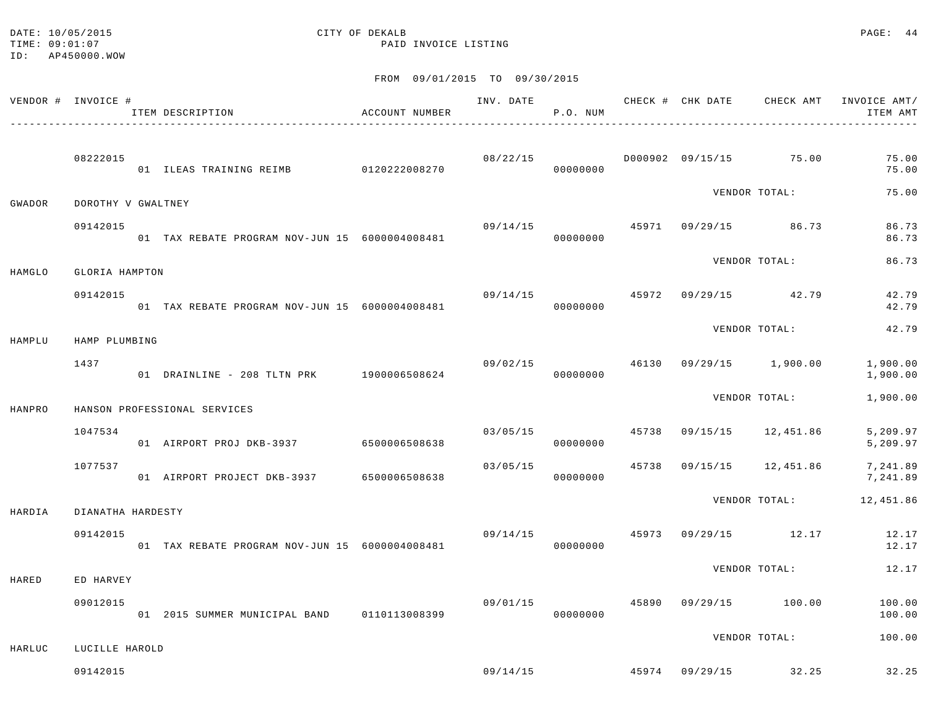#### DATE: 10/05/2015 CITY OF DEKALB PAGE: 44 TIME:  $09:01:07$  PAID INVOICE LISTING

|        | VENDOR # INVOICE # | ACCOUNT NUMBER<br>ITEM DESCRIPTION             |          | P.O. NUM             |  |                                       | INV. DATE 6 CHECK # CHK DATE CHECK AMT INVOICE AMT/<br>ITEM AMT |
|--------|--------------------|------------------------------------------------|----------|----------------------|--|---------------------------------------|-----------------------------------------------------------------|
|        | 08222015           | 01 ILEAS TRAINING REIMB 0120222008270          |          | 08/22/15<br>00000000 |  | D000902 09/15/15 75.00                | 75.00<br>75.00                                                  |
| GWADOR | DOROTHY V GWALTNEY |                                                |          |                      |  | VENDOR TOTAL:                         | 75.00                                                           |
|        | 09142015           | 01 TAX REBATE PROGRAM NOV-JUN 15 6000004008481 | 09/14/15 | 00000000             |  | 45971 09/29/15 86.73                  | 86.73<br>86.73                                                  |
| HAMGLO | GLORIA HAMPTON     |                                                |          |                      |  | VENDOR TOTAL:                         | 86.73                                                           |
|        | 09142015           | 01 TAX REBATE PROGRAM NOV-JUN 15 6000004008481 | 09/14/15 | 00000000             |  | 45972 09/29/15 42.79                  | 42.79<br>42.79                                                  |
| HAMPLU | HAMP PLUMBING      |                                                |          |                      |  | VENDOR TOTAL:                         | 42.79                                                           |
|        | 1437               | 01 DRAINLINE - 208 TLTN PRK 1900006508624      |          | 00000000             |  |                                       | $09/02/15$ $46130$ $09/29/15$ $1,900.00$ $1,900.00$<br>1,900.00 |
| HANPRO |                    | HANSON PROFESSIONAL SERVICES                   |          |                      |  | VENDOR TOTAL:                         | 1,900.00                                                        |
|        | 1047534            | 01 AIRPORT PROJ DKB-3937 6500006508638         | 03/05/15 | 00000000             |  | 45738 09/15/15 12,451.86              | 5,209.97<br>5,209.97                                            |
|        | 1077537            | 01 AIRPORT PROJECT DKB-3937 6500006508638      | 03/05/15 | 00000000             |  |                                       | 45738  09/15/15  12,451.86  7,241.89<br>7,241.89                |
| HARDIA | DIANATHA HARDESTY  |                                                |          |                      |  | VENDOR TOTAL:                         | 12,451.86                                                       |
|        | 09142015           | 01 TAX REBATE PROGRAM NOV-JUN 15 6000004008481 |          | 00000000             |  | $09/14/15$ $45973$ $09/29/15$ $12.17$ | 12.17<br>12.17                                                  |
| HARED  | ED HARVEY          |                                                |          |                      |  | VENDOR TOTAL:                         | 12.17                                                           |
|        | 09012015           | 01 2015 SUMMER MUNICIPAL BAND 0110113008399    | 09/01/15 | 00000000             |  | 45890 09/29/15 100.00                 | 100.00<br>100.00                                                |
| HARLUC | LUCILLE HAROLD     |                                                |          |                      |  | VENDOR TOTAL:                         | 100.00                                                          |
|        | 09142015           |                                                |          |                      |  | $09/14/15$ $45974$ $09/29/15$ $32.25$ | 32.25                                                           |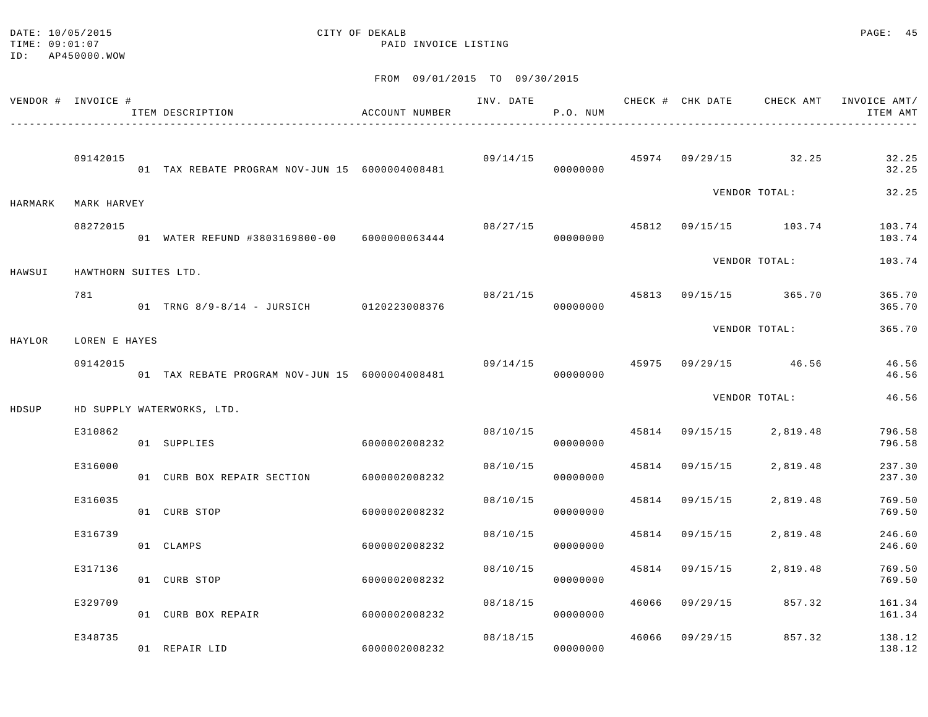#### DATE: 10/05/2015 CITY OF DEKALB PAGE: 45 TIME:  $09:01:07$  PAID INVOICE LISTING

|         | VENDOR # INVOICE #        | ITEM DESCRIPTION                               | ACCOUNT NUMBER | INV. DATE | P.O. NUM |       |                | CHECK # CHK DATE CHECK AMT     | INVOICE AMT/<br>ITEM AMT |
|---------|---------------------------|------------------------------------------------|----------------|-----------|----------|-------|----------------|--------------------------------|--------------------------|
|         | 09142015                  | 01 TAX REBATE PROGRAM NOV-JUN 15 6000004008481 |                | 09/14/15  | 00000000 |       |                | $45974$ 09/29/15 32.25         | 32.25<br>32.25           |
| HARMARK | MARK HARVEY               |                                                |                |           |          |       |                | VENDOR TOTAL:                  | 32.25                    |
|         | 08272015                  | 01 WATER REFUND #3803169800-00 6000000063444   |                | 08/27/15  | 00000000 |       |                | 45812 09/15/15 103.74          | 103.74<br>103.74         |
| HAWSUI  | HAWTHORN SUITES LTD.      |                                                |                |           |          |       |                | VENDOR TOTAL:                  | 103.74                   |
|         | 781                       | 01 TRNG 8/9-8/14 - JURSICH 0120223008376       |                |           | 00000000 |       |                | 08/21/15 45813 09/15/15 365.70 | 365.70<br>365.70         |
|         |                           |                                                |                |           |          |       |                | VENDOR TOTAL:                  | 365.70                   |
| HAYLOR  | LOREN E HAYES<br>09142015 | 01 TAX REBATE PROGRAM NOV-JUN 15 6000004008481 |                | 09/14/15  | 00000000 |       |                | 45975 09/29/15 46.56           | 46.56<br>46.56           |
|         |                           |                                                |                |           |          |       |                | VENDOR TOTAL:                  | 46.56                    |
| HDSUP   | E310862                   | HD SUPPLY WATERWORKS, LTD.<br>01 SUPPLIES      | 6000002008232  | 08/10/15  | 00000000 |       | 45814 09/15/15 | 2,819.48                       | 796.58<br>796.58         |
|         | E316000                   | 01 CURB BOX REPAIR SECTION                     | 6000002008232  | 08/10/15  | 00000000 | 45814 | 09/15/15       | 2,819.48                       | 237.30<br>237.30         |
|         | E316035                   | 01 CURB STOP                                   | 6000002008232  | 08/10/15  | 00000000 | 45814 | 09/15/15       | 2,819.48                       | 769.50<br>769.50         |
|         | E316739                   | 01 CLAMPS                                      | 6000002008232  | 08/10/15  | 00000000 | 45814 | 09/15/15       | 2,819.48                       | 246.60<br>246.60         |
|         | E317136                   | 01 CURB STOP                                   | 6000002008232  | 08/10/15  | 00000000 | 45814 | 09/15/15       | 2,819.48                       | 769.50<br>769.50         |
|         | E329709                   | 01 CURB BOX REPAIR                             | 6000002008232  | 08/18/15  | 00000000 | 46066 |                | 09/29/15 857.32                | 161.34<br>161.34         |
|         | E348735                   | 01 REPAIR LID                                  | 6000002008232  | 08/18/15  | 00000000 | 46066 | 09/29/15       | 857.32                         | 138.12<br>138.12         |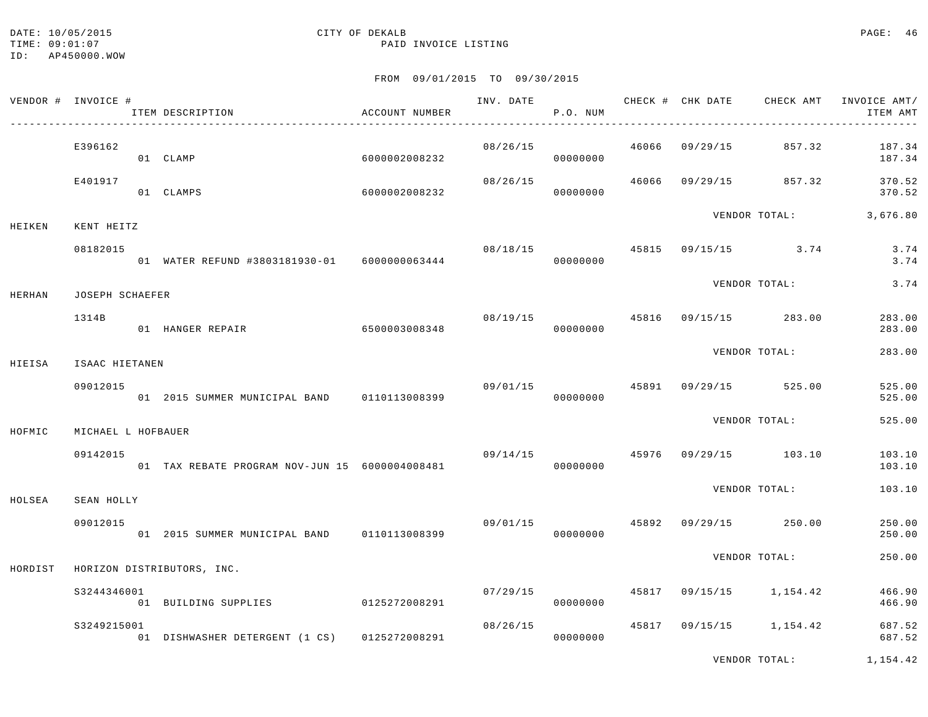#### DATE: 10/05/2015 CITY OF DEKALB PAGE: 46 TIME:  $09:01:07$  PAID INVOICE LISTING

FROM 09/01/2015 TO 09/30/2015

| VENDOR # INVOICE # |                    | ITEM DESCRIPTION                               | ACCOUNT NUMBER |                | P.O. NUM                   |       |                | INV. DATE 6 CHECK # CHK DATE 6 CHECK AMT | INVOICE AMT/<br>ITEM AMT |
|--------------------|--------------------|------------------------------------------------|----------------|----------------|----------------------------|-------|----------------|------------------------------------------|--------------------------|
|                    | E396162            | 01 CLAMP                                       | 6000002008232  | 08/26/15       | 00000000                   | 46066 |                | 09/29/15 857.32                          | 187.34<br>187.34         |
|                    | E401917            | 01 CLAMPS                                      | 6000002008232  | 08/26/15       | 00000000                   |       |                | 46066 09/29/15 857.32                    | 370.52<br>370.52         |
| HEIKEN             | KENT HEITZ         |                                                |                |                |                            |       |                | VENDOR TOTAL:                            | 3,676.80                 |
|                    | 08182015           | 01 WATER REFUND #3803181930-01 6000000063444   |                | 08/18/15       | 00000000                   |       |                | 45815 09/15/15 3.74                      | 3.74<br>3.74             |
| <b>HERHAN</b>      | JOSEPH SCHAEFER    |                                                |                |                |                            |       |                | VENDOR TOTAL:                            | 3.74                     |
|                    | 1314B              | 01 HANGER REPAIR                               | 6500003008348  |                | 08/19/15 45816<br>00000000 |       |                | 09/15/15 283.00                          | 283.00<br>283.00         |
| HIEISA             | ISAAC HIETANEN     |                                                |                |                |                            |       |                | VENDOR TOTAL:                            | 283.00                   |
|                    | 09012015           | 01 2015 SUMMER MUNICIPAL BAND 0110113008399    |                |                | 09/01/15<br>00000000       |       |                | 45891 09/29/15 525.00                    | 525.00<br>525.00         |
| HOFMIC             | MICHAEL L HOFBAUER |                                                |                |                |                            |       |                | VENDOR TOTAL:                            | 525.00                   |
|                    | 09142015           | 01 TAX REBATE PROGRAM NOV-JUN 15 6000004008481 |                | 09/14/15 45976 | 00000000                   |       |                | 09/29/15 103.10                          | 103.10<br>103.10         |
| HOLSEA             | SEAN HOLLY         |                                                |                |                |                            |       |                | VENDOR TOTAL:                            | 103.10                   |
|                    | 09012015           | 01 2015 SUMMER MUNICIPAL BAND 0110113008399    |                | 09/01/15       | 00000000                   |       |                | 45892 09/29/15 250.00                    | 250.00<br>250.00         |
| HORDIST            |                    | HORIZON DISTRIBUTORS, INC.                     |                |                |                            |       |                | VENDOR TOTAL:                            | 250.00                   |
|                    | S3244346001        | 01 BUILDING SUPPLIES 0125272008291             |                | 07/29/15       | 00000000                   |       | 45817 09/15/15 | 1,154.42                                 | 466.90<br>466.90         |
|                    | S3249215001        | 01 DISHWASHER DETERGENT (1 CS) 0125272008291   |                | 08/26/15       | 00000000                   | 45817 |                | 09/15/15 1,154.42                        | 687.52<br>687.52         |

VENDOR TOTAL: 1,154.42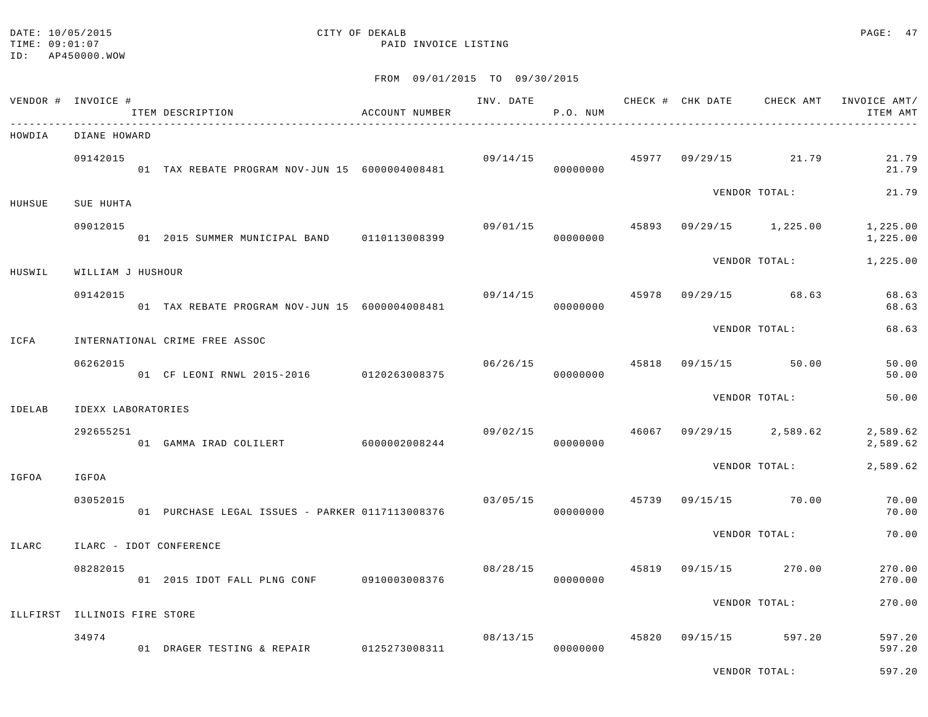#### DATE: 10/05/2015 CITY OF DEKALB PAGE: 47 TIME:  $09:01:07$  PAID INVOICE LISTING

#### FROM 09/01/2015 TO 09/30/2015

|        | VENDOR # INVOICE #           | ITEM DESCRIPTION                                | ACCOUNT NUMBER | INV. DATE | P.O. NUM |       |          |                      | CHECK # CHK DATE CHECK AMT INVOICE AMT/<br>ITEM AMT<br>$    -$ |
|--------|------------------------------|-------------------------------------------------|----------------|-----------|----------|-------|----------|----------------------|----------------------------------------------------------------|
| HOWDIA | DIANE HOWARD                 |                                                 |                |           |          |       |          |                      |                                                                |
|        | 09142015                     | 01 TAX REBATE PROGRAM NOV-JUN 15 6000004008481  |                | 09/14/15  | 00000000 |       |          | 45977 09/29/15 21.79 | 21.79<br>21.79                                                 |
| HUHSUE | SUE HUHTA                    |                                                 |                |           |          |       |          | VENDOR TOTAL:        | 21.79                                                          |
|        | 09012015                     | 01 2015 SUMMER MUNICIPAL BAND 0110113008399     |                | 09/01/15  | 00000000 | 45893 |          | $09/29/15$ 1,225.00  | 1,225.00<br>1,225.00                                           |
| HUSWIL | WILLIAM J HUSHOUR            |                                                 |                |           |          |       |          | VENDOR TOTAL:        | 1,225.00                                                       |
|        | 09142015                     | 01 TAX REBATE PROGRAM NOV-JUN 15 6000004008481  |                | 09/14/15  | 00000000 | 45978 |          | $09/29/15$ 68.63     | 68.63<br>68.63                                                 |
| ICFA   |                              | INTERNATIONAL CRIME FREE ASSOC                  |                |           |          |       |          | VENDOR TOTAL:        | 68.63                                                          |
|        | 06262015                     | 01 CF LEONI RNWL 2015-2016 0120263008375        |                | 06/26/15  | 00000000 | 45818 | 09/15/15 | 50.00                | 50.00<br>50.00                                                 |
| IDELAB | IDEXX LABORATORIES           |                                                 |                |           |          |       |          | VENDOR TOTAL:        | 50.00                                                          |
|        | 292655251                    | 01 GAMMA IRAD COLILERT 6000002008244            |                | 09/02/15  | 00000000 | 46067 |          | $09/29/15$ 2,589.62  | 2,589.62<br>2,589.62                                           |
| IGFOA  | IGFOA                        |                                                 |                |           |          |       |          | VENDOR TOTAL:        | 2,589.62                                                       |
|        | 03052015                     | 01 PURCHASE LEGAL ISSUES - PARKER 0117113008376 |                | 03/05/15  | 00000000 | 45739 | 09/15/15 | 70.00                | 70.00<br>70.00                                                 |
| ILARC  |                              | ILARC - IDOT CONFERENCE                         |                |           |          |       |          | VENDOR TOTAL:        | 70.00                                                          |
|        | 08282015                     | 01  2015  IDOT FALL PLNG CONF   0910003008376   |                | 08/28/15  | 00000000 | 45819 | 09/15/15 | 270.00               | 270.00<br>270.00                                               |
|        | ILLFIRST ILLINOIS FIRE STORE |                                                 |                |           |          |       |          | VENDOR TOTAL:        | 270.00                                                         |
|        |                              |                                                 |                |           |          |       |          |                      |                                                                |
|        | 34974                        | 01 DRAGER TESTING & REPAIR 0125273008311        |                | 08/13/15  | 00000000 | 45820 | 09/15/15 | 597.20               | 597.20<br>597.20                                               |

VENDOR TOTAL: 597.20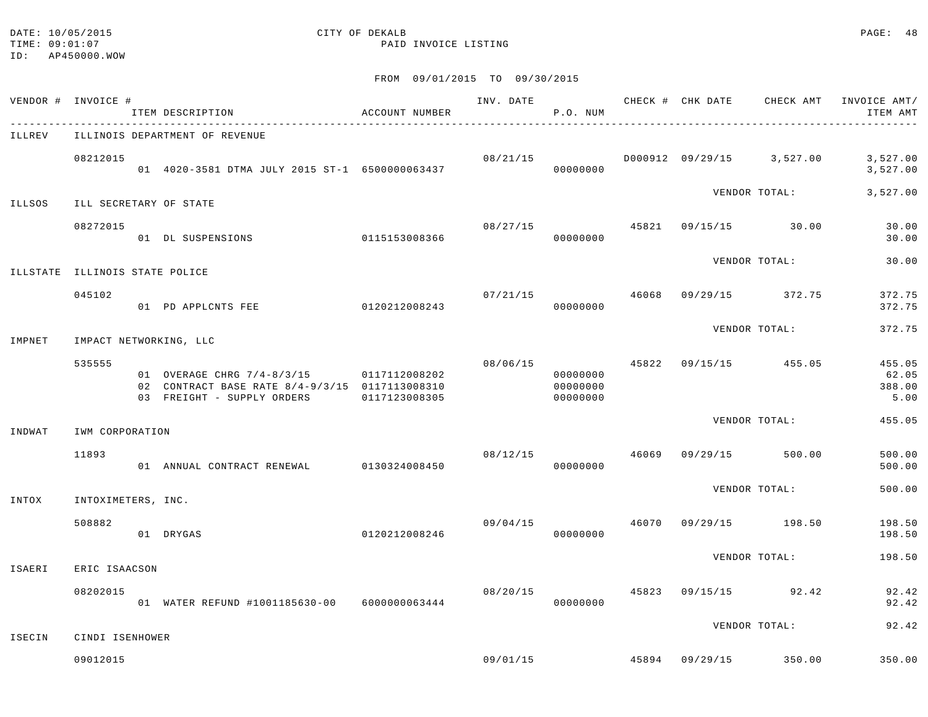#### DATE: 10/05/2015 CITY OF DEKALB PAGE: 48 TIME:  $09:01:07$  PAID INVOICE LISTING

| VENDOR # INVOICE #             |                    | ITEM DESCRIPTION                                                                                                                       | ACCOUNT NUMBER |          | P.O. NUM                         |       |                                        | INV. DATE 6 1992 CHECK # CHK DATE 6 CHECK AMT INVOICE AMT<br>ITEM AMT |
|--------------------------------|--------------------|----------------------------------------------------------------------------------------------------------------------------------------|----------------|----------|----------------------------------|-------|----------------------------------------|-----------------------------------------------------------------------|
| ILLREV                         |                    | ILLINOIS DEPARTMENT OF REVENUE                                                                                                         |                |          |                                  |       |                                        |                                                                       |
|                                | 08212015           | 01 4020-3581 DTMA JULY 2015 ST-1 6500000063437                                                                                         |                |          | 08/21/15<br>00000000             |       | D000912 09/29/15 3,527.00              | 3,527.00<br>3,527.00                                                  |
| ILLSOS                         |                    | ILL SECRETARY OF STATE                                                                                                                 |                |          |                                  |       | VENDOR TOTAL:                          | 3,527.00                                                              |
|                                | 08272015           | 01 DL SUSPENSIONS                                                                                                                      | 0115153008366  |          | 08/27/15<br>00000000             |       | 45821 09/15/15 30.00                   | 30.00<br>30.00                                                        |
| ILLSTATE ILLINOIS STATE POLICE |                    |                                                                                                                                        |                |          |                                  |       | VENDOR TOTAL:                          | 30.00                                                                 |
|                                | 045102             | 01 PD APPLCNTS FEE                                                                                                                     | 0120212008243  |          | 07/21/15<br>00000000             | 46068 | 09/29/15 372.75                        | 372.75<br>372.75                                                      |
| IMPNET                         |                    | IMPACT NETWORKING, LLC                                                                                                                 |                |          |                                  |       | VENDOR TOTAL:                          | 372.75                                                                |
|                                | 535555             | 01 OVERAGE CHRG 7/4-8/3/15 0117112008202<br>02 CONTRACT BASE RATE 8/4-9/3/15 0117113008310<br>03 FREIGHT - SUPPLY ORDERS 0117123008305 |                |          | 00000000<br>00000000<br>00000000 |       | $08/06/15$ $45822$ $09/15/15$ $455.05$ | 455.05<br>62.05<br>388.00<br>5.00                                     |
| INDWAT                         | IWM CORPORATION    |                                                                                                                                        |                |          |                                  |       | VENDOR TOTAL:                          | 455.05                                                                |
|                                | 11893              | 01 ANNUAL CONTRACT RENEWAL                                                                                                             | 0130324008450  | 08/12/15 | 00000000                         | 46069 | 09/29/15 500.00                        | 500.00<br>500.00                                                      |
| INTOX                          | INTOXIMETERS, INC. |                                                                                                                                        |                |          |                                  |       | VENDOR TOTAL:                          | 500.00                                                                |
|                                | 508882             | 01 DRYGAS                                                                                                                              | 0120212008246  | 09/04/15 | 00000000                         | 46070 | 09/29/15 198.50                        | 198.50<br>198.50                                                      |
| ISAERI                         | ERIC ISAACSON      |                                                                                                                                        |                |          |                                  |       | VENDOR TOTAL:                          | 198.50                                                                |
|                                | 08202015           | 01 WATER REFUND #1001185630-00 6000000063444                                                                                           |                | 08/20/15 | 00000000                         |       | 45823 09/15/15 92.42                   | 92.42<br>92.42                                                        |
| ISECIN                         | CINDI ISENHOWER    |                                                                                                                                        |                |          |                                  |       | VENDOR TOTAL:                          | 92.42                                                                 |
|                                | 09012015           |                                                                                                                                        |                |          | 09/01/15                         |       | 45894 09/29/15 350.00                  | 350.00                                                                |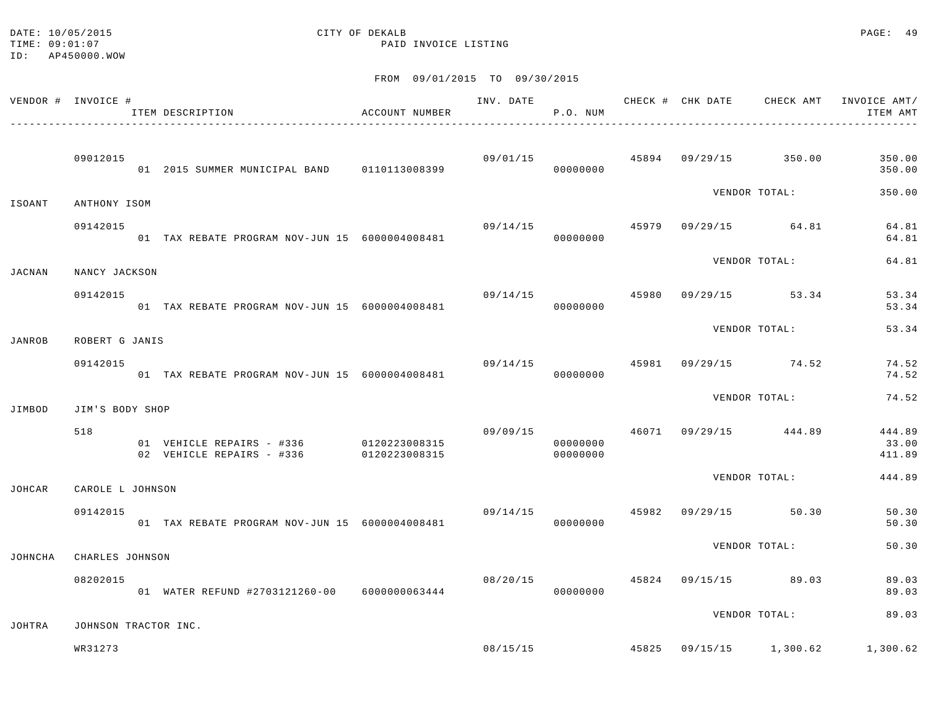#### DATE: 10/05/2015 CITY OF DEKALB PAGE: 49 TIME:  $09:01:07$  PAID INVOICE LISTING

|               | VENDOR # INVOICE #   | ITEM DESCRIPTION                                       | ACCOUNT NUMBER                 | INV. DATE                             | P.O. NUM             |  | CHECK # CHK DATE CHECK AMT             | INVOICE AMT/<br>ITEM AMT                            |
|---------------|----------------------|--------------------------------------------------------|--------------------------------|---------------------------------------|----------------------|--|----------------------------------------|-----------------------------------------------------|
|               | 09012015             | 01 2015 SUMMER MUNICIPAL BAND 0110113008399            |                                |                                       | 00000000             |  | $09/01/15$ $45894$ $09/29/15$ $350.00$ | 350.00<br>350.00                                    |
| ISOANT        | ANTHONY ISOM         |                                                        |                                |                                       |                      |  | VENDOR TOTAL:                          | 350.00                                              |
|               | 09142015             | 01 TAX REBATE PROGRAM NOV-JUN 15 6000004008481         |                                | $09/14/15$ $45979$ $09/29/15$ $64.81$ | 00000000             |  |                                        | 64.81<br>64.81                                      |
| JACNAN        | NANCY JACKSON        |                                                        |                                |                                       |                      |  | VENDOR TOTAL:                          | 64.81                                               |
|               | 09142015             | 01 TAX REBATE PROGRAM NOV-JUN 15 6000004008481         |                                |                                       | 09/14/15<br>00000000 |  | 45980 09/29/15 53.34                   | 53.34<br>53.34                                      |
| JANROB        | ROBERT G JANIS       |                                                        |                                |                                       |                      |  | VENDOR TOTAL:                          | 53.34                                               |
|               | 09142015             | 01 TAX REBATE PROGRAM NOV-JUN 15 6000004008481         |                                | 09/14/15                              | 00000000             |  | 45981 09/29/15 74.52                   | 74.52<br>74.52                                      |
| JIMBOD        | JIM'S BODY SHOP      |                                                        |                                |                                       |                      |  | VENDOR TOTAL:                          | 74.52                                               |
|               | 518                  | 01 VEHICLE REPAIRS - #336<br>02 VEHICLE REPAIRS - #336 | 0120223008315<br>0120223008315 | 09/09/15                              | 00000000<br>00000000 |  | 46071 09/29/15 444.89                  | 444.89<br>33.00<br>411.89                           |
| JOHCAR        | CAROLE L JOHNSON     |                                                        |                                |                                       |                      |  | VENDOR TOTAL:                          | 444.89                                              |
|               | 09142015             | 01 TAX REBATE PROGRAM NOV-JUN 15 6000004008481         |                                | $09/14/15$ $45982$ $09/29/15$ $50.30$ | 00000000             |  |                                        | 50.30<br>50.30                                      |
| JOHNCHA       | CHARLES JOHNSON      |                                                        |                                |                                       |                      |  | VENDOR TOTAL:                          | 50.30                                               |
|               | 08202015             | 01 WATER REFUND #2703121260-00 6000000063444           |                                | 08/20/15                              | 00000000             |  | 45824 09/15/15 89.03                   | 89.03<br>89.03                                      |
| <b>JOHTRA</b> | JOHNSON TRACTOR INC. |                                                        |                                |                                       |                      |  | VENDOR TOTAL:                          | 89.03                                               |
|               | WR31273              |                                                        |                                |                                       |                      |  |                                        | $08/15/15$ $45825$ $09/15/15$ $1,300.62$ $1,300.62$ |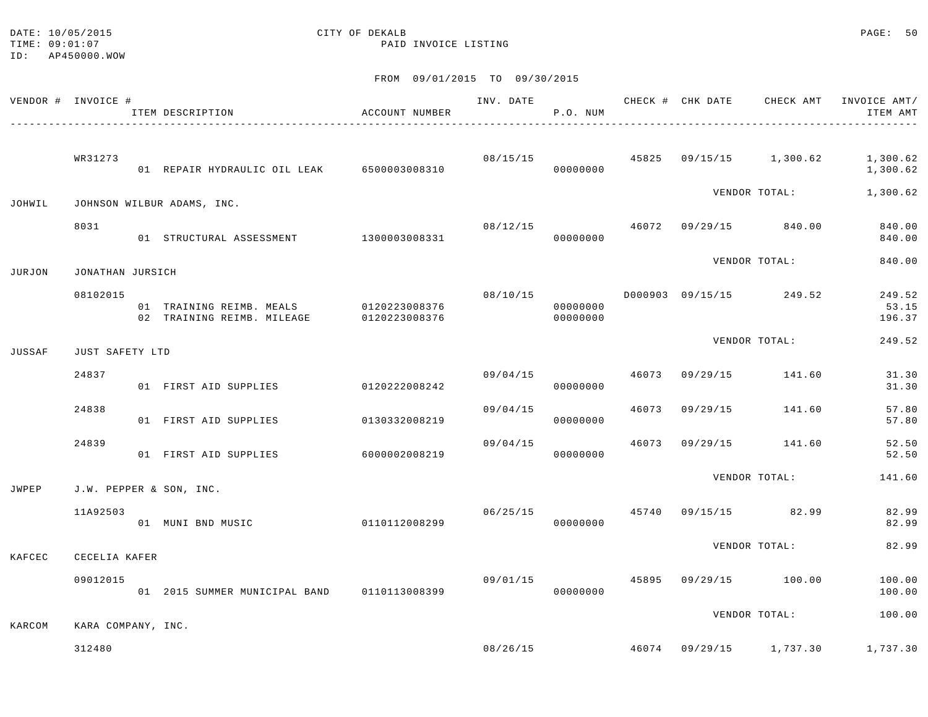TIME:  $09:01:07$  PAID INVOICE LISTING

DATE: 10/05/2015 PAGE: 50

ID: AP450000.WOW

|        | VENDOR # INVOICE # | ITEM DESCRIPTION<br>-----------------------------------              | ACCOUNT NUMBER |          | P.O. NUM             |       |          |                                          | INV. DATE 6 CHECK # CHK DATE CHECK AMT INVOICE AMT/<br>ITEM AMT |
|--------|--------------------|----------------------------------------------------------------------|----------------|----------|----------------------|-------|----------|------------------------------------------|-----------------------------------------------------------------|
|        | WR31273            | 01 REPAIR HYDRAULIC OIL LEAK 6500003008310                           |                |          | 08/15/15<br>00000000 |       |          |                                          | 45825  09/15/15  1,300.62  1,300.62<br>1,300.62                 |
| JOHWIL |                    | JOHNSON WILBUR ADAMS, INC.                                           |                |          |                      |       |          | VENDOR TOTAL:                            | 1,300.62                                                        |
|        | 8031               | 01 STRUCTURAL ASSESSMENT 1300003008331                               |                |          | 08/12/15<br>00000000 |       |          | 46072 09/29/15 840.00                    | 840.00<br>840.00                                                |
| JURJON | JONATHAN JURSICH   |                                                                      |                |          |                      |       |          | VENDOR TOTAL:                            | 840.00                                                          |
|        | 08102015           | 01 TRAINING REIMB. MEALS 0120223008376<br>02 TRAINING REIMB. MILEAGE | 0120223008376  |          | 00000000<br>00000000 |       |          |                                          | 249.52<br>53.15<br>196.37                                       |
| JUSSAF | JUST SAFETY LTD    |                                                                      |                |          |                      |       |          | VENDOR TOTAL:                            | 249.52                                                          |
|        | 24837              | 01 FIRST AID SUPPLIES                                                | 0120222008242  | 09/04/15 | 00000000             |       |          | 46073 09/29/15 141.60                    | 31.30<br>31.30                                                  |
|        | 24838              | 01 FIRST AID SUPPLIES                                                | 0130332008219  | 09/04/15 | 00000000             | 46073 | 09/29/15 | 141.60                                   | 57.80<br>57.80                                                  |
|        | 24839              | 01 FIRST AID SUPPLIES                                                | 6000002008219  | 09/04/15 | 00000000             | 46073 |          | 09/29/15 141.60                          | 52.50<br>52.50                                                  |
| JWPEP  |                    | J.W. PEPPER & SON, INC.                                              |                |          |                      |       |          | VENDOR TOTAL:                            | 141.60                                                          |
|        | 11A92503           | 01 MUNI BND MUSIC                                                    | 0110112008299  | 06/25/15 | 00000000             |       |          | 45740 09/15/15 82.99                     | 82.99<br>82.99                                                  |
| KAFCEC | CECELIA KAFER      |                                                                      |                |          |                      |       |          | VENDOR TOTAL:                            | 82.99                                                           |
|        | 09012015           | 01 2015 SUMMER MUNICIPAL BAND 0110113008399                          |                | 09/01/15 | 00000000             |       |          | 45895 09/29/15 100.00                    | 100.00<br>100.00                                                |
| KARCOM | KARA COMPANY, INC. |                                                                      |                |          |                      |       |          | VENDOR TOTAL:                            | 100.00                                                          |
|        | 312480             |                                                                      |                |          |                      |       |          | $08/26/15$ $46074$ $09/29/15$ $1,737.30$ | 1,737.30                                                        |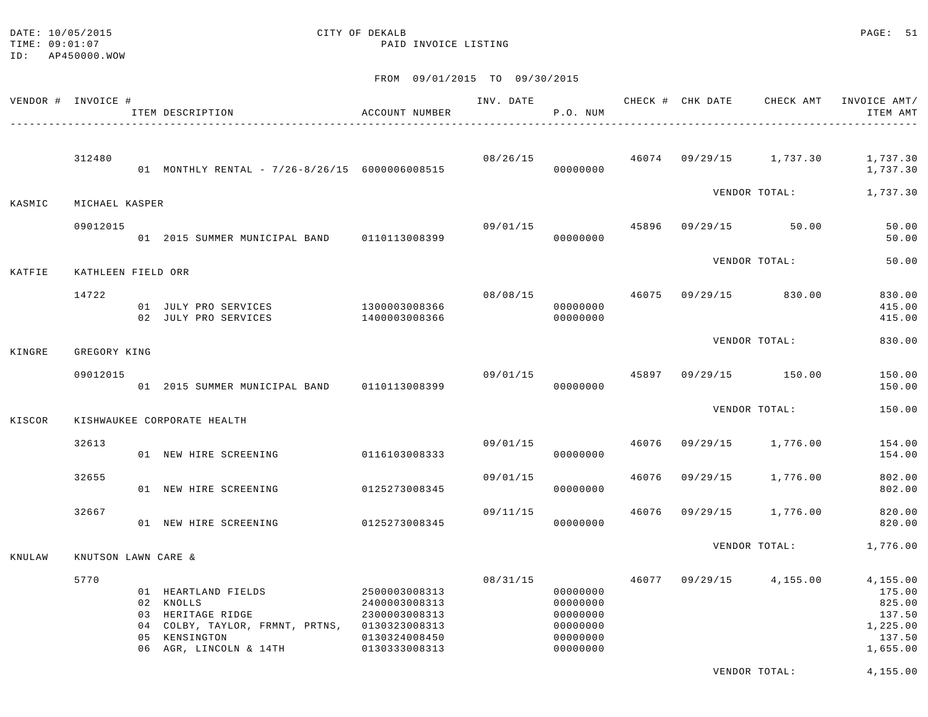#### DATE: 10/05/2015 CITY OF DEKALB PAGE: 51 TIME:  $09:01:07$  PAID INVOICE LISTING

FROM 09/01/2015 TO 09/30/2015

| VENDOR # INVOICE # |                     | ITEM DESCRIPTION                                                                                                                                                              | ACCOUNT NUMBER                                  | INV. DATE | P.O. NUM                                                             |       |          |                                          | CHECK # CHK DATE CHECK AMT INVOICE AMT/<br>ITEM AMT                      |
|--------------------|---------------------|-------------------------------------------------------------------------------------------------------------------------------------------------------------------------------|-------------------------------------------------|-----------|----------------------------------------------------------------------|-------|----------|------------------------------------------|--------------------------------------------------------------------------|
|                    | 312480              | 01 MONTHLY RENTAL - 7/26-8/26/15 6000006008515                                                                                                                                |                                                 |           | 00000000                                                             |       |          | $08/26/15$ $46074$ $09/29/15$ $1,737.30$ | 1,737.30<br>1,737.30                                                     |
| KASMIC             | MICHAEL KASPER      |                                                                                                                                                                               |                                                 |           |                                                                      |       |          | VENDOR TOTAL:                            | 1,737.30                                                                 |
|                    | 09012015            | 01 2015 SUMMER MUNICIPAL BAND 0110113008399                                                                                                                                   |                                                 | 09/01/15  | 00000000                                                             | 45896 |          | 09/29/15 50.00                           | 50.00<br>50.00                                                           |
| KATFIE             | KATHLEEN FIELD ORR  |                                                                                                                                                                               |                                                 |           |                                                                      |       |          | VENDOR TOTAL:                            | 50.00                                                                    |
|                    | 14722               | 01 JULY PRO SERVICES<br>02 JULY PRO SERVICES                                                                                                                                  | 1300003008366<br>1400003008366                  | 08/08/15  | 00000000<br>00000000                                                 | 46075 |          | 09/29/15 830.00                          | 830.00<br>415.00<br>415.00                                               |
| KINGRE             | GREGORY KING        |                                                                                                                                                                               |                                                 |           |                                                                      |       |          | VENDOR TOTAL:                            | 830.00                                                                   |
|                    | 09012015            | 01 2015 SUMMER MUNICIPAL BAND 0110113008399                                                                                                                                   |                                                 | 09/01/15  | 00000000                                                             |       |          | 45897 09/29/15 150.00                    | 150.00<br>150.00                                                         |
| KISCOR             |                     | KISHWAUKEE CORPORATE HEALTH                                                                                                                                                   |                                                 |           |                                                                      |       |          | VENDOR TOTAL:                            | 150.00                                                                   |
|                    | 32613               | 01 NEW HIRE SCREENING                                                                                                                                                         | 0116103008333                                   | 09/01/15  | 00000000                                                             | 46076 |          | 09/29/15 1,776.00                        | 154.00<br>154.00                                                         |
|                    | 32655               | 01 NEW HIRE SCREENING                                                                                                                                                         | 0125273008345                                   | 09/01/15  | 00000000                                                             | 46076 | 09/29/15 | 1,776.00                                 | 802.00<br>802.00                                                         |
|                    | 32667               | 01 NEW HIRE SCREENING                                                                                                                                                         | 0125273008345                                   | 09/11/15  | 00000000                                                             | 46076 |          | 09/29/15 1,776.00                        | 820.00<br>820.00                                                         |
| KNULAW             | KNUTSON LAWN CARE & |                                                                                                                                                                               |                                                 |           |                                                                      |       |          | VENDOR TOTAL:                            | 1,776.00                                                                 |
|                    | 5770                | 01 HEARTLAND FIELDS 2500003008313<br>02 KNOLLS<br>03 HERITAGE RIDGE<br>04 COLBY, TAYLOR, FRMNT, PRTNS, 0130323008313<br>05 KENSINGTON<br>06 AGR, LINCOLN & 14TH 0130333008313 | 2400003008313<br>2300003008313<br>0130324008450 | 08/31/15  | 00000000<br>00000000<br>00000000<br>00000000<br>00000000<br>00000000 | 46077 |          | $09/29/15$ 4,155.00                      | 4,155.00<br>175.00<br>825.00<br>137.50<br>1,225.00<br>137.50<br>1,655.00 |

VENDOR TOTAL: 4,155.00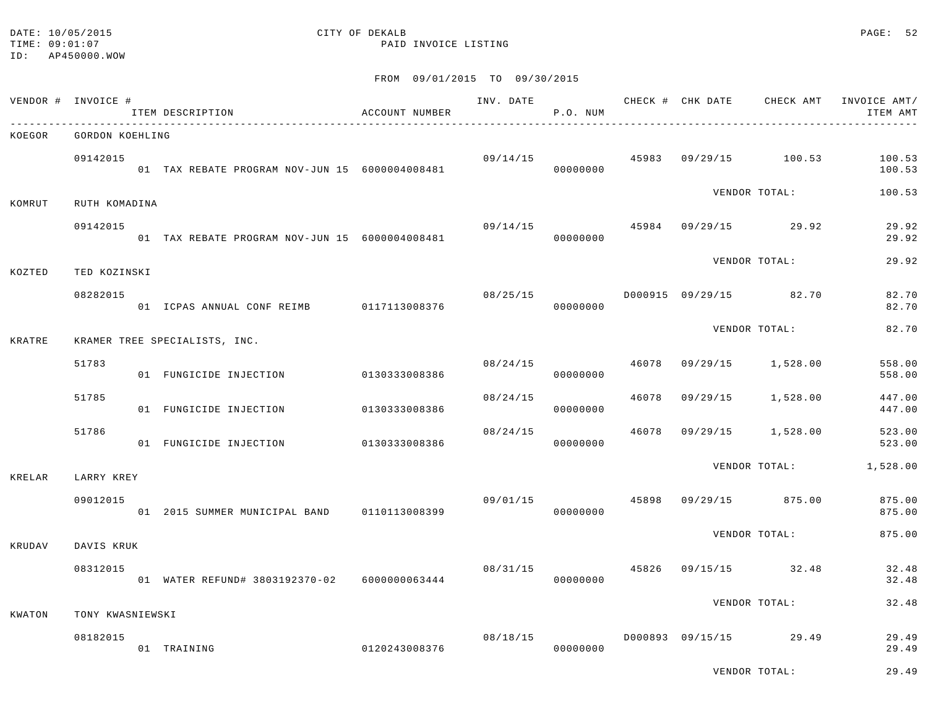#### DATE: 10/05/2015 CITY OF DEKALB PAGE: 52 TIME:  $09:01:07$  PAID INVOICE LISTING

#### FROM 09/01/2015 TO 09/30/2015

|        | VENDOR # INVOICE # | ITEM DESCRIPTION                               | ACCOUNT NUMBER |          | INV. DATE<br>P.O. NUM |       |                        |                       | CHECK # CHK DATE CHECK AMT INVOICE AMT/<br>ITEM AMT |
|--------|--------------------|------------------------------------------------|----------------|----------|-----------------------|-------|------------------------|-----------------------|-----------------------------------------------------|
| KOEGOR | GORDON KOEHLING    |                                                |                |          |                       |       |                        |                       |                                                     |
|        | 09142015           | 01 TAX REBATE PROGRAM NOV-JUN 15 6000004008481 |                | 09/14/15 | 00000000              |       |                        | 45983 09/29/15 100.53 | 100.53<br>100.53                                    |
| KOMRUT | RUTH KOMADINA      |                                                |                |          |                       |       |                        | VENDOR TOTAL:         | 100.53                                              |
|        | 09142015           | 01 TAX REBATE PROGRAM NOV-JUN 15 6000004008481 |                | 09/14/15 | 00000000              |       |                        | 45984 09/29/15 29.92  | 29.92<br>29.92                                      |
| KOZTED | TED KOZINSKI       |                                                |                |          |                       |       |                        | VENDOR TOTAL:         | 29.92                                               |
|        | 08282015           | 01 ICPAS ANNUAL CONF REIMB 0117113008376       |                | 08/25/15 | 00000000              |       | D000915 09/29/15 82.70 |                       | 82.70<br>82.70                                      |
| KRATRE |                    | KRAMER TREE SPECIALISTS, INC.                  |                |          |                       |       |                        | VENDOR TOTAL:         | 82.70                                               |
|        | 51783              | 01 FUNGICIDE INJECTION 0130333008386           |                | 08/24/15 | 00000000              | 46078 | 09/29/15 1,528.00      |                       | 558.00<br>558.00                                    |
|        | 51785              | 01 FUNGICIDE INJECTION                         | 0130333008386  | 08/24/15 | 00000000              | 46078 |                        | 09/29/15 1,528.00     | 447.00<br>447.00                                    |
|        | 51786              | 01 FUNGICIDE INJECTION 0130333008386           |                | 08/24/15 | 00000000              | 46078 |                        | 09/29/15 1,528.00     | 523.00<br>523.00                                    |
| KRELAR | LARRY KREY         |                                                |                |          |                       |       |                        | VENDOR TOTAL:         | 1,528.00                                            |
|        | 09012015           | 01 2015 SUMMER MUNICIPAL BAND 0110113008399    |                | 09/01/15 | 00000000              |       | 45898 09/29/15 875.00  |                       | 875.00<br>875.00                                    |
| KRUDAV | DAVIS KRUK         |                                                |                |          |                       |       |                        | VENDOR TOTAL:         | 875.00                                              |
|        | 08312015           | 01 WATER REFUND# 3803192370-02 6000000063444   |                |          | 08/31/15<br>00000000  | 45826 |                        | 09/15/15 32.48        | 32.48<br>32.48                                      |
| KWATON | TONY KWASNIEWSKI   |                                                |                |          |                       |       |                        | VENDOR TOTAL:         | 32.48                                               |
|        |                    |                                                |                |          |                       |       |                        |                       |                                                     |
|        | 08182015           | 01 TRAINING                                    | 0120243008376  | 08/18/15 | 00000000              |       | D000893 09/15/15 29.49 |                       | 29.49<br>29.49                                      |

VENDOR TOTAL: 29.49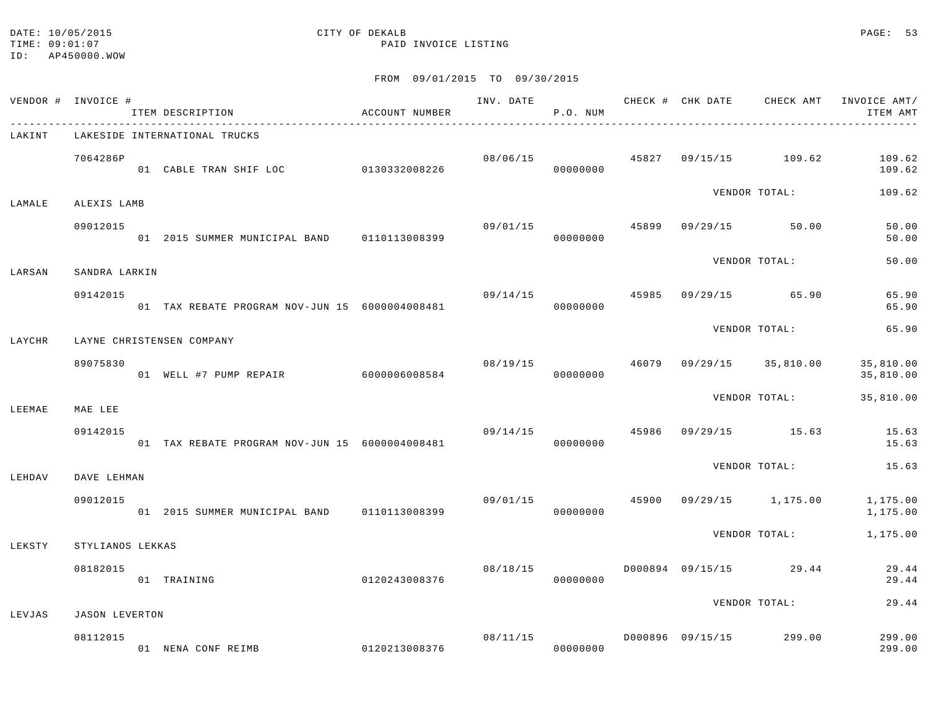# DATE: 10/05/2015 CITY OF DEKALB PAGE: 53

|        | VENDOR # INVOICE # | ITEM DESCRIPTION                               | ACCOUNT NUMBER |          | P.O. NUM |       |                                        | INV. DATE 6 CHECK # CHK DATE CHECK AMT INVOICE AMT/<br>ITEM AMT |
|--------|--------------------|------------------------------------------------|----------------|----------|----------|-------|----------------------------------------|-----------------------------------------------------------------|
| LAKINT |                    | LAKESIDE INTERNATIONAL TRUCKS                  |                |          |          |       |                                        |                                                                 |
|        | 7064286P           |                                                |                |          |          |       | $08/06/15$ $45827$ $09/15/15$ $109.62$ | 109.62<br>109.62                                                |
| LAMALE | ALEXIS LAMB        |                                                |                |          |          |       | VENDOR TOTAL:                          | 109.62                                                          |
|        | 09012015           | 01 2015 SUMMER MUNICIPAL BAND 0110113008399    |                |          | 00000000 |       | $09/01/15$ $45899$ $09/29/15$ $50.00$  | 50.00<br>50.00                                                  |
| LARSAN | SANDRA LARKIN      |                                                |                |          |          |       | VENDOR TOTAL:                          | 50.00                                                           |
|        | 09142015           | 01 TAX REBATE PROGRAM NOV-JUN 15 6000004008481 |                | 09/14/15 | 00000000 |       | 45985 09/29/15 65.90                   | 65.90<br>65.90                                                  |
| LAYCHR |                    | LAYNE CHRISTENSEN COMPANY                      |                |          |          |       | VENDOR TOTAL:                          | 65.90                                                           |
|        | 89075830           | 01 WELL #7 PUMP REPAIR 6000006008584           |                | 08/19/15 | 00000000 | 46079 | 09/29/15 35,810.00                     | 35,810.00<br>35,810.00                                          |
| LEEMAE | MAE LEE            |                                                |                |          |          |       | VENDOR TOTAL:                          | 35,810.00                                                       |
|        | 09142015           | 01 TAX REBATE PROGRAM NOV-JUN 15 6000004008481 |                | 09/14/15 | 00000000 |       | 45986 09/29/15 15.63                   | 15.63<br>15.63                                                  |
| LEHDAV | DAVE LEHMAN        |                                                |                |          |          |       | VENDOR TOTAL:                          | 15.63                                                           |
|        | 09012015           | 01 2015 SUMMER MUNICIPAL BAND 0110113008399    |                | 09/01/15 | 00000000 | 45900 |                                        | 09/29/15 1,175.00 1,175.00<br>1,175.00                          |
| LEKSTY | STYLIANOS LEKKAS   |                                                |                |          |          |       |                                        | VENDOR TOTAL: 1,175.00                                          |
|        | 08182015           | 0120243008376<br>01 TRAINING                   |                | 08/18/15 | 00000000 |       | D000894 09/15/15 29.44                 | 29.44<br>29.44                                                  |
| LEVJAS | JASON LEVERTON     |                                                |                |          |          |       | VENDOR TOTAL:                          | 29.44                                                           |
|        | 08112015           | 01 NENA CONF REIMB                             | 0120213008376  |          | 00000000 |       |                                        | 299.00<br>299.00                                                |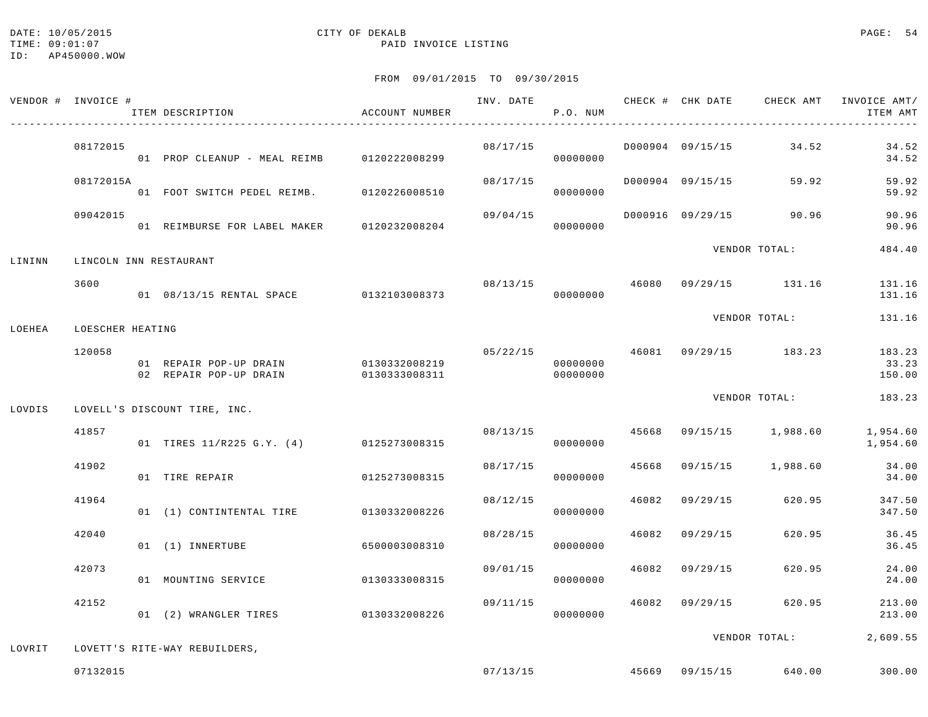#### DATE: 10/05/2015 CITY OF DEKALB PAGE: 54 TIME:  $09:01:07$  PAID INVOICE LISTING

|        | VENDOR # INVOICE # | ITEM DESCRIPTION                                 | ACCOUNT NUMBER                 | INV. DATE | P.O. NUM             |                | CHECK # CHK DATE CHECK AMT INVOICE AMT/ | ITEM AMT                  |
|--------|--------------------|--------------------------------------------------|--------------------------------|-----------|----------------------|----------------|-----------------------------------------|---------------------------|
|        | 08172015           | 01 PROP CLEANUP - MEAL REIMB 0120222008299       |                                | 08/17/15  | 00000000             |                | D000904 09/15/15 34.52                  | 34.52<br>34.52            |
|        | 08172015A          | 01 FOOT SWITCH PEDEL REIMB. 0120226008510        |                                | 08/17/15  | 00000000             |                | D000904 09/15/15 59.92                  | 59.92<br>59.92            |
|        | 09042015           | 01 REIMBURSE FOR LABEL MAKER 0120232008204       |                                | 09/04/15  | 00000000             |                | D000916 09/29/15 90.96                  | 90.96<br>90.96            |
| LININN |                    | LINCOLN INN RESTAURANT                           |                                |           |                      |                | VENDOR TOTAL:                           | 484.40                    |
|        | 3600               | 01 08/13/15 RENTAL SPACE 0132103008373           |                                | 08/13/15  | 00000000             |                | 46080 09/29/15 131.16                   | 131.16<br>131.16          |
| LOEHEA | LOESCHER HEATING   |                                                  |                                |           |                      |                | VENDOR TOTAL:                           | 131.16                    |
|        | 120058             | 01 REPAIR POP-UP DRAIN<br>02 REPAIR POP-UP DRAIN | 0130332008219<br>0130333008311 | 05/22/15  | 00000000<br>00000000 |                | 46081 09/29/15 183.23                   | 183.23<br>33.23<br>150.00 |
| LOVDIS |                    | LOVELL'S DISCOUNT TIRE, INC.                     |                                |           |                      |                | VENDOR TOTAL:                           | 183.23                    |
|        | 41857              | 01 TIRES 11/R225 G.Y. (4) 0125273008315          |                                | 08/13/15  | 00000000             |                | 45668 09/15/15 1,988.60                 | 1,954.60<br>1,954.60      |
|        | 41902              | 01 TIRE REPAIR                                   | 0125273008315                  | 08/17/15  | 00000000             |                | 45668 09/15/15 1,988.60                 | 34.00<br>34.00            |
|        | 41964              | 01 (1) CONTINTENTAL TIRE 0130332008226           |                                | 08/12/15  | 00000000             |                | 46082 09/29/15 620.95                   | 347.50<br>347.50          |
|        | 42040              | 01 (1) INNERTUBE                                 | 6500003008310                  | 08/28/15  | 00000000             | 46082 09/29/15 | 620.95                                  | 36.45<br>36.45            |
|        | 42073              | 01 MOUNTING SERVICE                              | 0130333008315                  | 09/01/15  | 00000000             |                | 46082 09/29/15 620.95                   | 24.00<br>24.00            |
|        | 42152              | 01 (2) WRANGLER TIRES 0130332008226              |                                | 09/11/15  | 00000000             | 46082 09/29/15 | 620.95                                  | 213.00<br>213.00          |
| LOVRIT |                    | LOVETT'S RITE-WAY REBUILDERS,                    |                                |           |                      |                | VENDOR TOTAL:                           | 2,609.55                  |
|        | 07132015           |                                                  |                                |           |                      |                | $07/13/15$ $45669$ $09/15/15$ $640.00$  | 300.00                    |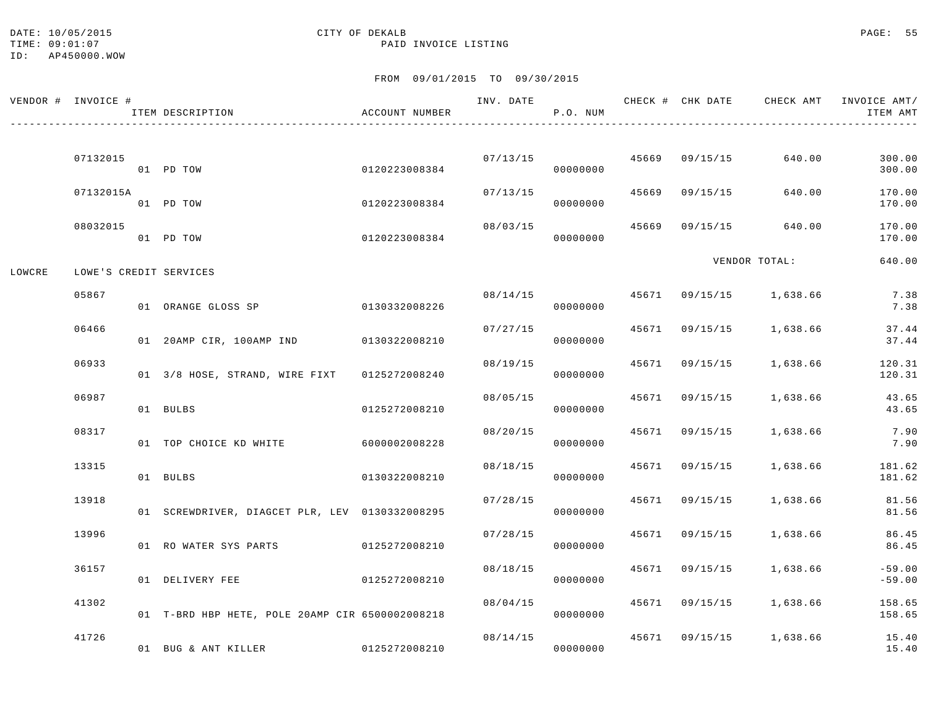#### DATE: 10/05/2015 CITY OF DEKALB PAGE: 55 TIME:  $09:01:07$  PAID INVOICE LISTING

|        | VENDOR # INVOICE # | ITEM DESCRIPTION                                | ACCOUNT NUMBER |          | P.O. NUM             |                |                                          | INV. DATE 6 CHECK # CHK DATE CHECK AMT INVOICE AMT/<br>ITEM AMT |
|--------|--------------------|-------------------------------------------------|----------------|----------|----------------------|----------------|------------------------------------------|-----------------------------------------------------------------|
|        | 07132015           | 01 PD TOW                                       | 0120223008384  |          | 07/13/15<br>00000000 | 45669 09/15/15 | 640.00                                   | 300.00<br>300.00                                                |
|        | 07132015A          | 01 PD TOW                                       | 0120223008384  | 07/13/15 | 00000000             | 45669 09/15/15 | 640.00                                   | 170.00<br>170.00                                                |
|        | 08032015           | 01 PD TOW                                       | 0120223008384  | 08/03/15 | 00000000             | 45669 09/15/15 | 640.00                                   | 170.00<br>170.00                                                |
| LOWCRE |                    | LOWE'S CREDIT SERVICES                          |                |          |                      |                | VENDOR TOTAL:                            | 640.00                                                          |
|        | 05867              | 01 ORANGE GLOSS SP                              | 0130332008226  |          | 00000000             |                | $08/14/15$ $45671$ $09/15/15$ $1,638.66$ | 7.38<br>7.38                                                    |
|        | 06466              | 01 20AMP CIR, 100AMP IND 0130322008210          |                |          | 07/27/15<br>00000000 | 45671 09/15/15 | 1,638.66                                 | 37.44<br>37.44                                                  |
|        | 06933              | 01 3/8 HOSE, STRAND, WIRE FIXT                  | 0125272008240  | 08/19/15 | 00000000             |                | 45671 09/15/15 1,638.66                  | 120.31<br>120.31                                                |
|        | 06987              | 01 BULBS                                        | 0125272008210  | 08/05/15 | 00000000             | 45671 09/15/15 | 1,638.66                                 | 43.65<br>43.65                                                  |
|        | 08317              | 01 TOP CHOICE KD WHITE                          | 6000002008228  | 08/20/15 | 00000000             | 45671 09/15/15 | 1,638.66                                 | 7.90<br>7.90                                                    |
|        | 13315              | 01 BULBS                                        | 0130322008210  | 08/18/15 | 00000000             | 45671 09/15/15 | 1,638.66                                 | 181.62<br>181.62                                                |
|        | 13918              | 01 SCREWDRIVER, DIAGCET PLR, LEV 0130332008295  |                | 07/28/15 | 00000000             | 45671 09/15/15 | 1,638.66                                 | 81.56<br>81.56                                                  |
|        | 13996              | 01 RO WATER SYS PARTS 0125272008210             |                | 07/28/15 | 00000000             | 45671 09/15/15 | 1,638.66                                 | 86.45<br>86.45                                                  |
|        | 36157              | 01 DELIVERY FEE                                 | 0125272008210  | 08/18/15 | 00000000             | 45671 09/15/15 | 1,638.66                                 | $-59.00$<br>$-59.00$                                            |
|        | 41302              | 01 T-BRD HBP HETE, POLE 20AMP CIR 6500002008218 |                | 08/04/15 | 00000000             |                | 45671 09/15/15 1,638.66                  | 158.65<br>158.65                                                |
|        | 41726              | 01 BUG & ANT KILLER                             | 0125272008210  |          | 08/14/15<br>00000000 |                | 45671 09/15/15 1,638.66                  | 15.40<br>15.40                                                  |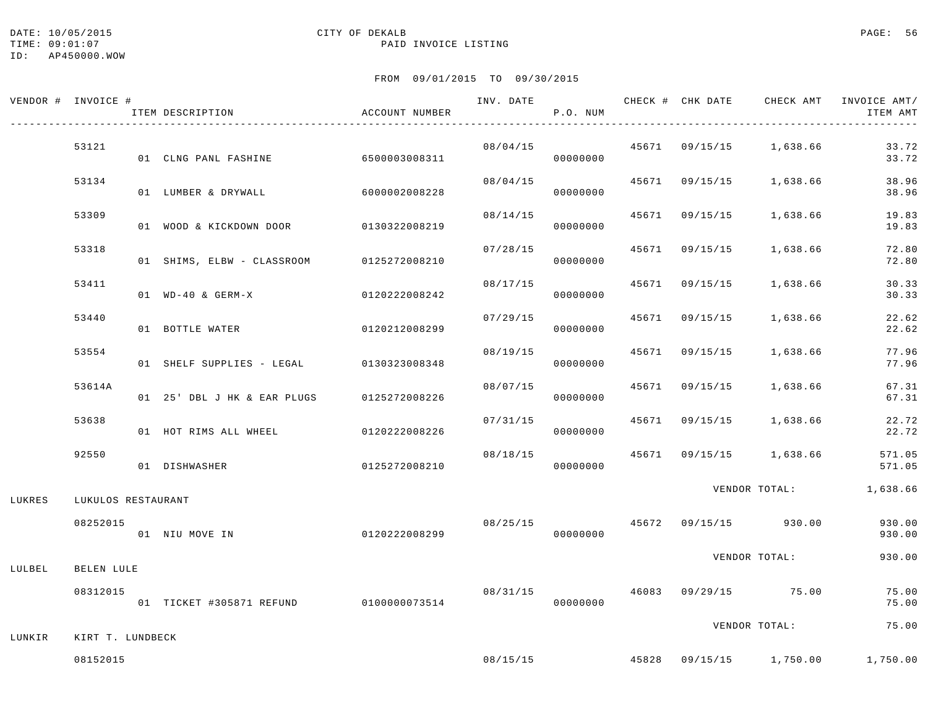# DATE: 10/05/2015 CITY OF DEKALB PAGE: 56

### TIME:  $09:01:07$  PAID INVOICE LISTING

|        | VENDOR # INVOICE # | ITEM DESCRIPTION                       | ACCOUNT NUMBER |          | P.O. NUM |       |                |                                        | INVOICE AMT/<br>ITEM AMT |
|--------|--------------------|----------------------------------------|----------------|----------|----------|-------|----------------|----------------------------------------|--------------------------|
|        | 53121              | 01 CLNG PANL FASHINE                   | 6500003008311  | 08/04/15 | 00000000 |       |                | 45671 09/15/15 1,638.66                | 33.72<br>33.72           |
|        | 53134              | 01 LUMBER & DRYWALL                    | 6000002008228  | 08/04/15 | 00000000 |       | 45671 09/15/15 | 1,638.66                               | 38.96<br>38.96           |
|        | 53309              | 01 WOOD & KICKDOWN DOOR                | 0130322008219  | 08/14/15 | 00000000 | 45671 | 09/15/15       | 1,638.66                               | 19.83<br>19.83           |
|        | 53318              | 01 SHIMS, ELBW - CLASSROOM             | 0125272008210  | 07/28/15 | 00000000 | 45671 | 09/15/15       | 1,638.66                               | 72.80<br>72.80           |
|        | 53411              | 01 WD-40 & GERM-X                      | 0120222008242  | 08/17/15 | 00000000 | 45671 | 09/15/15       | 1,638.66                               | 30.33<br>30.33           |
|        | 53440              | 01 BOTTLE WATER                        | 0120212008299  | 07/29/15 | 00000000 |       | 45671 09/15/15 | 1,638.66                               | 22.62<br>22.62           |
|        | 53554              | 01 SHELF SUPPLIES - LEGAL              | 0130323008348  | 08/19/15 | 00000000 |       | 45671 09/15/15 | 1,638.66                               | 77.96<br>77.96           |
|        | 53614A             | 01 25' DBL J HK & EAR PLUGS            | 0125272008226  | 08/07/15 | 00000000 | 45671 | 09/15/15       | 1,638.66                               | 67.31<br>67.31           |
|        | 53638              | 01 HOT RIMS ALL WHEEL                  | 0120222008226  | 07/31/15 | 00000000 |       | 45671 09/15/15 | 1,638.66                               | 22.72<br>22.72           |
|        | 92550              | 01 DISHWASHER                          | 0125272008210  | 08/18/15 | 00000000 |       |                | 45671 09/15/15 1,638.66                | 571.05<br>571.05         |
| LUKRES | LUKULOS RESTAURANT |                                        |                |          |          |       |                | VENDOR TOTAL:                          | 1,638.66                 |
|        | 08252015           | 01 NIU MOVE IN                         | 0120222008299  |          | 00000000 |       |                | $08/25/15$ $45672$ $09/15/15$ $930.00$ | 930.00<br>930.00         |
| LULBEL | BELEN LULE         |                                        |                |          |          |       |                | VENDOR TOTAL:                          | 930.00                   |
|        | 08312015           | 01 TICKET #305871 REFUND 0100000073514 |                | 08/31/15 | 00000000 |       |                | 46083 09/29/15 75.00                   | 75.00<br>75.00           |
| LUNKIR | KIRT T. LUNDBECK   |                                        |                |          |          |       |                | VENDOR TOTAL:                          | 75.00                    |
|        | 08152015           |                                        |                | 08/15/15 |          |       |                | 45828 09/15/15 1,750.00                | 1,750.00                 |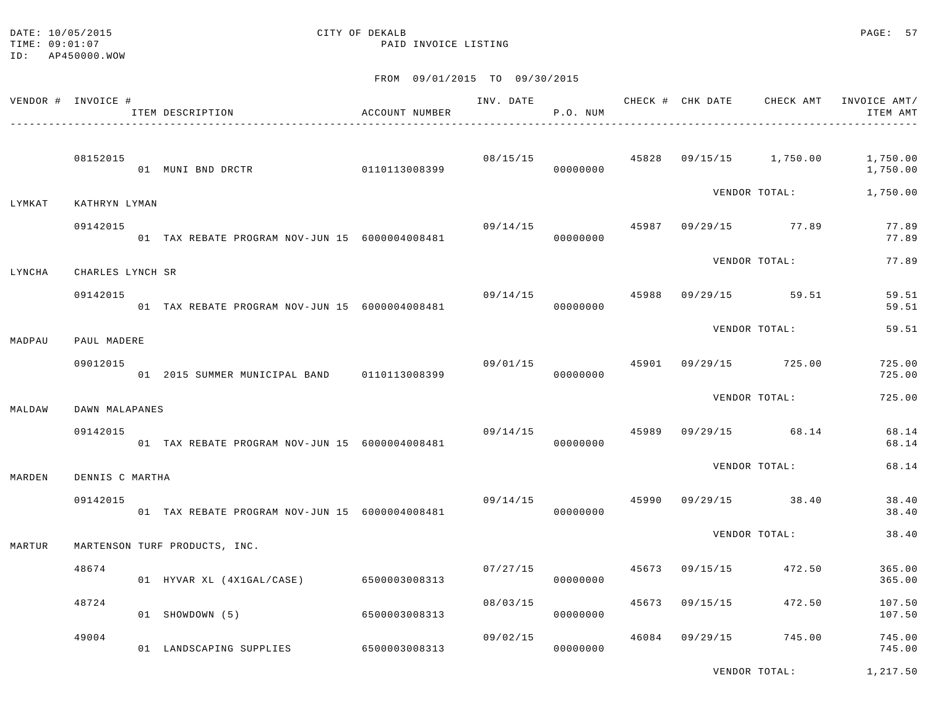TIME:  $09:01:07$  PAID INVOICE LISTING ID: AP450000.WOW

# DATE: 10/05/2015 CITY OF DEKALB PAGE: 57

FROM 09/01/2015 TO 09/30/2015

|        | VENDOR # INVOICE # | ITEM DESCRIPTION                               | ACCOUNT NUMBER | INV. DATE | P.O. NUM |       | CHECK # CHK DATE |                      | CHECK AMT INVOICE AMT/<br>ITEM AMT |
|--------|--------------------|------------------------------------------------|----------------|-----------|----------|-------|------------------|----------------------|------------------------------------|
|        | 08152015           | 01 MUNI BND DRCTR                              | 0110113008399  | 08/15/15  | 00000000 | 45828 |                  | 09/15/15 1,750.00    | 1,750.00<br>1,750.00               |
| LYMKAT | KATHRYN LYMAN      |                                                |                |           |          |       |                  | VENDOR TOTAL:        | 1,750.00                           |
|        | 09142015           | 01 TAX REBATE PROGRAM NOV-JUN 15 6000004008481 |                | 09/14/15  | 00000000 |       |                  | 45987 09/29/15 77.89 | 77.89<br>77.89                     |
| LYNCHA | CHARLES LYNCH SR   |                                                |                |           |          |       |                  | VENDOR TOTAL:        | 77.89                              |
|        | 09142015           | 01 TAX REBATE PROGRAM NOV-JUN 15 6000004008481 |                | 09/14/15  | 00000000 | 45988 |                  | 09/29/15 59.51       | 59.51<br>59.51                     |
| MADPAU | PAUL MADERE        |                                                |                |           |          |       |                  | VENDOR TOTAL:        | 59.51                              |
|        | 09012015           | 01 2015 SUMMER MUNICIPAL BAND 0110113008399    |                | 09/01/15  | 00000000 | 45901 |                  | 09/29/15 725.00      | 725.00<br>725.00                   |
| MALDAW | DAWN MALAPANES     |                                                |                |           |          |       |                  | VENDOR TOTAL:        | 725.00                             |
|        | 09142015           | 01 TAX REBATE PROGRAM NOV-JUN 15 6000004008481 |                | 09/14/15  | 00000000 | 45989 |                  | 09/29/15 68.14       | 68.14<br>68.14                     |
| MARDEN | DENNIS C MARTHA    |                                                |                |           |          |       |                  | VENDOR TOTAL:        | 68.14                              |
|        | 09142015           | 01 TAX REBATE PROGRAM NOV-JUN 15 6000004008481 |                | 09/14/15  | 00000000 | 45990 |                  | $09/29/15$ 38.40     | 38.40<br>38.40                     |
| MARTUR |                    | MARTENSON TURF PRODUCTS, INC.                  |                |           |          |       |                  | VENDOR TOTAL:        | 38.40                              |
|        | 48674              | 01 HYVAR XL (4X1GAL/CASE)                      | 6500003008313  | 07/27/15  | 00000000 | 45673 | 09/15/15         | 472.50               | 365.00<br>365.00                   |
|        | 48724              | 01 SHOWDOWN (5)                                | 6500003008313  | 08/03/15  | 00000000 | 45673 | 09/15/15         | 472.50               | 107.50<br>107.50                   |
|        | 49004              | 01 LANDSCAPING SUPPLIES 6500003008313          |                | 09/02/15  | 00000000 | 46084 | 09/29/15         | 745.00               | 745.00<br>745.00                   |

VENDOR TOTAL: 1,217.50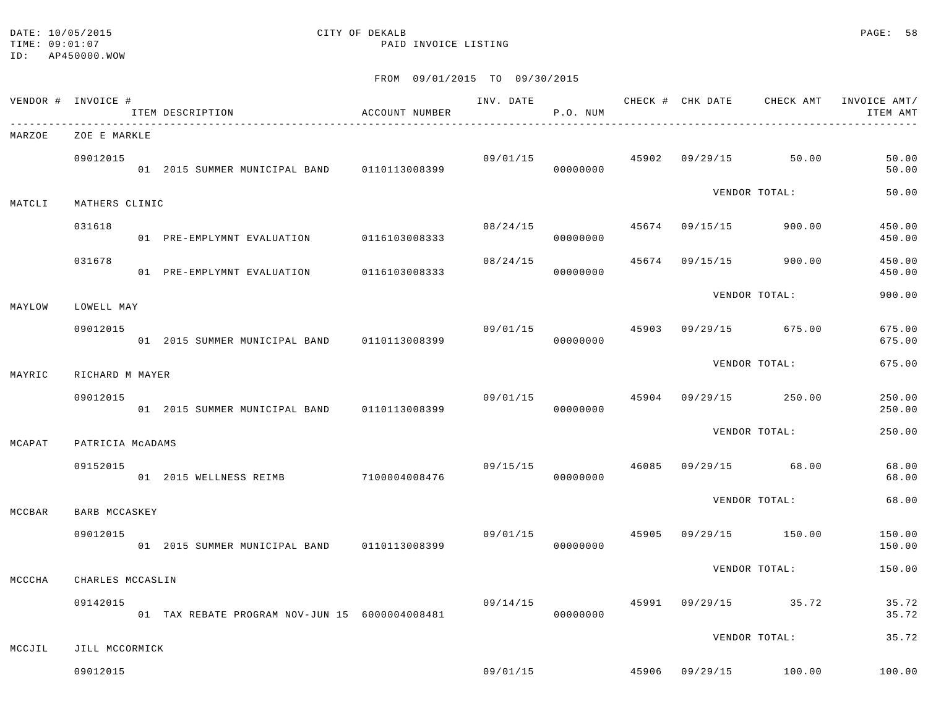#### DATE: 10/05/2015 CITY OF DEKALB PAGE: 58 TIME:  $09:01:07$  PAID INVOICE LISTING

|        | VENDOR # INVOICE #           | ITEM DESCRIPTION                                | ACCOUNT NUMBER | INV. DATE | P.O. NUM             |       |          |                                        | CHECK # CHK DATE CHECK AMT INVOICE AMT/<br>ITEM AMT |
|--------|------------------------------|-------------------------------------------------|----------------|-----------|----------------------|-------|----------|----------------------------------------|-----------------------------------------------------|
| MARZOE | ZOE E MARKLE                 |                                                 |                |           |                      |       |          |                                        |                                                     |
|        | 09012015                     | 01  2015  SUMMER MUNICIPAL BAND   0110113008399 |                |           | 09/01/15<br>00000000 |       |          | 45902 09/29/15 50.00                   | 50.00<br>50.00                                      |
| MATCLI | MATHERS CLINIC               |                                                 |                |           |                      |       |          | VENDOR TOTAL:                          | 50.00                                               |
|        | 031618                       | 01 PRE-EMPLYMNT EVALUATION 0116103008333        |                | 08/24/15  | 00000000             |       |          | 45674 09/15/15 900.00                  | 450.00<br>450.00                                    |
|        | 031678                       | 01 PRE-EMPLYMNT EVALUATION 0116103008333        |                | 08/24/15  | 00000000             | 45674 | 09/15/15 | 900.00                                 | 450.00<br>450.00                                    |
| MAYLOW | LOWELL MAY                   |                                                 |                |           |                      |       |          | VENDOR TOTAL:                          | 900.00                                              |
|        | 09012015                     | 01  2015  SUMMER MUNICIPAL BAND   0110113008399 |                | 09/01/15  | 00000000             | 45903 |          | 09/29/15 675.00                        | 675.00<br>675.00                                    |
| MAYRIC | RICHARD M MAYER              |                                                 |                |           |                      |       |          | VENDOR TOTAL:                          | 675.00                                              |
|        | 09012015                     | 01 2015 SUMMER MUNICIPAL BAND 0110113008399     |                | 09/01/15  | 00000000             | 45904 |          | 09/29/15 250.00                        | 250.00<br>250.00                                    |
| MCAPAT | PATRICIA MCADAMS             |                                                 |                |           |                      |       |          | VENDOR TOTAL:                          | 250.00                                              |
|        | 09152015                     | 01 2015 WELLNESS REIMB 7100004008476            |                | 09/15/15  | 00000000             | 46085 |          | 09/29/15 68.00                         | 68.00<br>68.00                                      |
| MCCBAR | BARB MCCASKEY                |                                                 |                |           |                      |       |          | VENDOR TOTAL:                          | 68.00                                               |
|        | 09012015                     | 01  2015  SUMMER MUNICIPAL BAND   0110113008399 |                |           | 09/01/15<br>00000000 | 45905 |          | 09/29/15 150.00                        | 150.00<br>150.00                                    |
|        |                              |                                                 |                |           |                      |       |          | VENDOR TOTAL:                          | 150.00                                              |
| MCCCHA | CHARLES MCCASLIN<br>09142015 | 01 TAX REBATE PROGRAM NOV-JUN 15 6000004008481  |                | 09/14/15  | 00000000             |       |          | 45991 09/29/15 35.72                   | 35.72<br>35.72                                      |
|        |                              |                                                 |                |           |                      |       |          | VENDOR TOTAL:                          | 35.72                                               |
| MCCJIL | JILL MCCORMICK               |                                                 |                |           |                      |       |          | $09/01/15$ $45906$ $09/29/15$ $100.00$ |                                                     |
|        | 09012015                     |                                                 |                |           |                      |       |          |                                        | 100.00                                              |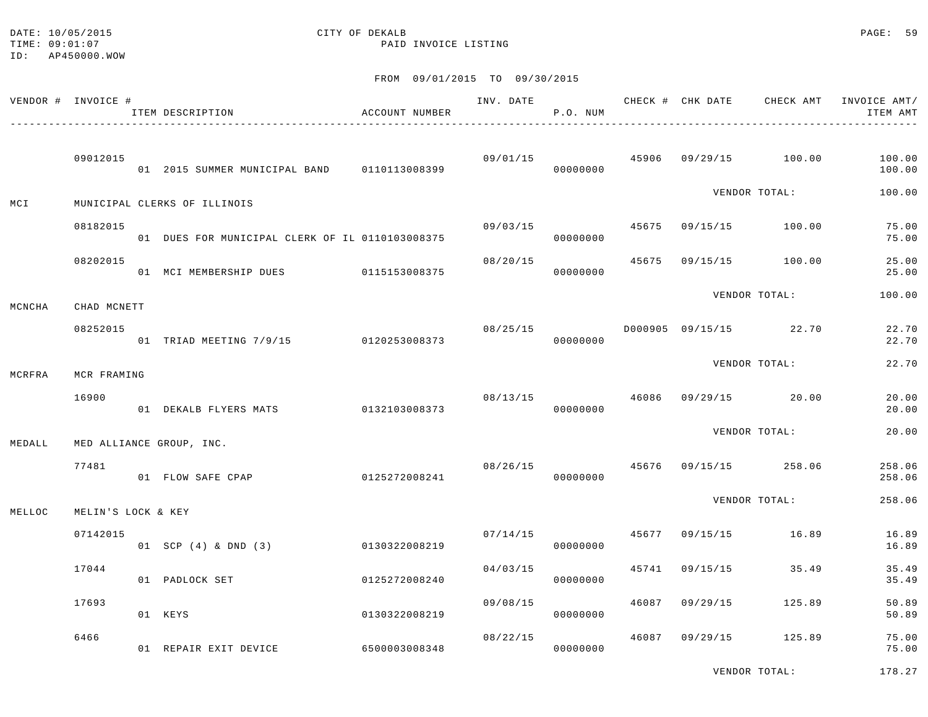#### DATE: 10/05/2015 CITY OF DEKALB PAGE: 59 TIME:  $09:01:07$  PAID INVOICE LISTING

#### FROM 09/01/2015 TO 09/30/2015

|        | VENDOR # INVOICE # | ITEM DESCRIPTION                                 | ACCOUNT NUMBER |          | P.O. NUM             |       |                |                                        | INV. DATE 6 1992 CHECK # CHK DATE CHECK AMT INVOICE AMT/<br>ITEM AMT |
|--------|--------------------|--------------------------------------------------|----------------|----------|----------------------|-------|----------------|----------------------------------------|----------------------------------------------------------------------|
|        | 09012015           | 01  2015  SUMMER  MUNICIPAL BAND   0110113008399 |                |          | 00000000             |       |                | $09/01/15$ $45906$ $09/29/15$ $100.00$ | 100.00<br>100.00                                                     |
| MCI    |                    | MUNICIPAL CLERKS OF ILLINOIS                     |                |          |                      |       |                | VENDOR TOTAL:                          | 100.00                                                               |
|        | 08182015           | 01 DUES FOR MUNICIPAL CLERK OF IL 0110103008375  |                | 09/03/15 | 00000000             |       |                | 45675 09/15/15 100.00                  | 75.00<br>75.00                                                       |
|        | 08202015           | 01 MCI MEMBERSHIP DUES 0115153008375             |                | 08/20/15 | 00000000             | 45675 |                | 09/15/15 100.00                        | 25.00<br>25.00                                                       |
| MCNCHA | CHAD MCNETT        |                                                  |                |          |                      |       |                | VENDOR TOTAL:                          | 100.00                                                               |
|        | 08252015           | 01 TRIAD MEETING 7/9/15 0120253008373            |                | 08/25/15 | 00000000             |       |                | D000905 09/15/15 22.70                 | 22.70<br>22.70                                                       |
| MCRFRA | MCR FRAMING        |                                                  |                |          |                      |       |                | VENDOR TOTAL:                          | 22.70                                                                |
|        | 16900              | 01 DEKALB FLYERS MATS 0132103008373              |                |          | 08/13/15<br>00000000 | 46086 |                | $09/29/15$ 20.00                       | 20.00<br>20.00                                                       |
| MEDALL |                    | MED ALLIANCE GROUP, INC.                         |                |          |                      |       |                | VENDOR TOTAL:                          | 20.00                                                                |
|        | 77481              | 01 FLOW SAFE CPAP                                | 0125272008241  | 08/26/15 | 00000000             |       |                | 45676 09/15/15 258.06                  | 258.06<br>258.06                                                     |
| MELLOC | MELIN'S LOCK & KEY |                                                  |                |          |                      |       |                | VENDOR TOTAL:                          | 258.06                                                               |
|        | 07142015           | 01 SCP (4) & DND (3) 0130322008219               |                |          | 07/14/15<br>00000000 | 45677 |                | 09/15/15 16.89                         | 16.89<br>16.89                                                       |
|        | 17044              | 01 PADLOCK SET                                   | 0125272008240  | 04/03/15 | 00000000             |       | 45741 09/15/15 | 35.49                                  | 35.49<br>35.49                                                       |
|        | 17693              | 01 KEYS                                          | 0130322008219  | 09/08/15 | 00000000             |       |                | 46087 09/29/15 125.89                  | 50.89<br>50.89                                                       |
|        | 6466               | 01 REPAIR EXIT DEVICE 6500003008348              |                | 08/22/15 | 00000000             | 46087 |                | 09/29/15 125.89                        | 75.00<br>75.00                                                       |

VENDOR TOTAL: 178.27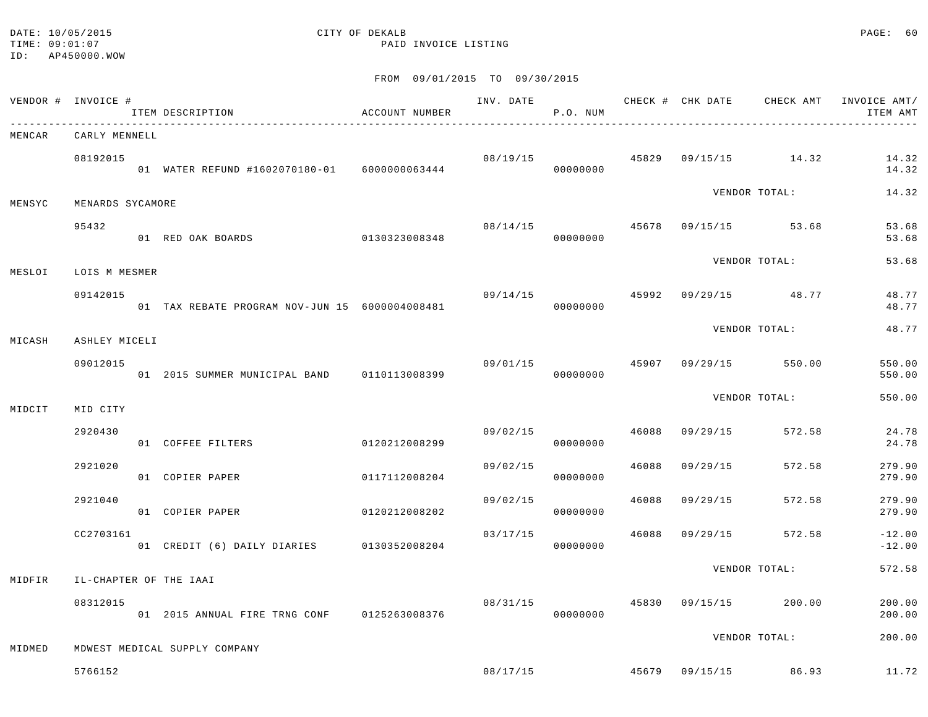#### DATE: 10/05/2015 CITY OF DEKALB PAGE: 60 TIME:  $09:01:07$  PAID INVOICE LISTING

|        | VENDOR # INVOICE # | ITEM DESCRIPTION                               | ACCOUNT NUMBER |          | INV. DATE<br>P.O. NUM      |       |          |                       | CHECK # CHK DATE CHECK AMT INVOICE AMT/<br>ITEM AMT |
|--------|--------------------|------------------------------------------------|----------------|----------|----------------------------|-------|----------|-----------------------|-----------------------------------------------------|
| MENCAR | CARLY MENNELL      |                                                |                |          |                            |       |          |                       |                                                     |
|        | 08192015           | 01 WATER REFUND #1602070180-01 6000000063444   |                | 08/19/15 | 00000000                   |       |          | 45829 09/15/15 14.32  | 14.32<br>14.32                                      |
| MENSYC | MENARDS SYCAMORE   |                                                |                |          |                            |       |          | VENDOR TOTAL:         | 14.32                                               |
|        | 95432              | 01 RED OAK BOARDS                              | 0130323008348  | 08/14/15 | 00000000                   |       |          | 45678 09/15/15 53.68  | 53.68<br>53.68                                      |
| MESLOI | LOIS M MESMER      |                                                |                |          |                            |       |          | VENDOR TOTAL:         | 53.68                                               |
|        | 09142015           | 01 TAX REBATE PROGRAM NOV-JUN 15 6000004008481 |                | 09/14/15 | 00000000                   |       |          | 45992 09/29/15 48.77  | 48.77<br>48.77                                      |
| MICASH | ASHLEY MICELI      |                                                |                |          |                            |       |          | VENDOR TOTAL:         | 48.77                                               |
|        | 09012015           | 01 2015 SUMMER MUNICIPAL BAND 0110113008399    |                |          | 09/01/15<br>00000000       |       |          | 45907 09/29/15 550.00 | 550.00<br>550.00                                    |
| MIDCIT | MID CITY           |                                                |                |          |                            |       |          | VENDOR TOTAL:         | 550.00                                              |
|        | 2920430            | 01 COFFEE FILTERS                              | 0120212008299  | 09/02/15 | 00000000                   | 46088 |          | 09/29/15 572.58       | 24.78<br>24.78                                      |
|        | 2921020            | 01 COPIER PAPER                                | 0117112008204  | 09/02/15 | 00000000                   | 46088 | 09/29/15 | 572.58                | 279.90<br>279.90                                    |
|        | 2921040            | 01 COPIER PAPER                                | 0120212008202  | 09/02/15 | 00000000                   | 46088 | 09/29/15 | 572.58                | 279.90<br>279.90                                    |
|        | CC2703161          | 01 CREDIT (6) DAILY DIARIES 0130352008204      |                | 03/17/15 | 00000000                   | 46088 |          | 09/29/15 572.58       | $-12.00$<br>$-12.00$                                |
| MIDFIR |                    | IL-CHAPTER OF THE IAAI                         |                |          |                            |       |          | VENDOR TOTAL:         | 572.58                                              |
|        | 08312015           | 01  2015  ANNUAL FIRE TRNG CONF  0125263008376 |                |          | 08/31/15 45830<br>00000000 |       |          | 09/15/15 200.00       | 200.00<br>200.00                                    |
| MIDMED |                    | MDWEST MEDICAL SUPPLY COMPANY                  |                |          |                            |       |          | VENDOR TOTAL:         | 200.00                                              |
|        | 5766152            |                                                |                | 08/17/15 |                            |       |          | 45679 09/15/15 86.93  | 11.72                                               |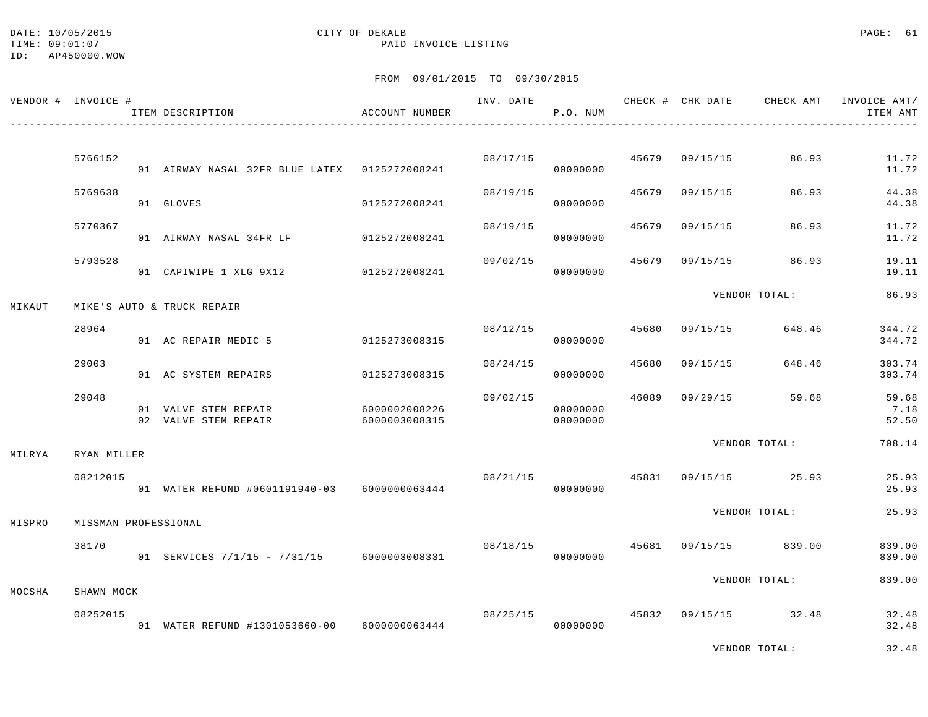|        | VENDOR # INVOICE #   | ITEM DESCRIPTION                              | ACCOUNT NUMBER                 |                         | P.O. NUM             |       |                | INV. DATE 6 CHECK # CHK DATE CHECK AMT | INVOICE AMT/<br>ITEM AMT |
|--------|----------------------|-----------------------------------------------|--------------------------------|-------------------------|----------------------|-------|----------------|----------------------------------------|--------------------------|
|        |                      |                                               |                                |                         |                      |       |                |                                        |                          |
|        | 5766152              | 01 AIRWAY NASAL 32FR BLUE LATEX 0125272008241 |                                | 08/17/15 45679 09/15/15 | 00000000             |       |                | 86.93                                  | 11.72<br>11.72           |
|        | 5769638              | 01 GLOVES                                     | 0125272008241                  | 08/19/15                | 00000000             |       | 45679 09/15/15 | 86.93                                  | 44.38<br>44.38           |
|        | 5770367              | 01 AIRWAY NASAL 34FR LF 0125272008241         |                                | 08/19/15                | 00000000             | 45679 | 09/15/15       | 86.93                                  | 11.72<br>11.72           |
|        | 5793528              | 01 CAPIWIPE 1 XLG 9X12 0125272008241          |                                | 09/02/15                | 00000000             | 45679 |                | 09/15/15 86.93                         | 19.11<br>19.11           |
|        |                      |                                               |                                |                         |                      |       |                | VENDOR TOTAL:                          | 86.93                    |
| MIKAUT |                      | MIKE'S AUTO & TRUCK REPAIR                    |                                |                         |                      |       |                |                                        |                          |
|        | 28964                | 01 AC REPAIR MEDIC 5                          | 0125273008315                  |                         | 08/12/15<br>00000000 |       | 45680 09/15/15 | 648.46                                 | 344.72<br>344.72         |
|        | 29003                | 01 AC SYSTEM REPAIRS                          | 0125273008315                  |                         | 08/24/15<br>00000000 | 45680 | 09/15/15       | 648.46                                 | 303.74<br>303.74         |
|        | 29048                | 01 VALVE STEM REPAIR<br>02 VALVE STEM REPAIR  | 6000002008226<br>6000003008315 | 09/02/15                | 00000000<br>00000000 |       |                | 46089 09/29/15 59.68                   | 59.68<br>7.18<br>52.50   |
| MILRYA | RYAN MILLER          |                                               |                                |                         |                      |       |                | VENDOR TOTAL:                          | 708.14                   |
|        | 08212015             | 01 WATER REFUND #0601191940-03 6000000063444  |                                | 08/21/15                | 00000000             |       |                | 45831 09/15/15 25.93                   | 25.93<br>25.93           |
| MISPRO | MISSMAN PROFESSIONAL |                                               |                                |                         |                      |       |                | VENDOR TOTAL:                          | 25.93                    |
|        | 38170                | 01 SERVICES 7/1/15 - 7/31/15 6000003008331    |                                |                         | 00000000             |       |                | $08/18/15$ $45681$ $09/15/15$ $839.00$ | 839.00<br>839.00         |
| MOCSHA | SHAWN MOCK           |                                               |                                |                         |                      |       |                | VENDOR TOTAL:                          | 839.00                   |
|        | 08252015             | 01 WATER REFUND #1301053660-00 6000000063444  |                                |                         | 08/25/15<br>00000000 |       |                | 45832 09/15/15 32.48                   | 32.48<br>32.48           |
|        |                      |                                               |                                |                         |                      |       |                | VENDOR TOTAL:                          | 32.48                    |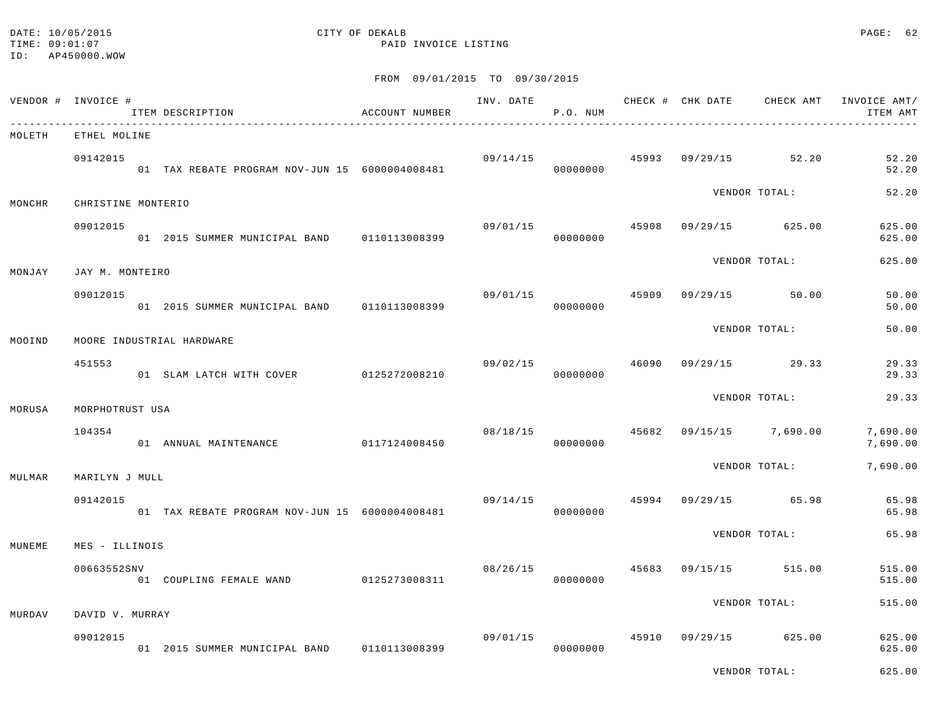#### DATE: 10/05/2015 CITY OF DEKALB PAGE: 62 TIME:  $09:01:07$  PAID INVOICE LISTING

VENDOR TOTAL: 625.00

|        | VENDOR # INVOICE # | ITEM DESCRIPTION                                | ACCOUNT NUMBER | INV. DATE | P.O. NUM |       |                      | CHECK # CHK DATE CHECK AMT INVOICE AMT/<br>ITEM AMT |
|--------|--------------------|-------------------------------------------------|----------------|-----------|----------|-------|----------------------|-----------------------------------------------------|
| MOLETH | ETHEL MOLINE       |                                                 |                |           |          |       |                      |                                                     |
|        | 09142015           | 01 TAX REBATE PROGRAM NOV-JUN 15 6000004008481  |                | 09/14/15  | 00000000 |       | 45993 09/29/15 52.20 | 52.20<br>52.20                                      |
| MONCHR | CHRISTINE MONTERIO |                                                 |                |           |          |       | VENDOR TOTAL:        | 52.20                                               |
|        | 09012015           | 01 2015 SUMMER MUNICIPAL BAND 0110113008399     |                | 09/01/15  | 00000000 | 45908 | 09/29/15 625.00      | 625.00<br>625.00                                    |
| MONJAY | JAY M. MONTEIRO    |                                                 |                |           |          |       | VENDOR TOTAL:        | 625.00                                              |
|        | 09012015           | 01  2015  SUMMER MUNICIPAL BAND   0110113008399 |                | 09/01/15  | 00000000 | 45909 | $09/29/15$ 50.00     | 50.00<br>50.00                                      |
| MOOIND |                    | MOORE INDUSTRIAL HARDWARE                       |                |           |          |       | VENDOR TOTAL:        | 50.00                                               |
|        | 451553             | 01 SLAM LATCH WITH COVER 0125272008210          |                | 09/02/15  | 00000000 | 46090 | $09/29/15$ 29.33     | 29.33<br>29.33                                      |
|        |                    |                                                 |                |           |          |       | VENDOR TOTAL:        | 29.33                                               |
| MORUSA | MORPHOTRUST USA    |                                                 |                |           |          |       |                      |                                                     |
|        | 104354             | 01 ANNUAL MAINTENANCE                           | 0117124008450  | 08/18/15  | 00000000 | 45682 | 09/15/15 7,690.00    | 7,690.00<br>7,690.00                                |
| MULMAR | MARILYN J MULL     |                                                 |                |           |          |       | VENDOR TOTAL:        | 7,690.00                                            |
|        | 09142015           | 01 TAX REBATE PROGRAM NOV-JUN 15 6000004008481  |                | 09/14/15  | 00000000 | 45994 | 09/29/15 65.98       | 65.98<br>65.98                                      |
| MUNEME | MES - ILLINOIS     |                                                 |                |           |          |       | VENDOR TOTAL:        | 65.98                                               |
|        | 00663552SNV        | 01 COUPLING FEMALE WAND                         | 0125273008311  | 08/26/15  | 00000000 | 45683 | 09/15/15 515.00      | 515.00<br>515.00                                    |
|        |                    |                                                 |                |           |          |       | VENDOR TOTAL:        | 515.00                                              |
| MURDAV | DAVID V. MURRAY    |                                                 |                |           |          |       |                      |                                                     |
|        | 09012015           | 01 2015 SUMMER MUNICIPAL BAND 0110113008399     |                | 09/01/15  | 00000000 | 45910 | 09/29/15 625.00      | 625.00<br>625.00                                    |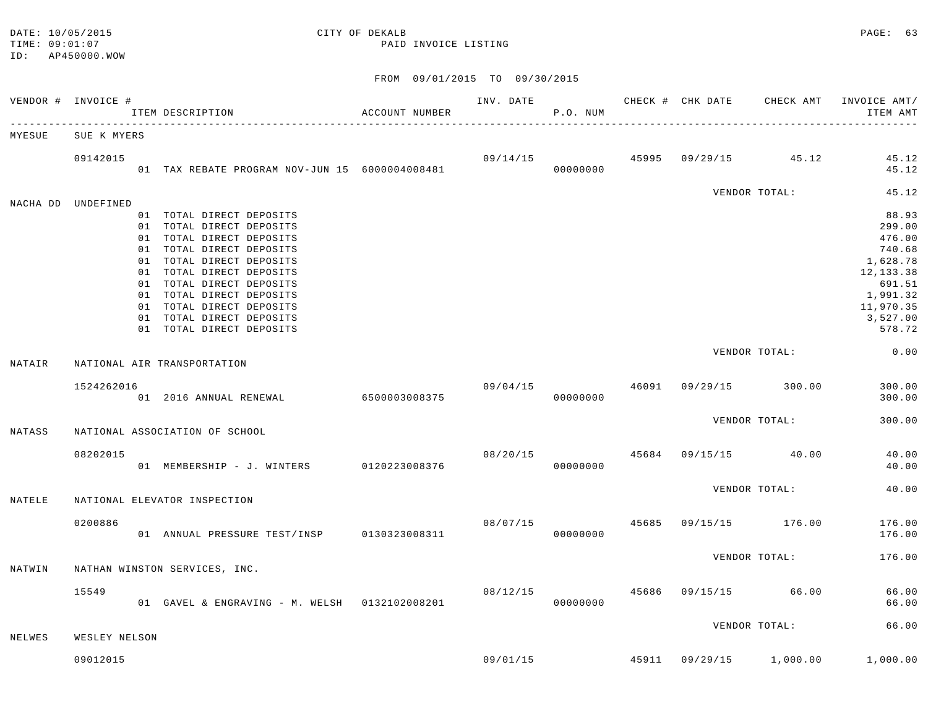#### TIME:  $09:01:07$  PAID INVOICE LISTING

|        | VENDOR # INVOICE # | ITEM DESCRIPTION                                                                                                                                                                                                                                                                                                 | ACCOUNT NUMBER |          | P.O. NUM             |  |                                        | INV. DATE 6 CHECK # CHK DATE CHECK AMT INVOICE AMT/<br>ITEM AMT                                                        |
|--------|--------------------|------------------------------------------------------------------------------------------------------------------------------------------------------------------------------------------------------------------------------------------------------------------------------------------------------------------|----------------|----------|----------------------|--|----------------------------------------|------------------------------------------------------------------------------------------------------------------------|
| MYESUE | SUE K MYERS        |                                                                                                                                                                                                                                                                                                                  |                |          |                      |  |                                        |                                                                                                                        |
|        | 09142015           | 01 TAX REBATE PROGRAM NOV-JUN 15 6000004008481                                                                                                                                                                                                                                                                   |                |          | 09/14/15<br>00000000 |  | 45995 09/29/15 45.12                   | 45.12<br>45.12                                                                                                         |
|        |                    |                                                                                                                                                                                                                                                                                                                  |                |          |                      |  | VENDOR TOTAL:                          | 45.12                                                                                                                  |
|        | NACHA DD UNDEFINED | 01 TOTAL DIRECT DEPOSITS<br>01 TOTAL DIRECT DEPOSITS<br>01 TOTAL DIRECT DEPOSITS<br>01 TOTAL DIRECT DEPOSITS<br>01 TOTAL DIRECT DEPOSITS<br>01 TOTAL DIRECT DEPOSITS<br>01 TOTAL DIRECT DEPOSITS<br>01 TOTAL DIRECT DEPOSITS<br>01 TOTAL DIRECT DEPOSITS<br>01 TOTAL DIRECT DEPOSITS<br>01 TOTAL DIRECT DEPOSITS |                |          |                      |  |                                        | 88.93<br>299.00<br>476.00<br>740.68<br>1,628.78<br>12, 133.38<br>691.51<br>1,991.32<br>11,970.35<br>3,527.00<br>578.72 |
|        |                    |                                                                                                                                                                                                                                                                                                                  |                |          |                      |  | VENDOR TOTAL:                          | 0.00                                                                                                                   |
| NATAIR |                    | NATIONAL AIR TRANSPORTATION                                                                                                                                                                                                                                                                                      |                |          |                      |  |                                        |                                                                                                                        |
|        | 1524262016         |                                                                                                                                                                                                                                                                                                                  |                |          | 00000000             |  | $09/04/15$ $46091$ $09/29/15$ $300.00$ | 300.00<br>300.00                                                                                                       |
| NATASS |                    | NATIONAL ASSOCIATION OF SCHOOL                                                                                                                                                                                                                                                                                   |                |          |                      |  | VENDOR TOTAL:                          | 300.00                                                                                                                 |
|        | 08202015           | 01 MEMBERSHIP - J. WINTERS 0120223008376                                                                                                                                                                                                                                                                         |                | 08/20/15 | 00000000             |  | 45684 09/15/15 40.00                   | 40.00<br>40.00                                                                                                         |
| NATELE |                    | NATIONAL ELEVATOR INSPECTION                                                                                                                                                                                                                                                                                     |                |          |                      |  | VENDOR TOTAL:                          | 40.00                                                                                                                  |
|        | 0200886            | 01 ANNUAL PRESSURE TEST/INSP 0130323008311                                                                                                                                                                                                                                                                       |                |          | 00000000             |  | $08/07/15$ $45685$ $09/15/15$ $176.00$ | 176.00<br>176.00                                                                                                       |
| NATWIN |                    | NATHAN WINSTON SERVICES, INC.                                                                                                                                                                                                                                                                                    |                |          |                      |  | VENDOR TOTAL:                          | 176.00                                                                                                                 |
|        | 15549              | 01 GAVEL & ENGRAVING - M. WELSH 0132102008201                                                                                                                                                                                                                                                                    |                | 08/12/15 | 00000000             |  | 45686 09/15/15 66.00                   | 66.00<br>66.00                                                                                                         |
| NELWES | WESLEY NELSON      |                                                                                                                                                                                                                                                                                                                  |                |          |                      |  | VENDOR TOTAL:                          | 66.00                                                                                                                  |
|        |                    |                                                                                                                                                                                                                                                                                                                  |                |          |                      |  |                                        |                                                                                                                        |
|        | 09012015           |                                                                                                                                                                                                                                                                                                                  |                |          |                      |  |                                        | 09/01/15 45911 09/29/15 1,000.00 1,000.00                                                                              |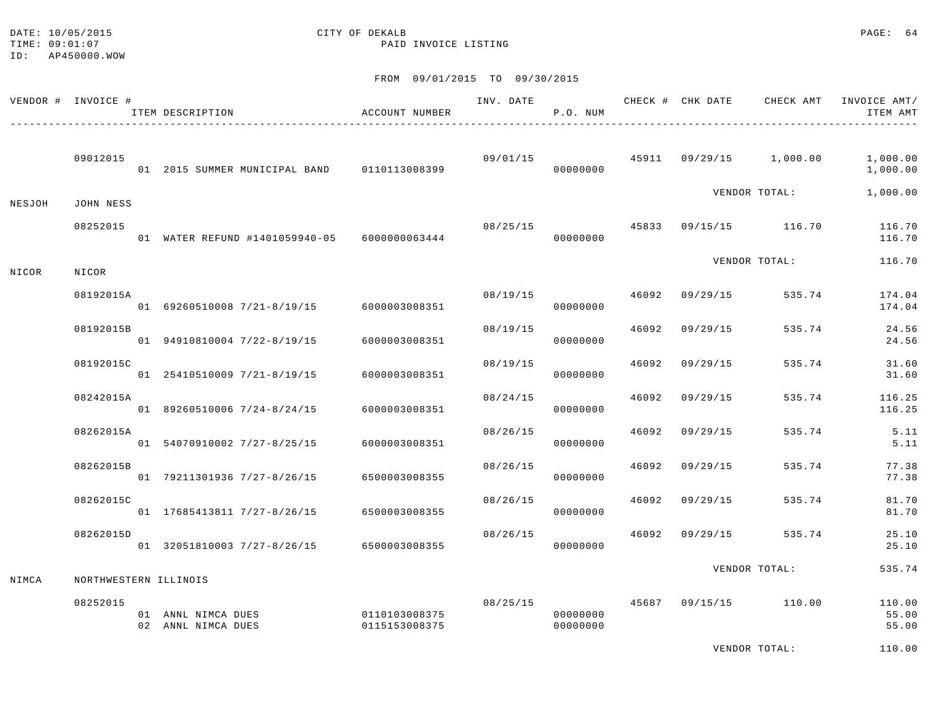#### DATE: 10/05/2015 CITY OF DEKALB PAGE: 64 TIME:  $09:01:07$  PAID INVOICE LISTING

FROM 09/01/2015 TO 09/30/2015

|        | VENDOR # INVOICE # | ITEM DESCRIPTION<br>____________________________________ | ACCOUNT NUMBER                 | INV. DATE | P.O. NUM             |       |          |                         | CHECK # CHK DATE CHECK AMT INVOICE AMT/<br>ITEM AMT |
|--------|--------------------|----------------------------------------------------------|--------------------------------|-----------|----------------------|-------|----------|-------------------------|-----------------------------------------------------|
|        | 09012015           | 01 2015 SUMMER MUNICIPAL BAND 0110113008399              |                                | 09/01/15  | 00000000             |       |          | 45911 09/29/15 1,000.00 | 1,000.00<br>1,000.00                                |
| NESJOH | JOHN NESS          |                                                          |                                |           |                      |       |          | VENDOR TOTAL:           | 1,000.00                                            |
|        | 08252015           | 01 WATER REFUND #1401059940-05 6000000063444             |                                | 08/25/15  | 00000000             |       |          | 45833 09/15/15 116.70   | 116.70<br>116.70                                    |
| NICOR  | NICOR              |                                                          |                                |           |                      |       |          | VENDOR TOTAL:           | 116.70                                              |
|        | 08192015A          | 01 69260510008 7/21-8/19/15                              | 6000003008351                  | 08/19/15  | 00000000             | 46092 | 09/29/15 | 535.74                  | 174.04<br>174.04                                    |
|        | 08192015B          | 01 94910810004 7/22-8/19/15                              | 6000003008351                  | 08/19/15  | 00000000             | 46092 | 09/29/15 | 535.74                  | 24.56<br>24.56                                      |
|        | 08192015C          | 01 25410510009 7/21-8/19/15                              | 6000003008351                  | 08/19/15  | 00000000             | 46092 | 09/29/15 | 535.74                  | 31.60<br>31.60                                      |
|        | 08242015A          | 01 89260510006 7/24-8/24/15                              | 6000003008351                  | 08/24/15  | 00000000             | 46092 | 09/29/15 | 535.74                  | 116.25<br>116.25                                    |
|        | 08262015A          | 01 54070910002 7/27-8/25/15                              | 6000003008351                  | 08/26/15  | 00000000             | 46092 | 09/29/15 | 535.74                  | 5.11<br>5.11                                        |
|        | 08262015B          | 01 79211301936 7/27-8/26/15                              | 6500003008355                  | 08/26/15  | 00000000             | 46092 | 09/29/15 | 535.74                  | 77.38<br>77.38                                      |
|        | 08262015C          | 01 17685413811 7/27-8/26/15                              | 6500003008355                  | 08/26/15  | 00000000             | 46092 | 09/29/15 | 535.74                  | 81.70<br>81.70                                      |
|        | 08262015D          | 01 32051810003 7/27-8/26/15                              | 6500003008355                  | 08/26/15  | 00000000             | 46092 | 09/29/15 | 535.74                  | 25.10<br>25.10                                      |
| NIMCA  |                    | NORTHWESTERN ILLINOIS                                    |                                |           |                      |       |          | VENDOR TOTAL:           | 535.74                                              |
|        | 08252015           | 01 ANNL NIMCA DUES<br>02 ANNL NIMCA DUES                 | 0110103008375<br>0115153008375 | 08/25/15  | 00000000<br>00000000 |       |          | 45687 09/15/15 110.00   | 110.00<br>55.00<br>55.00                            |
|        |                    |                                                          |                                |           |                      |       |          |                         |                                                     |

VENDOR TOTAL: 110.00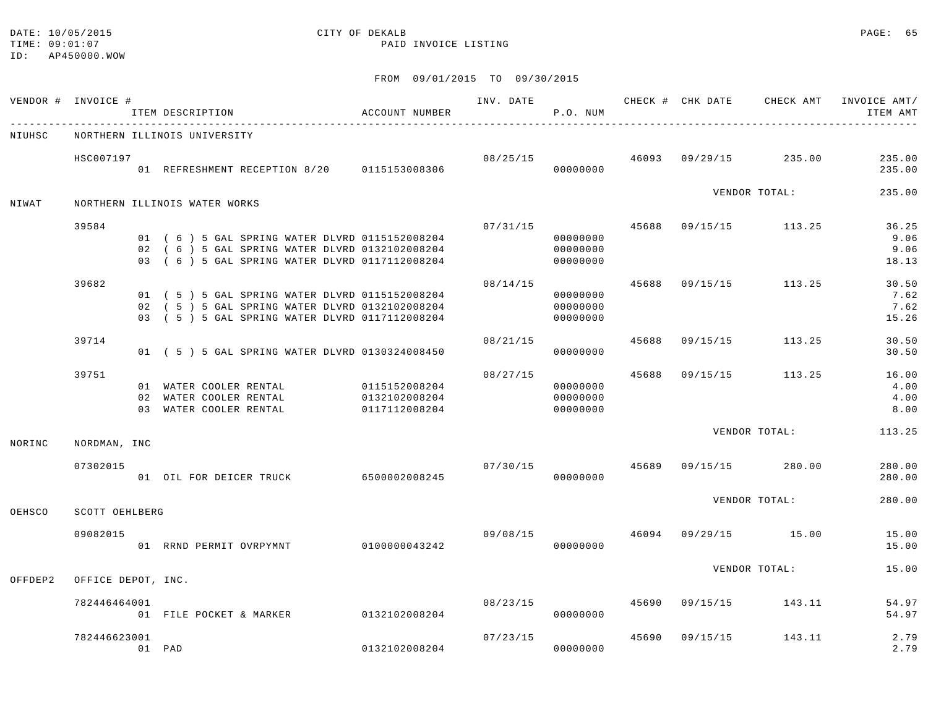# DATE: 10/05/2015 CITY OF DEKALB PAGE: 65

### TIME:  $09:01:07$  PAID INVOICE LISTING

|         | VENDOR # INVOICE # | ITEM DESCRIPTION                                                                                                                                  | ACCOUNT NUMBER |          | P.O. NUM                                     |       |          |                                        | INV. DATE 6 CHECK # CHK DATE CHECK AMT INVOICE AMT/<br>ITEM AMT |
|---------|--------------------|---------------------------------------------------------------------------------------------------------------------------------------------------|----------------|----------|----------------------------------------------|-------|----------|----------------------------------------|-----------------------------------------------------------------|
| NIUHSC  |                    | NORTHERN ILLINOIS UNIVERSITY                                                                                                                      |                |          |                                              |       |          |                                        |                                                                 |
|         | HSC007197          | 01 REFRESHMENT RECEPTION 8/20 0115153008306                                                                                                       |                |          | 00000000                                     |       |          | $08/25/15$ $46093$ $09/29/15$ $235.00$ | 235.00<br>235.00                                                |
| NIWAT   |                    | NORTHERN ILLINOIS WATER WORKS                                                                                                                     |                |          |                                              |       |          | VENDOR TOTAL:                          | 235.00                                                          |
|         | 39584              | 01 (6) 5 GAL SPRING WATER DLVRD 0115152008204<br>02 ( 6 ) 5 GAL SPRING WATER DLVRD 0132102008204<br>03 (6) 5 GAL SPRING WATER DLVRD 0117112008204 |                | 07/31/15 | 00000000<br>00000000<br>00000000             |       |          | 45688 09/15/15 113.25                  | 36.25<br>9.06<br>9.06<br>18.13                                  |
|         | 39682              | 01 (5) 5 GAL SPRING WATER DLVRD 0115152008204<br>02 (5) 5 GAL SPRING WATER DLVRD 0132102008204<br>03 (5) 5 GAL SPRING WATER DLVRD 0117112008204   |                | 08/14/15 | 00000000<br>00000000<br>00000000             |       |          | 45688 09/15/15 113.25                  | 30.50<br>7.62<br>7.62<br>15.26                                  |
|         | 39714              | 01 (5) 5 GAL SPRING WATER DLVRD 0130324008450                                                                                                     |                | 08/21/15 | 00000000                                     |       |          | 45688 09/15/15 113.25                  | 30.50<br>30.50                                                  |
|         | 39751              | 01 WATER COOLER RENTAL 0115152008204<br>02 WATER COOLER RENTAL 0132102008204<br>03 WATER COOLER RENTAL                                            | 0117112008204  |          | 08/27/15<br>00000000<br>00000000<br>00000000 |       |          | 45688 09/15/15 113.25                  | 16.00<br>4.00<br>4.00<br>8.00                                   |
| NORINC  | NORDMAN, INC       |                                                                                                                                                   |                |          |                                              |       |          | VENDOR TOTAL:                          | 113.25                                                          |
|         | 07302015           | 01 OIL FOR DEICER TRUCK 6500002008245                                                                                                             |                | 07/30/15 | 00000000                                     |       |          | 45689 09/15/15 280.00                  | 280.00<br>280.00                                                |
| OEHSCO  | SCOTT OEHLBERG     |                                                                                                                                                   |                |          |                                              |       |          | VENDOR TOTAL:                          | 280.00                                                          |
|         | 09082015           | 01 RRND PERMIT OVRPYMNT 0100000043242                                                                                                             |                |          | 00000000                                     |       |          | $09/08/15$ $46094$ $09/29/15$ $15.00$  | 15.00<br>15.00                                                  |
| OFFDEP2 | OFFICE DEPOT, INC. |                                                                                                                                                   |                |          |                                              |       |          | VENDOR TOTAL:                          | 15.00                                                           |
|         | 782446464001       | 01 FILE POCKET & MARKER                                                                                                                           | 0132102008204  |          | 08/23/15 45690<br>00000000                   |       |          | 09/15/15 143.11                        | 54.97<br>54.97                                                  |
|         | 782446623001       | 01 PAD                                                                                                                                            | 0132102008204  | 07/23/15 | 00000000                                     | 45690 | 09/15/15 | 143.11                                 | 2.79<br>2.79                                                    |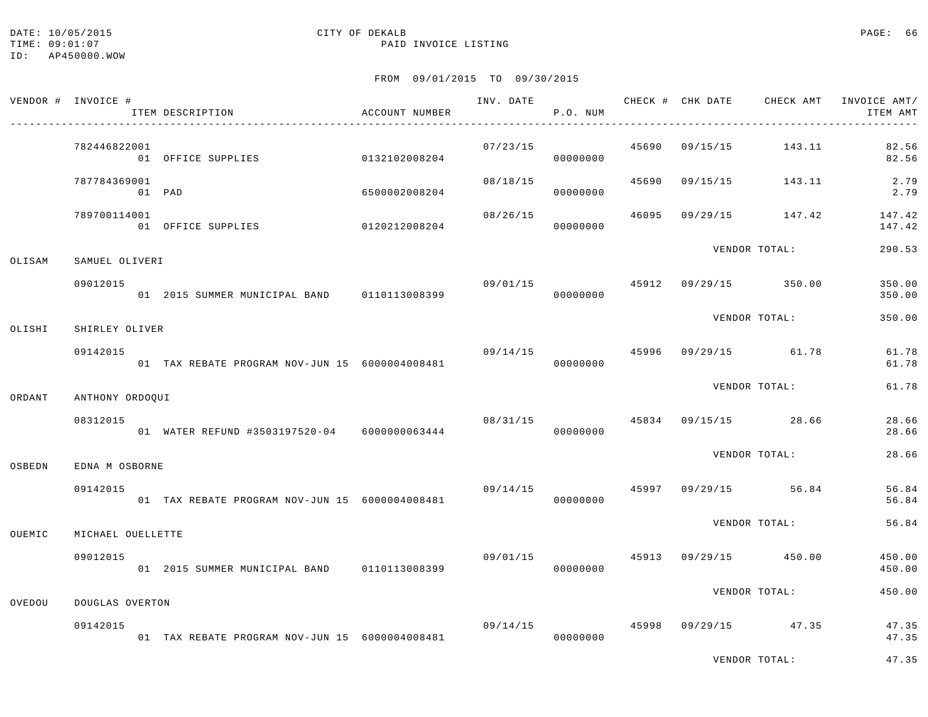#### DATE: 10/05/2015 CITY OF DEKALB PAGE: 66 TIME:  $09:01:07$  PAID INVOICE LISTING

|        | VENDOR # INVOICE #     | ITEM DESCRIPTION                                             | ACCOUNT NUMBER |                                       | P.O. NUM |  |                                        | INV. DATE 6 1999 CHECK # CHK DATE 6 CHECK AMT INVOICE AMT/<br>ITEM AMT |
|--------|------------------------|--------------------------------------------------------------|----------------|---------------------------------------|----------|--|----------------------------------------|------------------------------------------------------------------------|
|        | 782446822001           | 01 OFFICE SUPPLIES                                           | 0132102008204  |                                       | 00000000 |  | $07/23/15$ $45690$ $09/15/15$ $143.11$ | 82.56<br>82.56                                                         |
|        | 787784369001<br>01 PAD |                                                              | 6500002008204  | 08/18/15                              | 00000000 |  |                                        | 45690 09/15/15 143.11 2.79<br>2.79                                     |
|        | 789700114001           | 01 OFFICE SUPPLIES 0120212008204                             |                | 08/26/15                              | 00000000 |  |                                        | 46095 09/29/15 147.42 147.42<br>147.42                                 |
| OLISAM | SAMUEL OLIVERI         |                                                              |                |                                       |          |  | VENDOR TOTAL:                          | 290.53                                                                 |
|        | 09012015               | 01  2015  SUMMER MUNICIPAL BAND   0110113008399              |                | 09/01/15 45912 09/29/15 350.00        | 00000000 |  |                                        | 350.00<br>350.00                                                       |
| OLISHI | SHIRLEY OLIVER         |                                                              |                |                                       |          |  | VENDOR TOTAL:                          | 350.00                                                                 |
|        | 09142015               | 01 TAX REBATE PROGRAM NOV-JUN 15 6000004008481               |                | $09/14/15$ $45996$ $09/29/15$ $61.78$ | 00000000 |  |                                        | 61.78<br>61.78                                                         |
| ORDANT | ANTHONY ORDOQUI        |                                                              |                |                                       |          |  | VENDOR TOTAL:                          | 61.78                                                                  |
|        | 08312015               | 01 WATER REFUND #3503197520-04 6000000063444                 |                |                                       | 00000000 |  | $08/31/15$ $45834$ $09/15/15$ 28.66    | 28.66<br>28.66                                                         |
| OSBEDN | EDNA M OSBORNE         |                                                              |                |                                       |          |  | VENDOR TOTAL:                          | 28.66                                                                  |
|        | 09142015               | 01 TAX REBATE PROGRAM NOV-JUN 15 6000004008481               |                |                                       | 00000000 |  | $09/14/15$ $45997$ $09/29/15$ $56.84$  | 56.84<br>56.84                                                         |
| OUEMIC | MICHAEL OUELLETTE      |                                                              |                |                                       |          |  | VENDOR TOTAL:                          | 56.84                                                                  |
|        | 09012015               | 01  2015  SUMMER MUNICIPAL BAND   0110113008399   0000000000 |                |                                       |          |  | $09/01/15$ $45913$ $09/29/15$ $450.00$ | 450.00<br>450.00                                                       |
| OVEDOU | DOUGLAS OVERTON        |                                                              |                |                                       |          |  | VENDOR TOTAL:                          | 450.00                                                                 |
|        | 09142015               | 01 TAX REBATE PROGRAM NOV-JUN 15 6000004008481               |                |                                       | 00000000 |  | $09/14/15$ $45998$ $09/29/15$ $47.35$  | 47.35<br>47.35                                                         |

VENDOR TOTAL: 47.35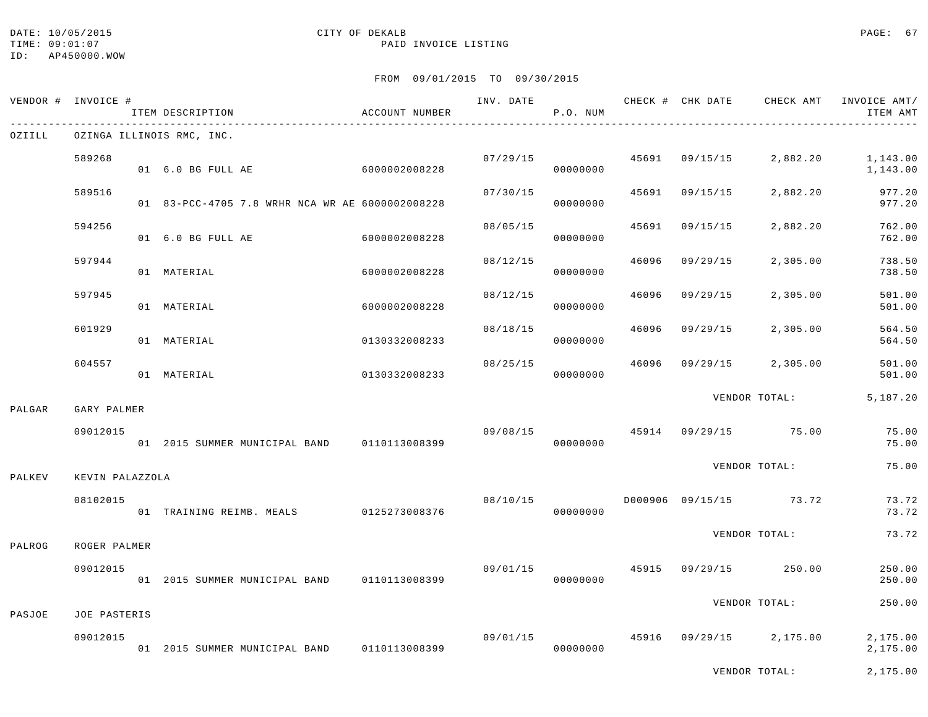## DATE: 10/05/2015 CITY OF DEKALB PAGE: 67

### TIME:  $09:01:07$  PAID INVOICE LISTING

FROM 09/01/2015 TO 09/30/2015

| VENDOR # | INVOICE #       | ITEM DESCRIPTION<br>------------------------------------ | ACCOUNT NUMBER |          | P.O. NUM |       |                |                         | INV. DATE 6 1999 CHECK # CHK DATE 6 CHECK AMT INVOICE AMT/<br>ITEM AMT |
|----------|-----------------|----------------------------------------------------------|----------------|----------|----------|-------|----------------|-------------------------|------------------------------------------------------------------------|
| OZIILL   |                 | OZINGA ILLINOIS RMC, INC.                                |                |          |          |       |                |                         |                                                                        |
|          | 589268          | 01 6.0 BG FULL AE                                        | 6000002008228  | 07/29/15 | 00000000 |       | 45691 09/15/15 | 2,882.20                | 1,143.00<br>1,143.00                                                   |
|          | 589516          | 01 83-PCC-4705 7.8 WRHR NCA WR AE 6000002008228          |                | 07/30/15 | 00000000 | 45691 | 09/15/15       | 2,882.20                | 977.20<br>977.20                                                       |
|          | 594256          | 01 6.0 BG FULL AE                                        | 6000002008228  | 08/05/15 | 00000000 | 45691 | 09/15/15       | 2,882.20                | 762.00<br>762.00                                                       |
|          | 597944          | 01 MATERIAL                                              | 6000002008228  | 08/12/15 | 00000000 | 46096 | 09/29/15       | 2,305.00                | 738.50<br>738.50                                                       |
|          | 597945          | 01 MATERIAL                                              | 6000002008228  | 08/12/15 | 00000000 | 46096 | 09/29/15       | 2,305.00                | 501.00<br>501.00                                                       |
|          | 601929          | 01 MATERIAL                                              | 0130332008233  | 08/18/15 | 00000000 | 46096 | 09/29/15       | 2,305.00                | 564.50<br>564.50                                                       |
|          | 604557          | 01 MATERIAL                                              | 0130332008233  | 08/25/15 | 00000000 | 46096 | 09/29/15       | 2,305.00                | 501.00<br>501.00                                                       |
| PALGAR   | GARY PALMER     |                                                          |                |          |          |       |                | VENDOR TOTAL:           | 5,187.20                                                               |
|          | 09012015        | 01 2015 SUMMER MUNICIPAL BAND 0110113008399              |                | 09/08/15 | 00000000 |       |                | 45914 09/29/15 75.00    | 75.00<br>75.00                                                         |
| PALKEV   | KEVIN PALAZZOLA |                                                          |                |          |          |       |                | VENDOR TOTAL:           | 75.00                                                                  |
|          | 08102015        | 01 TRAINING REIMB. MEALS 0125273008376                   |                | 08/10/15 | 00000000 |       |                | D000906 09/15/15 73.72  | 73.72<br>73.72                                                         |
| PALROG   | ROGER PALMER    |                                                          |                |          |          |       |                | VENDOR TOTAL:           | 73.72                                                                  |
|          | 09012015        | 01 2015 SUMMER MUNICIPAL BAND 0110113008399              |                | 09/01/15 | 00000000 | 45915 |                | 09/29/15 250.00         | 250.00<br>250.00                                                       |
| PASJOE   | JOE PASTERIS    |                                                          |                |          |          |       |                | VENDOR TOTAL:           | 250.00                                                                 |
|          | 09012015        | 01 2015 SUMMER MUNICIPAL BAND 0110113008399              |                | 09/01/15 | 00000000 |       |                | 45916 09/29/15 2,175.00 | 2,175.00<br>2,175.00                                                   |

VENDOR TOTAL: 2,175.00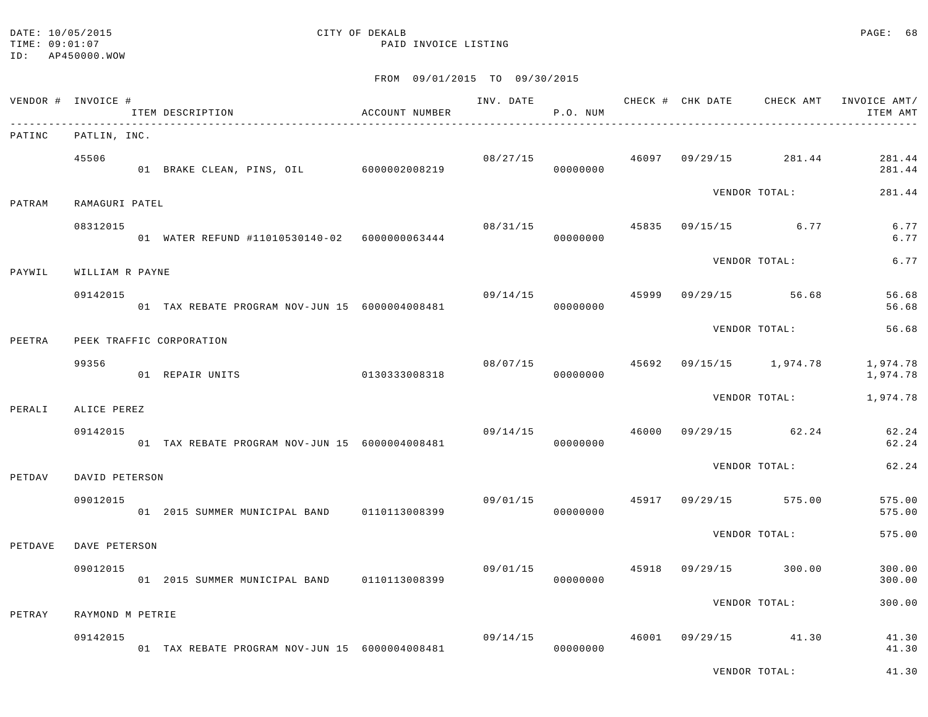#### DATE: 10/05/2015 CITY OF DEKALB PAGE: 68 TIME:  $09:01:07$  PAID INVOICE LISTING

VENDOR TOTAL: 41.30

|         | VENDOR # INVOICE #      | ITEM DESCRIPTION<br>_____________________________________ | ACCOUNT NUMBER |          | P.O. NUM             |       |          |                   | INV. DATE 6 1999 CHECK # CHK DATE CHECK AMT INVOICE AMT/<br>ITEM AMT |
|---------|-------------------------|-----------------------------------------------------------|----------------|----------|----------------------|-------|----------|-------------------|----------------------------------------------------------------------|
| PATINC  | PATLIN, INC.            |                                                           |                |          |                      |       |          |                   |                                                                      |
|         | 45506                   | 01 BRAKE CLEAN, PINS, OIL 6000002008219                   |                |          | 08/27/15<br>00000000 | 46097 |          | 09/29/15 281.44   | 281.44<br>281.44                                                     |
| PATRAM  | RAMAGURI PATEL          |                                                           |                |          |                      |       |          | VENDOR TOTAL:     | 281.44                                                               |
|         | 08312015                | 01 WATER REFUND #11010530140-02 6000000063444             |                | 08/31/15 | 00000000             | 45835 |          | $09/15/15$ 6.77   | 6.77<br>6.77                                                         |
| PAYWIL  | WILLIAM R PAYNE         |                                                           |                |          |                      |       |          | VENDOR TOTAL:     | 6.77                                                                 |
|         | 09142015                | 01 TAX REBATE PROGRAM NOV-JUN 15 6000004008481            |                | 09/14/15 | 00000000             | 45999 |          | $09/29/15$ 56.68  | 56.68<br>56.68                                                       |
| PEETRA  |                         | PEEK TRAFFIC CORPORATION                                  |                |          |                      |       |          | VENDOR TOTAL:     | 56.68                                                                |
|         | 99356                   | 01 REPAIR UNITS                                           | 0130333008318  | 08/07/15 | 00000000             | 45692 |          | 09/15/15 1,974.78 | 1,974.78<br>1,974.78                                                 |
|         |                         |                                                           |                |          |                      |       |          | VENDOR TOTAL:     | 1,974.78                                                             |
| PERALI  | ALICE PEREZ<br>09142015 | 01 TAX REBATE PROGRAM NOV-JUN 15 6000004008481            |                | 09/14/15 | 00000000             | 46000 |          | $09/29/15$ 62.24  | 62.24<br>62.24                                                       |
| PETDAV  | DAVID PETERSON          |                                                           |                |          |                      |       |          | VENDOR TOTAL:     | 62.24                                                                |
|         | 09012015                | 01 2015 SUMMER MUNICIPAL BAND 0110113008399               |                | 09/01/15 | 00000000             | 45917 |          | 09/29/15 575.00   | 575.00<br>575.00                                                     |
| PETDAVE | DAVE PETERSON           |                                                           |                |          |                      |       |          | VENDOR TOTAL:     | 575.00                                                               |
|         | 09012015                | 01 2015 SUMMER MUNICIPAL BAND 0110113008399               |                | 09/01/15 | 00000000             | 45918 | 09/29/15 | 300.00            | 300.00<br>300.00                                                     |
| PETRAY  | RAYMOND M PETRIE        |                                                           |                |          |                      |       |          | VENDOR TOTAL:     | 300.00                                                               |
|         |                         |                                                           |                |          |                      |       |          |                   |                                                                      |
|         | 09142015                | 01 TAX REBATE PROGRAM NOV-JUN 15 6000004008481            |                | 09/14/15 | 00000000             | 46001 |          | 09/29/15 41.30    | 41.30<br>41.30                                                       |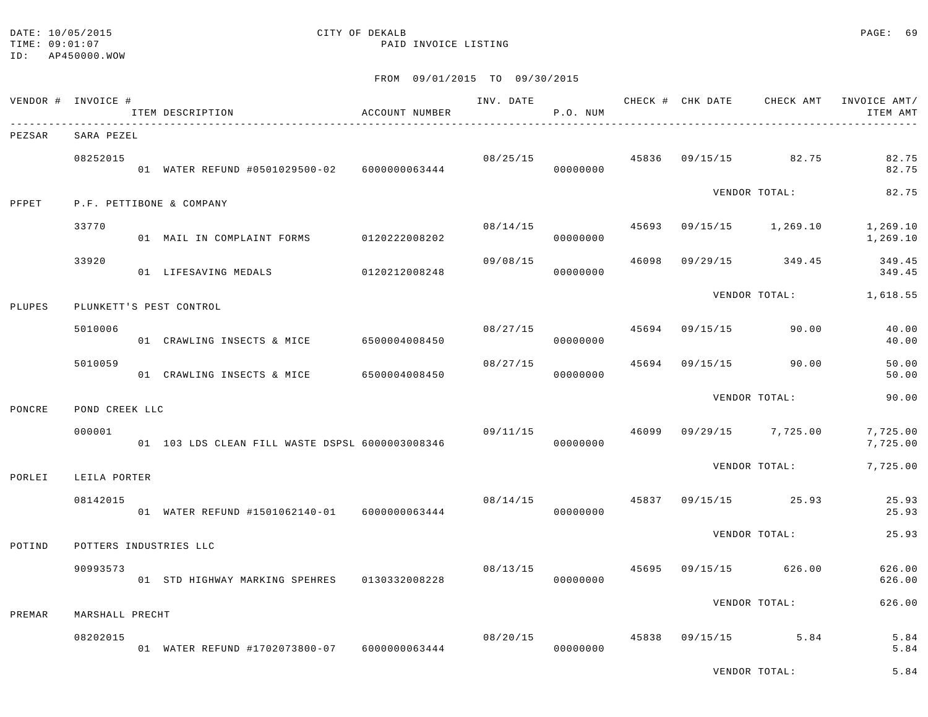#### DATE: 10/05/2015 CITY OF DEKALB PAGE: 69 TIME:  $09:01:07$  PAID INVOICE LISTING

#### FROM 09/01/2015 TO 09/30/2015

|        | VENDOR # INVOICE # | ITEM DESCRIPTION                                           | ACCOUNT NUMBER |                                       | INV. DATE<br>P.O. NUM |       |                      | CHECK # CHK DATE CHECK AMT INVOICE AMT/<br>ITEM AMT |
|--------|--------------------|------------------------------------------------------------|----------------|---------------------------------------|-----------------------|-------|----------------------|-----------------------------------------------------|
| PEZSAR | SARA PEZEL         |                                                            |                |                                       |                       |       |                      |                                                     |
|        | 08252015           | 01 WATER REFUND #0501029500-02  6000000063444              |                | $08/25/15$ $45836$ $09/15/15$ $82.75$ | 00000000              |       |                      | 82.75<br>82.75                                      |
| PFPET  |                    | P.F. PETTIBONE & COMPANY                                   |                |                                       |                       |       | VENDOR TOTAL:        | 82.75                                               |
|        | 33770              | 01 MAIL IN COMPLAINT FORMS 0120222008202                   |                | 08/14/15                              | 00000000              | 45693 |                      | 09/15/15 1,269.10 1,269.10<br>1,269.10              |
|        | 33920              | 01 LIFESAVING MEDALS 0120212008248                         |                | 09/08/15                              | 00000000              | 46098 | 09/29/15 349.45      | 349.45<br>349.45                                    |
| PLUPES |                    | PLUNKETT'S PEST CONTROL                                    |                |                                       |                       |       |                      | VENDOR TOTAL: 1,618.55                              |
|        | 5010006            | 01 CRAWLING INSECTS & MICE 6500004008450                   |                | 08/27/15                              | 45694<br>00000000     |       | 09/15/15 90.00       | 40.00<br>40.00                                      |
|        | 5010059            | 01 CRAWLING INSECTS & MICE 6500004008450                   |                | 08/27/15                              | 00000000              | 45694 | 09/15/15 90.00       | 50.00<br>50.00                                      |
|        |                    |                                                            |                |                                       |                       |       | VENDOR TOTAL:        | 90.00                                               |
| PONCRE | POND CREEK LLC     |                                                            |                |                                       |                       |       |                      |                                                     |
|        | 000001             | 01   103 LDS        CLEAN FILL WASTE DSPSL   6000003008346 |                | 09/11/15                              | 00000000              | 46099 | $09/29/15$ 7,725.00  | 7,725.00<br>7,725.00                                |
| PORLEI | LEILA PORTER       |                                                            |                |                                       |                       |       | VENDOR TOTAL:        | 7,725.00                                            |
|        | 08142015           | 01 WATER REFUND #1501062140-01 6000000063444               |                | 08/14/15                              | 00000000              |       | 45837 09/15/15 25.93 | 25.93<br>25.93                                      |
| POTIND |                    | POTTERS INDUSTRIES LLC                                     |                |                                       |                       |       | VENDOR TOTAL:        | 25.93                                               |
|        | 90993573           | 01 STD HIGHWAY MARKING SPEHRES   0130332008228             |                |                                       | 08/13/15<br>00000000  | 45695 | 09/15/15 626.00      | 626.00<br>626.00                                    |
|        |                    |                                                            |                |                                       |                       |       | VENDOR TOTAL:        | 626.00                                              |
| PREMAR | MARSHALL PRECHT    |                                                            |                |                                       |                       |       |                      |                                                     |
|        | 08202015           | 01 WATER REFUND #1702073800-07 6000000063444               |                | 08/20/15                              | 00000000              |       | 45838 09/15/15 5.84  | 5.84<br>5.84                                        |

VENDOR TOTAL: 5.84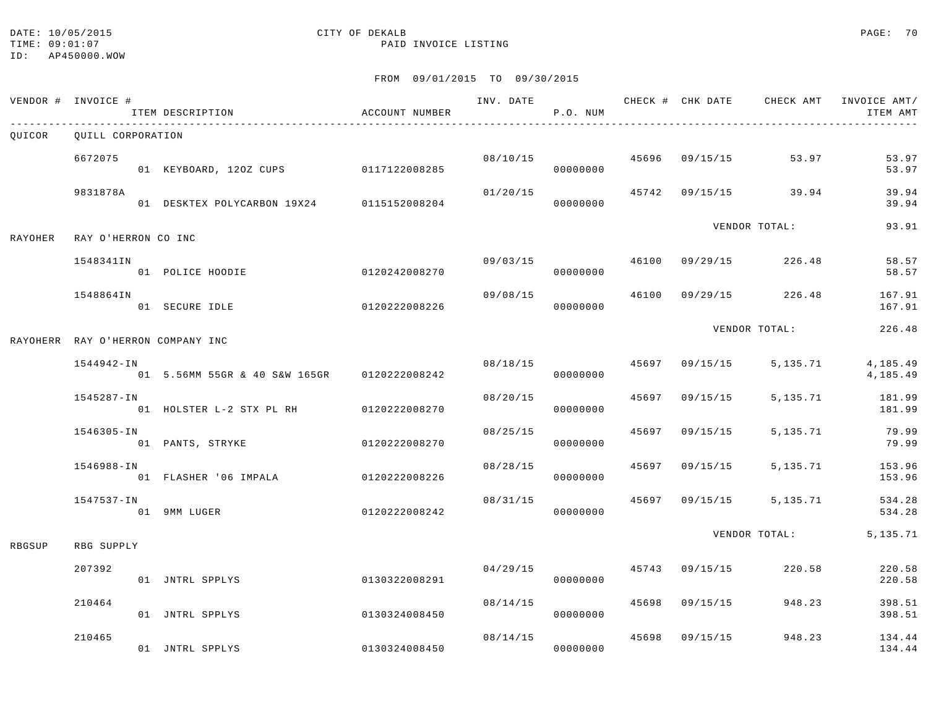# DATE: 10/05/2015 CITY OF DEKALB PAGE: 70

|         | VENDOR # INVOICE #                | ITEM DESCRIPTION                            | ACCOUNT NUMBER |          | P.O. NUM             |       |                |                      | ITEM AMT             |
|---------|-----------------------------------|---------------------------------------------|----------------|----------|----------------------|-------|----------------|----------------------|----------------------|
| OUICOR  | OUILL CORPORATION                 |                                             |                |          |                      |       |                |                      |                      |
|         | 6672075                           | 01 KEYBOARD, 120Z CUPS 0117122008285        |                |          | 08/10/15<br>00000000 |       |                | 45696 09/15/15 53.97 | 53.97<br>53.97       |
|         | 9831878A                          | 01 DESKTEX POLYCARBON 19X24 0115152008204   |                | 01/20/15 | 00000000             | 45742 |                | 09/15/15 39.94       | 39.94<br>39.94       |
| RAYOHER | RAY O'HERRON CO INC               |                                             |                |          |                      |       |                | VENDOR TOTAL:        | 93.91                |
|         | 1548341IN                         | 01 POLICE HOODIE                            | 0120242008270  |          | 09/03/15<br>00000000 | 46100 |                | 09/29/15 226.48      | 58.57<br>58.57       |
|         | 1548864IN                         | 01 SECURE IDLE                              | 0120222008226  | 09/08/15 | 00000000             | 46100 | 09/29/15       | 226.48               | 167.91<br>167.91     |
|         | RAYOHERR RAY O'HERRON COMPANY INC |                                             |                |          |                      |       |                | VENDOR TOTAL:        | 226.48               |
|         | 1544942-IN                        | 01 5.56MM 55GR & 40 S&W 165GR 0120222008242 |                | 08/18/15 | 00000000             |       | 45697 09/15/15 | 5,135.71             | 4,185.49<br>4,185.49 |
|         | 1545287-IN                        | 01 HOLSTER L-2 STX PL RH 0120222008270      |                | 08/20/15 | 00000000             | 45697 | 09/15/15       | 5,135.71             | 181.99<br>181.99     |
|         | 1546305-IN                        | 01 PANTS, STRYKE                            | 0120222008270  | 08/25/15 | 00000000             | 45697 | 09/15/15       | 5,135.71             | 79.99<br>79.99       |
|         | 1546988-IN                        | 01 FLASHER '06 IMPALA                       | 0120222008226  | 08/28/15 | 00000000             |       | 45697 09/15/15 | 5,135.71             | 153.96<br>153.96     |
|         | 1547537-IN                        | 01 9MM LUGER                                | 0120222008242  | 08/31/15 | 00000000             |       | 45697 09/15/15 | 5,135.71             | 534.28<br>534.28     |
| RBGSUP  | RBG SUPPLY                        |                                             |                |          |                      |       |                | VENDOR TOTAL:        | 5, 135. 71           |
|         | 207392                            | 01 JNTRL SPPLYS                             | 0130322008291  | 04/29/15 | 00000000             |       | 45743 09/15/15 | 220.58               | 220.58<br>220.58     |
|         | 210464                            | 01 JNTRL SPPLYS                             | 0130324008450  |          | 08/14/15<br>00000000 | 45698 | 09/15/15       | 948.23               | 398.51<br>398.51     |
|         | 210465                            | 01 JNTRL SPPLYS                             | 0130324008450  | 08/14/15 | 00000000             |       | 45698 09/15/15 | 948.23               | 134.44<br>134.44     |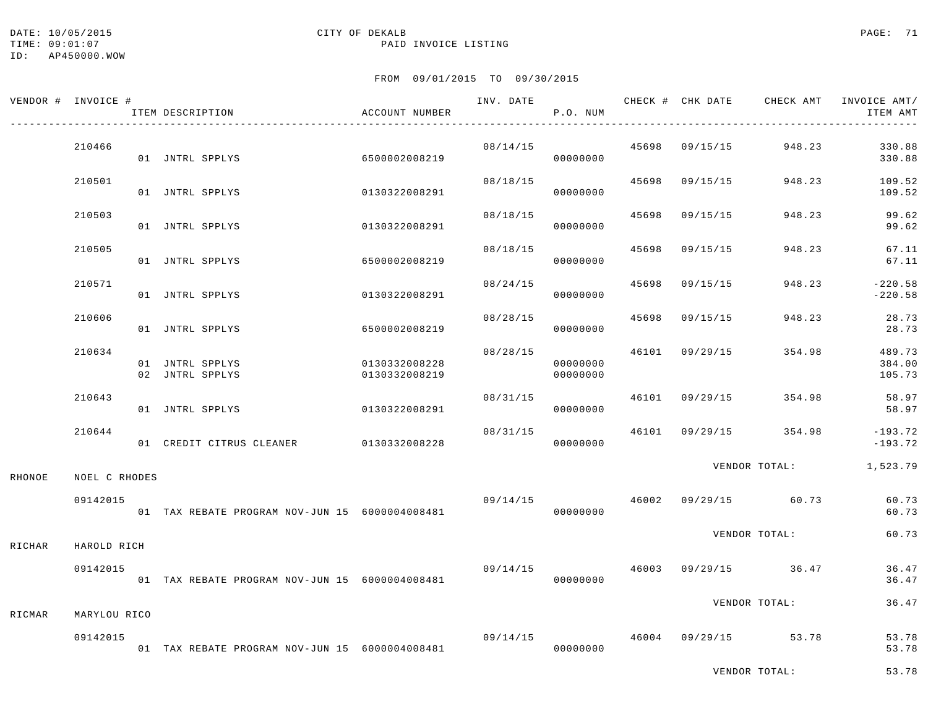#### DATE: 10/05/2015 CITY OF DEKALB PAGE: 71 TIME:  $09:01:07$  PAID INVOICE LISTING

ID: AP450000.WOW

VENDOR TOTAL: 53.78

|        | VENDOR # INVOICE # | ITEM DESCRIPTION                               | ACCOUNT NUMBER                 |          | P.O. NUM             |       |                | INV. DATE 6 1999 CHECK # CHK DATE 6 CHECK AMT INVOICE AMT | ITEM AMT                   |
|--------|--------------------|------------------------------------------------|--------------------------------|----------|----------------------|-------|----------------|-----------------------------------------------------------|----------------------------|
|        | 210466             | 01 JNTRL SPPLYS                                | 6500002008219                  | 08/14/15 | 00000000             |       |                | $45698$ 09/15/15 948.23                                   | 330.88<br>330.88           |
|        | 210501             | 01 JNTRL SPPLYS                                | 0130322008291                  | 08/18/15 | 00000000             |       | 45698 09/15/15 | 948.23                                                    | 109.52<br>109.52           |
|        | 210503             | 01 JNTRL SPPLYS                                | 0130322008291                  | 08/18/15 | 00000000             | 45698 | 09/15/15       | 948.23                                                    | 99.62<br>99.62             |
|        | 210505             | 01 JNTRL SPPLYS                                | 6500002008219                  | 08/18/15 | 00000000             | 45698 | 09/15/15       | 948.23                                                    | 67.11<br>67.11             |
|        | 210571             | 01 JNTRL SPPLYS                                | 0130322008291                  | 08/24/15 | 00000000             | 45698 | 09/15/15       | 948.23                                                    | $-220.58$<br>$-220.58$     |
|        | 210606             | 01 JNTRL SPPLYS                                | 6500002008219                  | 08/28/15 | 00000000             |       | 45698 09/15/15 | 948.23                                                    | 28.73<br>28.73             |
|        | 210634             | 01 JNTRL SPPLYS<br>02 JNTRL SPPLYS             | 0130332008228<br>0130332008219 | 08/28/15 | 00000000<br>00000000 |       | 46101 09/29/15 | 354.98                                                    | 489.73<br>384.00<br>105.73 |
|        | 210643             | 01 JNTRL SPPLYS                                | 0130322008291                  | 08/31/15 | 00000000             |       | 46101 09/29/15 | 354.98                                                    | 58.97<br>58.97             |
|        | 210644             | 01 CREDIT CITRUS CLEANER 0130332008228         |                                | 08/31/15 | 00000000             |       |                | 46101 09/29/15 354.98                                     | $-193.72$<br>$-193.72$     |
| RHONOE | NOEL C RHODES      |                                                |                                |          |                      |       |                | VENDOR TOTAL:                                             | 1,523.79                   |
|        | 09142015           | 01 TAX REBATE PROGRAM NOV-JUN 15 6000004008481 |                                | 09/14/15 | 00000000             |       |                | 46002 09/29/15 60.73                                      | 60.73<br>60.73             |
| RICHAR | HAROLD RICH        |                                                |                                |          |                      |       |                | VENDOR TOTAL:                                             | 60.73                      |
|        | 09142015           | 01 TAX REBATE PROGRAM NOV-JUN 15 6000004008481 |                                | 09/14/15 | 00000000             | 46003 |                | $09/29/15$ 36.47                                          | 36.47<br>36.47             |
| RICMAR | MARYLOU RICO       |                                                |                                |          |                      |       |                | VENDOR TOTAL:                                             | 36.47                      |
|        | 09142015           | 01 TAX REBATE PROGRAM NOV-JUN 15 6000004008481 |                                | 09/14/15 | 00000000             |       |                | 46004 09/29/15 53.78                                      | 53.78<br>53.78             |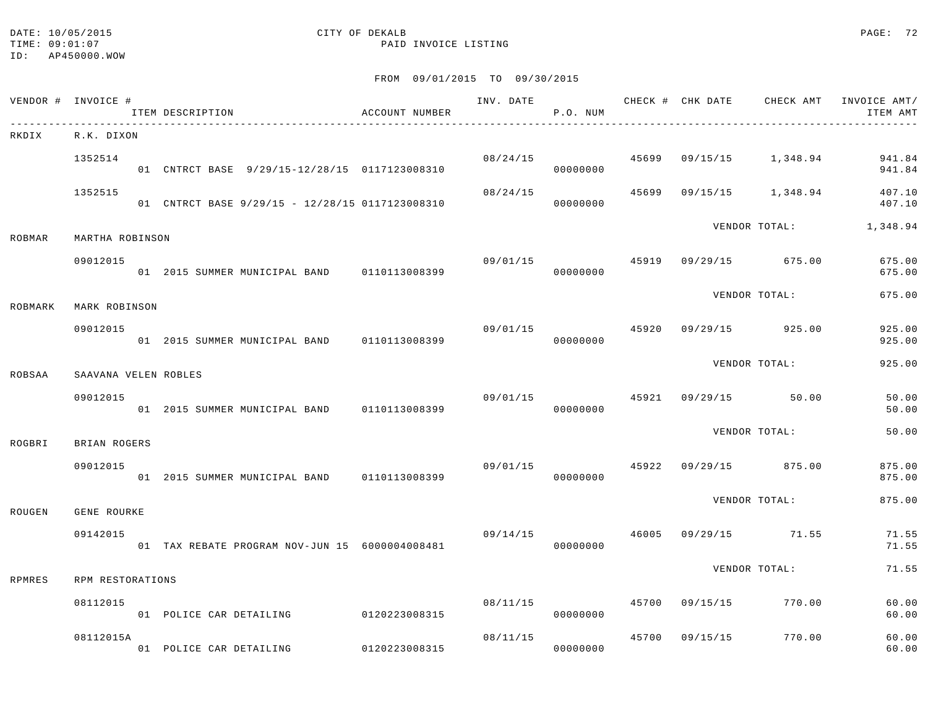#### DATE: 10/05/2015 CITY OF DEKALB PAGE: 72 TIME:  $09:01:07$  PAID INVOICE LISTING

|         | VENDOR # INVOICE #   |  | ITEM DESCRIPTION                                | ACCOUNT NUMBER |                | P.O. NUM             |               |                        |                       | INV. DATE 6 CHECK # CHK DATE CHECK AMT INVOICE AMT/<br>ITEM AMT |
|---------|----------------------|--|-------------------------------------------------|----------------|----------------|----------------------|---------------|------------------------|-----------------------|-----------------------------------------------------------------|
| RKDIX   | R.K. DIXON           |  |                                                 |                |                |                      |               |                        |                       |                                                                 |
|         | 1352514              |  | 01 CNTRCT BASE 9/29/15-12/28/15 0117123008310   |                |                | 08/24/15<br>00000000 | 45699         |                        | 09/15/15 1,348.94     | 941.84<br>941.84                                                |
|         | 1352515              |  | 01 CNTRCT BASE 9/29/15 - 12/28/15 0117123008310 |                | 08/24/15       | 00000000             | 45699         |                        | 09/15/15 1,348.94     | 407.10<br>407.10                                                |
| ROBMAR  | MARTHA ROBINSON      |  |                                                 |                |                |                      |               | VENDOR TOTAL: 1,348.94 |                       |                                                                 |
|         | 09012015             |  | 01  2015  SUMMER MUNICIPAL BAND   0110113008399 |                |                | 09/01/15<br>00000000 | 45919         |                        | 09/29/15 675.00       | 675.00<br>675.00                                                |
| ROBMARK | MARK ROBINSON        |  |                                                 |                |                |                      | VENDOR TOTAL: |                        |                       | 675.00                                                          |
|         | 09012015             |  | 01  2015  SUMMER MUNICIPAL BAND   0110113008399 |                | 09/01/15       | 00000000             |               |                        | 45920 09/29/15 925.00 | 925.00<br>925.00                                                |
| ROBSAA  | SAAVANA VELEN ROBLES |  |                                                 |                |                |                      | VENDOR TOTAL: |                        |                       | 925.00                                                          |
|         | 09012015             |  | 01 2015 SUMMER MUNICIPAL BAND 0110113008399     |                | 09/01/15 45921 | 00000000             |               |                        | 09/29/15 50.00        | 50.00<br>50.00                                                  |
| ROGBRI  | BRIAN ROGERS         |  |                                                 |                |                |                      |               | VENDOR TOTAL:          |                       | 50.00                                                           |
|         | 09012015             |  | 01  2015  SUMMER MUNICIPAL BAND   0110113008399 |                | 09/01/15       | 00000000             |               |                        | 45922 09/29/15 875.00 | 875.00<br>875.00                                                |
| ROUGEN  | GENE ROURKE          |  |                                                 |                |                |                      | VENDOR TOTAL: | 875.00                 |                       |                                                                 |
|         | 09142015             |  | 01 TAX REBATE PROGRAM NOV-JUN 15 6000004008481  |                | 09/14/15       | 00000000             |               |                        | 46005 09/29/15 71.55  | 71.55<br>71.55                                                  |
| RPMRES  | RPM RESTORATIONS     |  |                                                 |                |                |                      | VENDOR TOTAL: |                        |                       | 71.55                                                           |
|         | 08112015             |  | 01 POLICE CAR DETAILING 0120223008315           |                |                | 08/11/15<br>00000000 | 45700         | 09/15/15               | 770.00                | 60.00<br>60.00                                                  |
|         | 08112015A            |  | 01 POLICE CAR DETAILING 6120223008315           |                | 08/11/15       | 00000000             | 45700         | 09/15/15               | 770.00                | 60.00<br>60.00                                                  |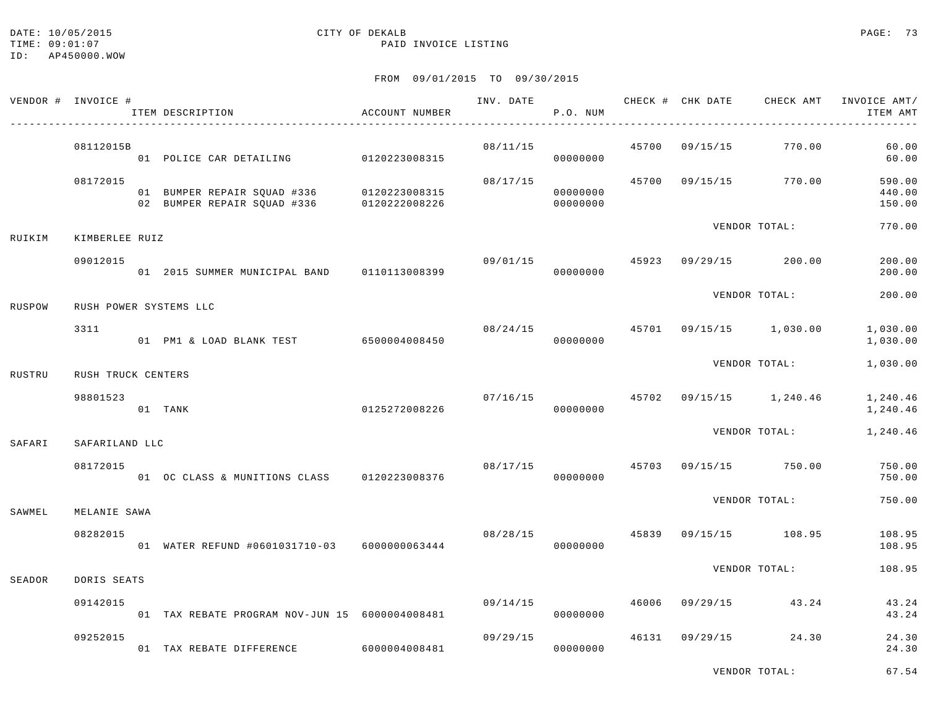## DATE: 10/05/2015 CITY OF DEKALB PAGE: 73

ID: AP450000.WOW

### TIME:  $09:01:07$  PAID INVOICE LISTING

### FROM 09/01/2015 TO 09/30/2015

|        | VENDOR # INVOICE # | ITEM DESCRIPTION<br>--------------------------- | ACCOUNT NUMBER |                                        | P.O. NUM             |  |                                          | INV. DATE 6 CHECK # CHK DATE CHECK AMT INVOICE AMT/<br>ITEM AMT |
|--------|--------------------|-------------------------------------------------|----------------|----------------------------------------|----------------------|--|------------------------------------------|-----------------------------------------------------------------|
|        | 08112015B          | 01 POLICE CAR DETAILING 0120223008315           |                | 08/11/15                               | 00000000             |  | 45700 09/15/15 770.00                    | 60.00<br>60.00                                                  |
|        | 08172015           |                                                 |                | 08/17/15                               | 00000000<br>00000000 |  | 45700 09/15/15 770.00                    | 590.00<br>440.00<br>150.00                                      |
| RUIKIM | KIMBERLEE RUIZ     |                                                 |                |                                        |                      |  | VENDOR TOTAL:                            | 770.00                                                          |
|        | 09012015           | 01  2015  SUMMER MUNICIPAL BAND   0110113008399 |                | $09/01/15$ $45923$ $09/29/15$ $200.00$ | 00000000             |  |                                          | 200.00<br>200.00                                                |
| RUSPOW |                    | RUSH POWER SYSTEMS LLC                          |                |                                        |                      |  | VENDOR TOTAL:                            | 200.00                                                          |
|        | 3311               | 01 PM1 & LOAD BLANK TEST 6500004008450          |                |                                        | 00000000             |  | $08/24/15$ $45701$ $09/15/15$ $1,030.00$ | 1,030.00<br>1,030.00                                            |
| RUSTRU | RUSH TRUCK CENTERS |                                                 |                |                                        |                      |  | VENDOR TOTAL:                            | 1,030.00                                                        |
|        | 98801523           | 01 TANK                                         | 0125272008226  |                                        | 07/16/15<br>00000000 |  | 45702 09/15/15 1,240.46                  | 1,240.46<br>1,240.46                                            |
| SAFARI | SAFARILAND LLC     |                                                 |                |                                        |                      |  | VENDOR TOTAL:                            | 1,240.46                                                        |
|        | 08172015           | 01 OC CLASS & MUNITIONS CLASS 0120223008376     |                | 08/17/15                               | 00000000             |  | 45703 09/15/15 750.00                    | 750.00<br>750.00                                                |
| SAWMEL | MELANIE SAWA       |                                                 |                |                                        |                      |  | VENDOR TOTAL:                            | 750.00                                                          |
|        | 08282015           | 01 WATER REFUND #0601031710-03 6000000063444    |                | $08/28/15$ $45839$ $09/15/15$ $108.95$ | 00000000             |  |                                          | 108.95<br>108.95                                                |
| SEADOR | DORIS SEATS        |                                                 |                |                                        |                      |  | VENDOR TOTAL:                            | 108.95                                                          |
|        | 09142015           | 01 TAX REBATE PROGRAM NOV-JUN 15 6000004008481  |                | 09/14/15                               | 00000000             |  | 46006 09/29/15 43.24                     | 43.24<br>43.24                                                  |
|        | 09252015           | 01 TAX REBATE DIFFERENCE 6000004008481          |                |                                        | 09/29/15<br>00000000 |  | 46131 09/29/15 24.30                     | 24.30<br>24.30                                                  |

VENDOR TOTAL: 67.54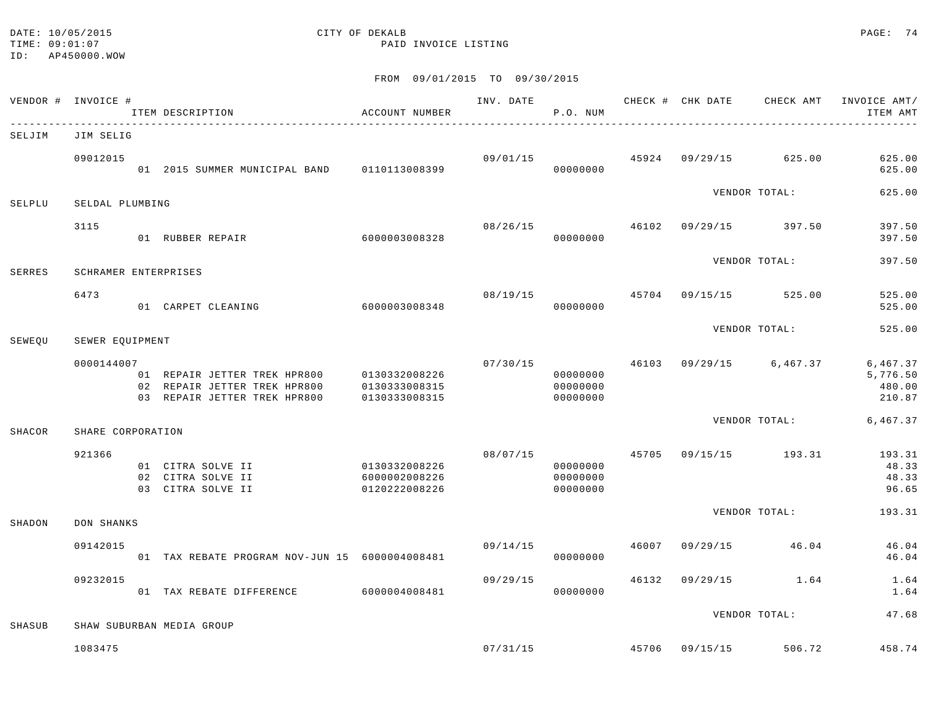### DATE: 10/05/2015 CITY OF DEKALB PAGE: 74 TIME:  $09:01:07$  PAID INVOICE LISTING

|        | VENDOR # INVOICE #   | ITEM DESCRIPTION                                                           | ACCOUNT NUMBER                 |                | P.O. NUM                         |       |                                        | INV. DATE 6 CHECK # CHK DATE CHECK AMT INVOICE AMT/<br>ITEM AMT |
|--------|----------------------|----------------------------------------------------------------------------|--------------------------------|----------------|----------------------------------|-------|----------------------------------------|-----------------------------------------------------------------|
| SELJIM | JIM SELIG            |                                                                            |                                |                |                                  |       |                                        |                                                                 |
|        | 09012015             | 01  2015  SUMMER MUNICIPAL BAND   0110113008399                            |                                |                | 00000000                         |       | $09/01/15$ $45924$ $09/29/15$ $625.00$ | 625.00<br>625.00                                                |
| SELPLU | SELDAL PLUMBING      |                                                                            |                                |                |                                  |       | VENDOR TOTAL:                          | 625.00                                                          |
|        | 3115                 | 01 RUBBER REPAIR 6000003008328                                             |                                | 08/26/15       | 00000000                         |       | 46102 09/29/15 397.50                  | 397.50<br>397.50                                                |
| SERRES | SCHRAMER ENTERPRISES |                                                                            |                                |                |                                  |       | VENDOR TOTAL:                          | 397.50                                                          |
|        | 6473                 | 01 CARPET CLEANING                                                         | 6000003008348                  | 08/19/15 45704 | 00000000                         |       | 09/15/15 525.00                        | 525.00<br>525.00                                                |
| SEWEOU | SEWER EOUIPMENT      |                                                                            |                                |                |                                  |       | VENDOR TOTAL:                          | 525.00                                                          |
|        | 0000144007           | 02 REPAIR JETTER TREK HPR800<br>03 REPAIR JETTER TREK HPR800 0130333008315 | 0130333008315                  | 07/30/15       | 00000000<br>00000000<br>00000000 |       | 46103 09/29/15 6,467.37                | 6,467.37<br>5,776.50<br>480.00<br>210.87                        |
| SHACOR | SHARE CORPORATION    |                                                                            |                                |                |                                  |       |                                        | VENDOR TOTAL: 6,467.37                                          |
|        | 921366               | 01 CITRA SOLVE II 0130332008226<br>02 CITRA SOLVE II<br>03 CITRA SOLVE II  | 6000002008226<br>0120222008226 |                | 00000000<br>00000000<br>00000000 |       | $08/07/15$ $45705$ $09/15/15$ $193.31$ | 193.31<br>48.33<br>48.33<br>96.65                               |
| SHADON | DON SHANKS           |                                                                            |                                |                |                                  |       | VENDOR TOTAL:                          | 193.31                                                          |
|        | 09142015             | 01 TAX REBATE PROGRAM NOV-JUN 15 6000004008481                             |                                | 09/14/15       | 00000000                         | 46007 | 09/29/15 46.04                         | 46.04<br>46.04                                                  |
|        | 09232015             | 01 TAX REBATE DIFFERENCE 6000004008481                                     |                                | 09/29/15       | 00000000                         | 46132 | $09/29/15$ 1.64                        | 1.64<br>1.64                                                    |
| SHASUB |                      | SHAW SUBURBAN MEDIA GROUP                                                  |                                |                |                                  |       | VENDOR TOTAL:                          | 47.68                                                           |
|        | 1083475              |                                                                            |                                |                |                                  |       | $07/31/15$ $45706$ $09/15/15$ $506.72$ | 458.74                                                          |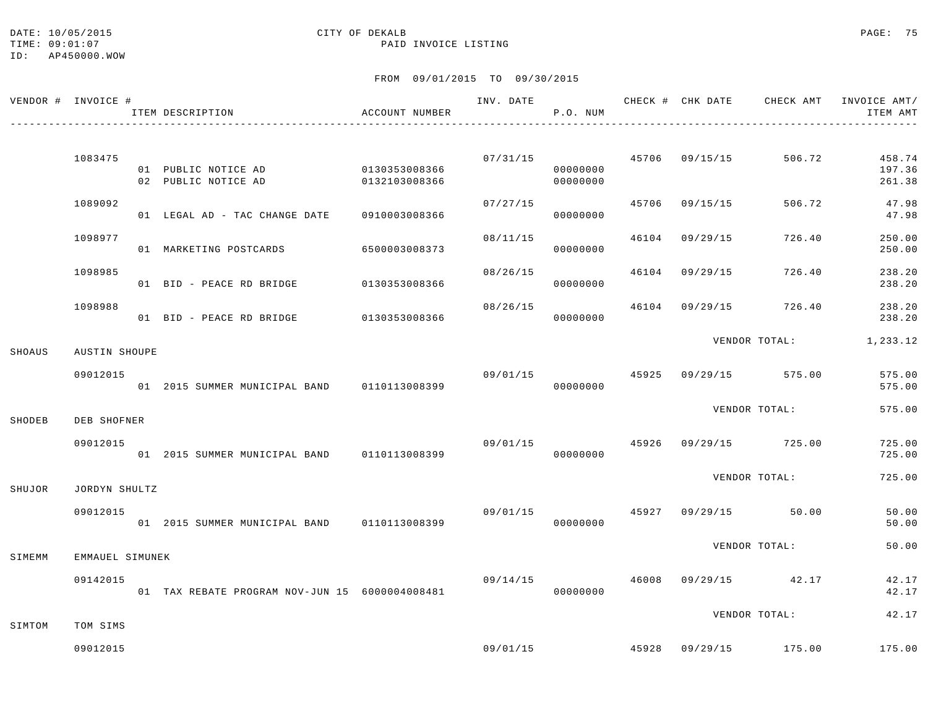### DATE: 10/05/2015 CITY OF DEKALB PAGE: 75 TIME:  $09:01:07$  PAID INVOICE LISTING

|        | VENDOR # INVOICE # | ITEM DESCRIPTION                                 | ACCOUNT NUMBER                 |          | P.O. NUM                         |       |                |                                        | ITEM AMT                   |
|--------|--------------------|--------------------------------------------------|--------------------------------|----------|----------------------------------|-------|----------------|----------------------------------------|----------------------------|
|        |                    |                                                  |                                |          |                                  |       |                |                                        |                            |
|        | 1083475            | 01 PUBLIC NOTICE AD<br>02 PUBLIC NOTICE AD       | 0130353008366<br>0132103008366 |          | 07/31/15<br>00000000<br>00000000 |       | 45706 09/15/15 | 506.72                                 | 458.74<br>197.36<br>261.38 |
|        | 1089092            | 01 LEGAL AD - TAC CHANGE DATE                    | 0910003008366                  | 07/27/15 | 00000000                         | 45706 | 09/15/15       | 506.72                                 | 47.98<br>47.98             |
|        | 1098977            | 01 MARKETING POSTCARDS                           | 6500003008373                  | 08/11/15 | 00000000                         | 46104 | 09/29/15       | 726.40                                 | 250.00<br>250.00           |
|        | 1098985            | 01 BID - PEACE RD BRIDGE 0130353008366           |                                | 08/26/15 | 00000000                         | 46104 | 09/29/15       | 726.40                                 | 238.20<br>238.20           |
|        | 1098988            |                                                  |                                | 08/26/15 | 00000000                         | 46104 |                | 09/29/15 726.40                        | 238.20<br>238.20           |
| SHOAUS | AUSTIN SHOUPE      |                                                  |                                |          |                                  |       |                | VENDOR TOTAL: 1,233.12                 |                            |
|        | 09012015           | 01  2015  SUMMER MUNICIPAL BAND   0110113008399  |                                |          | 09/01/15<br>00000000             |       |                | 45925 09/29/15 575.00                  | 575.00<br>575.00           |
| SHODEB | DEB SHOFNER        |                                                  |                                |          |                                  |       |                | VENDOR TOTAL:                          | 575.00                     |
|        | 09012015           | 01  2015  SUMMER  MUNICIPAL BAND   0110113008399 |                                | 09/01/15 | 00000000                         |       |                | 45926 09/29/15 725.00                  | 725.00<br>725.00           |
| SHUJOR | JORDYN SHULTZ      |                                                  |                                |          |                                  |       |                | VENDOR TOTAL:                          | 725.00                     |
|        | 09012015           | 01 2015 SUMMER MUNICIPAL BAND 0110113008399      |                                | 09/01/15 | 00000000                         |       |                | $45927$ 09/29/15 50.00                 | 50.00<br>50.00             |
| SIMEMM | EMMAUEL SIMUNEK    |                                                  |                                |          |                                  |       |                | VENDOR TOTAL:                          | 50.00                      |
|        | 09142015           | 01 TAX REBATE PROGRAM NOV-JUN 15 6000004008481   |                                | 09/14/15 | 00000000                         |       |                | 46008 09/29/15 42.17                   | 42.17<br>42.17             |
| SIMTOM | TOM SIMS           |                                                  |                                |          |                                  |       |                | VENDOR TOTAL:                          | 42.17                      |
|        | 09012015           |                                                  |                                |          |                                  |       |                | $09/01/15$ $45928$ $09/29/15$ $175.00$ | 175.00                     |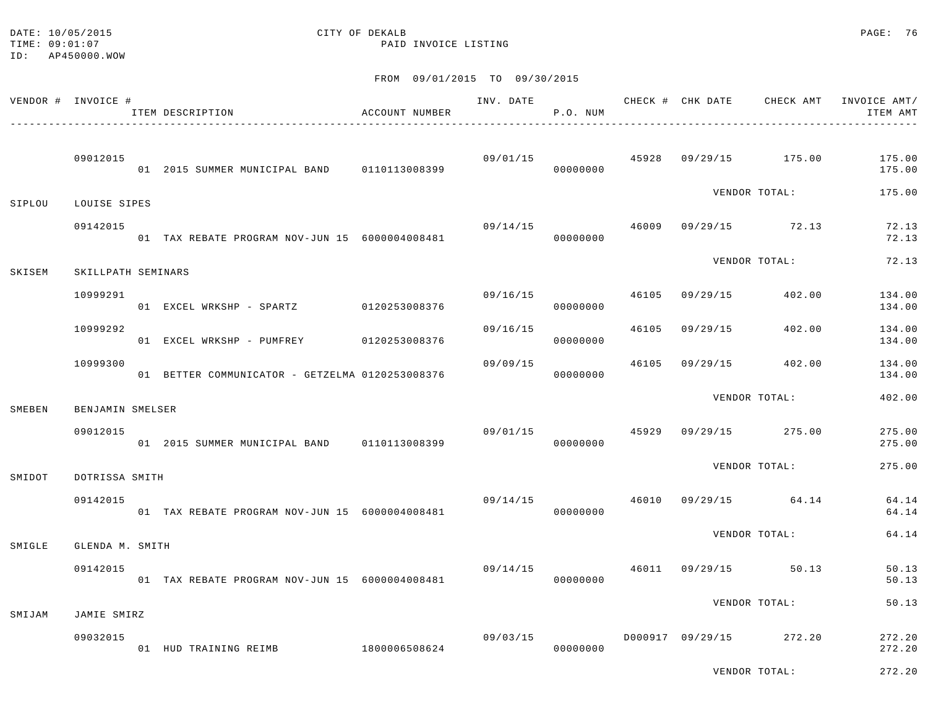### DATE: 10/05/2015 CITY OF DEKALB PAGE: 76 TIME:  $09:01:07$  PAID INVOICE LISTING

FROM 09/01/2015 TO 09/30/2015

| VENDOR # INVOICE # |                    | ITEM DESCRIPTION                                | ACCOUNT NUMBER | INV. DATE                      | P.O. NUM             |       |          |                         | ITEM AMT         |
|--------------------|--------------------|-------------------------------------------------|----------------|--------------------------------|----------------------|-------|----------|-------------------------|------------------|
|                    | 09012015           | 01 2015 SUMMER MUNICIPAL BAND 0110113008399     |                | 09/01/15 45928 09/29/15 175.00 | 00000000             |       |          |                         | 175.00<br>175.00 |
| SIPLOU             | LOUISE SIPES       |                                                 |                |                                |                      |       |          | VENDOR TOTAL:           | 175.00           |
|                    | 09142015           | 01 TAX REBATE PROGRAM NOV-JUN 15 6000004008481  |                | 09/14/15                       | 00000000             |       |          | 46009 09/29/15 72.13    | 72.13<br>72.13   |
| SKISEM             | SKILLPATH SEMINARS |                                                 |                |                                |                      |       |          | VENDOR TOTAL:           | 72.13            |
|                    | 10999291           | 01 EXCEL WRKSHP - SPARTZ 0120253008376          |                | 09/16/15                       | 00000000             | 46105 |          | 09/29/15 402.00         | 134.00<br>134.00 |
|                    | 10999292           | 01 EXCEL WRKSHP - PUMFREY 0120253008376         |                | 09/16/15                       | 00000000             | 46105 |          | 09/29/15 402.00         | 134.00<br>134.00 |
|                    | 10999300           | 01 BETTER COMMUNICATOR - GETZELMA 0120253008376 |                | 09/09/15                       | 00000000             | 46105 | 09/29/15 | 402.00                  | 134.00<br>134.00 |
| SMEBEN             | BENJAMIN SMELSER   |                                                 |                |                                |                      |       |          | VENDOR TOTAL:           | 402.00           |
|                    | 09012015           | 01 2015 SUMMER MUNICIPAL BAND 0110113008399     |                |                                | 09/01/15<br>00000000 | 45929 |          | 09/29/15 275.00         | 275.00<br>275.00 |
| SMIDOT             | DOTRISSA SMITH     |                                                 |                |                                |                      |       |          | VENDOR TOTAL:           | 275.00           |
|                    | 09142015           | 01 TAX REBATE PROGRAM NOV-JUN 15 6000004008481  |                | 09/14/15                       | 00000000             |       |          | 46010 09/29/15 64.14    | 64.14<br>64.14   |
| SMIGLE             | GLENDA M. SMITH    |                                                 |                |                                |                      |       |          | VENDOR TOTAL:           | 64.14            |
|                    | 09142015           | 01 TAX REBATE PROGRAM NOV-JUN 15 6000004008481  |                |                                | 09/14/15<br>00000000 | 46011 |          | 09/29/15 50.13          | 50.13<br>50.13   |
| SMIJAM             | JAMIE SMIRZ        |                                                 |                |                                |                      |       |          | VENDOR TOTAL:           | 50.13            |
|                    | 09032015           | 01 HUD TRAINING REIMB                           | 1800006508624  | 09/03/15                       | 00000000             |       |          | D000917 09/29/15 272.20 | 272.20<br>272.20 |

VENDOR TOTAL: 272.20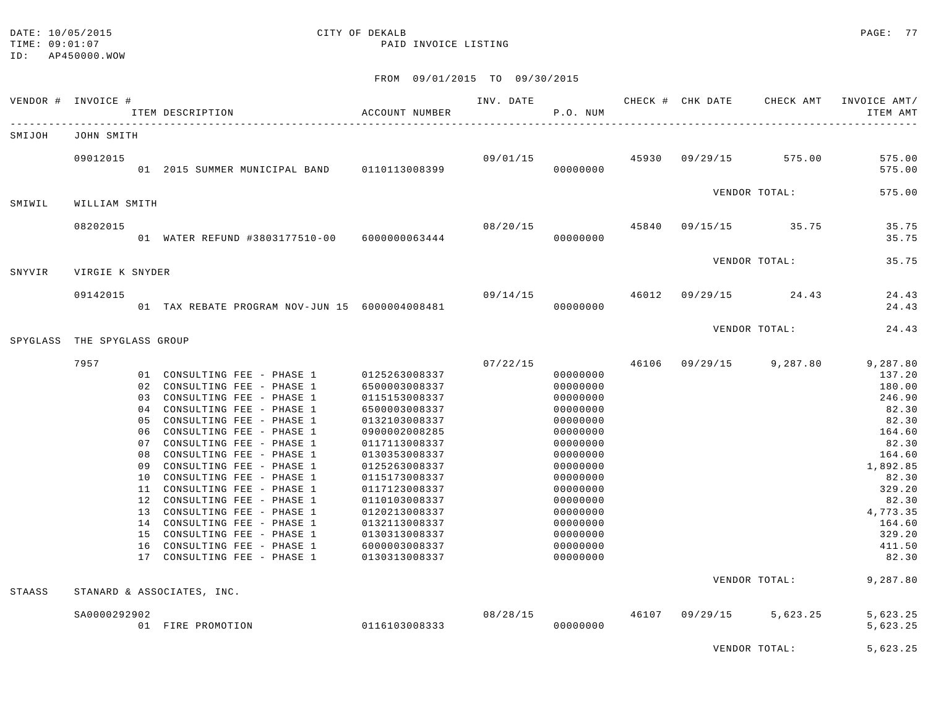### DATE: 10/05/2015 CITY OF DEKALB PAGE: 77 TIME:  $09:01:07$  PAID INVOICE LISTING

|          | VENDOR # INVOICE # |    | ITEM DESCRIPTION                                        | ACCOUNT NUMBER                 | INV. DATE | P.O. NUM             |  | CHECK # CHK DATE CHECK AMT            | INVOICE AMT/<br>ITEM AMT |
|----------|--------------------|----|---------------------------------------------------------|--------------------------------|-----------|----------------------|--|---------------------------------------|--------------------------|
| SMIJOH   | JOHN SMITH         |    |                                                         |                                |           |                      |  |                                       |                          |
|          | 09012015           |    | 01 2015 SUMMER MUNICIPAL BAND 0110113008399             |                                |           | 00000000             |  | 09/01/15 45930 09/29/15 575.00        | 575.00<br>575.00         |
| SMIWIL   | WILLIAM SMITH      |    |                                                         |                                |           |                      |  | VENDOR TOTAL:                         | 575.00                   |
|          | 08202015           |    |                                                         |                                | 08/20/15  |                      |  | 45840 09/15/15 35.75                  | 35.75                    |
|          |                    |    | 01 WATER REFUND #3803177510-00 6000000063444            |                                |           | 00000000             |  |                                       | 35.75                    |
| SNYVIR   | VIRGIE K SNYDER    |    |                                                         |                                |           |                      |  | VENDOR TOTAL:                         | 35.75                    |
|          | 09142015           |    |                                                         |                                |           |                      |  | $09/14/15$ $46012$ $09/29/15$ $24.43$ | 24.43                    |
|          |                    |    | 01 TAX REBATE PROGRAM NOV-JUN 15 6000004008481          |                                |           | 00000000             |  |                                       | 24.43                    |
| SPYGLASS | THE SPYGLASS GROUP |    |                                                         |                                |           |                      |  | VENDOR TOTAL:                         | 24.43                    |
|          | 7957               |    |                                                         |                                | 07/22/15  |                      |  | 46106 09/29/15 9,287.80               | 9,287.80                 |
|          |                    |    | 01 CONSULTING FEE - PHASE 1                             | 0125263008337                  |           | 00000000             |  |                                       | 137.20                   |
|          |                    |    | 02 CONSULTING FEE - PHASE 1                             | 6500003008337                  |           | 00000000             |  |                                       | 180.00                   |
|          |                    |    | 03 CONSULTING FEE - PHASE 1                             | 0115153008337                  |           | 00000000             |  |                                       | 246.90                   |
|          |                    |    | 04 CONSULTING FEE - PHASE 1                             | 6500003008337                  |           | 00000000             |  |                                       | 82.30                    |
|          |                    |    | 05 CONSULTING FEE - PHASE 1                             | 0132103008337                  |           | 00000000             |  |                                       | 82.30                    |
|          |                    |    | 06 CONSULTING FEE - PHASE 1                             | 0900002008285                  |           | 00000000             |  |                                       | 164.60                   |
|          |                    |    | 07 CONSULTING FEE - PHASE 1                             | 0117113008337                  |           | 00000000             |  |                                       | 82.30                    |
|          |                    |    | 08 CONSULTING FEE - PHASE 1                             | 0130353008337                  |           | 00000000             |  |                                       | 164.60                   |
|          |                    |    | 09 CONSULTING FEE - PHASE 1                             | 0125263008337                  |           | 00000000             |  |                                       | 1,892.85                 |
|          |                    | 10 | CONSULTING FEE - PHASE 1                                | 0115173008337                  |           | 00000000             |  |                                       | 82.30                    |
|          |                    | 12 | 11 CONSULTING FEE - PHASE 1<br>CONSULTING FEE - PHASE 1 | 0117123008337                  |           | 00000000             |  |                                       | 329.20<br>82.30          |
|          |                    |    | 13 CONSULTING FEE - PHASE 1                             | 0110103008337<br>0120213008337 |           | 00000000<br>00000000 |  |                                       | 4,773.35                 |
|          |                    |    | 14 CONSULTING FEE - PHASE 1                             | 0132113008337                  |           | 00000000             |  |                                       | 164.60                   |
|          |                    |    | 15 CONSULTING FEE - PHASE 1                             | 0130313008337                  |           | 00000000             |  |                                       | 329.20                   |
|          |                    |    | 16 CONSULTING FEE - PHASE 1                             | 6000003008337                  |           | 00000000             |  |                                       | 411.50                   |
|          |                    |    | 17 CONSULTING FEE - PHASE 1                             | 0130313008337                  |           | 00000000             |  |                                       | 82.30                    |
|          |                    |    |                                                         |                                |           |                      |  | VENDOR TOTAL:                         | 9,287.80                 |
| STAASS   |                    |    | STANARD & ASSOCIATES, INC.                              |                                |           |                      |  |                                       |                          |
|          | SA0000292902       |    |                                                         |                                | 08/28/15  |                      |  | 46107 09/29/15 5,623.25               | 5,623.25                 |
|          |                    |    | 01 FIRE PROMOTION                                       | 0116103008333                  |           | 00000000             |  |                                       | 5,623.25                 |
|          |                    |    |                                                         |                                |           |                      |  | VENDOR TOTAL:                         | 5,623.25                 |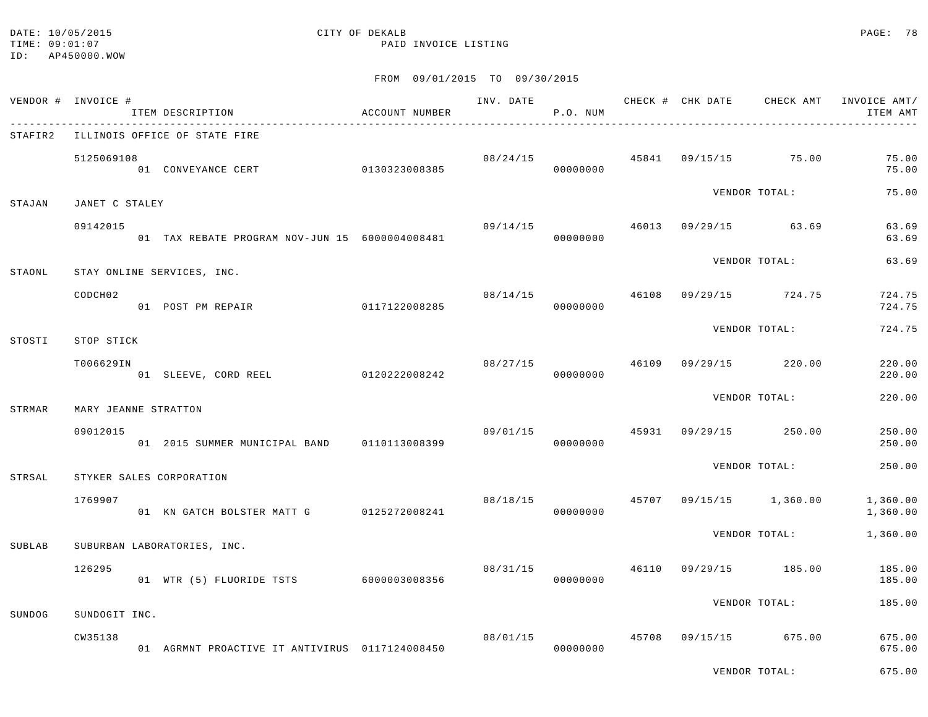### DATE: 10/05/2015 CITY OF DEKALB PAGE: 78 TIME:  $09:01:07$  PAID INVOICE LISTING

### FROM 09/01/2015 TO 09/30/2015

| VENDOR # INVOICE # |                      | ITEM DESCRIPTION                               | ACCOUNT NUMBER | INV. DATE | P.O. NUM             |       |                                       |                         | CHECK # CHK DATE CHECK AMT INVOICE AMT/<br>ITEM AMT |
|--------------------|----------------------|------------------------------------------------|----------------|-----------|----------------------|-------|---------------------------------------|-------------------------|-----------------------------------------------------|
| STAFIR2            |                      | ILLINOIS OFFICE OF STATE FIRE                  |                |           |                      |       |                                       |                         |                                                     |
|                    | 5125069108           | <br>01 CONVEYANCE CERT 0130323008385           |                |           | 00000000             |       | $08/24/15$ $45841$ $09/15/15$ $75.00$ |                         | 75.00<br>75.00                                      |
| STAJAN             | JANET C STALEY       |                                                |                |           |                      |       |                                       | VENDOR TOTAL:           | 75.00                                               |
|                    | 09142015             | 01 TAX REBATE PROGRAM NOV-JUN 15 6000004008481 |                | 09/14/15  | 00000000             |       | 46013 09/29/15 63.69                  |                         | 63.69<br>63.69                                      |
| STAONL             |                      | STAY ONLINE SERVICES, INC.                     |                |           |                      |       |                                       | VENDOR TOTAL:           | 63.69                                               |
|                    | CODCH <sub>02</sub>  | 01 POST PM REPAIR                              | 0117122008285  |           | 08/14/15<br>00000000 | 46108 |                                       | 09/29/15 724.75         | 724.75<br>724.75                                    |
| STOSTI             | STOP STICK           |                                                |                |           |                      |       |                                       | VENDOR TOTAL:           | 724.75                                              |
|                    | T006629IN            | 01 SLEEVE, CORD REEL 0120222008242             |                | 08/27/15  | 00000000             |       | 46109 09/29/15 220.00                 |                         | 220.00<br>220.00                                    |
|                    |                      |                                                |                |           |                      |       |                                       | VENDOR TOTAL:           | 220.00                                              |
| STRMAR             | MARY JEANNE STRATTON |                                                |                |           |                      |       |                                       |                         |                                                     |
|                    | 09012015             | 01 2015 SUMMER MUNICIPAL BAND 0110113008399    |                |           | 09/01/15<br>00000000 |       | 45931 09/29/15 250.00                 |                         | 250.00<br>250.00                                    |
| STRSAL             |                      | STYKER SALES CORPORATION                       |                |           |                      |       |                                       | VENDOR TOTAL:           | 250.00                                              |
|                    | 1769907              | 01 KN GATCH BOLSTER MATT G 0125272008241       |                | 08/18/15  | 00000000             |       |                                       | 45707 09/15/15 1,360.00 | 1,360.00<br>1,360.00                                |
| SUBLAB             |                      | SUBURBAN LABORATORIES, INC.                    |                |           |                      |       |                                       | VENDOR TOTAL:           | 1,360.00                                            |
|                    | 126295               | 01 WTR (5) FLUORIDE TSTS 6000003008356         |                |           | 08/31/15<br>00000000 | 46110 |                                       | 09/29/15 185.00         | 185.00<br>185.00                                    |
| SUNDOG             | SUNDOGIT INC.        |                                                |                |           |                      |       |                                       | VENDOR TOTAL:           | 185.00                                              |
|                    | CW35138              | 01 AGRMNT PROACTIVE IT ANTIVIRUS 0117124008450 |                | 08/01/15  | 00000000             |       | 45708 09/15/15 675.00                 |                         | 675.00<br>675.00                                    |

VENDOR TOTAL: 675.00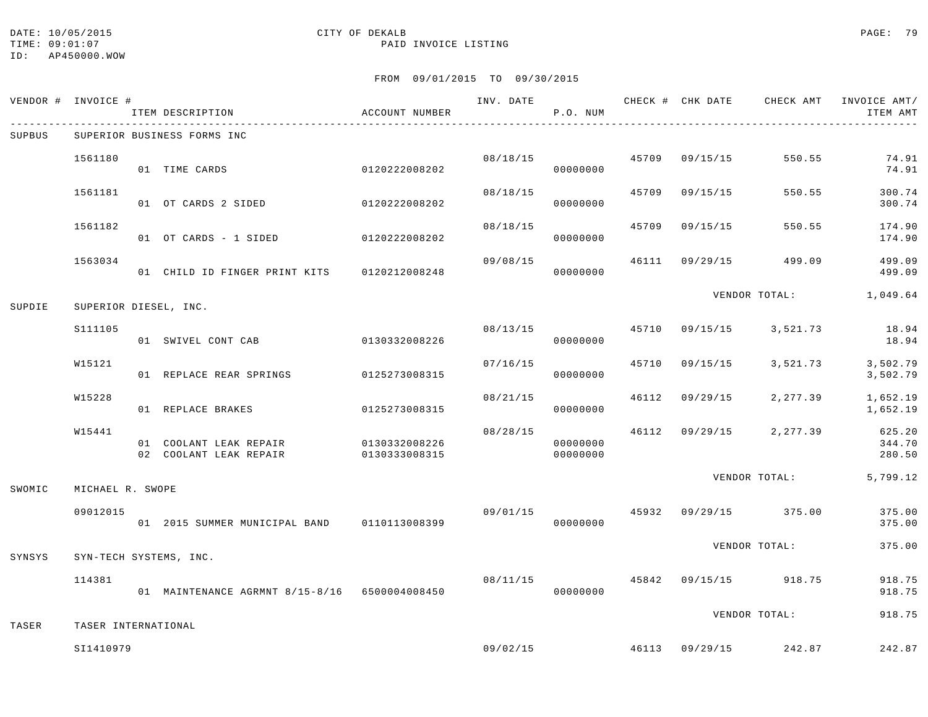TIME:  $09:01:07$  PAID INVOICE LISTING

ID: AP450000.WOW

## DATE: 10/05/2015 CITY OF DEKALB PAGE: 79

|        | VENDOR # INVOICE #    | ITEM DESCRIPTION                                               | ACCOUNT NUMBER |          | P.O. NUM             |       |                |                                        | INV. DATE 6 CHECK # CHK DATE CHECK AMT INVOICE AMT/<br>ITEM AMT |
|--------|-----------------------|----------------------------------------------------------------|----------------|----------|----------------------|-------|----------------|----------------------------------------|-----------------------------------------------------------------|
| SUPBUS |                       | SUPERIOR BUSINESS FORMS INC                                    |                |          |                      |       |                |                                        |                                                                 |
|        | 1561180               | 01 TIME CARDS                                                  | 0120222008202  |          | 08/18/15<br>00000000 |       | 45709 09/15/15 | 550.55                                 | 74.91<br>74.91                                                  |
|        | 1561181               | 01 OT CARDS 2 SIDED                                            | 0120222008202  | 08/18/15 | 00000000             | 45709 | 09/15/15       | 550.55                                 | 300.74<br>300.74                                                |
|        | 1561182               | 01 OT CARDS - 1 SIDED 0120222008202                            |                | 08/18/15 | 00000000             |       | 45709 09/15/15 | 550.55                                 | 174.90<br>174.90                                                |
|        | 1563034               | 01 CHILD ID FINGER PRINT KITS 0120212008248                    |                | 09/08/15 | 00000000             |       | 46111 09/29/15 | 499.09                                 | 499.09<br>499.09                                                |
| SUPDIE | SUPERIOR DIESEL, INC. |                                                                |                |          |                      |       |                | VENDOR TOTAL:                          | 1,049.64                                                        |
|        | S111105               | 01 SWIVEL CONT CAB                                             | 0130332008226  |          | 08/13/15<br>00000000 |       |                | 45710 09/15/15 3,521.73                | 18.94<br>18.94                                                  |
|        | W15121                | 01 REPLACE REAR SPRINGS 0125273008315                          |                | 07/16/15 | 00000000             | 45710 |                | 09/15/15 3,521.73                      | 3,502.79<br>3,502.79                                            |
|        | W15228                | 01 REPLACE BRAKES                                              | 0125273008315  |          | 08/21/15<br>00000000 | 46112 | 09/29/15       | 2,277.39                               | 1,652.19<br>1,652.19                                            |
|        | W15441                | 01 COOLANT LEAK REPAIR 0130332008226<br>02 COOLANT LEAK REPAIR | 0130333008315  | 08/28/15 | 00000000<br>00000000 |       |                | 46112 09/29/15 2,277.39                | 625.20<br>344.70<br>280.50                                      |
| SWOMIC | MICHAEL R. SWOPE      |                                                                |                |          |                      |       |                | VENDOR TOTAL:                          | 5,799.12                                                        |
|        | 09012015              | 01  2015  SUMMER MUNICIPAL BAND   0110113008399                |                |          | 00000000             |       |                | $09/01/15$ $45932$ $09/29/15$ $375.00$ | 375.00<br>375.00                                                |
| SYNSYS |                       | SYN-TECH SYSTEMS, INC.                                         |                |          |                      |       |                | VENDOR TOTAL:                          | 375.00                                                          |
|        | 114381                | 01 MAINTENANCE AGRMNT 8/15-8/16 6500004008450                  |                | 08/11/15 | 00000000             |       |                | 45842 09/15/15 918.75                  | 918.75<br>918.75                                                |
| TASER  | TASER INTERNATIONAL   |                                                                |                |          |                      |       |                | VENDOR TOTAL:                          | 918.75                                                          |
|        | SI1410979             |                                                                |                | 09/02/15 |                      |       |                | 46113 09/29/15 242.87                  | 242.87                                                          |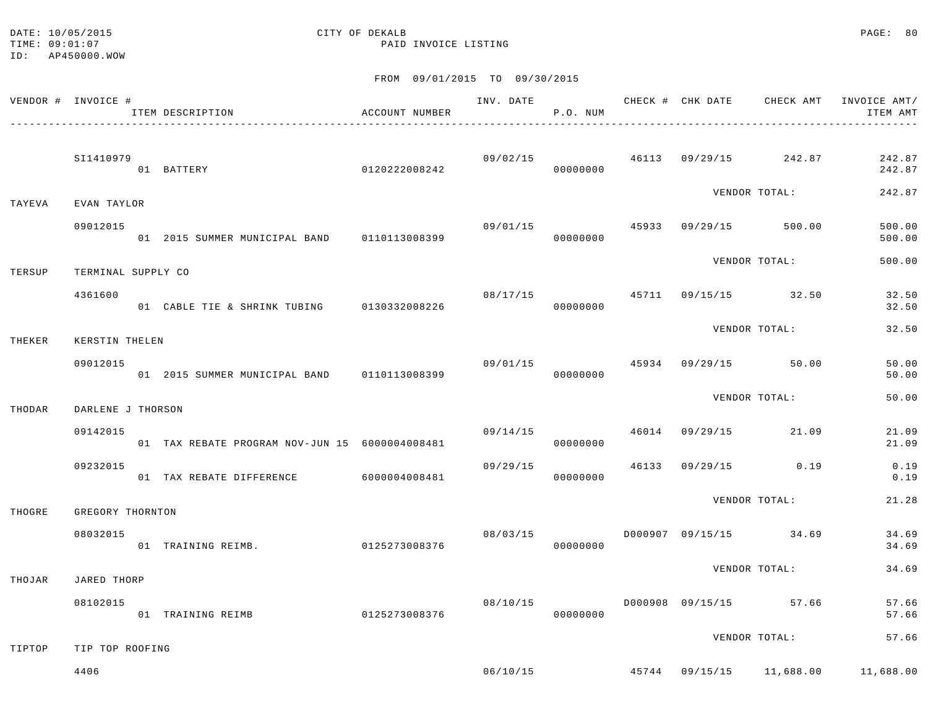DATE: 10/05/2015 CITY OF DEKALB PAGE: 80 TIME:  $09:01:07$  PAID INVOICE LISTING

ID: AP450000.WOW

|        | VENDOR # INVOICE # | ITEM DESCRIPTION                               | ACCOUNT NUMBER |          | P.O. NUM |  |                                        | INV. DATE 6 7 200 CHECK # CHK DATE 6 CHECK AMT INVOICE AMT/<br>ITEM AMT |
|--------|--------------------|------------------------------------------------|----------------|----------|----------|--|----------------------------------------|-------------------------------------------------------------------------|
|        | SI1410979          | 0120222008242<br>01 BATTERY                    |                |          | 00000000 |  | $09/02/15$ $46113$ $09/29/15$ $242.87$ | 242.87<br>242.87                                                        |
| TAYEVA | EVAN TAYLOR        |                                                |                |          |          |  | VENDOR TOTAL:                          | 242.87                                                                  |
|        | 09012015           | 01 2015 SUMMER MUNICIPAL BAND 0110113008399    |                | 09/01/15 | 00000000 |  | 45933 09/29/15 500.00                  | 500.00<br>500.00                                                        |
| TERSUP | TERMINAL SUPPLY CO |                                                |                |          |          |  | VENDOR TOTAL:                          | 500.00                                                                  |
|        | 4361600            | 01 CABLE TIE & SHRINK TUBING 0130332008226     |                | 08/17/15 | 00000000 |  | 45711 09/15/15 32.50                   | 32.50<br>32.50                                                          |
| THEKER | KERSTIN THELEN     |                                                |                |          |          |  | VENDOR TOTAL:                          | 32.50                                                                   |
|        | 09012015           | 01 2015 SUMMER MUNICIPAL BAND 0110113008399    |                |          | 00000000 |  | 09/01/15 45934 09/29/15 50.00          | 50.00<br>50.00                                                          |
| THODAR | DARLENE J THORSON  |                                                |                |          |          |  | VENDOR TOTAL:                          | 50.00                                                                   |
|        | 09142015           | 01 TAX REBATE PROGRAM NOV-JUN 15 6000004008481 |                | 09/14/15 | 00000000 |  | 46014 09/29/15 21.09                   | 21.09<br>21.09                                                          |
|        | 09232015           | 01 TAX REBATE DIFFERENCE 6000004008481         |                | 09/29/15 | 00000000 |  | 46133 09/29/15 0.19                    | 0.19<br>0.19                                                            |
| THOGRE | GREGORY THORNTON   |                                                |                |          |          |  | VENDOR TOTAL:                          | 21.28                                                                   |
|        | 08032015           | 01 TRAINING REIMB.                             | 0125273008376  |          | 00000000 |  |                                        | 34.69<br>34.69                                                          |
| THOJAR | JARED THORP        |                                                |                |          |          |  | VENDOR TOTAL:                          | 34.69                                                                   |
|        | 08102015           | 01 TRAINING REIMB                              | 0125273008376  | 08/10/15 | 00000000 |  | D000908 09/15/15 57.66                 | 57.66<br>57.66                                                          |
| TIPTOP | TIP TOP ROOFING    |                                                |                |          |          |  | VENDOR TOTAL:                          | 57.66                                                                   |
|        | 4406               |                                                |                |          |          |  |                                        | 06/10/15 45744 09/15/15 11,688.00 11,688.00                             |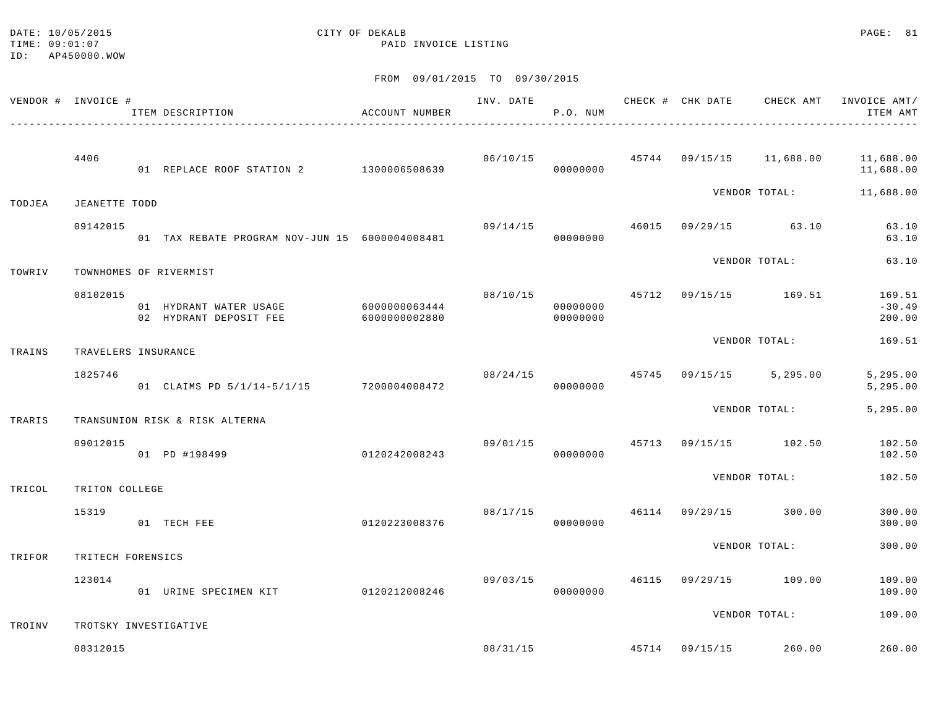### DATE: 10/05/2015 CITY OF DEKALB PAGE: 81 TIME:  $09:01:07$  PAID INVOICE LISTING

|        | VENDOR # INVOICE #  | ITEM DESCRIPTION                                 | ACCOUNT NUMBER                 | INV. DATE 6 0 0 0HECK # CHK DATE 6 0HECK AMT | P.O. NUM             |  |                                   | INVOICE AMT/<br>ITEM AMT                                           |
|--------|---------------------|--------------------------------------------------|--------------------------------|----------------------------------------------|----------------------|--|-----------------------------------|--------------------------------------------------------------------|
|        | 4406                | 01 REPLACE ROOF STATION 2 1300006508639          |                                |                                              | 00000000             |  |                                   | $06/10/15$ $45744$ $09/15/15$ $11,688.00$ $11,688.00$<br>11,688.00 |
| TODJEA | JEANETTE TODD       |                                                  |                                |                                              |                      |  | VENDOR TOTAL:                     | 11,688.00                                                          |
|        | 09142015            | 01 TAX REBATE PROGRAM NOV-JUN 15 6000004008481   |                                | 09/14/15                                     | 00000000             |  | 46015 09/29/15 63.10              | 63.10<br>63.10                                                     |
| TOWRIV |                     | TOWNHOMES OF RIVERMIST                           |                                |                                              |                      |  | VENDOR TOTAL:                     | 63.10                                                              |
|        | 08102015            | 01 HYDRANT WATER USAGE<br>02 HYDRANT DEPOSIT FEE | 6000000063444<br>6000000002880 |                                              | 00000000<br>00000000 |  | 08/10/15  45712  09/15/15  169.51 | 169.51<br>$-30.49$<br>200.00                                       |
| TRAINS | TRAVELERS INSURANCE |                                                  |                                |                                              |                      |  | VENDOR TOTAL:                     | 169.51                                                             |
|        | 1825746             | 01 CLAIMS PD 5/1/14-5/1/15 7200004008472         |                                | 08/24/15                                     | 00000000             |  | 45745 09/15/15 5,295.00           | 5,295.00<br>5,295.00                                               |
| TRARIS |                     | TRANSUNION RISK & RISK ALTERNA                   |                                |                                              |                      |  | VENDOR TOTAL:                     | 5,295.00                                                           |
|        | 09012015            | 01 PD #198499                                    | 0120242008243                  |                                              | 00000000             |  | 09/01/15 45713 09/15/15 102.50    | 102.50<br>102.50                                                   |
| TRICOL | TRITON COLLEGE      |                                                  |                                |                                              |                      |  | VENDOR TOTAL:                     | 102.50                                                             |
|        | 15319               | 01 TECH FEE                                      | 0120223008376                  | 08/17/15                                     | 00000000             |  | 46114 09/29/15 300.00             | 300.00<br>300.00                                                   |
| TRIFOR | TRITECH FORENSICS   |                                                  |                                |                                              |                      |  | VENDOR TOTAL:                     | 300.00                                                             |
|        | 123014              | 01 URINE SPECIMEN KIT                            | 0120212008246                  | 09/03/15                                     | 00000000             |  | 46115 09/29/15 109.00             | 109.00<br>109.00                                                   |
| TROINV |                     | TROTSKY INVESTIGATIVE                            |                                |                                              |                      |  | VENDOR TOTAL:                     | 109.00                                                             |
|        | 08312015            |                                                  |                                |                                              | 08/31/15             |  | 45714 09/15/15 260.00             | 260.00                                                             |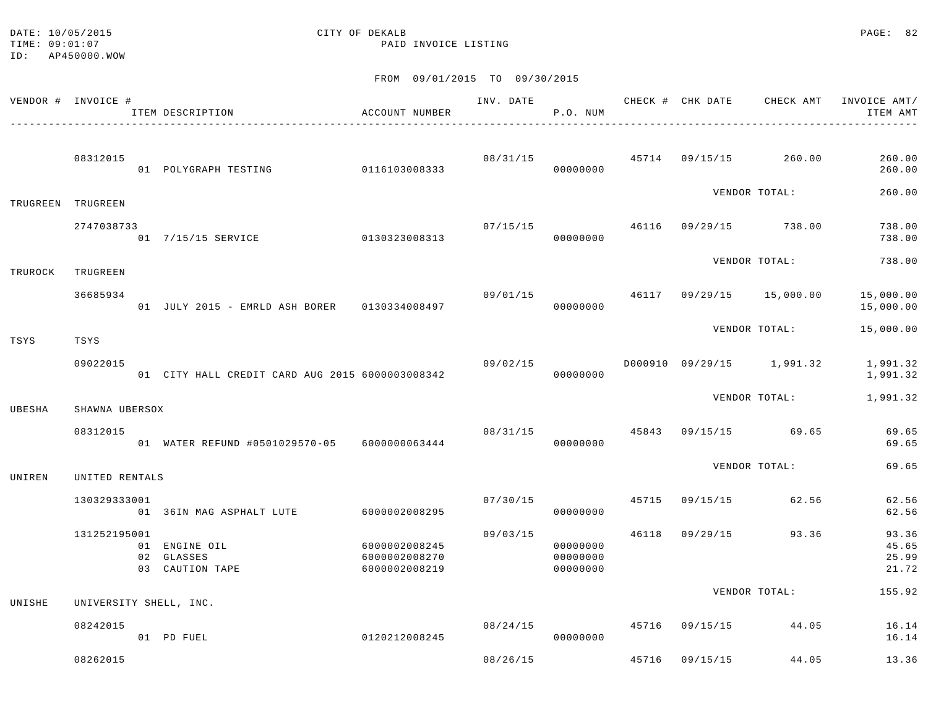TIME:  $09:01:07$  PAID INVOICE LISTING ID: AP450000.WOW

# DATE: 10/05/2015 CITY OF DEKALB PAGE: 82

|         | VENDOR # INVOICE #     | ITEM DESCRIPTION<br>_____________________________________ | ACCOUNT NUMBER                                  | INV. DATE | P.O. NUM                         |       |                | CHECK # CHK DATE CHECK AMT        | INVOICE AMT/<br>ITEM AMT         |
|---------|------------------------|-----------------------------------------------------------|-------------------------------------------------|-----------|----------------------------------|-------|----------------|-----------------------------------|----------------------------------|
|         | 08312015               | 01 POLYGRAPH TESTING 0116103008333                        |                                                 | 08/31/15  | 00000000                         |       |                | 45714 09/15/15 260.00             | 260.00<br>260.00                 |
|         | TRUGREEN TRUGREEN      |                                                           |                                                 |           |                                  |       |                | VENDOR TOTAL:                     | 260.00                           |
|         | 2747038733             | 01 7/15/15 SERVICE 0130323008313                          |                                                 | 07/15/15  | 00000000                         |       |                | 46116 09/29/15 738.00             | 738.00<br>738.00                 |
| TRUROCK | TRUGREEN               |                                                           |                                                 |           |                                  |       |                | VENDOR TOTAL:                     | 738.00                           |
|         | 36685934               | 01 JULY 2015 - EMRLD ASH BORER 0130334008497              |                                                 |           | 00000000                         |       |                | 09/01/15 46117 09/29/15 15,000.00 | 15,000.00<br>15,000.00           |
| TSYS    | TSYS                   |                                                           |                                                 |           |                                  |       |                | VENDOR TOTAL:                     | 15,000.00                        |
|         | 09022015               | 01 CITY HALL CREDIT CARD AUG 2015 6000003008342           |                                                 | 09/02/15  | 00000000                         |       |                | D000910 09/29/15 1,991.32         | 1,991.32<br>1,991.32             |
| UBESHA  | SHAWNA UBERSOX         |                                                           |                                                 |           |                                  |       |                | VENDOR TOTAL:                     | 1,991.32                         |
|         | 08312015               | 01 WATER REFUND #0501029570-05 6000000063444              |                                                 | 08/31/15  | 00000000                         | 45843 |                | 09/15/15 69.65                    | 69.65<br>69.65                   |
| UNIREN  | UNITED RENTALS         |                                                           |                                                 |           |                                  |       |                | VENDOR TOTAL:                     | 69.65                            |
|         | 130329333001           | 01 36IN MAG ASPHALT LUTE                                  | 6000002008295                                   | 07/30/15  | 00000000                         |       | 45715 09/15/15 | 62.56                             | 62.56<br>62.56                   |
|         | 131252195001           | 01 ENGINE OIL<br>02 GLASSES<br>03 CAUTION TAPE            | 6000002008245<br>6000002008270<br>6000002008219 | 09/03/15  | 00000000<br>00000000<br>00000000 |       | 46118 09/29/15 | 93.36                             | 93.36<br>45.65<br>25.99<br>21.72 |
| UNISHE  | UNIVERSITY SHELL, INC. |                                                           |                                                 |           |                                  |       |                | VENDOR TOTAL:                     | 155.92                           |
|         | 08242015               | 01 PD FUEL                                                | 0120212008245                                   | 08/24/15  | 00000000                         |       | 45716 09/15/15 | 44.05                             | 16.14<br>16.14                   |
|         | 08262015               |                                                           |                                                 | 08/26/15  |                                  | 45716 | 09/15/15       | 44.05                             | 13.36                            |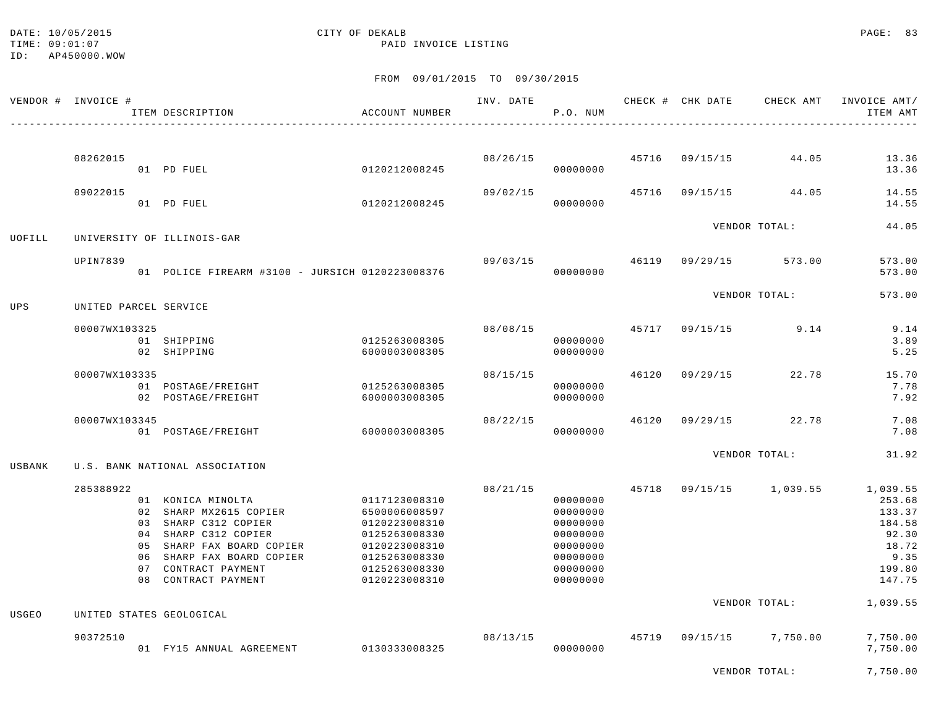### DATE: 10/05/2015 CITY OF DEKALB PAGE: 83 TIME:  $09:01:07$  PAID INVOICE LISTING

|        | VENDOR # INVOICE #    | ITEM DESCRIPTION                                                                                                                                                                                    | ACCOUNT NUMBER                                                                                                                       | INV. DATE | P.O. NUM                                                                                     |                | CHECK # CHK DATE CHECK AMT | INVOICE AMT/<br>ITEM AMT                                                             |
|--------|-----------------------|-----------------------------------------------------------------------------------------------------------------------------------------------------------------------------------------------------|--------------------------------------------------------------------------------------------------------------------------------------|-----------|----------------------------------------------------------------------------------------------|----------------|----------------------------|--------------------------------------------------------------------------------------|
|        |                       |                                                                                                                                                                                                     |                                                                                                                                      |           |                                                                                              |                |                            |                                                                                      |
|        | 08262015              | 01 PD FUEL                                                                                                                                                                                          | 0120212008245                                                                                                                        |           | 08/26/15<br>00000000                                                                         |                | 45716 09/15/15 44.05       | 13.36<br>13.36                                                                       |
|        | 09022015              | 01 PD FUEL                                                                                                                                                                                          | 0120212008245                                                                                                                        | 09/02/15  | 00000000                                                                                     |                | 45716 09/15/15 44.05       | 14.55<br>14.55                                                                       |
| UOFILL |                       | UNIVERSITY OF ILLINOIS-GAR                                                                                                                                                                          |                                                                                                                                      |           |                                                                                              |                | VENDOR TOTAL:              | 44.05                                                                                |
|        | UPIN7839              | 01 POLICE FIREARM #3100 - JURSICH 0120223008376                                                                                                                                                     |                                                                                                                                      | 09/03/15  | 00000000                                                                                     |                | 46119 09/29/15 573.00      | 573.00<br>573.00                                                                     |
| UPS    | UNITED PARCEL SERVICE |                                                                                                                                                                                                     |                                                                                                                                      |           |                                                                                              |                | VENDOR TOTAL:              | 573.00                                                                               |
|        | 00007WX103325         | 01 SHIPPING<br>02 SHIPPING                                                                                                                                                                          | 0125263008305<br>6000003008305                                                                                                       | 08/08/15  | 00000000<br>00000000                                                                         |                | 45717 09/15/15 9.14        | 9.14<br>3.89<br>5.25                                                                 |
|        | 00007WX103335         | 01 POSTAGE/FREIGHT<br>02 POSTAGE/FREIGHT                                                                                                                                                            | 0125263008305<br>6000003008305                                                                                                       | 08/15/15  | 00000000<br>00000000                                                                         | 46120 09/29/15 | 22.78                      | 15.70<br>7.78<br>7.92                                                                |
|        | 00007WX103345         | 01 POSTAGE/FREIGHT                                                                                                                                                                                  | 60000003008305                                                                                                                       | 08/22/15  | 00000000                                                                                     |                | 46120 09/29/15 22.78       | 7.08<br>7.08                                                                         |
| USBANK |                       | U.S. BANK NATIONAL ASSOCIATION                                                                                                                                                                      |                                                                                                                                      |           |                                                                                              |                | VENDOR TOTAL:              | 31.92                                                                                |
|        | 285388922             | 01 KONICA MINOLTA<br>02 SHARP MX2615 COPIER<br>03 SHARP C312 COPIER<br>04 SHARP C312 COPIER<br>05 SHARP FAX BOARD COPIER<br>06 SHARP FAX BOARD COPIER<br>07 CONTRACT PAYMENT<br>08 CONTRACT PAYMENT | 0117123008310<br>6500006008597<br>0120223008310<br>0125263008330<br>0120223008310<br>0125263008330<br>0125263008330<br>0120223008310 | 08/21/15  | 00000000<br>00000000<br>00000000<br>00000000<br>00000000<br>00000000<br>00000000<br>00000000 |                | 45718 09/15/15 1,039.55    | 1,039.55<br>253.68<br>133.37<br>184.58<br>92.30<br>18.72<br>9.35<br>199.80<br>147.75 |
| USGEO  |                       | UNITED STATES GEOLOGICAL                                                                                                                                                                            |                                                                                                                                      |           |                                                                                              |                | VENDOR TOTAL:              | 1,039.55                                                                             |
|        | 90372510              | 01 FY15 ANNUAL AGREEMENT                                                                                                                                                                            | 0130333008325                                                                                                                        | 08/13/15  | 00000000                                                                                     |                | 45719 09/15/15 7,750.00    | 7,750.00<br>7,750.00                                                                 |
|        |                       |                                                                                                                                                                                                     |                                                                                                                                      |           |                                                                                              |                | VENDOR TOTAL:              | 7,750.00                                                                             |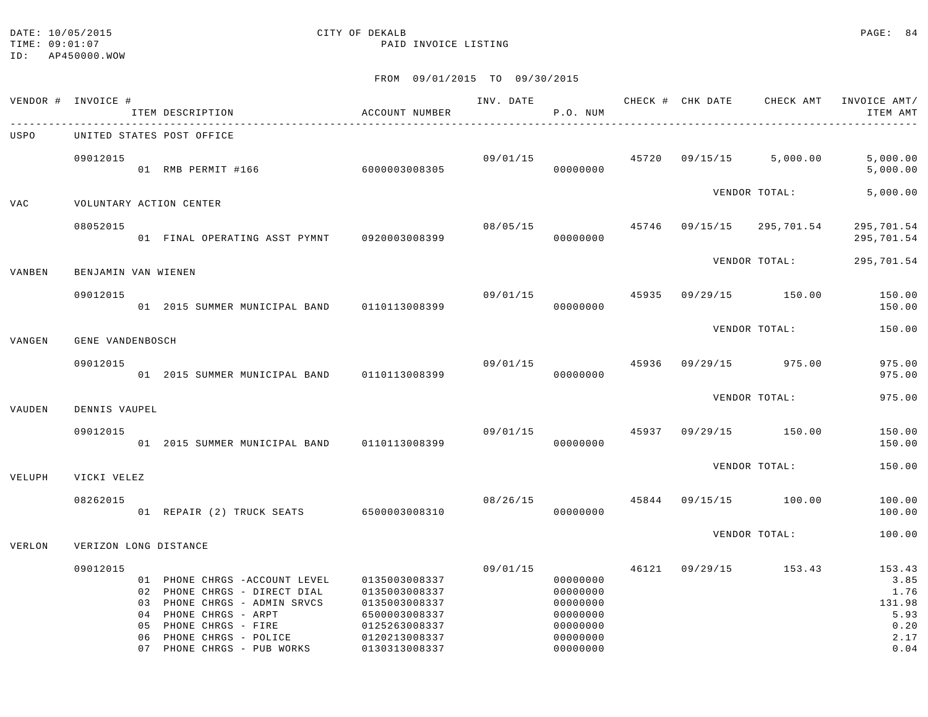### DATE: 10/05/2015 CITY OF DEKALB PAGE: 84 TIME:  $09:01:07$  PAID INVOICE LISTING

|            | VENDOR # INVOICE #    | ITEM DESCRIPTION                                                                                                                                                                                          | ACCOUNT NUMBER                                                                                                      | INV. DATE | P.O. NUM                                                                         |       |                | CHECK # CHK DATE CHECK AMT | INVOICE AMT/<br>ITEM AMT                                         |
|------------|-----------------------|-----------------------------------------------------------------------------------------------------------------------------------------------------------------------------------------------------------|---------------------------------------------------------------------------------------------------------------------|-----------|----------------------------------------------------------------------------------|-------|----------------|----------------------------|------------------------------------------------------------------|
| USPO       |                       | UNITED STATES POST OFFICE                                                                                                                                                                                 |                                                                                                                     |           |                                                                                  |       |                |                            |                                                                  |
|            | 09012015              | 01 RMB PERMIT #166 6000003008305                                                                                                                                                                          |                                                                                                                     |           | 09/01/15 45720<br>00000000                                                       |       |                | 09/15/15 5,000.00          | 5,000.00<br>5,000.00                                             |
| <b>VAC</b> |                       | VOLUNTARY ACTION CENTER                                                                                                                                                                                   |                                                                                                                     |           |                                                                                  |       |                | VENDOR TOTAL:              | 5,000.00                                                         |
|            | 08052015              | 01 FINAL OPERATING ASST PYMNT 0920003008399                                                                                                                                                               |                                                                                                                     | 08/05/15  | 45746<br>00000000                                                                |       |                | 09/15/15 295,701.54        | 295,701.54<br>295,701.54                                         |
| VANBEN     | BENJAMIN VAN WIENEN   |                                                                                                                                                                                                           |                                                                                                                     |           |                                                                                  |       |                | VENDOR TOTAL:              | 295,701.54                                                       |
|            | 09012015              | 01 2015 SUMMER MUNICIPAL BAND                                                                                                                                                                             | 0110113008399                                                                                                       | 09/01/15  | 00000000                                                                         | 45935 |                | 09/29/15 150.00            | 150.00<br>150.00                                                 |
| VANGEN     | GENE VANDENBOSCH      |                                                                                                                                                                                                           |                                                                                                                     |           |                                                                                  |       |                | VENDOR TOTAL:              | 150.00                                                           |
|            | 09012015              | 01 2015 SUMMER MUNICIPAL BAND 0110113008399                                                                                                                                                               |                                                                                                                     | 09/01/15  | 00000000                                                                         | 45936 |                | 09/29/15 975.00            | 975.00<br>975.00                                                 |
| VAUDEN     | DENNIS VAUPEL         |                                                                                                                                                                                                           |                                                                                                                     |           |                                                                                  |       |                | VENDOR TOTAL:              | 975.00                                                           |
|            | 09012015              | 01 2015 SUMMER MUNICIPAL BAND 0110113008399                                                                                                                                                               |                                                                                                                     | 09/01/15  | 00000000                                                                         |       | 45937 09/29/15 | 150.00                     | 150.00<br>150.00                                                 |
| VELUPH     | VICKI VELEZ           |                                                                                                                                                                                                           |                                                                                                                     |           |                                                                                  |       |                | VENDOR TOTAL:              | 150.00                                                           |
|            | 08262015              | 01 REPAIR (2) TRUCK SEATS 6500003008310                                                                                                                                                                   |                                                                                                                     |           | 08/26/15 45844<br>00000000                                                       |       | 09/15/15       | 100.00                     | 100.00<br>100.00                                                 |
| VERLON     | VERIZON LONG DISTANCE |                                                                                                                                                                                                           |                                                                                                                     |           |                                                                                  |       |                | VENDOR TOTAL:              | 100.00                                                           |
|            | 09012015              | 01 PHONE CHRGS - ACCOUNT LEVEL<br>02 PHONE CHRGS - DIRECT DIAL<br>03 PHONE CHRGS - ADMIN SRVCS<br>04 PHONE CHRGS - ARPT<br>05 PHONE CHRGS - FIRE<br>06 PHONE CHRGS - POLICE<br>07 PHONE CHRGS - PUB WORKS | 0135003008337<br>0135003008337<br>0135003008337<br>6500003008337<br>0125263008337<br>0120213008337<br>0130313008337 | 09/01/15  | 00000000<br>00000000<br>00000000<br>00000000<br>00000000<br>00000000<br>00000000 | 46121 |                | 09/29/15 153.43            | 153.43<br>3.85<br>1.76<br>131.98<br>5.93<br>0.20<br>2.17<br>0.04 |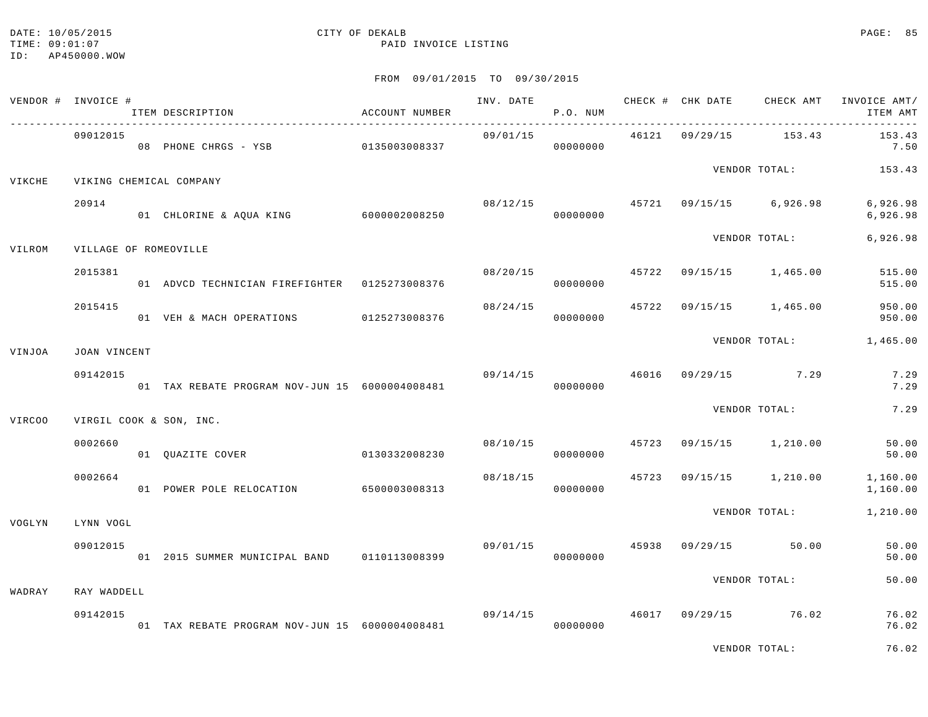TIME: 09:01:07 PAID INVOICE LISTING ID: AP450000.WOW

# DATE: 10/05/2015 CITY OF DEKALB PAGE: 85

VENDOR TOTAL: 76.02

| FROM | 09/01/2015 | TO | 09/30/2015 |  |
|------|------------|----|------------|--|
|      |            |    |            |  |

|        | VENDOR # INVOICE #    | ITEM DESCRIPTION                               | ACCOUNT NUMBER                        |          | P.O. NUM             |  |                                          | INV. DATE 6 1999 CHECK # CHK DATE 6 CHECK AMT INVOICE AMT<br>ITEM AMT |
|--------|-----------------------|------------------------------------------------|---------------------------------------|----------|----------------------|--|------------------------------------------|-----------------------------------------------------------------------|
|        | 09012015              | 08 PHONE CHRGS - YSB 0135003008337             |                                       |          | 00000000             |  | 09/01/15 46121 09/29/15 153.43           | 153.43<br>7.50                                                        |
| VIKCHE |                       | VIKING CHEMICAL COMPANY                        |                                       |          |                      |  |                                          | VENDOR TOTAL: 153.43                                                  |
|        | 20914                 | 01 CHLORINE & AQUA KING 6000002008250          |                                       |          | 00000000             |  | $08/12/15$ $45721$ $09/15/15$ $6,926.98$ | 6,926.98<br>6,926.98                                                  |
| VILROM | VILLAGE OF ROMEOVILLE |                                                |                                       |          |                      |  | VENDOR TOTAL:                            | 6,926.98                                                              |
|        | 2015381               | 01 ADVCD TECHNICIAN FIREFIGHTER  0125273008376 |                                       |          | 08/20/15<br>00000000 |  | 45722 09/15/15 1,465.00                  | 515.00<br>515.00                                                      |
|        | 2015415               | 01 VEH & MACH OPERATIONS 0125273008376         |                                       |          | 00000000             |  | $08/24/15$ $45722$ $09/15/15$ $1,465.00$ | 950.00<br>950.00                                                      |
| VINJOA | JOAN VINCENT          |                                                |                                       |          |                      |  |                                          | VENDOR TOTAL: 1,465.00                                                |
|        | 09142015              | 01 TAX REBATE PROGRAM NOV-JUN 15 6000004008481 |                                       |          | 00000000             |  | 09/14/15 46016 09/29/15 7.29             | 7.29<br>7.29                                                          |
| VIRCOO |                       | VIRGIL COOK & SON, INC.                        |                                       |          |                      |  | VENDOR TOTAL:                            | 7.29                                                                  |
|        | 0002660               | 01 QUAZITE COVER 0130332008230                 |                                       |          | 00000000             |  | $08/10/15$ $45723$ $09/15/15$ $1,210.00$ | 50.00<br>50.00                                                        |
|        | 0002664               | 01 POWER POLE RELOCATION 6500003008313         |                                       |          | 08/18/15<br>00000000 |  | 45723 09/15/15 1,210.00                  | 1,160.00<br>1,160.00                                                  |
| VOGLYN | LYNN VOGL             |                                                |                                       |          |                      |  | VENDOR TOTAL:                            | 1,210.00                                                              |
|        | 09012015              | 01 2015 SUMMER MUNICIPAL BAND 0110113008399    |                                       | 09/01/15 | 00000000             |  | 45938 09/29/15 50.00                     | 50.00<br>50.00                                                        |
| WADRAY | RAY WADDELL           |                                                |                                       |          |                      |  | VENDOR TOTAL:                            | 50.00                                                                 |
|        | 09142015              | 01 TAX REBATE PROGRAM NOV-JUN 15 6000004008481 | $09/14/15$ $46017$ $09/29/15$ $76.02$ |          | 00000000             |  |                                          | 76.02<br>76.02                                                        |
|        |                       |                                                |                                       |          |                      |  | $\ddot{\phantom{a}}$                     | $\Gamma$ $\Gamma$ $\sim$ 0.0                                          |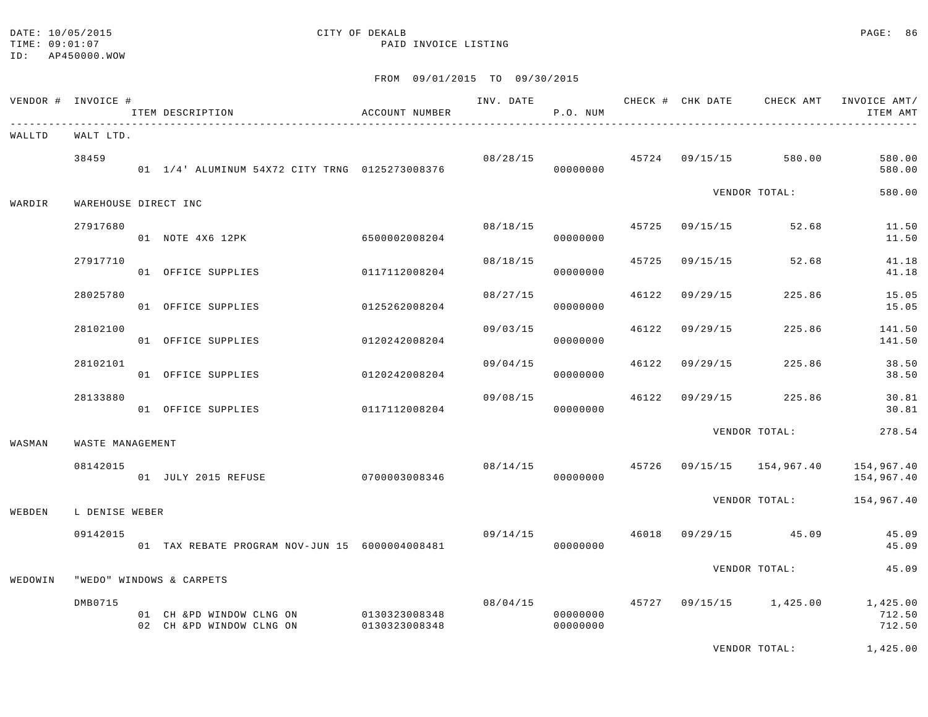### DATE: 10/05/2015 CITY OF DEKALB PAGE: 86 TIME:  $09:01:07$  PAID INVOICE LISTING

|         | VENDOR # INVOICE #   |                  | ITEM DESCRIPTION                                                    | ACCOUNT NUMBER |          | P.O. NUM             |       |                |                                       | ITEM AMT                                                                |
|---------|----------------------|------------------|---------------------------------------------------------------------|----------------|----------|----------------------|-------|----------------|---------------------------------------|-------------------------------------------------------------------------|
| WALLTD  | WALT LTD.            |                  |                                                                     |                |          |                      |       |                |                                       |                                                                         |
|         | 38459                |                  | 01 1/4' ALUMINUM 54X72 CITY TRNG 0125273008376                      |                |          | 00000000             |       |                | $08/28/15$ $45724$ $09/15/15$ 580.00  | 580.00<br>580.00                                                        |
| WARDIR  | WAREHOUSE DIRECT INC |                  |                                                                     |                |          |                      |       |                | VENDOR TOTAL:                         | 580.00                                                                  |
|         | 27917680             |                  | 01 NOTE 4X6 12PK 6500002008204                                      |                |          | 08/18/15<br>00000000 |       | 45725 09/15/15 | 52.68                                 | 11.50<br>11.50                                                          |
|         | 27917710             |                  | 01 OFFICE SUPPLIES                                                  | 0117112008204  | 08/18/15 | 00000000             | 45725 | 09/15/15       | 52.68                                 | 41.18<br>41.18                                                          |
|         | 28025780             |                  | 01 OFFICE SUPPLIES                                                  | 0125262008204  | 08/27/15 | 00000000             | 46122 | 09/29/15       | 225.86                                | 15.05<br>15.05                                                          |
|         | 28102100             |                  | 01 OFFICE SUPPLIES                                                  | 0120242008204  | 09/03/15 | 00000000             |       | 46122 09/29/15 | 225.86                                | 141.50<br>141.50                                                        |
|         | 28102101             |                  | 01 OFFICE SUPPLIES                                                  | 0120242008204  | 09/04/15 | 00000000             | 46122 | 09/29/15       | 225.86                                | 38.50<br>38.50                                                          |
|         | 28133880             |                  | 01 OFFICE SUPPLIES                                                  | 0117112008204  | 09/08/15 | 00000000             | 46122 | 09/29/15       | 225.86                                | 30.81<br>30.81                                                          |
| WASMAN  |                      | WASTE MANAGEMENT |                                                                     |                |          |                      |       |                | VENDOR TOTAL:                         | 278.54                                                                  |
|         | 08142015             |                  | 01 JULY 2015 REFUSE                                                 | 0700003008346  |          | 00000000             |       |                |                                       | 08/14/15  45726  09/15/15  154,967.40  154,967.40<br>154,967.40         |
| WEBDEN  | L DENISE WEBER       |                  |                                                                     |                |          |                      |       |                |                                       | VENDOR TOTAL: 154,967.40                                                |
|         | 09142015             |                  | 01 TAX REBATE PROGRAM NOV-JUN 15 6000004008481                      |                |          | 00000000             |       |                | $09/14/15$ $46018$ $09/29/15$ $45.09$ | 45.09<br>45.09                                                          |
| WEDOWIN |                      |                  | "WEDO" WINDOWS & CARPETS                                            |                |          |                      |       |                | VENDOR TOTAL:                         | 45.09                                                                   |
|         | DMB0715              |                  | 01 CH &PD WINDOW CLNG ON 0130323008348<br>02 CH & PD WINDOW CLNG ON | 0130323008348  |          | 00000000<br>00000000 |       |                |                                       | $08/04/15$ $45727$ $09/15/15$ $1,425.00$ $1,425.00$<br>712.50<br>712.50 |
|         |                      |                  |                                                                     |                |          |                      |       |                |                                       | VENDOR TOTAL: 1.425.00                                                  |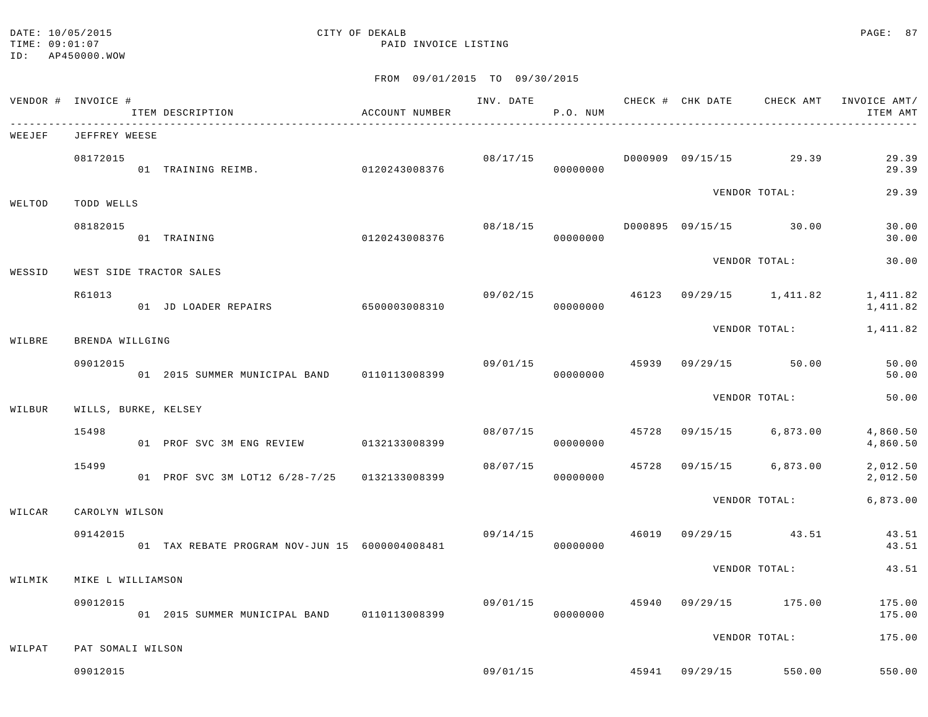### DATE: 10/05/2015 CITY OF DEKALB PAGE: 87 TIME:  $09:01:07$  PAID INVOICE LISTING

|        | VENDOR # INVOICE #      | ITEM DESCRIPTION                                 | ACCOUNT NUMBER |          | P.O. NUM             |       |               |                                        | ITEM AMT                                     |
|--------|-------------------------|--------------------------------------------------|----------------|----------|----------------------|-------|---------------|----------------------------------------|----------------------------------------------|
| WEEJEF | JEFFREY WEESE           |                                                  |                |          |                      |       |               |                                        |                                              |
|        | 08172015                | 01 TRAINING REIMB. 0120243008376                 |                |          | 00000000             |       |               |                                        | 29.39<br>29.39                               |
| WELTOD | TODD WELLS              |                                                  |                |          |                      |       |               | VENDOR TOTAL:                          | 29.39                                        |
|        | 08182015                | 0120243008376<br>01 TRAINING                     |                |          | 00000000             |       |               |                                        | 30.00<br>30.00                               |
| WESSID | WEST SIDE TRACTOR SALES |                                                  |                |          |                      |       |               | VENDOR TOTAL:                          | 30.00                                        |
|        | R61013                  | 01 JD LOADER REPAIRS 6500003008310               |                | 09/02/15 | 00000000             |       |               |                                        | 46123 09/29/15 1,411.82 1,411.82<br>1,411.82 |
| WILBRE | BRENDA WILLGING         |                                                  |                |          |                      |       |               | VENDOR TOTAL:                          | 1,411.82                                     |
|        | 09012015                | 01  2015  SUMMER MUNICIPAL BAND   0110113008399  |                |          | 09/01/15<br>00000000 | 45939 |               | 09/29/15 50.00                         | 50.00<br>50.00                               |
| WILBUR | WILLS, BURKE, KELSEY    |                                                  |                |          |                      |       |               | VENDOR TOTAL:                          | 50.00                                        |
|        | 15498                   | 01 PROF SVC 3M ENG REVIEW 0132133008399          |                | 08/07/15 | 00000000             |       |               | 45728 09/15/15 6,873.00                | 4,860.50<br>4,860.50                         |
|        | 15499                   | 01 PROF SVC 3M LOT12 6/28-7/25 0132133008399     |                | 08/07/15 | 00000000             |       |               | 45728 09/15/15 6,873.00                | 2,012.50<br>2,012.50                         |
| WILCAR | CAROLYN WILSON          |                                                  |                |          |                      |       |               |                                        | VENDOR TOTAL: 6,873.00                       |
|        | 09142015                | 01 TAX REBATE PROGRAM NOV-JUN 15 6000004008481   |                | 09/14/15 | 00000000             |       |               | 46019 09/29/15 43.51                   | 43.51<br>43.51                               |
| WILMIK | MIKE L WILLIAMSON       |                                                  |                |          |                      |       | VENDOR TOTAL: |                                        | 43.51                                        |
|        | 09012015                | 01  2015  SUMMER  MUNICIPAL BAND   0110113008399 |                |          | 00000000             |       |               | 09/01/15  45940  09/29/15  175.00      | 175.00<br>175.00                             |
| WILPAT | PAT SOMALI WILSON       |                                                  |                |          |                      |       |               | VENDOR TOTAL:                          | 175.00                                       |
|        | 09012015                |                                                  |                |          |                      |       |               | $09/01/15$ $45941$ $09/29/15$ $550.00$ | 550.00                                       |